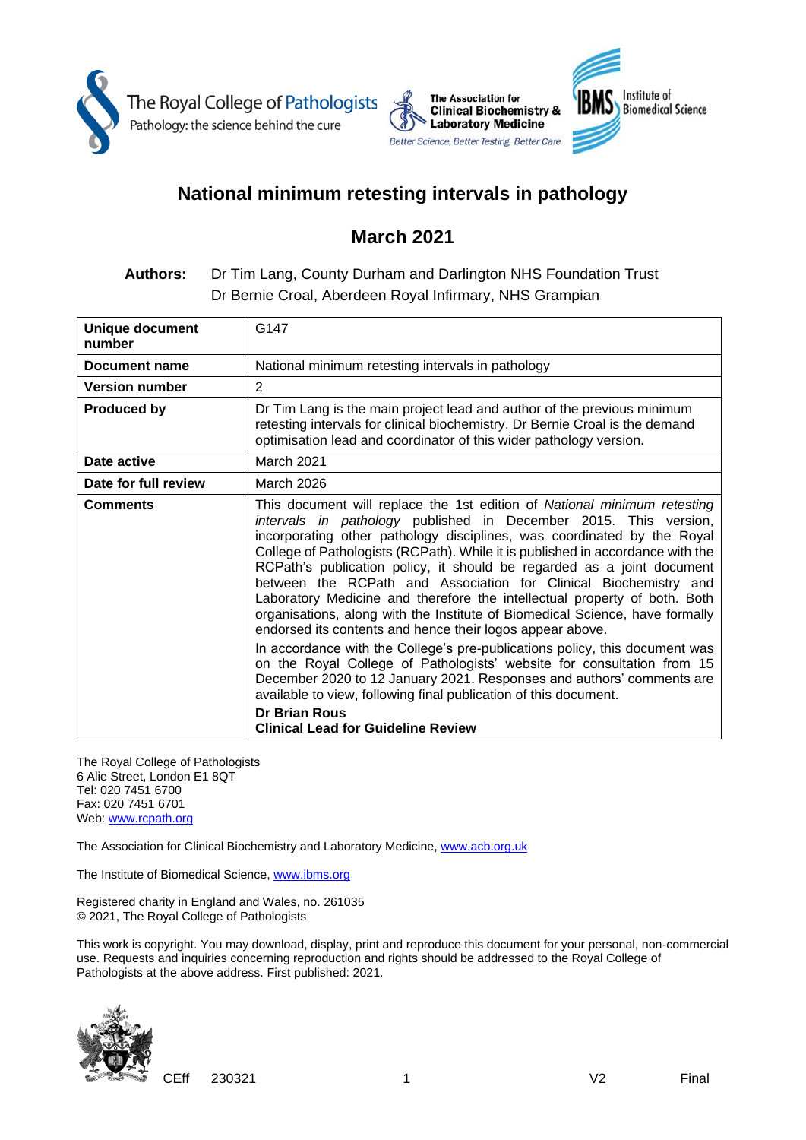



# **National minimum retesting intervals in pathology**

# **March 2021**

## **Authors:** Dr Tim Lang, County Durham and Darlington NHS Foundation Trust Dr Bernie Croal, Aberdeen Royal Infirmary, NHS Grampian

| <b>Unique document</b><br>number | G <sub>147</sub>                                                                                                                                                                                                                                                                                                                                                                                                                                                                                                                                                                                                                                                                                                                                                                                                                                                                                                                                                                                                                                             |  |
|----------------------------------|--------------------------------------------------------------------------------------------------------------------------------------------------------------------------------------------------------------------------------------------------------------------------------------------------------------------------------------------------------------------------------------------------------------------------------------------------------------------------------------------------------------------------------------------------------------------------------------------------------------------------------------------------------------------------------------------------------------------------------------------------------------------------------------------------------------------------------------------------------------------------------------------------------------------------------------------------------------------------------------------------------------------------------------------------------------|--|
| Document name                    | National minimum retesting intervals in pathology                                                                                                                                                                                                                                                                                                                                                                                                                                                                                                                                                                                                                                                                                                                                                                                                                                                                                                                                                                                                            |  |
| <b>Version number</b>            | 2                                                                                                                                                                                                                                                                                                                                                                                                                                                                                                                                                                                                                                                                                                                                                                                                                                                                                                                                                                                                                                                            |  |
| <b>Produced by</b>               | Dr Tim Lang is the main project lead and author of the previous minimum<br>retesting intervals for clinical biochemistry. Dr Bernie Croal is the demand<br>optimisation lead and coordinator of this wider pathology version.                                                                                                                                                                                                                                                                                                                                                                                                                                                                                                                                                                                                                                                                                                                                                                                                                                |  |
| Date active                      | March 2021                                                                                                                                                                                                                                                                                                                                                                                                                                                                                                                                                                                                                                                                                                                                                                                                                                                                                                                                                                                                                                                   |  |
| Date for full review             | <b>March 2026</b>                                                                                                                                                                                                                                                                                                                                                                                                                                                                                                                                                                                                                                                                                                                                                                                                                                                                                                                                                                                                                                            |  |
| <b>Comments</b>                  | This document will replace the 1st edition of National minimum retesting<br>intervals in pathology published in December 2015. This version,<br>incorporating other pathology disciplines, was coordinated by the Royal<br>College of Pathologists (RCPath). While it is published in accordance with the<br>RCPath's publication policy, it should be regarded as a joint document<br>between the RCPath and Association for Clinical Biochemistry and<br>Laboratory Medicine and therefore the intellectual property of both. Both<br>organisations, along with the Institute of Biomedical Science, have formally<br>endorsed its contents and hence their logos appear above.<br>In accordance with the College's pre-publications policy, this document was<br>on the Royal College of Pathologists' website for consultation from 15<br>December 2020 to 12 January 2021. Responses and authors' comments are<br>available to view, following final publication of this document.<br><b>Dr Brian Rous</b><br><b>Clinical Lead for Guideline Review</b> |  |

The Royal College of Pathologists 6 Alie Street, London E1 8QT Tel: 020 7451 6700 Fax: 020 7451 6701 Web: [www.rcpath.org](http://www.rcpath.org/)

The Association for Clinical Biochemistry and Laboratory Medicine, www.acb.org.uk

The Institute of Biomedical Science, www.ibms.org

Registered charity in England and Wales, no. 261035 © 2021, The Royal College of Pathologists

This work is copyright. You may download, display, print and reproduce this document for your personal, non-commercial use. Requests and inquiries concerning reproduction and rights should be addressed to the Royal College of Pathologists at the above address. First published: 2021.



CEff 230321 1 V2 Final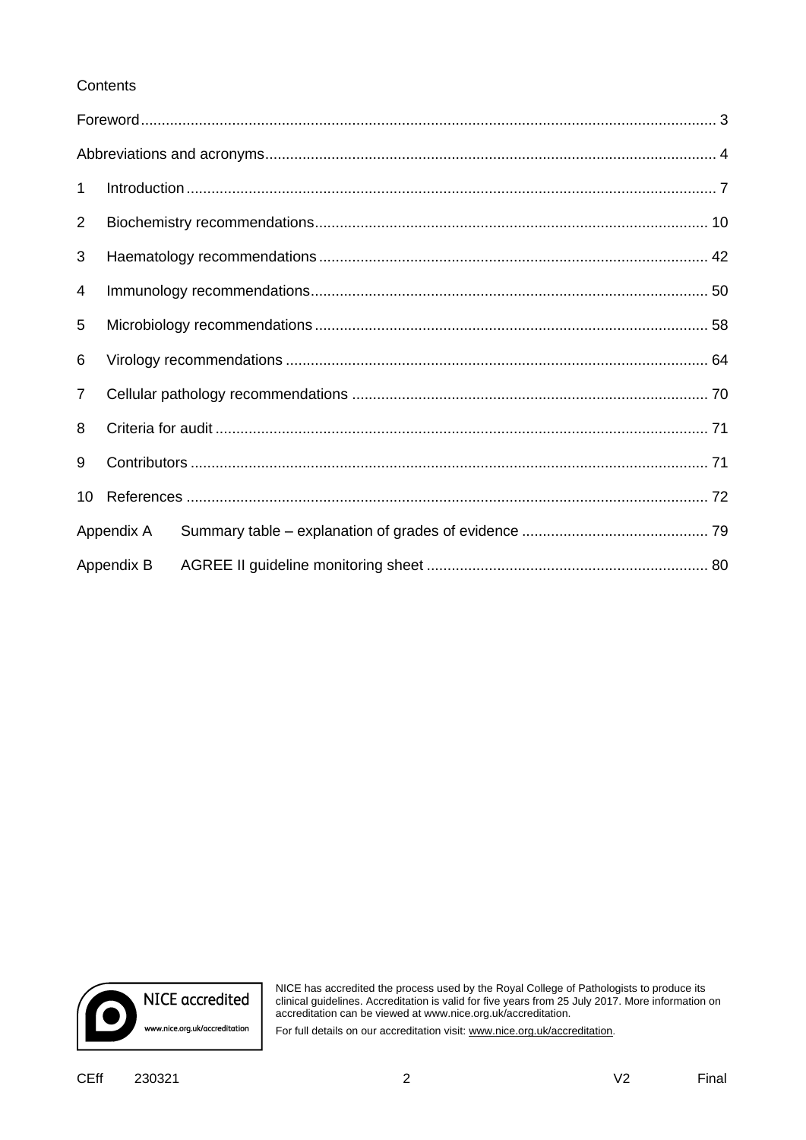### **Contents**

| $\mathbf 1$    |            |  |  |  |
|----------------|------------|--|--|--|
| 2              |            |  |  |  |
| 3              |            |  |  |  |
| 4              |            |  |  |  |
| 5              |            |  |  |  |
| 6              |            |  |  |  |
| $\overline{7}$ |            |  |  |  |
| 8              |            |  |  |  |
| 9              |            |  |  |  |
| 10             |            |  |  |  |
|                | Appendix A |  |  |  |
|                | Appendix B |  |  |  |



NICE has accredited the process used by the Royal College of Pathologists to produce its clinical guidelines. Accreditation is valid for five years from 25 July 2017. More information on accreditation can be viewed at www.nice.org.uk/accreditation.

For full details on our accreditation visit[: www.nice.org.uk/accreditation](http://www.nice.org.uk/accreditation).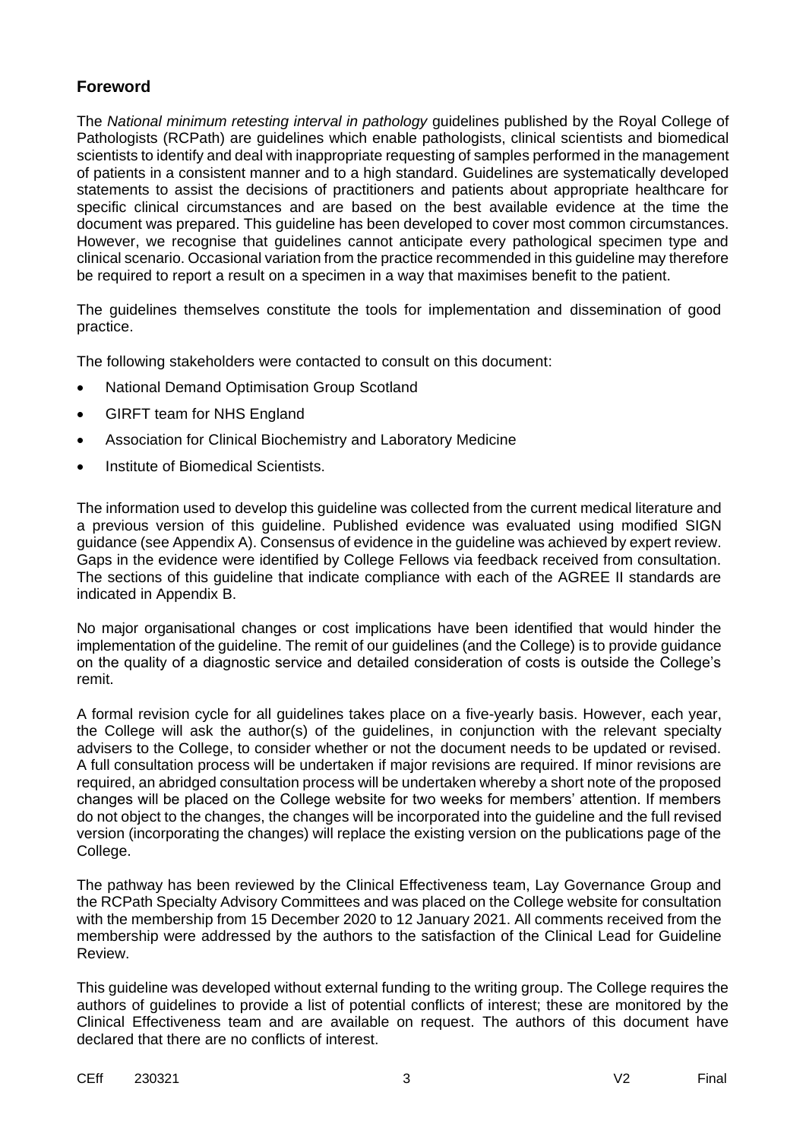### **Foreword**

The *National minimum retesting interval in pathology* guidelines published by the Royal College of Pathologists (RCPath) are guidelines which enable pathologists, clinical scientists and biomedical scientists to identify and deal with inappropriate requesting of samples performed in the management of patients in a consistent manner and to a high standard. Guidelines are systematically developed statements to assist the decisions of practitioners and patients about appropriate healthcare for specific clinical circumstances and are based on the best available evidence at the time the document was prepared. This guideline has been developed to cover most common circumstances. However, we recognise that guidelines cannot anticipate every pathological specimen type and clinical scenario. Occasional variation from the practice recommended in this guideline may therefore be required to report a result on a specimen in a way that maximises benefit to the patient.

The guidelines themselves constitute the tools for implementation and dissemination of good practice.

The following stakeholders were contacted to consult on this document:

- National Demand Optimisation Group Scotland
- GIRFT team for NHS England
- Association for Clinical Biochemistry and Laboratory Medicine
- Institute of Biomedical Scientists.

The information used to develop this guideline was collected from the current medical literature and a previous version of this guideline. Published evidence was evaluated using modified SIGN guidance (see Appendix A). Consensus of evidence in the guideline was achieved by expert review. Gaps in the evidence were identified by College Fellows via feedback received from consultation. The sections of this guideline that indicate compliance with each of the AGREE II standards are indicated in Appendix B.

No major organisational changes or cost implications have been identified that would hinder the implementation of the guideline. The remit of our guidelines (and the College) is to provide guidance on the quality of a diagnostic service and detailed consideration of costs is outside the College's remit.

A formal revision cycle for all guidelines takes place on a five-yearly basis. However, each year, the College will ask the author(s) of the guidelines, in conjunction with the relevant specialty advisers to the College, to consider whether or not the document needs to be updated or revised. A full consultation process will be undertaken if major revisions are required. If minor revisions are required, an abridged consultation process will be undertaken whereby a short note of the proposed changes will be placed on the College website for two weeks for members' attention. If members do not object to the changes, the changes will be incorporated into the guideline and the full revised version (incorporating the changes) will replace the existing version on the publications page of the College.

The pathway has been reviewed by the Clinical Effectiveness team, Lay Governance Group and the RCPath Specialty Advisory Committees and was placed on the College website for consultation with the membership from 15 December 2020 to 12 January 2021. All comments received from the membership were addressed by the authors to the satisfaction of the Clinical Lead for Guideline Review.

This guideline was developed without external funding to the writing group. The College requires the authors of guidelines to provide a list of potential conflicts of interest; these are monitored by the Clinical Effectiveness team and are available on request. The authors of this document have declared that there are no conflicts of interest.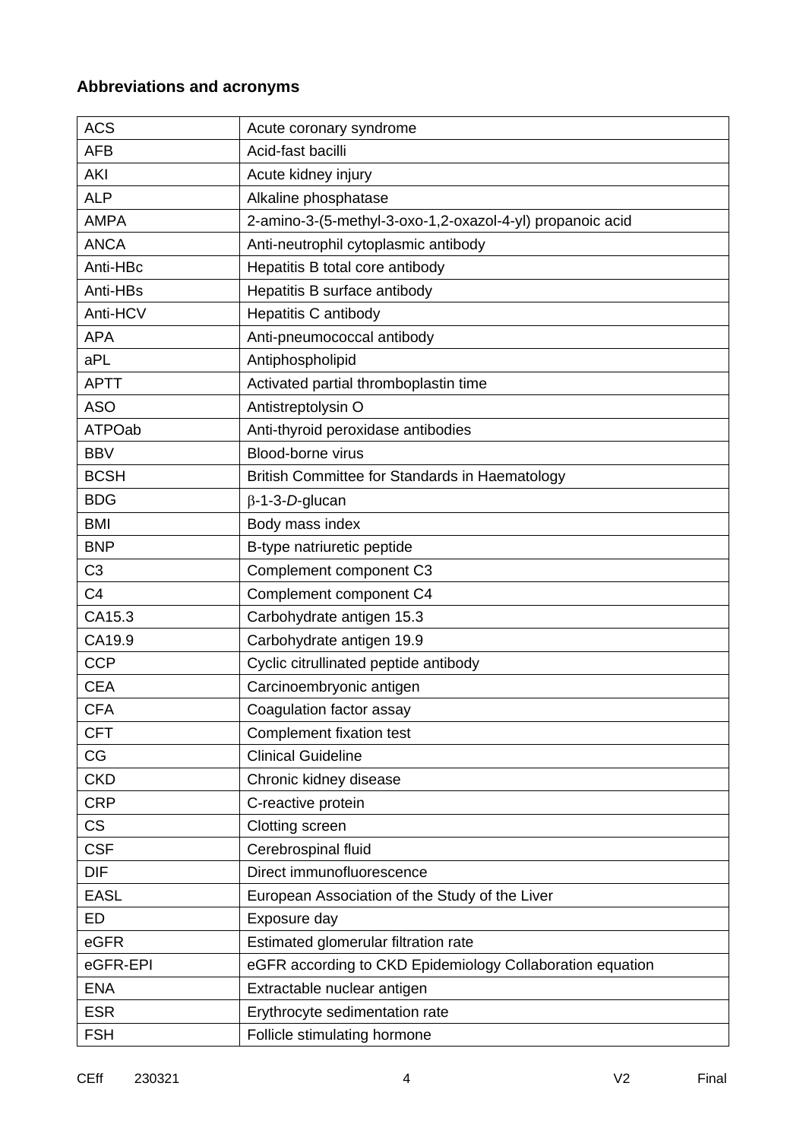# **Abbreviations and acronyms**

| <b>ACS</b>     | Acute coronary syndrome                                   |  |
|----------------|-----------------------------------------------------------|--|
| <b>AFB</b>     | Acid-fast bacilli                                         |  |
| AKI            | Acute kidney injury                                       |  |
| <b>ALP</b>     | Alkaline phosphatase                                      |  |
| <b>AMPA</b>    | 2-amino-3-(5-methyl-3-oxo-1,2-oxazol-4-yl) propanoic acid |  |
| <b>ANCA</b>    | Anti-neutrophil cytoplasmic antibody                      |  |
| Anti-HBc       | Hepatitis B total core antibody                           |  |
| Anti-HBs       | Hepatitis B surface antibody                              |  |
| Anti-HCV       | Hepatitis C antibody                                      |  |
| <b>APA</b>     | Anti-pneumococcal antibody                                |  |
| aPL            | Antiphospholipid                                          |  |
| <b>APTT</b>    | Activated partial thromboplastin time                     |  |
| <b>ASO</b>     | Antistreptolysin O                                        |  |
| <b>ATPOab</b>  | Anti-thyroid peroxidase antibodies                        |  |
| <b>BBV</b>     | Blood-borne virus                                         |  |
| <b>BCSH</b>    | British Committee for Standards in Haematology            |  |
| <b>BDG</b>     | $\beta$ -1-3-D-glucan                                     |  |
| <b>BMI</b>     | Body mass index                                           |  |
| <b>BNP</b>     | B-type natriuretic peptide                                |  |
| C <sub>3</sub> | Complement component C3                                   |  |
| C <sub>4</sub> | Complement component C4                                   |  |
| CA15.3         | Carbohydrate antigen 15.3                                 |  |
| CA19.9         | Carbohydrate antigen 19.9                                 |  |
| <b>CCP</b>     | Cyclic citrullinated peptide antibody                     |  |
| <b>CEA</b>     | Carcinoembryonic antigen                                  |  |
| <b>CFA</b>     | Coagulation factor assay                                  |  |
| <b>CFT</b>     | Complement fixation test                                  |  |
| CG             | <b>Clinical Guideline</b>                                 |  |
| <b>CKD</b>     | Chronic kidney disease                                    |  |
| <b>CRP</b>     | C-reactive protein                                        |  |
| <b>CS</b>      | Clotting screen                                           |  |
| <b>CSF</b>     | Cerebrospinal fluid                                       |  |
| <b>DIF</b>     | Direct immunofluorescence                                 |  |
| <b>EASL</b>    | European Association of the Study of the Liver            |  |
| ED             | Exposure day                                              |  |
| eGFR           | Estimated glomerular filtration rate                      |  |
| eGFR-EPI       | eGFR according to CKD Epidemiology Collaboration equation |  |
| <b>ENA</b>     | Extractable nuclear antigen                               |  |
| <b>ESR</b>     | Erythrocyte sedimentation rate                            |  |
| <b>FSH</b>     | Follicle stimulating hormone                              |  |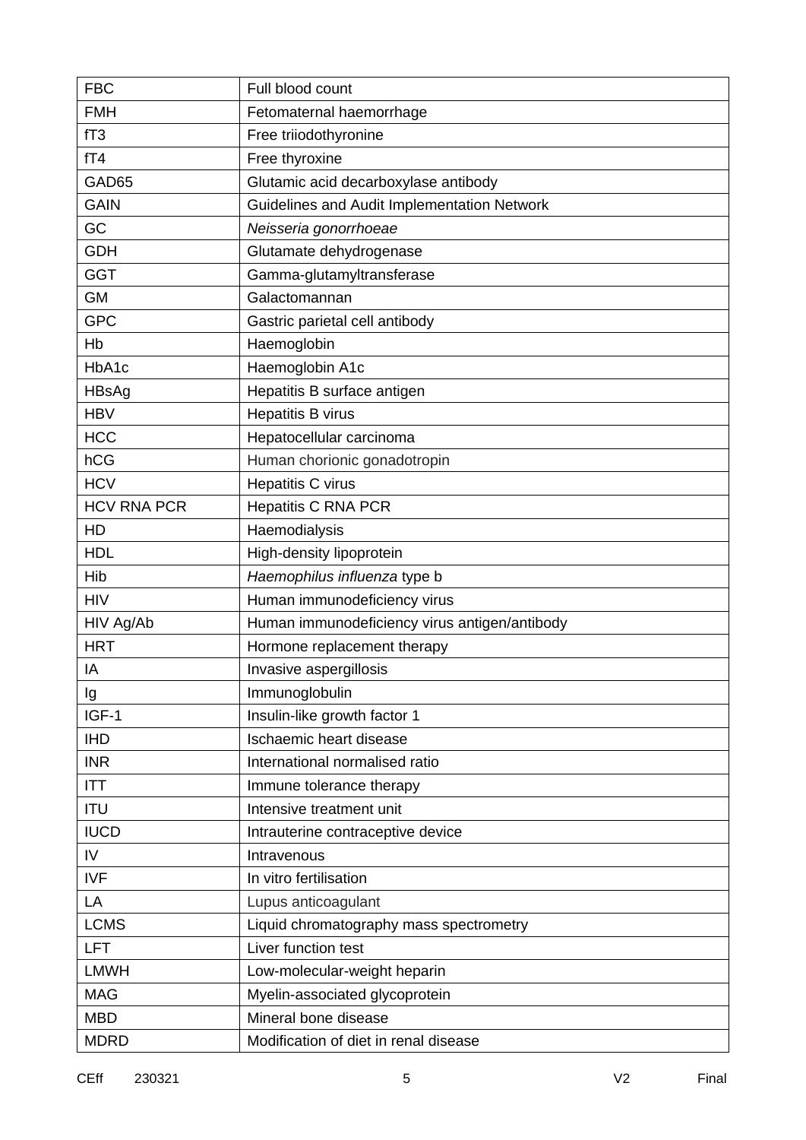| <b>FBC</b>         | Full blood count                              |  |
|--------------------|-----------------------------------------------|--|
| <b>FMH</b>         | Fetomaternal haemorrhage                      |  |
| fT <sub>3</sub>    | Free triiodothyronine                         |  |
| fT4                | Free thyroxine                                |  |
| GAD65              | Glutamic acid decarboxylase antibody          |  |
| <b>GAIN</b>        | Guidelines and Audit Implementation Network   |  |
| GC                 | Neisseria gonorrhoeae                         |  |
| <b>GDH</b>         | Glutamate dehydrogenase                       |  |
| <b>GGT</b>         | Gamma-glutamyltransferase                     |  |
| <b>GM</b>          | Galactomannan                                 |  |
| <b>GPC</b>         | Gastric parietal cell antibody                |  |
| Hb                 | Haemoglobin                                   |  |
| HbA1c              | Haemoglobin A1c                               |  |
| HBsAg              | Hepatitis B surface antigen                   |  |
| <b>HBV</b>         | <b>Hepatitis B virus</b>                      |  |
| <b>HCC</b>         | Hepatocellular carcinoma                      |  |
| hCG                | Human chorionic gonadotropin                  |  |
| <b>HCV</b>         | Hepatitis C virus                             |  |
| <b>HCV RNA PCR</b> | <b>Hepatitis C RNA PCR</b>                    |  |
| HD                 | Haemodialysis                                 |  |
| <b>HDL</b>         | High-density lipoprotein                      |  |
| Hib                | Haemophilus influenza type b                  |  |
| <b>HIV</b>         | Human immunodeficiency virus                  |  |
| HIV Ag/Ab          | Human immunodeficiency virus antigen/antibody |  |
| <b>HRT</b>         | Hormone replacement therapy                   |  |
| IA                 | Invasive aspergillosis                        |  |
| Ig                 | Immunoglobulin                                |  |
| IGF-1              | Insulin-like growth factor 1                  |  |
| <b>IHD</b>         | Ischaemic heart disease                       |  |
| <b>INR</b>         | International normalised ratio                |  |
| <b>ITT</b>         | Immune tolerance therapy                      |  |
| <b>ITU</b>         | Intensive treatment unit                      |  |
| <b>IUCD</b>        | Intrauterine contraceptive device             |  |
| IV                 | Intravenous                                   |  |
| <b>IVF</b>         | In vitro fertilisation                        |  |
| LA                 | Lupus anticoagulant                           |  |
| <b>LCMS</b>        | Liquid chromatography mass spectrometry       |  |
| LFT                | Liver function test                           |  |
| <b>LMWH</b>        | Low-molecular-weight heparin                  |  |
| <b>MAG</b>         | Myelin-associated glycoprotein                |  |
| <b>MBD</b>         | Mineral bone disease                          |  |
| <b>MDRD</b>        | Modification of diet in renal disease         |  |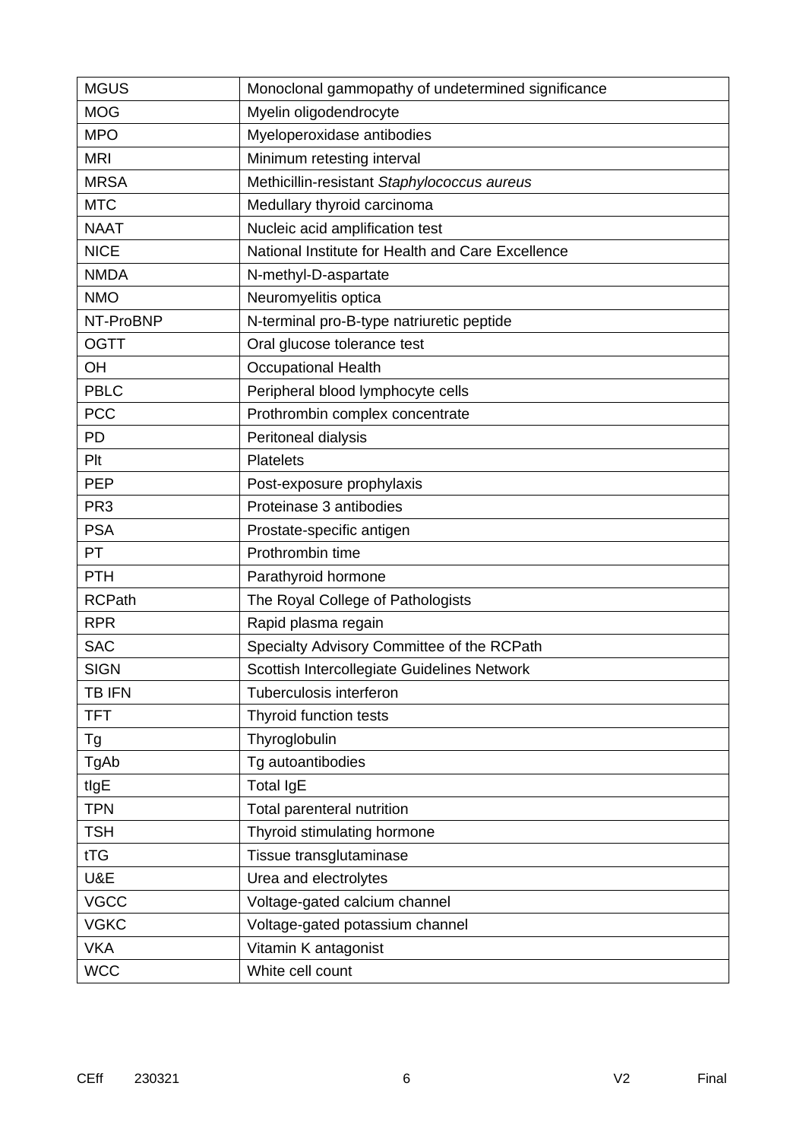| <b>MGUS</b>     | Monoclonal gammopathy of undetermined significance |  |  |
|-----------------|----------------------------------------------------|--|--|
| <b>MOG</b>      | Myelin oligodendrocyte                             |  |  |
| <b>MPO</b>      | Myeloperoxidase antibodies                         |  |  |
| <b>MRI</b>      | Minimum retesting interval                         |  |  |
| <b>MRSA</b>     | Methicillin-resistant Staphylococcus aureus        |  |  |
| <b>MTC</b>      | Medullary thyroid carcinoma                        |  |  |
| <b>NAAT</b>     | Nucleic acid amplification test                    |  |  |
| <b>NICE</b>     | National Institute for Health and Care Excellence  |  |  |
| <b>NMDA</b>     | N-methyl-D-aspartate                               |  |  |
| <b>NMO</b>      | Neuromyelitis optica                               |  |  |
| NT-ProBNP       | N-terminal pro-B-type natriuretic peptide          |  |  |
| <b>OGTT</b>     | Oral glucose tolerance test                        |  |  |
| OH              | <b>Occupational Health</b>                         |  |  |
| <b>PBLC</b>     | Peripheral blood lymphocyte cells                  |  |  |
| <b>PCC</b>      | Prothrombin complex concentrate                    |  |  |
| <b>PD</b>       | Peritoneal dialysis                                |  |  |
| Plt             | <b>Platelets</b>                                   |  |  |
| <b>PEP</b>      | Post-exposure prophylaxis                          |  |  |
| PR <sub>3</sub> | Proteinase 3 antibodies                            |  |  |
| <b>PSA</b>      | Prostate-specific antigen                          |  |  |
| PT              | Prothrombin time                                   |  |  |
| <b>PTH</b>      | Parathyroid hormone                                |  |  |
| <b>RCPath</b>   | The Royal College of Pathologists                  |  |  |
| <b>RPR</b>      | Rapid plasma regain                                |  |  |
| <b>SAC</b>      | Specialty Advisory Committee of the RCPath         |  |  |
| <b>SIGN</b>     | Scottish Intercollegiate Guidelines Network        |  |  |
| <b>TB IFN</b>   | Tuberculosis interferon                            |  |  |
| <b>TFT</b>      | Thyroid function tests                             |  |  |
| Tg              | Thyroglobulin                                      |  |  |
| TgAb            | Tg autoantibodies                                  |  |  |
| tlgE            | <b>Total IgE</b>                                   |  |  |
| <b>TPN</b>      | Total parenteral nutrition                         |  |  |
| <b>TSH</b>      | Thyroid stimulating hormone                        |  |  |
| tTG             | Tissue transglutaminase                            |  |  |
| U&E             | Urea and electrolytes                              |  |  |
| <b>VGCC</b>     | Voltage-gated calcium channel                      |  |  |
| <b>VGKC</b>     | Voltage-gated potassium channel                    |  |  |
| <b>VKA</b>      | Vitamin K antagonist                               |  |  |
| <b>WCC</b>      | White cell count                                   |  |  |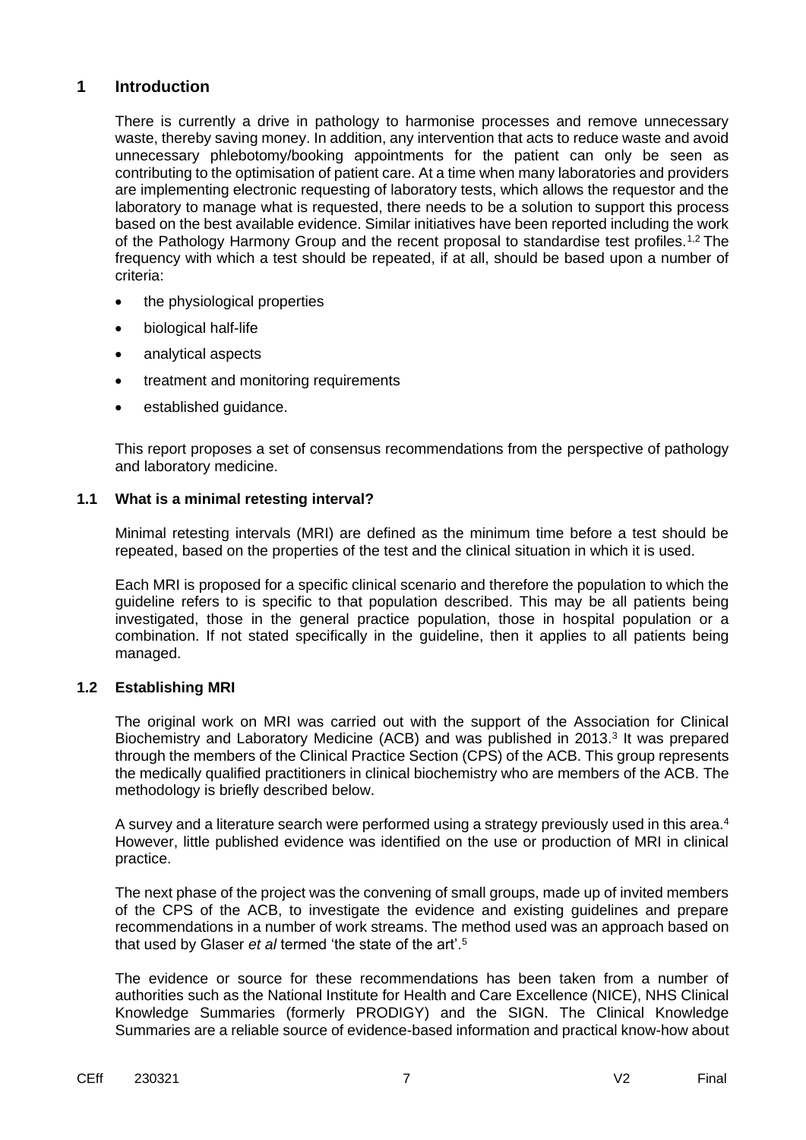### **1 Introduction**

There is currently a drive in pathology to harmonise processes and remove unnecessary waste, thereby saving money. In addition, any intervention that acts to reduce waste and avoid unnecessary phlebotomy/booking appointments for the patient can only be seen as contributing to the optimisation of patient care. At a time when many laboratories and providers are implementing electronic requesting of laboratory tests, which allows the requestor and the laboratory to manage what is requested, there needs to be a solution to support this process based on the best available evidence. Similar initiatives have been reported including the work of the Pathology Harmony Group and the recent proposal to standardise test profiles.<sup>1,2</sup> The frequency with which a test should be repeated, if at all, should be based upon a number of criteria:

- the physiological properties
- biological half-life
- analytical aspects
- treatment and monitoring requirements
- established guidance.

This report proposes a set of consensus recommendations from the perspective of pathology and laboratory medicine.

### **1.1 What is a minimal retesting interval?**

Minimal retesting intervals (MRI) are defined as the minimum time before a test should be repeated, based on the properties of the test and the clinical situation in which it is used.

Each MRI is proposed for a specific clinical scenario and therefore the population to which the guideline refers to is specific to that population described. This may be all patients being investigated, those in the general practice population, those in hospital population or a combination. If not stated specifically in the guideline, then it applies to all patients being managed.

### **1.2 Establishing MRI**

The original work on MRI was carried out with the support of the Association for Clinical Biochemistry and Laboratory Medicine (ACB) and was published in 2013.<sup>3</sup> It was prepared through the members of the Clinical Practice Section (CPS) of the ACB. This group represents the medically qualified practitioners in clinical biochemistry who are members of the ACB. The methodology is briefly described below.

A survey and a literature search were performed using a strategy previously used in this area.<sup>4</sup> However, little published evidence was identified on the use or production of MRI in clinical practice.

The next phase of the project was the convening of small groups, made up of invited members of the CPS of the ACB, to investigate the evidence and existing guidelines and prepare recommendations in a number of work streams. The method used was an approach based on that used by Glaser *et al* termed 'the state of the art'.<sup>5</sup>

The evidence or source for these recommendations has been taken from a number of authorities such as the National Institute for Health and Care Excellence (NICE), NHS Clinical Knowledge Summaries (formerly PRODIGY) and the SIGN. The Clinical Knowledge Summaries are a reliable source of evidence-based information and practical know-how about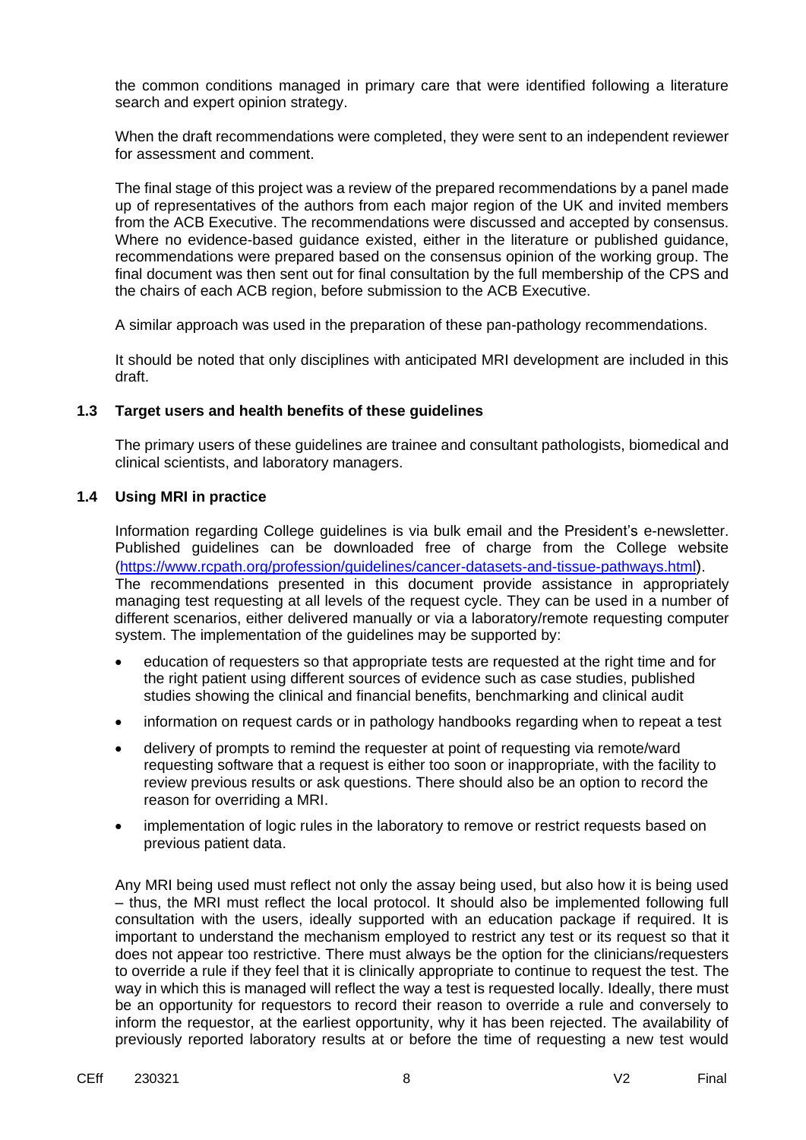the common conditions managed in primary care that were identified following a literature search and expert opinion strategy.

When the draft recommendations were completed, they were sent to an independent reviewer for assessment and comment.

The final stage of this project was a review of the prepared recommendations by a panel made up of representatives of the authors from each major region of the UK and invited members from the ACB Executive. The recommendations were discussed and accepted by consensus. Where no evidence-based guidance existed, either in the literature or published guidance, recommendations were prepared based on the consensus opinion of the working group. The final document was then sent out for final consultation by the full membership of the CPS and the chairs of each ACB region, before submission to the ACB Executive.

A similar approach was used in the preparation of these pan-pathology recommendations.

It should be noted that only disciplines with anticipated MRI development are included in this draft.

### **1.3 Target users and health benefits of these guidelines**

The primary users of these guidelines are trainee and consultant pathologists, biomedical and clinical scientists, and laboratory managers.

### **1.4 Using MRI in practice**

Information regarding College guidelines is via bulk email and the President's e-newsletter. Published guidelines can be downloaded free of charge from the College website [\(https://www.rcpath.org/profession/guidelines/cancer-datasets-and-tissue-pathways.html](https://www.rcpath.org/profession/guidelines/cancer-datasets-and-tissue-pathways.html)). The recommendations presented in this document provide assistance in appropriately managing test requesting at all levels of the request cycle. They can be used in a number of different scenarios, either delivered manually or via a laboratory/remote requesting computer system. The implementation of the guidelines may be supported by:

- education of requesters so that appropriate tests are requested at the right time and for the right patient using different sources of evidence such as case studies, published studies showing the clinical and financial benefits, benchmarking and clinical audit
- information on request cards or in pathology handbooks regarding when to repeat a test
- delivery of prompts to remind the requester at point of requesting via remote/ward requesting software that a request is either too soon or inappropriate, with the facility to review previous results or ask questions. There should also be an option to record the reason for overriding a MRI.
- implementation of logic rules in the laboratory to remove or restrict requests based on previous patient data.

Any MRI being used must reflect not only the assay being used, but also how it is being used – thus, the MRI must reflect the local protocol. It should also be implemented following full consultation with the users, ideally supported with an education package if required. It is important to understand the mechanism employed to restrict any test or its request so that it does not appear too restrictive. There must always be the option for the clinicians/requesters to override a rule if they feel that it is clinically appropriate to continue to request the test. The way in which this is managed will reflect the way a test is requested locally. Ideally, there must be an opportunity for requestors to record their reason to override a rule and conversely to inform the requestor, at the earliest opportunity, why it has been rejected. The availability of previously reported laboratory results at or before the time of requesting a new test would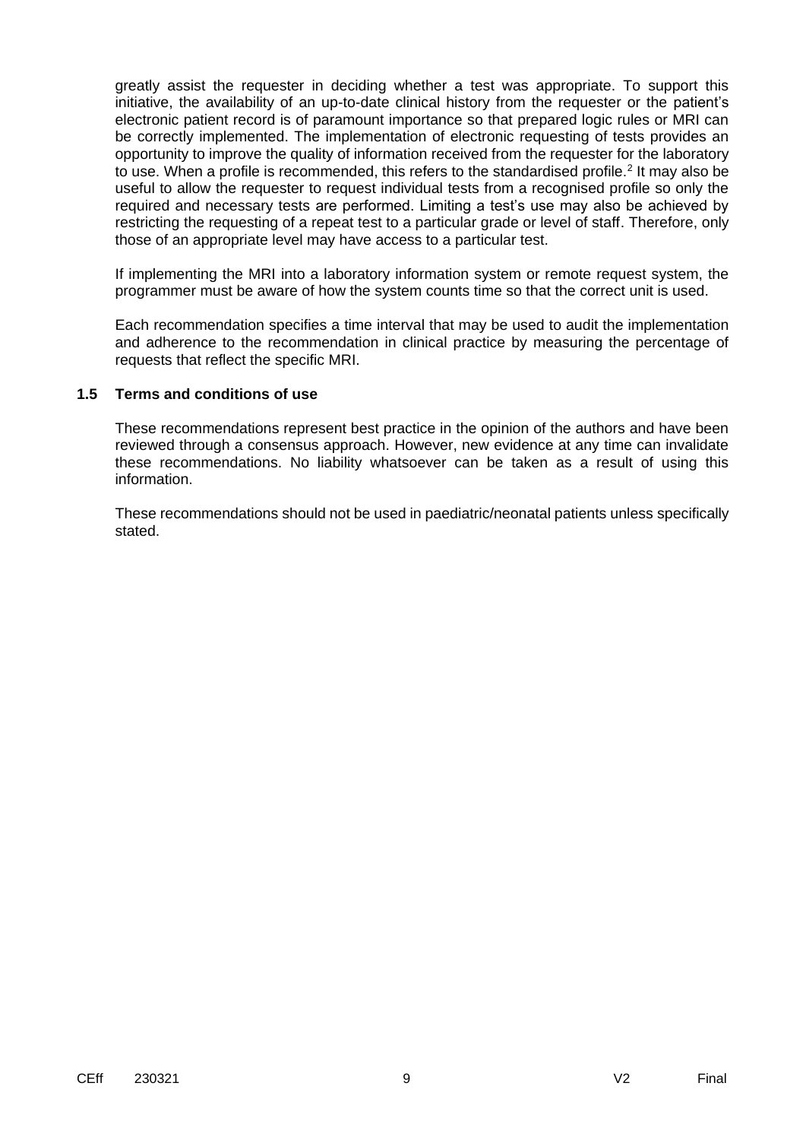greatly assist the requester in deciding whether a test was appropriate. To support this initiative, the availability of an up-to-date clinical history from the requester or the patient's electronic patient record is of paramount importance so that prepared logic rules or MRI can be correctly implemented. The implementation of electronic requesting of tests provides an opportunity to improve the quality of information received from the requester for the laboratory to use. When a profile is recommended, this refers to the standardised profile.<sup>2</sup> It may also be useful to allow the requester to request individual tests from a recognised profile so only the required and necessary tests are performed. Limiting a test's use may also be achieved by restricting the requesting of a repeat test to a particular grade or level of staff. Therefore, only those of an appropriate level may have access to a particular test.

If implementing the MRI into a laboratory information system or remote request system, the programmer must be aware of how the system counts time so that the correct unit is used.

Each recommendation specifies a time interval that may be used to audit the implementation and adherence to the recommendation in clinical practice by measuring the percentage of requests that reflect the specific MRI.

### **1.5 Terms and conditions of use**

These recommendations represent best practice in the opinion of the authors and have been reviewed through a consensus approach. However, new evidence at any time can invalidate these recommendations. No liability whatsoever can be taken as a result of using this information.

These recommendations should not be used in paediatric/neonatal patients unless specifically stated.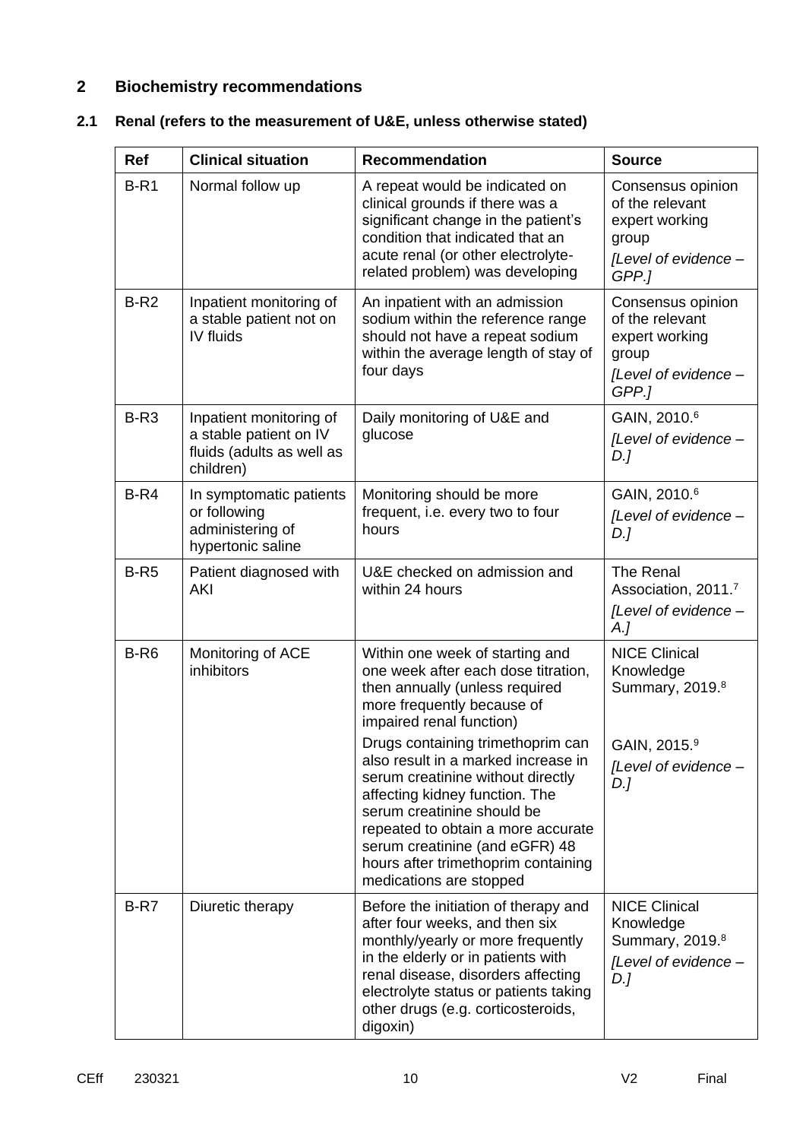## **2 Biochemistry recommendations**

## **2.1 Renal (refers to the measurement of U&E, unless otherwise stated)**

| <b>Ref</b> | <b>Clinical situation</b>                                                                   | <b>Recommendation</b>                                                                                                                                                                                                                                                                                                   | <b>Source</b>                                                                                    |
|------------|---------------------------------------------------------------------------------------------|-------------------------------------------------------------------------------------------------------------------------------------------------------------------------------------------------------------------------------------------------------------------------------------------------------------------------|--------------------------------------------------------------------------------------------------|
| $B-R1$     | Normal follow up                                                                            | A repeat would be indicated on<br>clinical grounds if there was a<br>significant change in the patient's<br>condition that indicated that an<br>acute renal (or other electrolyte-<br>related problem) was developing                                                                                                   | Consensus opinion<br>of the relevant<br>expert working<br>group<br>[Level of evidence -<br>GPP.] |
| $B-R2$     | Inpatient monitoring of<br>a stable patient not on<br>IV fluids                             | An inpatient with an admission<br>sodium within the reference range<br>should not have a repeat sodium<br>within the average length of stay of<br>four days                                                                                                                                                             | Consensus opinion<br>of the relevant<br>expert working<br>group<br>[Level of evidence -<br>GPP.] |
| $B-R3$     | Inpatient monitoring of<br>a stable patient on IV<br>fluids (adults as well as<br>children) | Daily monitoring of U&E and<br>glucose                                                                                                                                                                                                                                                                                  | GAIN, 2010.6<br>[Level of evidence -<br>$D$ .]                                                   |
| $B-R4$     | In symptomatic patients<br>or following<br>administering of<br>hypertonic saline            | Monitoring should be more<br>frequent, i.e. every two to four<br>hours                                                                                                                                                                                                                                                  | GAIN, 2010.6<br>[Level of evidence -<br>$D$ .]                                                   |
| $B-R5$     | Patient diagnosed with<br>AKI                                                               | U&E checked on admission and<br>within 24 hours                                                                                                                                                                                                                                                                         | The Renal<br>Association, 2011.7<br>[Level of evidence -<br>$A_{\cdot}$                          |
| $B-R6$     | Monitoring of ACE<br>inhibitors                                                             | Within one week of starting and<br>one week after each dose titration,<br>then annually (unless required<br>more frequently because of<br>impaired renal function)                                                                                                                                                      | <b>NICE Clinical</b><br>Knowledge<br>Summary, 2019.8                                             |
|            |                                                                                             | Drugs containing trimethoprim can<br>also result in a marked increase in<br>serum creatinine without directly<br>affecting kidney function. The<br>serum creatinine should be<br>repeated to obtain a more accurate<br>serum creatinine (and eGFR) 48<br>hours after trimethoprim containing<br>medications are stopped | GAIN, 2015.9<br>[Level of evidence -<br>D.                                                       |
| $B-R7$     | Diuretic therapy                                                                            | Before the initiation of therapy and<br>after four weeks, and then six<br>monthly/yearly or more frequently<br>in the elderly or in patients with<br>renal disease, disorders affecting<br>electrolyte status or patients taking<br>other drugs (e.g. corticosteroids,<br>digoxin)                                      | <b>NICE Clinical</b><br>Knowledge<br>Summary, 2019.8<br>[Level of evidence -<br>D.               |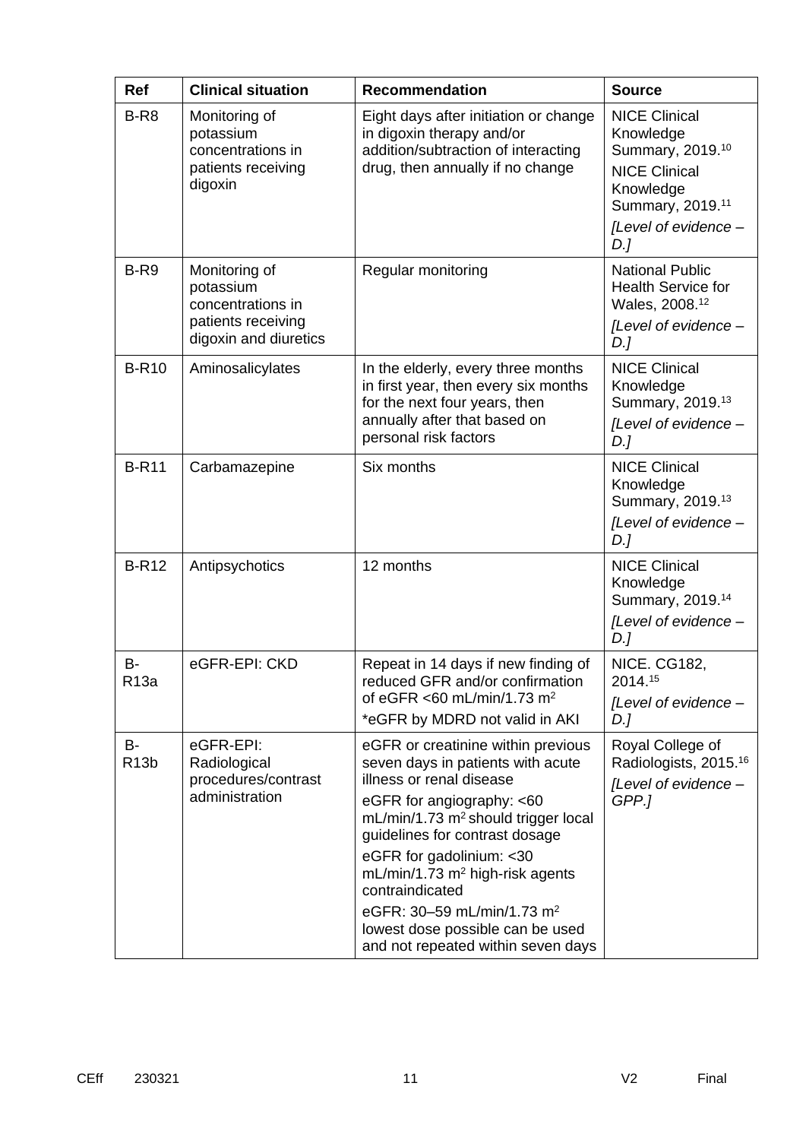| <b>Ref</b>                     | <b>Clinical situation</b>                                                                      | <b>Recommendation</b>                                                                                                                                                                                                                                                                                                                                                                                                                      | <b>Source</b>                                                                                                                                             |
|--------------------------------|------------------------------------------------------------------------------------------------|--------------------------------------------------------------------------------------------------------------------------------------------------------------------------------------------------------------------------------------------------------------------------------------------------------------------------------------------------------------------------------------------------------------------------------------------|-----------------------------------------------------------------------------------------------------------------------------------------------------------|
| B-R <sub>8</sub>               | Monitoring of<br>potassium<br>concentrations in<br>patients receiving<br>digoxin               | Eight days after initiation or change<br>in digoxin therapy and/or<br>addition/subtraction of interacting<br>drug, then annually if no change                                                                                                                                                                                                                                                                                              | <b>NICE Clinical</b><br>Knowledge<br>Summary, 2019.10<br><b>NICE Clinical</b><br>Knowledge<br>Summary, 2019. <sup>11</sup><br>[Level of evidence -<br>D.] |
| B-R9                           | Monitoring of<br>potassium<br>concentrations in<br>patients receiving<br>digoxin and diuretics | Regular monitoring                                                                                                                                                                                                                                                                                                                                                                                                                         | <b>National Public</b><br><b>Health Service for</b><br>Wales, 2008. <sup>12</sup><br>[Level of evidence -<br>$D$ .]                                       |
| <b>B-R10</b>                   | Aminosalicylates                                                                               | In the elderly, every three months<br>in first year, then every six months<br>for the next four years, then<br>annually after that based on<br>personal risk factors                                                                                                                                                                                                                                                                       | <b>NICE Clinical</b><br>Knowledge<br>Summary, 2019.13<br>[Level of evidence -<br>$D$ .]                                                                   |
| <b>B-R11</b>                   | Carbamazepine                                                                                  | Six months                                                                                                                                                                                                                                                                                                                                                                                                                                 | <b>NICE Clinical</b><br>Knowledge<br>Summary, 2019.13<br>[Level of evidence -<br>$D$ .]                                                                   |
| <b>B-R12</b>                   | Antipsychotics                                                                                 | 12 months                                                                                                                                                                                                                                                                                                                                                                                                                                  | <b>NICE Clinical</b><br>Knowledge<br>Summary, 2019. <sup>14</sup><br>[Level of evidence -<br>D.]                                                          |
| В-<br>R13a                     | eGFR-EPI: CKD                                                                                  | Repeat in 14 days if new finding of<br>reduced GFR and/or confirmation<br>of eGFR <60 mL/min/1.73 m <sup>2</sup><br>*eGFR by MDRD not valid in AKI                                                                                                                                                                                                                                                                                         | <b>NICE. CG182,</b><br>2014.15<br>[Level of evidence -<br>D.]                                                                                             |
| <b>B-</b><br>R <sub>13</sub> b | eGFR-EPI:<br>Radiological<br>procedures/contrast<br>administration                             | eGFR or creatinine within previous<br>seven days in patients with acute<br>illness or renal disease<br>eGFR for angiography: <60<br>mL/min/1.73 m <sup>2</sup> should trigger local<br>guidelines for contrast dosage<br>eGFR for gadolinium: < 30<br>$mL/min/1.73$ m <sup>2</sup> high-risk agents<br>contraindicated<br>eGFR: 30-59 mL/min/1.73 m <sup>2</sup><br>lowest dose possible can be used<br>and not repeated within seven days | Royal College of<br>Radiologists, 2015. <sup>16</sup><br>[Level of evidence -<br>GPP.]                                                                    |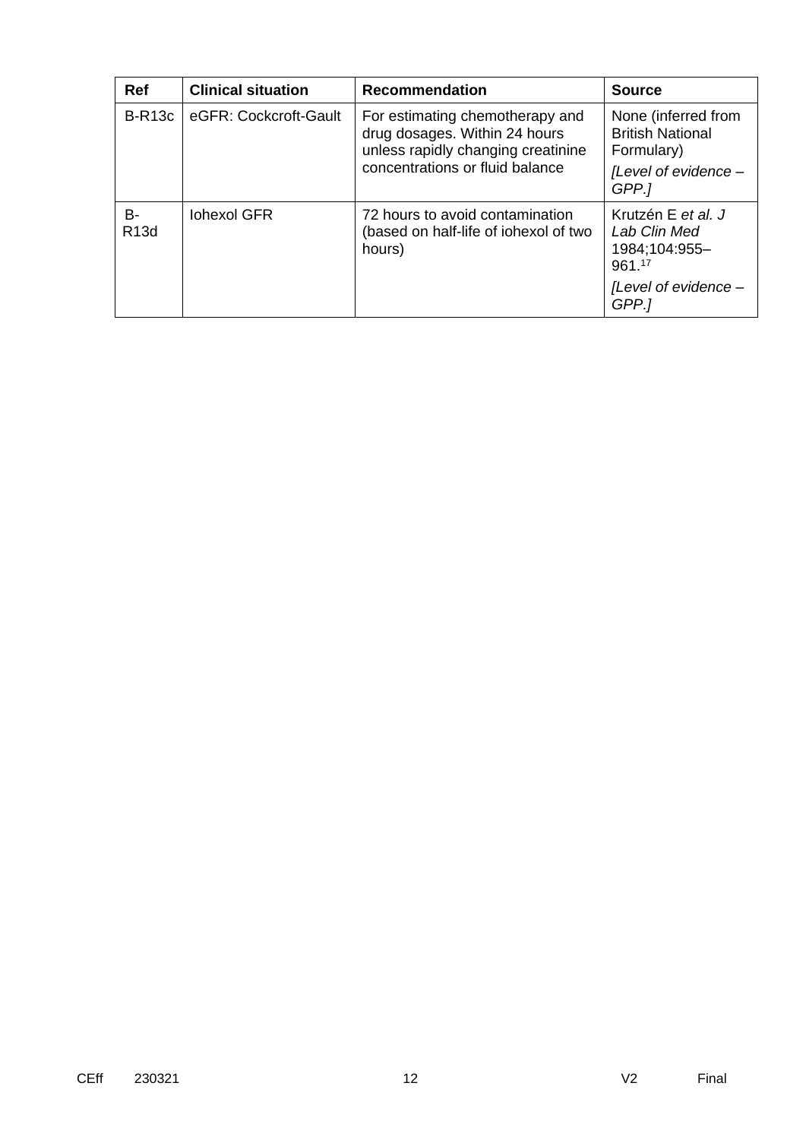| <b>Ref</b>        | <b>Clinical situation</b> | <b>Recommendation</b>                                                                                                                     | <b>Source</b>                                                                                  |
|-------------------|---------------------------|-------------------------------------------------------------------------------------------------------------------------------------------|------------------------------------------------------------------------------------------------|
| $B-R13c$          | eGFR: Cockcroft-Gault     | For estimating chemotherapy and<br>drug dosages. Within 24 hours<br>unless rapidly changing creatinine<br>concentrations or fluid balance | None (inferred from<br><b>British National</b><br>Formulary)<br>[Level of evidence -<br>GPP.1  |
| B-<br><b>R13d</b> | <b>Iohexol GFR</b>        | 72 hours to avoid contamination<br>(based on half-life of iohexol of two<br>hours)                                                        | Krutzén E et al. J<br>Lab Clin Med<br>1984;104:955-<br>961.17<br>[Level of evidence -<br>GPP.1 |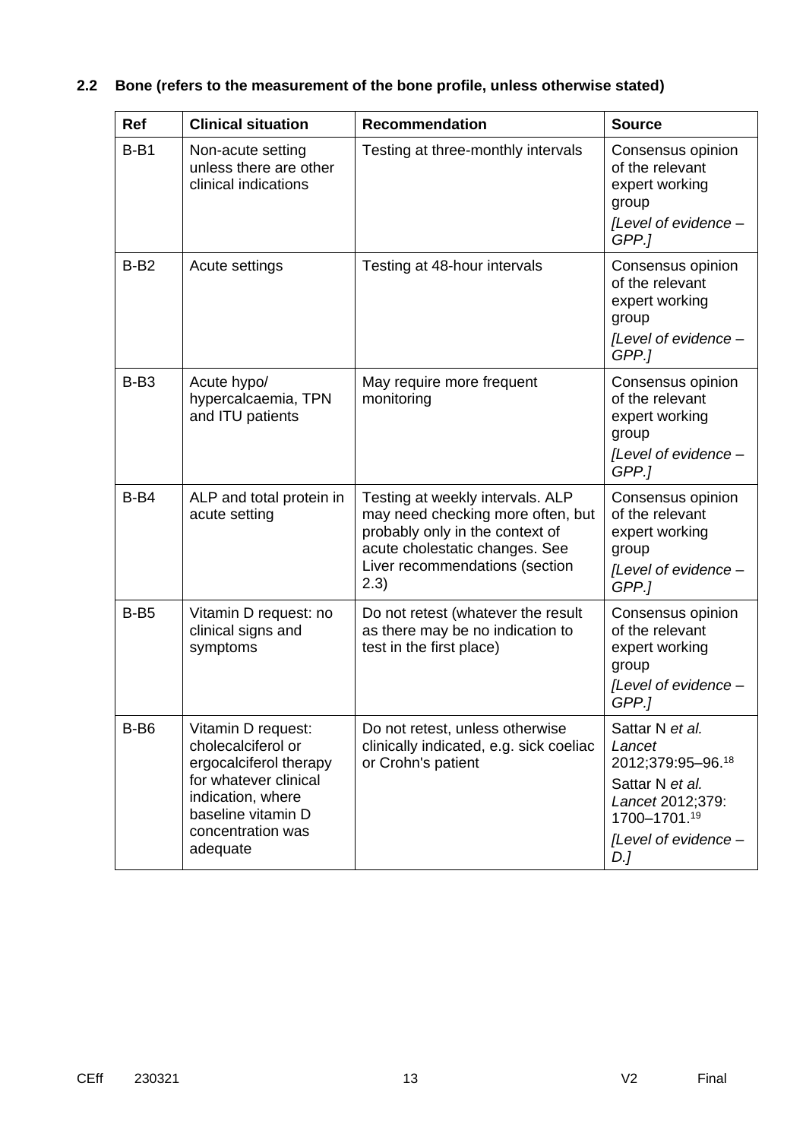# **2.2 Bone (refers to the measurement of the bone profile, unless otherwise stated)**

| <b>Ref</b> | <b>Clinical situation</b>                                                                                                                                               | <b>Recommendation</b>                                                                                                                                                                | <b>Source</b>                                                                                                                        |
|------------|-------------------------------------------------------------------------------------------------------------------------------------------------------------------------|--------------------------------------------------------------------------------------------------------------------------------------------------------------------------------------|--------------------------------------------------------------------------------------------------------------------------------------|
| $B-B1$     | Non-acute setting<br>unless there are other<br>clinical indications                                                                                                     | Testing at three-monthly intervals                                                                                                                                                   | Consensus opinion<br>of the relevant<br>expert working<br>group<br>[Level of evidence -<br>GPP.]                                     |
| $B-B2$     | Acute settings                                                                                                                                                          | Testing at 48-hour intervals                                                                                                                                                         | Consensus opinion<br>of the relevant<br>expert working<br>group<br>[Level of evidence -<br>GPP.]                                     |
| $B-B3$     | Acute hypo/<br>hypercalcaemia, TPN<br>and ITU patients                                                                                                                  | May require more frequent<br>monitoring                                                                                                                                              | Consensus opinion<br>of the relevant<br>expert working<br>group<br>[Level of evidence -<br>GPP.]                                     |
| $B-B4$     | ALP and total protein in<br>acute setting                                                                                                                               | Testing at weekly intervals. ALP<br>may need checking more often, but<br>probably only in the context of<br>acute cholestatic changes. See<br>Liver recommendations (section<br>2.3) | Consensus opinion<br>of the relevant<br>expert working<br>group<br>[Level of evidence -<br>GPP.]                                     |
| $B-B5$     | Vitamin D request: no<br>clinical signs and<br>symptoms                                                                                                                 | Do not retest (whatever the result<br>as there may be no indication to<br>test in the first place)                                                                                   | Consensus opinion<br>of the relevant<br>expert working<br>group<br>[Level of evidence -<br>GPP.]                                     |
| $B-6$      | Vitamin D request:<br>cholecalciferol or<br>ergocalciferol therapy<br>for whatever clinical<br>indication, where<br>baseline vitamin D<br>concentration was<br>adequate | Do not retest, unless otherwise<br>clinically indicated, e.g. sick coeliac<br>or Crohn's patient                                                                                     | Sattar N et al.<br>Lancet<br>2012;379:95-96.18<br>Sattar N et al.<br>Lancet 2012;379:<br>1700-1701.19<br>[Level of evidence -<br>D.J |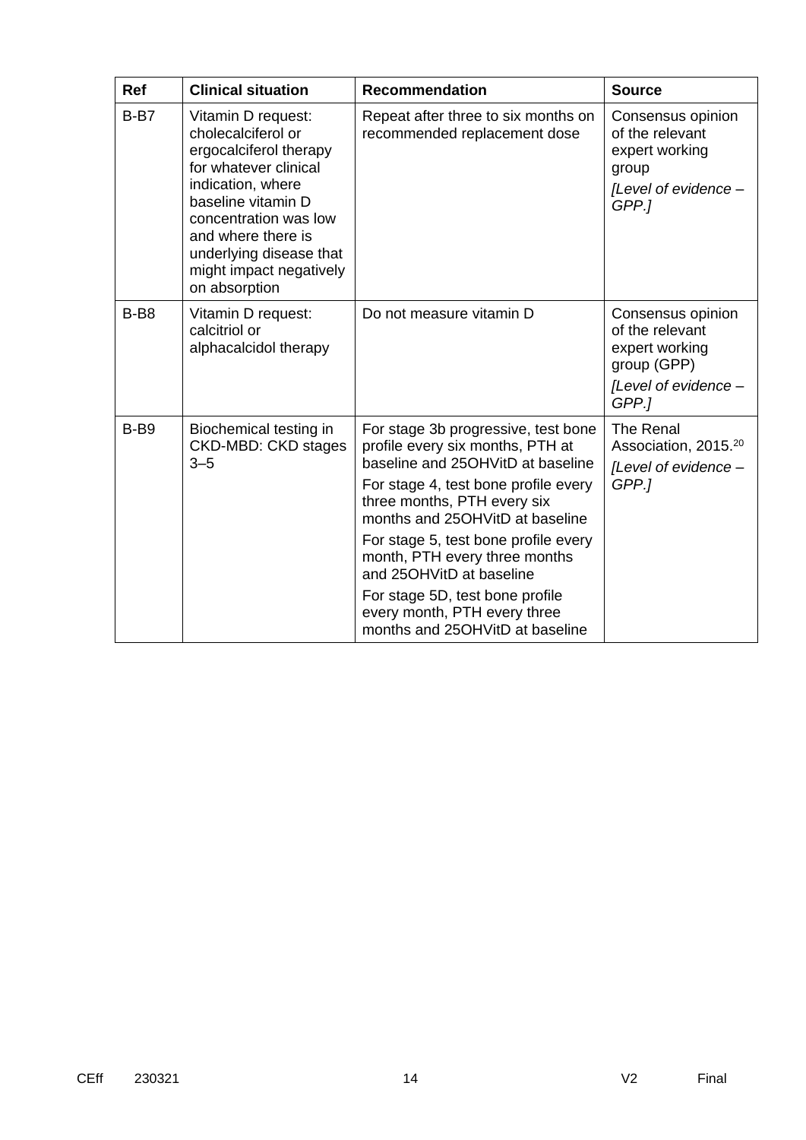| <b>Ref</b> | <b>Clinical situation</b>                                                                                                                                                                                                                                    | <b>Recommendation</b>                                                                                                                                                                                                                                                                                                                                                                                                             | <b>Source</b>                                                                                          |
|------------|--------------------------------------------------------------------------------------------------------------------------------------------------------------------------------------------------------------------------------------------------------------|-----------------------------------------------------------------------------------------------------------------------------------------------------------------------------------------------------------------------------------------------------------------------------------------------------------------------------------------------------------------------------------------------------------------------------------|--------------------------------------------------------------------------------------------------------|
| $B-B7$     | Vitamin D request:<br>cholecalciferol or<br>ergocalciferol therapy<br>for whatever clinical<br>indication, where<br>baseline vitamin D<br>concentration was low<br>and where there is<br>underlying disease that<br>might impact negatively<br>on absorption | Repeat after three to six months on<br>recommended replacement dose                                                                                                                                                                                                                                                                                                                                                               | Consensus opinion<br>of the relevant<br>expert working<br>group<br>[Level of evidence -<br>GPP.1       |
| $B-B8$     | Vitamin D request:<br>calcitriol or<br>alphacalcidol therapy                                                                                                                                                                                                 | Do not measure vitamin D                                                                                                                                                                                                                                                                                                                                                                                                          | Consensus opinion<br>of the relevant<br>expert working<br>group (GPP)<br>[Level of evidence -<br>GPP.1 |
| $B-B9$     | Biochemical testing in<br><b>CKD-MBD: CKD stages</b><br>$3 - 5$                                                                                                                                                                                              | For stage 3b progressive, test bone<br>profile every six months, PTH at<br>baseline and 25OHVitD at baseline<br>For stage 4, test bone profile every<br>three months, PTH every six<br>months and 25OHVitD at baseline<br>For stage 5, test bone profile every<br>month, PTH every three months<br>and 25OHVitD at baseline<br>For stage 5D, test bone profile<br>every month, PTH every three<br>months and 25OHVitD at baseline | The Renal<br>Association, 2015. <sup>20</sup><br>[Level of evidence -<br>GPP.1                         |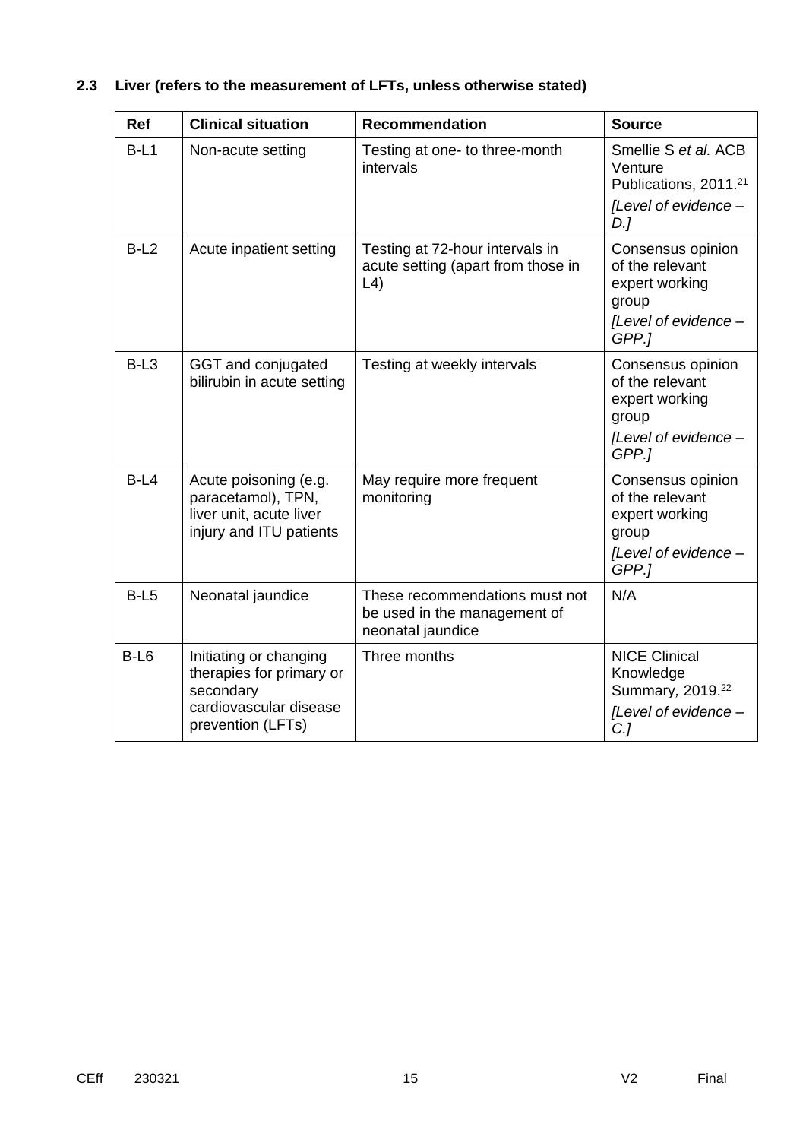| Ref    | <b>Clinical situation</b>                                                                                      | <b>Recommendation</b>                                                                        | <b>Source</b>                                                                                       |
|--------|----------------------------------------------------------------------------------------------------------------|----------------------------------------------------------------------------------------------|-----------------------------------------------------------------------------------------------------|
| $B-L1$ | Non-acute setting                                                                                              | Testing at one- to three-month<br>intervals                                                  | Smellie S et al. ACB<br>Venture<br>Publications, 2011. <sup>21</sup><br>[Level of evidence -<br>D.  |
| $B-L2$ | Acute inpatient setting                                                                                        | Testing at 72-hour intervals in<br>acute setting (apart from those in<br>$\lfloor 4 \rfloor$ | Consensus opinion<br>of the relevant<br>expert working<br>group<br>[Level of evidence -<br>GPP.]    |
| $B-L3$ | GGT and conjugated<br>bilirubin in acute setting                                                               | Testing at weekly intervals                                                                  | Consensus opinion<br>of the relevant<br>expert working<br>group<br>[Level of evidence -<br>GPP.]    |
| $B-L4$ | Acute poisoning (e.g.<br>paracetamol), TPN,<br>liver unit, acute liver<br>injury and ITU patients              | May require more frequent<br>monitoring                                                      | Consensus opinion<br>of the relevant<br>expert working<br>group<br>[Level of evidence -<br>GPP.]    |
| $B-L5$ | Neonatal jaundice                                                                                              | These recommendations must not<br>be used in the management of<br>neonatal jaundice          | N/A                                                                                                 |
| $B-L6$ | Initiating or changing<br>therapies for primary or<br>secondary<br>cardiovascular disease<br>prevention (LFTs) | Three months                                                                                 | <b>NICE Clinical</b><br>Knowledge<br>Summary, 2019. <sup>22</sup><br>[Level of evidence -<br>$C$ .] |

# **2.3 Liver (refers to the measurement of LFTs, unless otherwise stated)**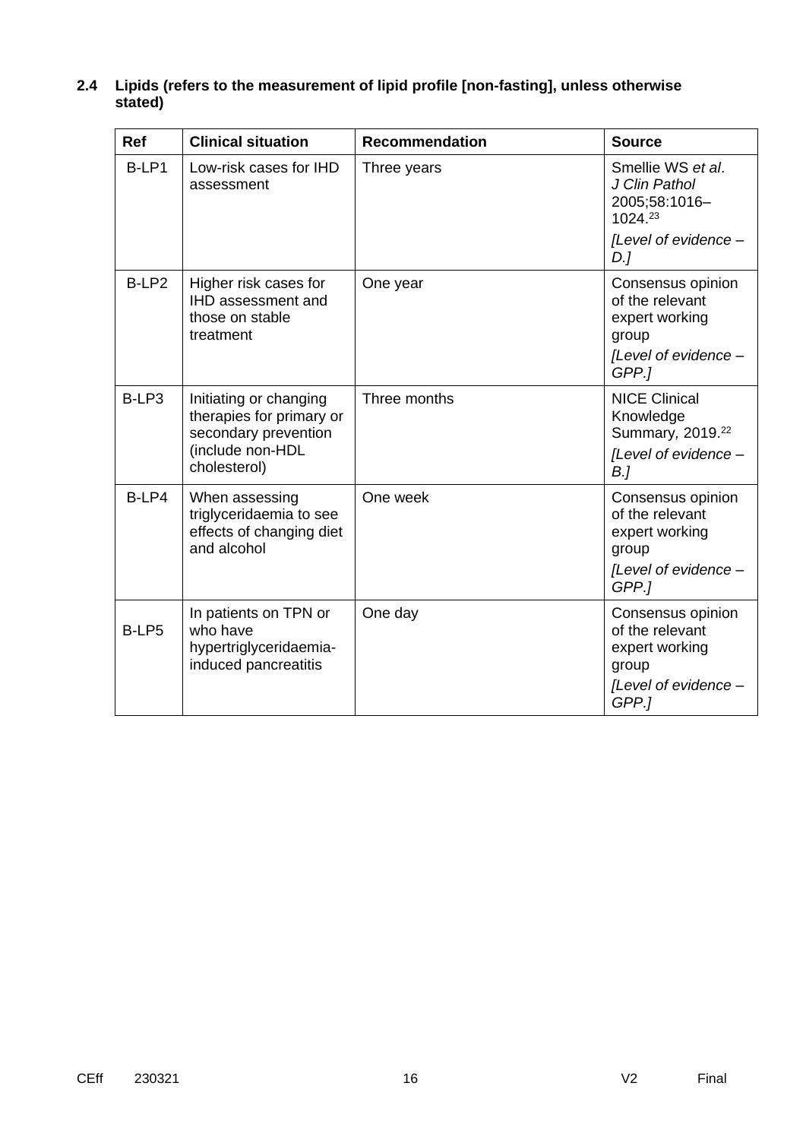| <b>Ref</b>        | <b>Clinical situation</b>                                                                                      | <b>Recommendation</b> | <b>Source</b>                                                                                               |
|-------------------|----------------------------------------------------------------------------------------------------------------|-----------------------|-------------------------------------------------------------------------------------------------------------|
| B-LP1             | Low-risk cases for IHD<br>assessment                                                                           | Three years           | Smellie WS et al.<br>J Clin Pathol<br>2005;58:1016-<br>1024.23                                              |
|                   |                                                                                                                |                       | [Level of evidence -<br>D.1                                                                                 |
| B-LP <sub>2</sub> | Higher risk cases for<br><b>IHD assessment and</b><br>those on stable<br>treatment                             | One year              | Consensus opinion<br>of the relevant<br>expert working<br>group<br>[Level of evidence -<br>GPP.]            |
| B-LP3             | Initiating or changing<br>therapies for primary or<br>secondary prevention<br>(include non-HDL<br>cholesterol) | Three months          | <b>NICE Clinical</b><br>Knowledge<br>Summary, 2019. <sup>22</sup><br>[Level of evidence -<br>B <sub>l</sub> |
| B-LP4             | When assessing<br>triglyceridaemia to see<br>effects of changing diet<br>and alcohol                           | One week              | Consensus opinion<br>of the relevant<br>expert working<br>group<br>[Level of evidence -<br>GPP.1            |
| B-LP5             | In patients on TPN or<br>who have<br>hypertriglyceridaemia-<br>induced pancreatitis                            | One day               | Consensus opinion<br>of the relevant<br>expert working<br>group<br>[Level of evidence -<br>GPP.1            |

### **2.4 Lipids (refers to the measurement of lipid profile [non-fasting], unless otherwise stated)**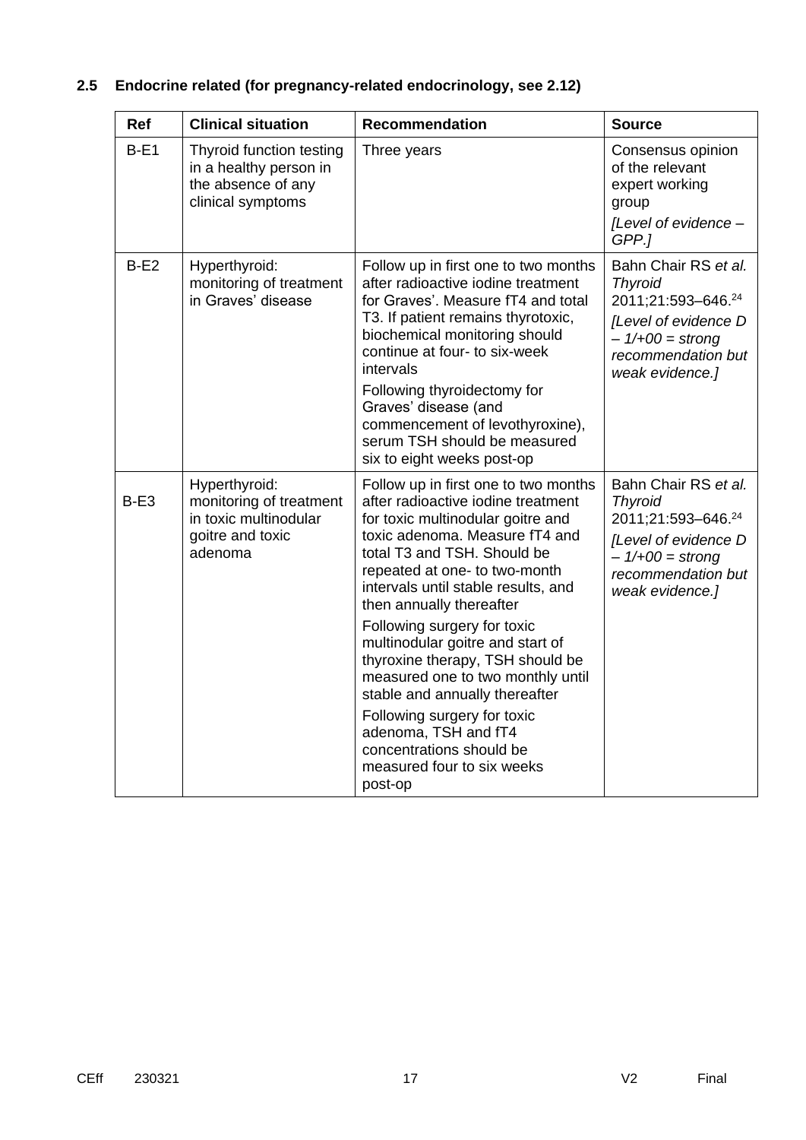# **2.5 Endocrine related (for pregnancy-related endocrinology, see 2.12)**

| Ref    | <b>Clinical situation</b>                                                                        | <b>Recommendation</b>                                                                                                                                                                                                                                                                                                                                                                                                                                                                                                                                                                          | <b>Source</b>                                                                                                                                      |
|--------|--------------------------------------------------------------------------------------------------|------------------------------------------------------------------------------------------------------------------------------------------------------------------------------------------------------------------------------------------------------------------------------------------------------------------------------------------------------------------------------------------------------------------------------------------------------------------------------------------------------------------------------------------------------------------------------------------------|----------------------------------------------------------------------------------------------------------------------------------------------------|
| $B-E1$ | Thyroid function testing<br>in a healthy person in<br>the absence of any<br>clinical symptoms    | Three years                                                                                                                                                                                                                                                                                                                                                                                                                                                                                                                                                                                    | Consensus opinion<br>of the relevant<br>expert working<br>group<br>[Level of evidence -<br>GPP.1                                                   |
| $B-E2$ | Hyperthyroid:<br>monitoring of treatment<br>in Graves' disease                                   | Follow up in first one to two months<br>after radioactive iodine treatment<br>for Graves'. Measure fT4 and total<br>T3. If patient remains thyrotoxic,<br>biochemical monitoring should<br>continue at four- to six-week<br>intervals<br>Following thyroidectomy for<br>Graves' disease (and<br>commencement of levothyroxine),<br>serum TSH should be measured<br>six to eight weeks post-op                                                                                                                                                                                                  | Bahn Chair RS et al.<br><b>Thyroid</b><br>2011;21:593-646.24<br>[Level of evidence D<br>$-1/100 =$ strong<br>recommendation but<br>weak evidence.] |
| $B-E3$ | Hyperthyroid:<br>monitoring of treatment<br>in toxic multinodular<br>goitre and toxic<br>adenoma | Follow up in first one to two months<br>after radioactive iodine treatment<br>for toxic multinodular goitre and<br>toxic adenoma. Measure fT4 and<br>total T3 and TSH. Should be<br>repeated at one- to two-month<br>intervals until stable results, and<br>then annually thereafter<br>Following surgery for toxic<br>multinodular goitre and start of<br>thyroxine therapy, TSH should be<br>measured one to two monthly until<br>stable and annually thereafter<br>Following surgery for toxic<br>adenoma, TSH and fT4<br>concentrations should be<br>measured four to six weeks<br>post-op | Bahn Chair RS et al.<br><b>Thyroid</b><br>2011;21:593-646.24<br>[Level of evidence D<br>$-1/100 =$ strong<br>recommendation but<br>weak evidence.] |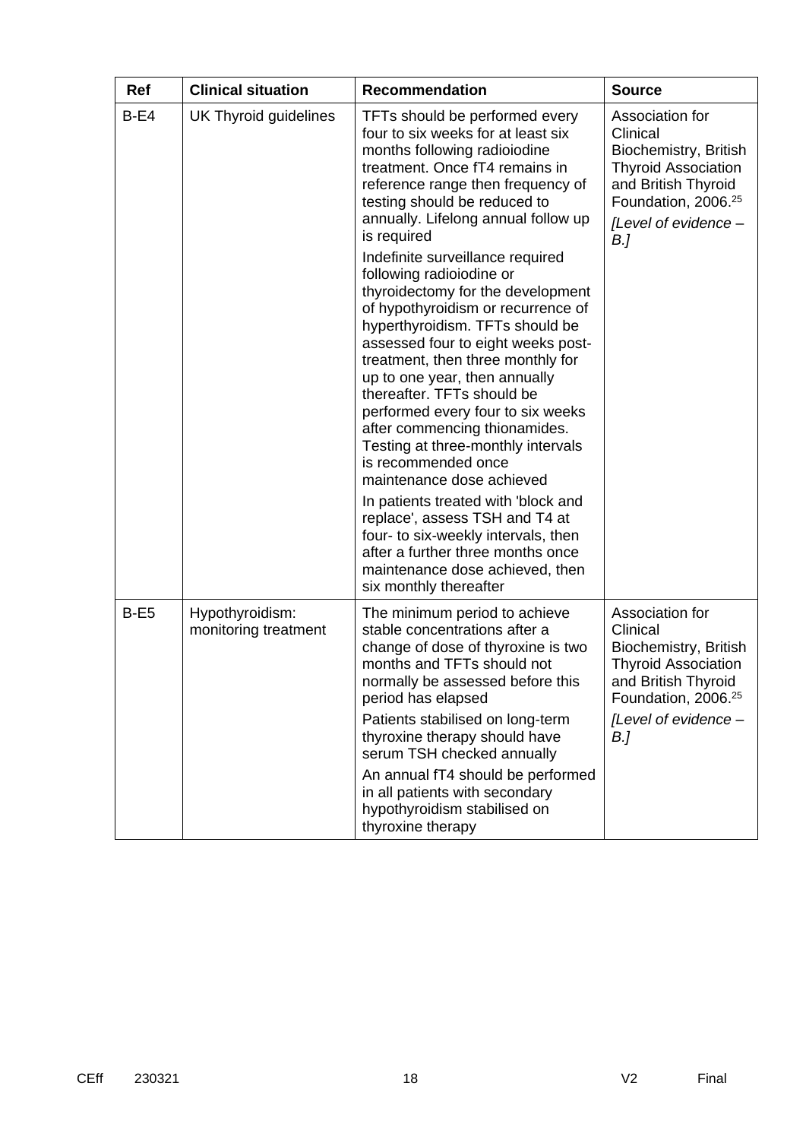| <b>Ref</b> | <b>Clinical situation</b>               | <b>Recommendation</b>                                                                                                                                                                                                                                                                                                                                                                                                                                                                                                                                                                                                                                                                                                                                                                                                                                                                                                                                                       | <b>Source</b>                                                                                                                                                               |
|------------|-----------------------------------------|-----------------------------------------------------------------------------------------------------------------------------------------------------------------------------------------------------------------------------------------------------------------------------------------------------------------------------------------------------------------------------------------------------------------------------------------------------------------------------------------------------------------------------------------------------------------------------------------------------------------------------------------------------------------------------------------------------------------------------------------------------------------------------------------------------------------------------------------------------------------------------------------------------------------------------------------------------------------------------|-----------------------------------------------------------------------------------------------------------------------------------------------------------------------------|
| $B-E4$     | UK Thyroid guidelines                   | TFTs should be performed every<br>four to six weeks for at least six<br>months following radioiodine<br>treatment. Once fT4 remains in<br>reference range then frequency of<br>testing should be reduced to<br>annually. Lifelong annual follow up<br>is required<br>Indefinite surveillance required<br>following radioiodine or<br>thyroidectomy for the development<br>of hypothyroidism or recurrence of<br>hyperthyroidism. TFTs should be<br>assessed four to eight weeks post-<br>treatment, then three monthly for<br>up to one year, then annually<br>thereafter. TFTs should be<br>performed every four to six weeks<br>after commencing thionamides.<br>Testing at three-monthly intervals<br>is recommended once<br>maintenance dose achieved<br>In patients treated with 'block and<br>replace', assess TSH and T4 at<br>four- to six-weekly intervals, then<br>after a further three months once<br>maintenance dose achieved, then<br>six monthly thereafter | Association for<br>Clinical<br>Biochemistry, British<br><b>Thyroid Association</b><br>and British Thyroid<br>Foundation, 2006. <sup>25</sup><br>[Level of evidence -<br>B.] |
| $B-E5$     | Hypothyroidism:<br>monitoring treatment | The minimum period to achieve<br>stable concentrations after a<br>change of dose of thyroxine is two<br>months and TFTs should not<br>normally be assessed before this<br>period has elapsed<br>Patients stabilised on long-term<br>thyroxine therapy should have<br>serum TSH checked annually<br>An annual fT4 should be performed                                                                                                                                                                                                                                                                                                                                                                                                                                                                                                                                                                                                                                        | Association for<br>Clinical<br>Biochemistry, British<br><b>Thyroid Association</b><br>and British Thyroid<br>Foundation, 2006. <sup>25</sup><br>[Level of evidence -<br>B.] |
|            |                                         | in all patients with secondary<br>hypothyroidism stabilised on<br>thyroxine therapy                                                                                                                                                                                                                                                                                                                                                                                                                                                                                                                                                                                                                                                                                                                                                                                                                                                                                         |                                                                                                                                                                             |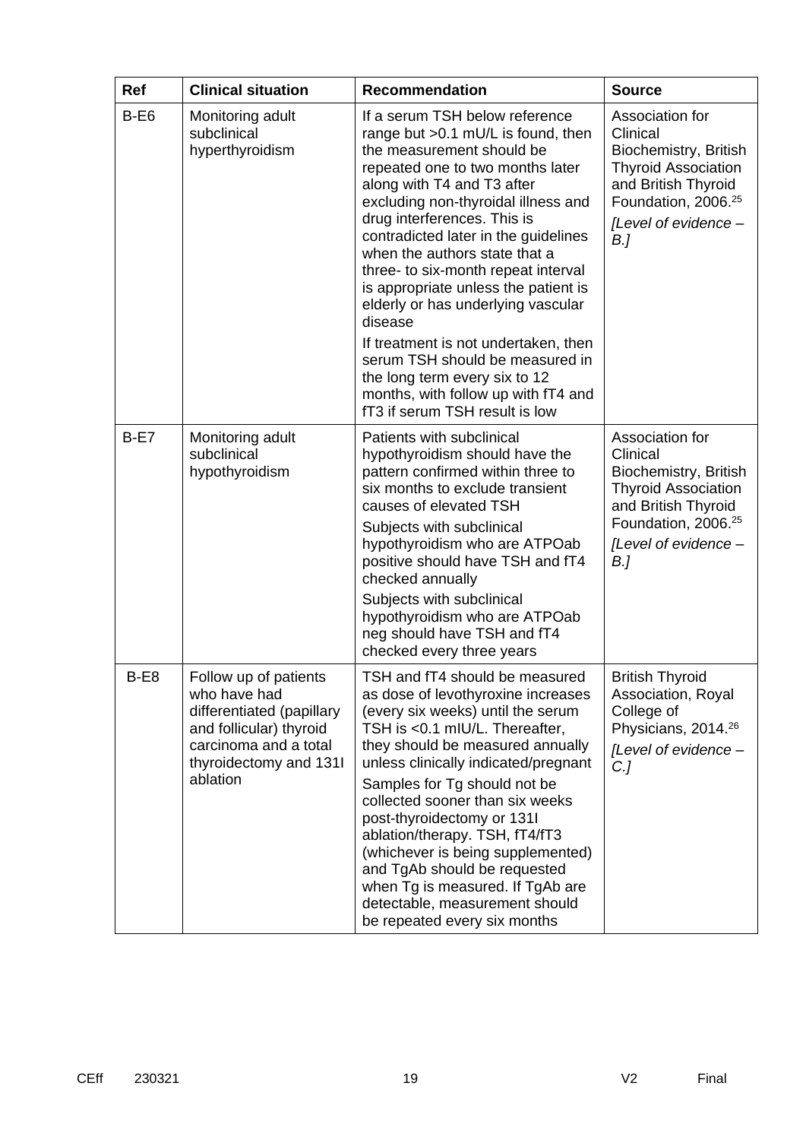| <b>Ref</b> | <b>Clinical situation</b>                                                                                                                                    | <b>Recommendation</b>                                                                                                                                                                                                                                                                                                                                                                                                                                                                                                                 | <b>Source</b>                                                                                                                                                               |
|------------|--------------------------------------------------------------------------------------------------------------------------------------------------------------|---------------------------------------------------------------------------------------------------------------------------------------------------------------------------------------------------------------------------------------------------------------------------------------------------------------------------------------------------------------------------------------------------------------------------------------------------------------------------------------------------------------------------------------|-----------------------------------------------------------------------------------------------------------------------------------------------------------------------------|
| $B-E6$     | Monitoring adult<br>subclinical<br>hyperthyroidism                                                                                                           | If a serum TSH below reference<br>range but > 0.1 mU/L is found, then<br>the measurement should be<br>repeated one to two months later<br>along with T4 and T3 after<br>excluding non-thyroidal illness and<br>drug interferences. This is<br>contradicted later in the guidelines<br>when the authors state that a<br>three- to six-month repeat interval<br>is appropriate unless the patient is<br>elderly or has underlying vascular<br>disease<br>If treatment is not undertaken, then                                           | Association for<br>Clinical<br>Biochemistry, British<br><b>Thyroid Association</b><br>and British Thyroid<br>Foundation, 2006. <sup>25</sup><br>[Level of evidence -<br>B.] |
|            |                                                                                                                                                              | serum TSH should be measured in<br>the long term every six to 12<br>months, with follow up with fT4 and<br>fT3 if serum TSH result is low                                                                                                                                                                                                                                                                                                                                                                                             |                                                                                                                                                                             |
| $B-E7$     | Monitoring adult<br>subclinical<br>hypothyroidism                                                                                                            | Patients with subclinical<br>hypothyroidism should have the<br>pattern confirmed within three to<br>six months to exclude transient<br>causes of elevated TSH<br>Subjects with subclinical<br>hypothyroidism who are ATPOab<br>positive should have TSH and fT4<br>checked annually<br>Subjects with subclinical<br>hypothyroidism who are ATPOab<br>neg should have TSH and fT4<br>checked every three years                                                                                                                         | Association for<br>Clinical<br>Biochemistry, British<br><b>Thyroid Association</b><br>and British Thyroid<br>Foundation, 2006. <sup>25</sup><br>[Level of evidence -<br>B.] |
| $B-E8$     | Follow up of patients<br>who have had<br>differentiated (papillary<br>and follicular) thyroid<br>carcinoma and a total<br>thyroidectomy and 1311<br>ablation | TSH and fT4 should be measured<br>as dose of levothyroxine increases<br>(every six weeks) until the serum<br>TSH is <0.1 mIU/L. Thereafter,<br>they should be measured annually<br>unless clinically indicated/pregnant<br>Samples for Tg should not be<br>collected sooner than six weeks<br>post-thyroidectomy or 1311<br>ablation/therapy. TSH, fT4/fT3<br>(whichever is being supplemented)<br>and TgAb should be requested<br>when Tg is measured. If TgAb are<br>detectable, measurement should<br>be repeated every six months | <b>British Thyroid</b><br>Association, Royal<br>College of<br>Physicians, 2014. <sup>26</sup><br>[Level of evidence -<br>C <sub>1</sub>                                     |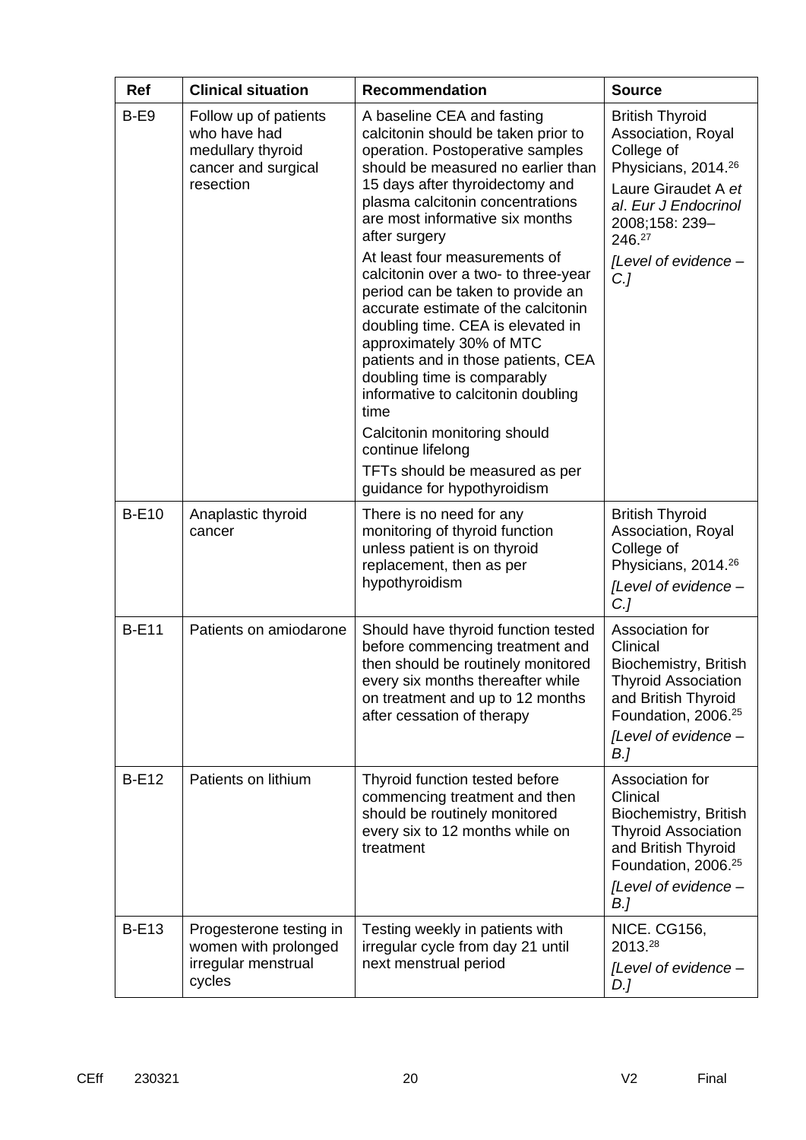| <b>Ref</b>   | <b>Clinical situation</b>                                                                      | <b>Recommendation</b>                                                                                                                                                                                                                                                                                                                                                                                                                                                                                                                                                                                                                                                                                                                  | <b>Source</b>                                                                                                                                                                                                      |
|--------------|------------------------------------------------------------------------------------------------|----------------------------------------------------------------------------------------------------------------------------------------------------------------------------------------------------------------------------------------------------------------------------------------------------------------------------------------------------------------------------------------------------------------------------------------------------------------------------------------------------------------------------------------------------------------------------------------------------------------------------------------------------------------------------------------------------------------------------------------|--------------------------------------------------------------------------------------------------------------------------------------------------------------------------------------------------------------------|
| $B-E9$       | Follow up of patients<br>who have had<br>medullary thyroid<br>cancer and surgical<br>resection | A baseline CEA and fasting<br>calcitonin should be taken prior to<br>operation. Postoperative samples<br>should be measured no earlier than<br>15 days after thyroidectomy and<br>plasma calcitonin concentrations<br>are most informative six months<br>after surgery<br>At least four measurements of<br>calcitonin over a two- to three-year<br>period can be taken to provide an<br>accurate estimate of the calcitonin<br>doubling time. CEA is elevated in<br>approximately 30% of MTC<br>patients and in those patients, CEA<br>doubling time is comparably<br>informative to calcitonin doubling<br>time<br>Calcitonin monitoring should<br>continue lifelong<br>TFTs should be measured as per<br>guidance for hypothyroidism | <b>British Thyroid</b><br>Association, Royal<br>College of<br>Physicians, 2014. <sup>26</sup><br>Laure Giraudet A et<br>al. Eur J Endocrinol<br>2008;158: 239-<br>246.27<br>[Level of evidence -<br>C <sub>1</sub> |
| <b>B-E10</b> | Anaplastic thyroid<br>cancer                                                                   | There is no need for any<br>monitoring of thyroid function<br>unless patient is on thyroid<br>replacement, then as per<br>hypothyroidism                                                                                                                                                                                                                                                                                                                                                                                                                                                                                                                                                                                               | <b>British Thyroid</b><br>Association, Royal<br>College of<br>Physicians, 2014. <sup>26</sup><br>[Level of evidence -<br>$C$ .]                                                                                    |
| <b>B-E11</b> | Patients on amiodarone                                                                         | Should have thyroid function tested<br>before commencing treatment and<br>then should be routinely monitored<br>every six months thereafter while<br>on treatment and up to 12 months<br>after cessation of therapy                                                                                                                                                                                                                                                                                                                                                                                                                                                                                                                    | Association for<br>Clinical<br>Biochemistry, British<br><b>Thyroid Association</b><br>and British Thyroid<br>Foundation, 2006. <sup>25</sup><br>[Level of evidence -<br>B.]                                        |
| <b>B-E12</b> | Patients on lithium                                                                            | Thyroid function tested before<br>commencing treatment and then<br>should be routinely monitored<br>every six to 12 months while on<br>treatment                                                                                                                                                                                                                                                                                                                                                                                                                                                                                                                                                                                       | Association for<br>Clinical<br>Biochemistry, British<br><b>Thyroid Association</b><br>and British Thyroid<br>Foundation, 2006. <sup>25</sup><br>[Level of evidence -<br>B.]                                        |
| <b>B-E13</b> | Progesterone testing in<br>women with prolonged<br>irregular menstrual<br>cycles               | Testing weekly in patients with<br>irregular cycle from day 21 until<br>next menstrual period                                                                                                                                                                                                                                                                                                                                                                                                                                                                                                                                                                                                                                          | <b>NICE. CG156,</b><br>2013.28<br>[Level of evidence -<br>D.]                                                                                                                                                      |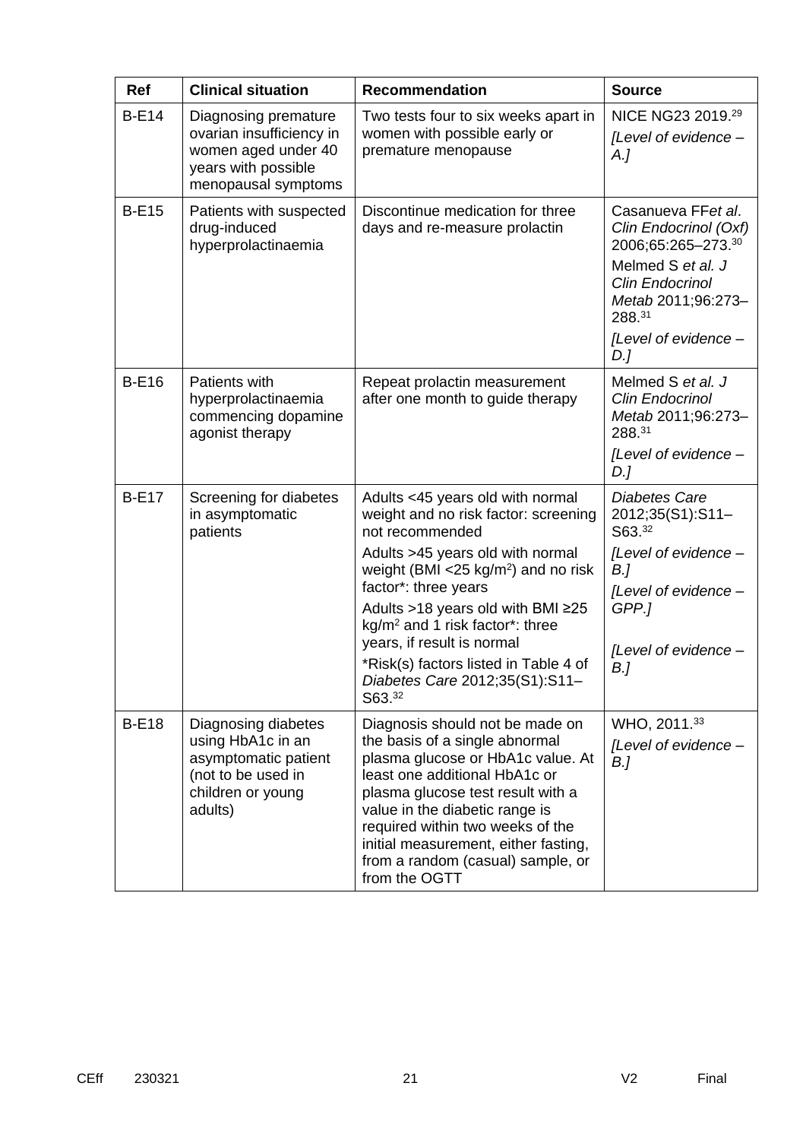| <b>Ref</b>   | <b>Clinical situation</b>                                                                                              | <b>Recommendation</b>                                                                                                                                                                                                                                                                                                                                                                                                | <b>Source</b>                                                                                                                                                                   |
|--------------|------------------------------------------------------------------------------------------------------------------------|----------------------------------------------------------------------------------------------------------------------------------------------------------------------------------------------------------------------------------------------------------------------------------------------------------------------------------------------------------------------------------------------------------------------|---------------------------------------------------------------------------------------------------------------------------------------------------------------------------------|
| <b>B-E14</b> | Diagnosing premature<br>ovarian insufficiency in<br>women aged under 40<br>years with possible<br>menopausal symptoms  | Two tests four to six weeks apart in<br>women with possible early or<br>premature menopause                                                                                                                                                                                                                                                                                                                          | NICE NG23 2019.29<br>[Level of evidence -<br>A.                                                                                                                                 |
| <b>B-E15</b> | Patients with suspected<br>drug-induced<br>hyperprolactinaemia                                                         | Discontinue medication for three<br>days and re-measure prolactin                                                                                                                                                                                                                                                                                                                                                    | Casanueva FFet al.<br>Clin Endocrinol (Oxf)<br>2006;65:265-273.30<br>Melmed S et al. J<br><b>Clin Endocrinol</b><br>Metab 2011;96:273-<br>288.31<br>[Level of evidence -<br>D.] |
| <b>B-E16</b> | Patients with<br>hyperprolactinaemia<br>commencing dopamine<br>agonist therapy                                         | Repeat prolactin measurement<br>after one month to guide therapy                                                                                                                                                                                                                                                                                                                                                     | Melmed S et al. J<br><b>Clin Endocrinol</b><br>Metab 2011;96:273-<br>288.31<br>[Level of evidence -<br>D.]                                                                      |
| <b>B-E17</b> | Screening for diabetes<br>in asymptomatic<br>patients                                                                  | Adults <45 years old with normal<br>weight and no risk factor: screening<br>not recommended<br>Adults >45 years old with normal<br>weight (BMI $<$ 25 kg/m <sup>2</sup> ) and no risk<br>factor*: three years<br>Adults >18 years old with BMI ≥25<br>kg/m <sup>2</sup> and 1 risk factor*: three<br>years, if result is normal<br>*Risk(s) factors listed in Table 4 of<br>Diabetes Care 2012;35(S1):S11-<br>S63.32 | <b>Diabetes Care</b><br>2012;35(S1):S11-<br>S63.32<br>[Level of evidence -<br>B.]<br>[Level of evidence -<br>GPP.]<br>[Level of evidence -<br>B.]                               |
| <b>B-E18</b> | Diagnosing diabetes<br>using HbA1c in an<br>asymptomatic patient<br>(not to be used in<br>children or young<br>adults) | Diagnosis should not be made on<br>the basis of a single abnormal<br>plasma glucose or HbA1c value. At<br>least one additional HbA1c or<br>plasma glucose test result with a<br>value in the diabetic range is<br>required within two weeks of the<br>initial measurement, either fasting,<br>from a random (casual) sample, or<br>from the OGTT                                                                     | WHO, 2011.33<br>[Level of evidence -<br>B.                                                                                                                                      |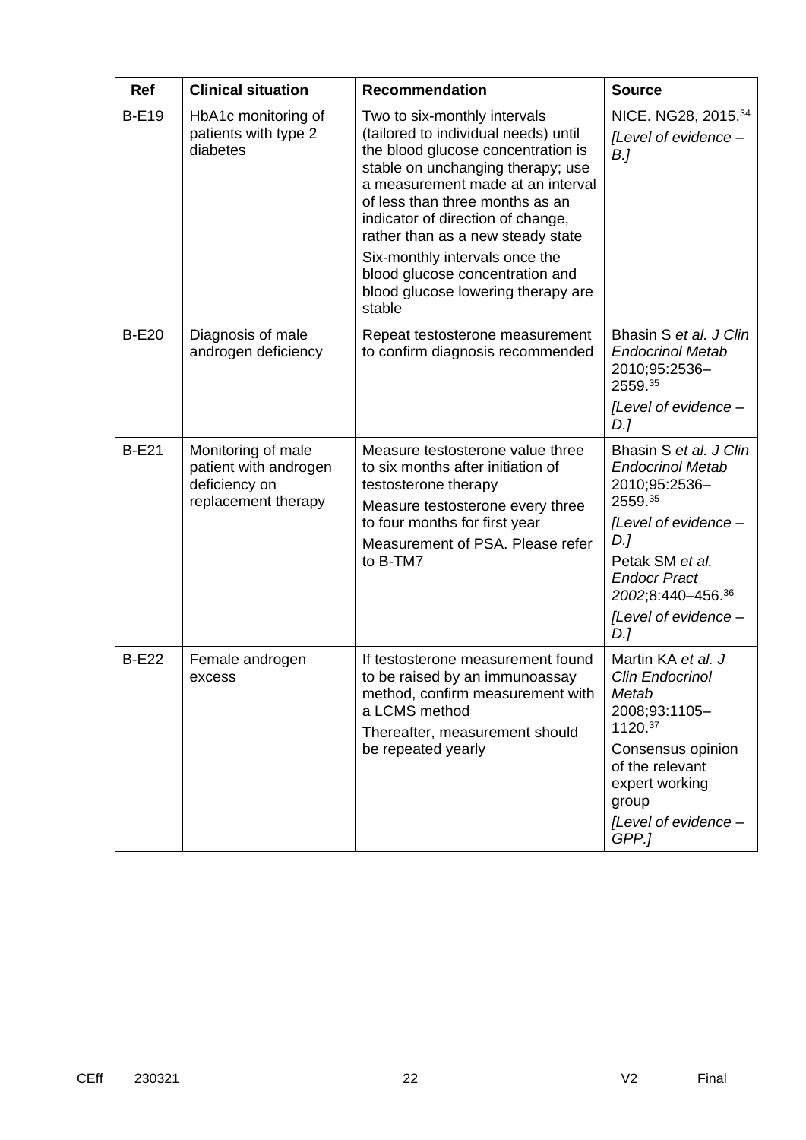| <b>Ref</b>   | <b>Clinical situation</b>                                                           | <b>Recommendation</b>                                                                                                                                                                                                                                                                                                                                                                                                  | <b>Source</b>                                                                                                                                                                                              |
|--------------|-------------------------------------------------------------------------------------|------------------------------------------------------------------------------------------------------------------------------------------------------------------------------------------------------------------------------------------------------------------------------------------------------------------------------------------------------------------------------------------------------------------------|------------------------------------------------------------------------------------------------------------------------------------------------------------------------------------------------------------|
| <b>B-E19</b> | HbA1c monitoring of<br>patients with type 2<br>diabetes                             | Two to six-monthly intervals<br>(tailored to individual needs) until<br>the blood glucose concentration is<br>stable on unchanging therapy; use<br>a measurement made at an interval<br>of less than three months as an<br>indicator of direction of change,<br>rather than as a new steady state<br>Six-monthly intervals once the<br>blood glucose concentration and<br>blood glucose lowering therapy are<br>stable | NICE. NG28, 2015.34<br>[Level of evidence -<br>B <sub>l</sub>                                                                                                                                              |
| <b>B-E20</b> | Diagnosis of male<br>androgen deficiency                                            | Repeat testosterone measurement<br>to confirm diagnosis recommended                                                                                                                                                                                                                                                                                                                                                    | Bhasin S et al. J Clin<br><b>Endocrinol Metab</b><br>2010;95:2536-<br>2559.35<br>[Level of evidence -<br>D.]                                                                                               |
| <b>B-E21</b> | Monitoring of male<br>patient with androgen<br>deficiency on<br>replacement therapy | Measure testosterone value three<br>to six months after initiation of<br>testosterone therapy<br>Measure testosterone every three<br>to four months for first year<br>Measurement of PSA. Please refer<br>to B-TM7                                                                                                                                                                                                     | Bhasin S et al. J Clin<br><b>Endocrinol Metab</b><br>2010;95:2536-<br>2559.35<br>[Level of evidence -<br>D.]<br>Petak SM et al.<br><b>Endocr Pract</b><br>2002;8:440-456.36<br>[Level of evidence -<br>D.] |
| <b>B-E22</b> | Female androgen<br>excess                                                           | If testosterone measurement found<br>to be raised by an immunoassay<br>method, confirm measurement with<br>a LCMS method<br>Thereafter, measurement should<br>be repeated yearly                                                                                                                                                                                                                                       | Martin KA et al. J<br>Clin Endocrinol<br>Metab<br>2008;93:1105-<br>1120.37<br>Consensus opinion<br>of the relevant<br>expert working<br>group<br>[Level of evidence -<br>GPP.]                             |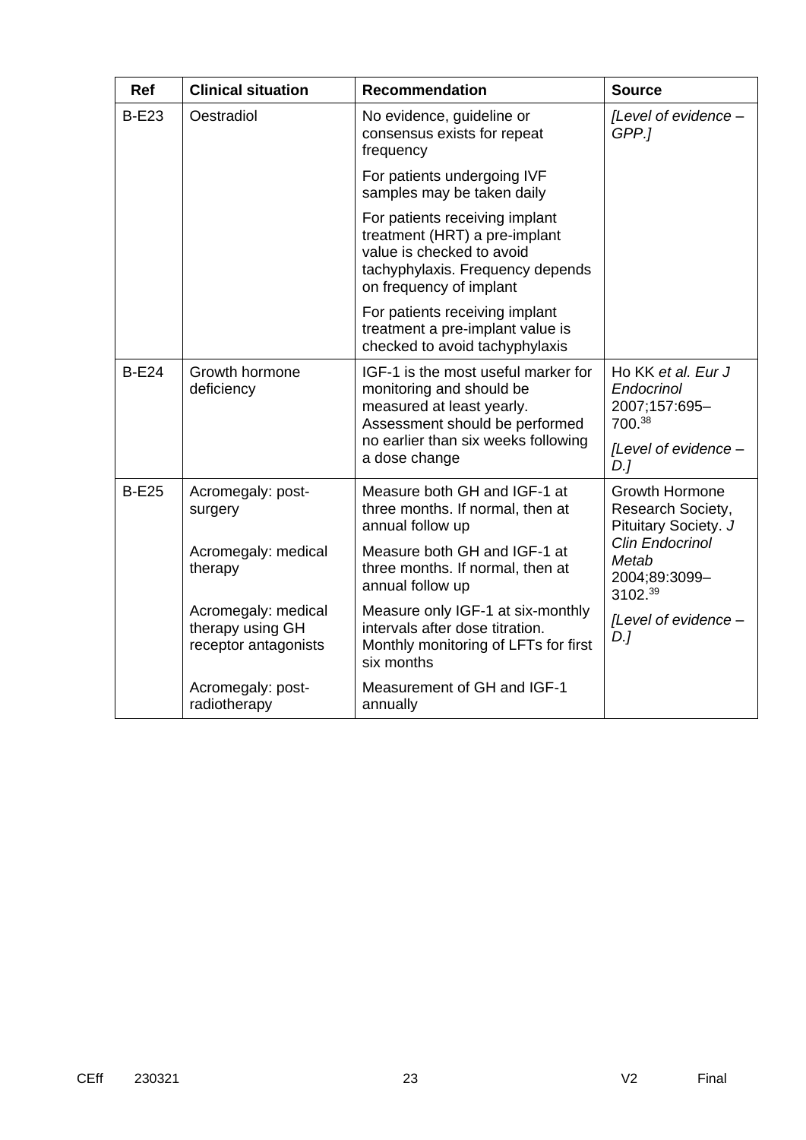| <b>Ref</b>   | <b>Clinical situation</b>                                       | <b>Recommendation</b>                                                                                                                                                                  | <b>Source</b>                                                                       |
|--------------|-----------------------------------------------------------------|----------------------------------------------------------------------------------------------------------------------------------------------------------------------------------------|-------------------------------------------------------------------------------------|
| <b>B-E23</b> | Oestradiol                                                      | No evidence, guideline or<br>consensus exists for repeat<br>frequency                                                                                                                  | [Level of evidence -<br>GPP.1                                                       |
|              |                                                                 | For patients undergoing IVF<br>samples may be taken daily                                                                                                                              |                                                                                     |
|              |                                                                 | For patients receiving implant<br>treatment (HRT) a pre-implant<br>value is checked to avoid<br>tachyphylaxis. Frequency depends<br>on frequency of implant                            |                                                                                     |
|              |                                                                 | For patients receiving implant<br>treatment a pre-implant value is<br>checked to avoid tachyphylaxis                                                                                   |                                                                                     |
| <b>B-E24</b> | Growth hormone<br>deficiency                                    | IGF-1 is the most useful marker for<br>monitoring and should be<br>measured at least yearly.<br>Assessment should be performed<br>no earlier than six weeks following<br>a dose change | Ho KK et al. Eur J<br>Endocrinol<br>2007;157:695-<br>700.38<br>[Level of evidence - |
|              |                                                                 |                                                                                                                                                                                        | D.                                                                                  |
| <b>B-E25</b> | Acromegaly: post-<br>surgery                                    | Measure both GH and IGF-1 at<br>three months. If normal, then at<br>annual follow up                                                                                                   | Growth Hormone<br>Research Society,<br>Pituitary Society. J                         |
|              | Acromegaly: medical<br>therapy                                  | Measure both GH and IGF-1 at<br>three months. If normal, then at<br>annual follow up                                                                                                   | <b>Clin Endocrinol</b><br>Metab<br>2004;89:3099-<br>3102.39                         |
|              | Acromegaly: medical<br>therapy using GH<br>receptor antagonists | Measure only IGF-1 at six-monthly<br>intervals after dose titration.<br>Monthly monitoring of LFTs for first<br>six months                                                             | [Level of evidence -<br>$D$ .]                                                      |
|              | Acromegaly: post-<br>radiotherapy                               | Measurement of GH and IGF-1<br>annually                                                                                                                                                |                                                                                     |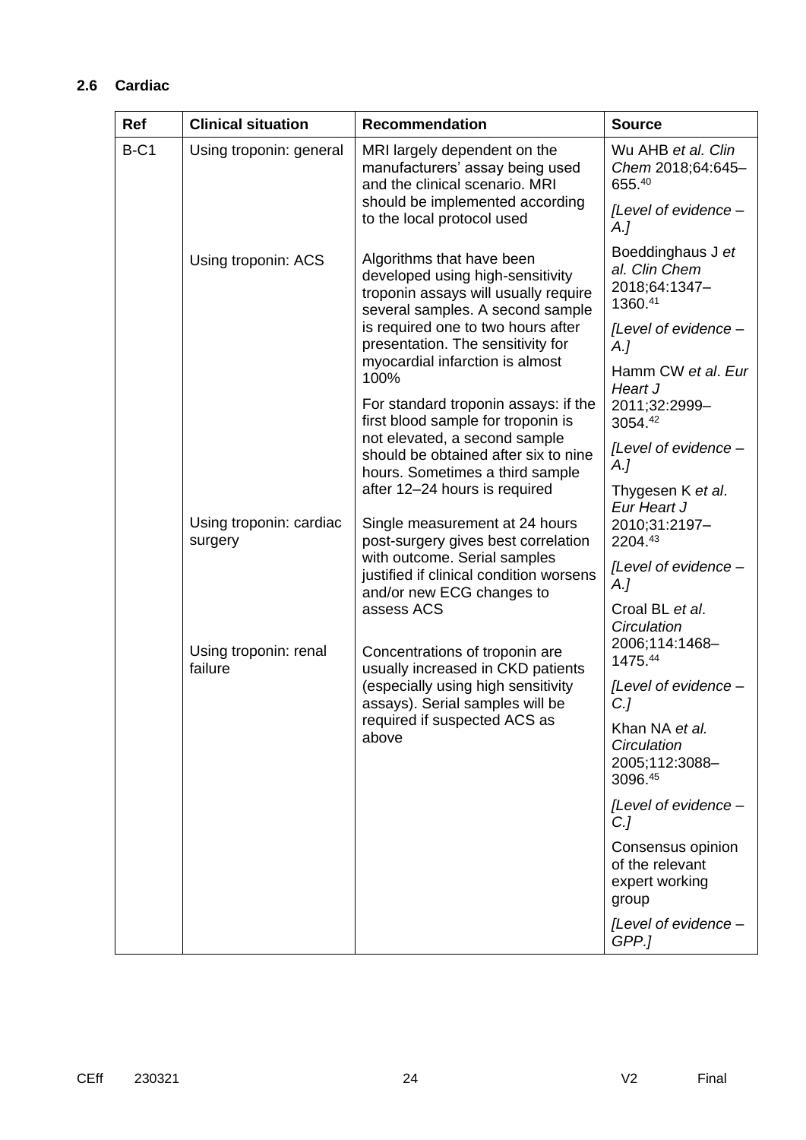## **2.6 Cardiac**

| Ref    | <b>Clinical situation</b>          | <b>Recommendation</b>                                                                                                                                                                                                | <b>Source</b>                                                   |
|--------|------------------------------------|----------------------------------------------------------------------------------------------------------------------------------------------------------------------------------------------------------------------|-----------------------------------------------------------------|
| $B-C1$ | Using troponin: general            | MRI largely dependent on the<br>manufacturers' assay being used<br>and the clinical scenario. MRI                                                                                                                    | Wu AHB et al. Clin<br>Chem 2018;64:645-<br>655.40               |
|        |                                    | should be implemented according<br>to the local protocol used                                                                                                                                                        | [Level of evidence -<br>$A_{\cdot}$                             |
|        | Using troponin: ACS                | Algorithms that have been<br>developed using high-sensitivity<br>troponin assays will usually require<br>several samples. A second sample<br>is required one to two hours after<br>presentation. The sensitivity for | Boeddinghaus J et<br>al. Clin Chem<br>2018;64:1347-<br>1360.41  |
|        |                                    |                                                                                                                                                                                                                      |                                                                 |
|        |                                    | myocardial infarction is almost<br>100%                                                                                                                                                                              | Hamm CW et al. Eur<br>Heart J                                   |
|        |                                    | For standard troponin assays: if the<br>first blood sample for troponin is<br>not elevated, a second sample<br>should be obtained after six to nine<br>hours. Sometimes a third sample                               | 2011;32:2999-<br>3054.42                                        |
|        |                                    |                                                                                                                                                                                                                      | [Level of evidence -<br>A.J                                     |
|        | after 12-24 hours is required      |                                                                                                                                                                                                                      | Thygesen K et al.<br>Eur Heart J                                |
|        | Using troponin: cardiac<br>surgery | Single measurement at 24 hours<br>post-surgery gives best correlation                                                                                                                                                | 2010;31:2197-<br>2204.43                                        |
|        |                                    | with outcome. Serial samples<br>justified if clinical condition worsens<br>and/or new ECG changes to                                                                                                                 | [Level of evidence -<br>$A_{\cdot}$                             |
|        |                                    | assess ACS                                                                                                                                                                                                           | Croal BL et al.<br>Circulation                                  |
|        | Using troponin: renal<br>failure   | Concentrations of troponin are<br>usually increased in CKD patients                                                                                                                                                  | 2006;114:1468-<br>1475.44                                       |
|        |                                    | (especially using high sensitivity<br>assays). Serial samples will be                                                                                                                                                | [Level of evidence -<br>C.]                                     |
|        |                                    | required if suspected ACS as<br>above                                                                                                                                                                                | Khan NA et al.<br>Circulation<br>2005;112:3088-<br>3096.45      |
|        |                                    |                                                                                                                                                                                                                      | [Level of evidence -<br>$C$ .]                                  |
|        |                                    |                                                                                                                                                                                                                      | Consensus opinion<br>of the relevant<br>expert working<br>group |
|        |                                    |                                                                                                                                                                                                                      | [Level of evidence -<br>GPP.1                                   |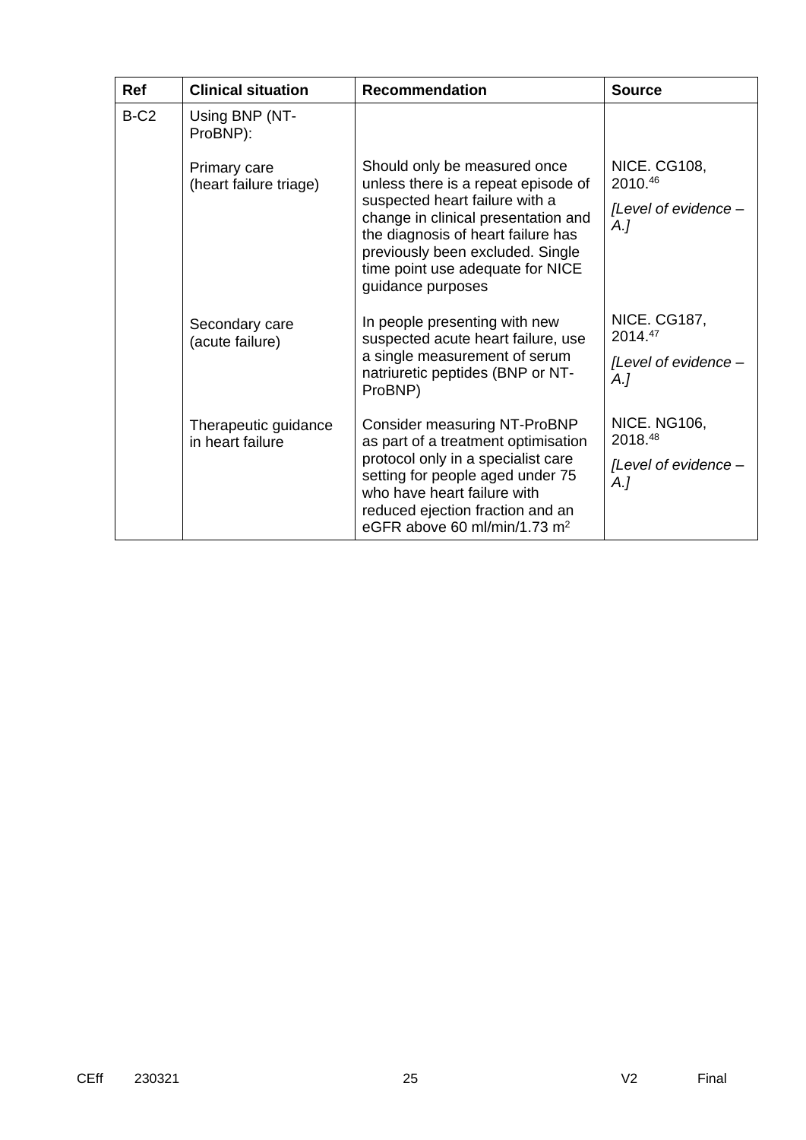| <b>Ref</b> | <b>Clinical situation</b>                                                                                                                                                                                | <b>Recommendation</b>                                                                                                                                                                 | <b>Source</b>                      |
|------------|----------------------------------------------------------------------------------------------------------------------------------------------------------------------------------------------------------|---------------------------------------------------------------------------------------------------------------------------------------------------------------------------------------|------------------------------------|
| $B-C2$     | Using BNP (NT-<br>ProBNP):                                                                                                                                                                               |                                                                                                                                                                                       |                                    |
|            | Primary care<br>(heart failure triage)                                                                                                                                                                   | Should only be measured once<br>unless there is a repeat episode of                                                                                                                   | <b>NICE. CG108,</b><br>2010.46     |
|            | suspected heart failure with a<br>change in clinical presentation and<br>the diagnosis of heart failure has<br>previously been excluded. Single<br>time point use adequate for NICE<br>guidance purposes | [Level of evidence -<br>$A_{\cdot}$                                                                                                                                                   |                                    |
|            | In people presenting with new<br>Secondary care<br>(acute failure)                                                                                                                                       | suspected acute heart failure, use                                                                                                                                                    | <b>NICE. CG187,</b><br>$2014^{47}$ |
| ProBNP)    | a single measurement of serum<br>natriuretic peptides (BNP or NT-                                                                                                                                        | [Level of evidence -<br>A.]                                                                                                                                                           |                                    |
|            | Therapeutic guidance<br>in heart failure                                                                                                                                                                 | <b>Consider measuring NT-ProBNP</b><br>as part of a treatment optimisation                                                                                                            | <b>NICE. NG106,</b><br>2018.48     |
|            |                                                                                                                                                                                                          | protocol only in a specialist care<br>setting for people aged under 75<br>who have heart failure with<br>reduced ejection fraction and an<br>eGFR above 60 ml/min/1.73 m <sup>2</sup> | [Level of evidence -<br>A.]        |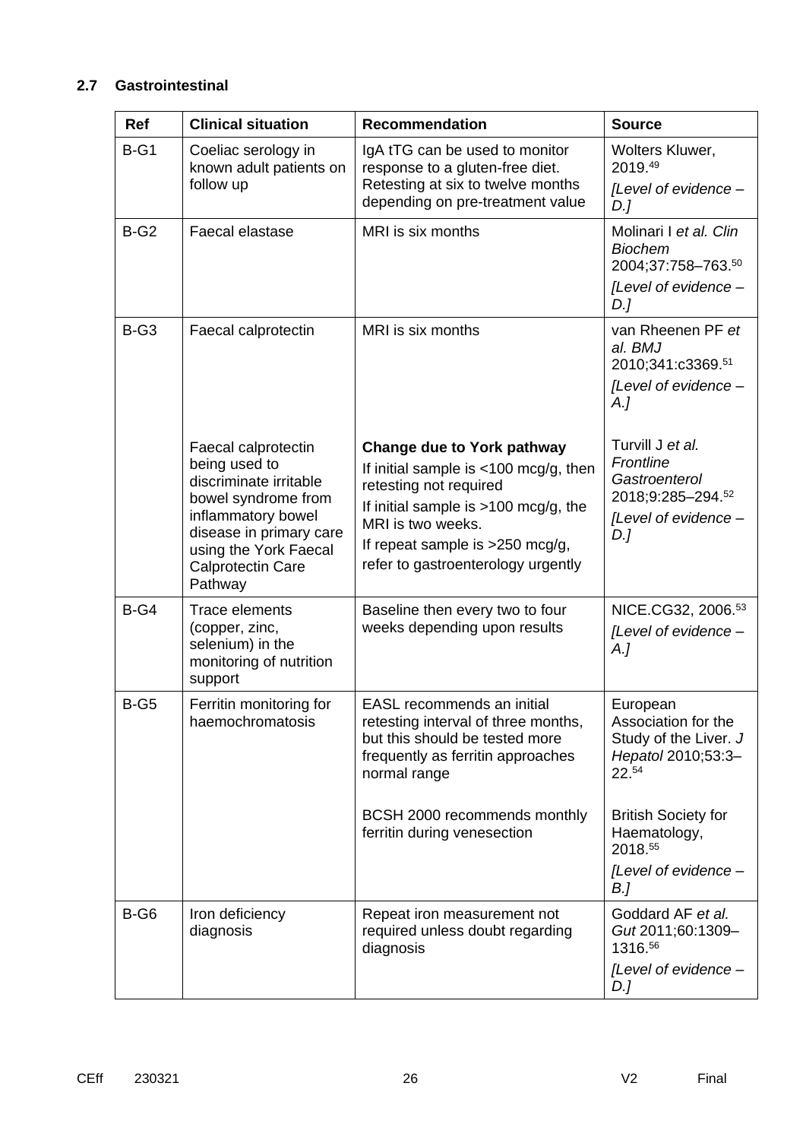## **2.7 Gastrointestinal**

| <b>Ref</b> | <b>Clinical situation</b>                                                                                                                                                                              | <b>Recommendation</b>                                                                                                                                                                                                                          | <b>Source</b>                                                                                         |
|------------|--------------------------------------------------------------------------------------------------------------------------------------------------------------------------------------------------------|------------------------------------------------------------------------------------------------------------------------------------------------------------------------------------------------------------------------------------------------|-------------------------------------------------------------------------------------------------------|
| $B-G1$     | Coeliac serology in<br>known adult patients on<br>follow up                                                                                                                                            | IgA tTG can be used to monitor<br>response to a gluten-free diet.<br>Retesting at six to twelve months<br>depending on pre-treatment value                                                                                                     | Wolters Kluwer,<br>2019.49<br>[Level of evidence -<br>$D$ .]                                          |
| $B-G2$     | Faecal elastase                                                                                                                                                                                        | MRI is six months                                                                                                                                                                                                                              | Molinari I et al. Clin<br><b>Biochem</b><br>2004;37:758-763.50<br>[Level of evidence -<br>D.          |
| $B-G3$     | Faecal calprotectin                                                                                                                                                                                    | MRI is six months                                                                                                                                                                                                                              | van Rheenen PF et<br>al. BMJ<br>2010;341:c3369.51<br>[Level of evidence -<br>A.I                      |
|            | Faecal calprotectin<br>being used to<br>discriminate irritable<br>bowel syndrome from<br>inflammatory bowel<br>disease in primary care<br>using the York Faecal<br><b>Calprotectin Care</b><br>Pathway | <b>Change due to York pathway</b><br>If initial sample is $<100$ mcg/g, then<br>retesting not required<br>If initial sample is $>100$ mcg/g, the<br>MRI is two weeks.<br>If repeat sample is >250 mcg/g,<br>refer to gastroenterology urgently | Turvill J et al.<br>Frontline<br>Gastroenterol<br>2018;9:285-294.52<br>[Level of evidence -<br>$D$ .] |
| $B-G4$     | Trace elements<br>(copper, zinc,<br>selenium) in the<br>monitoring of nutrition<br>support                                                                                                             | Baseline then every two to four<br>weeks depending upon results                                                                                                                                                                                | NICE.CG32, 2006.53<br>[Level of evidence -<br>$A_{\cdot}$                                             |
| $B-G5$     | Ferritin monitoring for<br>haemochromatosis                                                                                                                                                            | EASL recommends an initial<br>retesting interval of three months,<br>but this should be tested more<br>frequently as ferritin approaches<br>normal range                                                                                       | European<br>Association for the<br>Study of the Liver. J<br>Hepatol 2010;53:3-<br>22.54               |
|            |                                                                                                                                                                                                        | BCSH 2000 recommends monthly<br>ferritin during venesection                                                                                                                                                                                    | <b>British Society for</b><br>Haematology,<br>2018.55<br>[Level of evidence -<br>B.]                  |
| $B-G6$     | Iron deficiency<br>diagnosis                                                                                                                                                                           | Repeat iron measurement not<br>required unless doubt regarding<br>diagnosis                                                                                                                                                                    | Goddard AF et al.<br>Gut 2011;60:1309-<br>1316.56<br>[Level of evidence -<br>$D$ .]                   |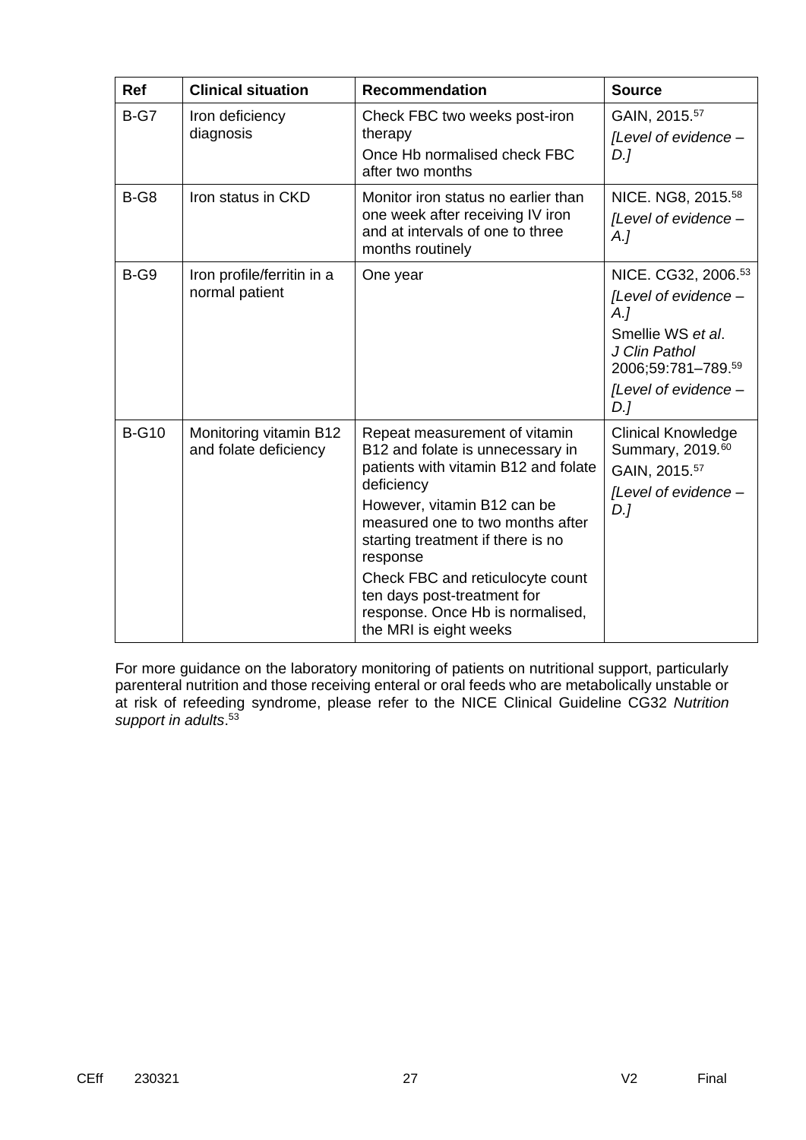| <b>Ref</b>   | <b>Clinical situation</b>                       | <b>Recommendation</b>                                                                                                                                                                                                                                                                                                                                                        | <b>Source</b>                                                                                                                                            |
|--------------|-------------------------------------------------|------------------------------------------------------------------------------------------------------------------------------------------------------------------------------------------------------------------------------------------------------------------------------------------------------------------------------------------------------------------------------|----------------------------------------------------------------------------------------------------------------------------------------------------------|
| $B-G7$       | Iron deficiency<br>diagnosis                    | Check FBC two weeks post-iron<br>therapy<br>Once Hb normalised check FBC<br>after two months                                                                                                                                                                                                                                                                                 | GAIN, 2015.57<br>[Level of evidence -<br>D.1                                                                                                             |
| $B-G8$       | Iron status in CKD                              | Monitor iron status no earlier than<br>one week after receiving IV iron<br>and at intervals of one to three<br>months routinely                                                                                                                                                                                                                                              | NICE. NG8, 2015. <sup>58</sup><br>[Level of evidence -<br>A.                                                                                             |
| $B-G9$       | Iron profile/ferritin in a<br>normal patient    | One year                                                                                                                                                                                                                                                                                                                                                                     | NICE. CG32, 2006. <sup>53</sup><br>[Level of evidence -<br>A.<br>Smellie WS et al.<br>J Clin Pathol<br>2006;59:781-789.59<br>[Level of evidence -<br>D.1 |
| <b>B-G10</b> | Monitoring vitamin B12<br>and folate deficiency | Repeat measurement of vitamin<br>B12 and folate is unnecessary in<br>patients with vitamin B12 and folate<br>deficiency<br>However, vitamin B12 can be<br>measured one to two months after<br>starting treatment if there is no<br>response<br>Check FBC and reticulocyte count<br>ten days post-treatment for<br>response. Once Hb is normalised,<br>the MRI is eight weeks | <b>Clinical Knowledge</b><br>Summary, 2019.60<br>GAIN, 2015.57<br>[Level of evidence -<br>D.                                                             |

For more guidance on the laboratory monitoring of patients on nutritional support, particularly parenteral nutrition and those receiving enteral or oral feeds who are metabolically unstable or at risk of refeeding syndrome, please refer to the NICE Clinical Guideline CG32 *Nutrition support in adults*. 53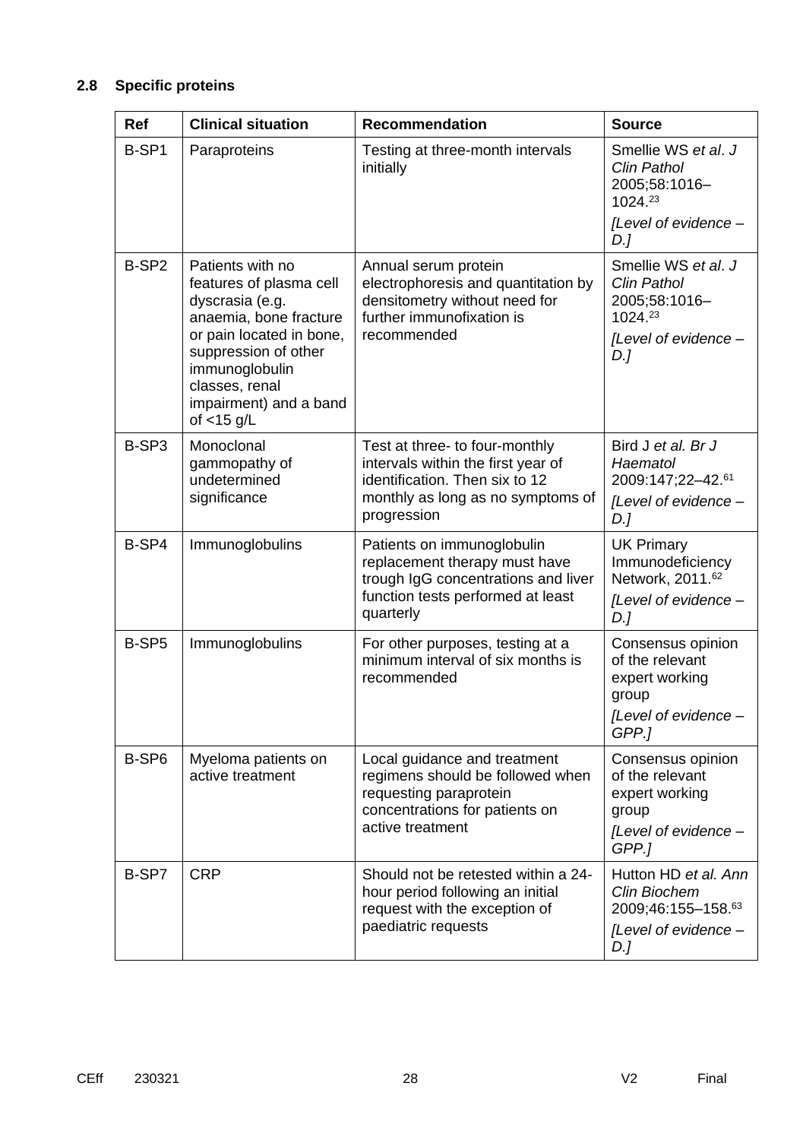## **2.8 Specific proteins**

| <b>Ref</b>        | <b>Clinical situation</b>                                                                                                                                                                                  | <b>Recommendation</b>                                                                                                                            | <b>Source</b>                                                                                    |
|-------------------|------------------------------------------------------------------------------------------------------------------------------------------------------------------------------------------------------------|--------------------------------------------------------------------------------------------------------------------------------------------------|--------------------------------------------------------------------------------------------------|
| B-SP1             | Paraproteins                                                                                                                                                                                               | Testing at three-month intervals<br>initially                                                                                                    | Smellie WS et al. J<br>Clin Pathol<br>2005;58:1016-<br>1024.23<br>[Level of evidence -           |
|                   |                                                                                                                                                                                                            |                                                                                                                                                  | D.1                                                                                              |
| B-SP <sub>2</sub> | Patients with no<br>features of plasma cell<br>dyscrasia (e.g.<br>anaemia, bone fracture<br>or pain located in bone,<br>suppression of other<br>immunoglobulin<br>classes, renal<br>impairment) and a band | Annual serum protein<br>electrophoresis and quantitation by<br>densitometry without need for<br>further immunofixation is<br>recommended         | Smellie WS et al. J<br>Clin Pathol<br>2005;58:1016-<br>1024.23<br>[Level of evidence -<br>D.]    |
|                   | of $<$ 15 g/L                                                                                                                                                                                              |                                                                                                                                                  |                                                                                                  |
| B-SP3             | Monoclonal<br>gammopathy of<br>undetermined                                                                                                                                                                | Test at three- to four-monthly<br>intervals within the first year of<br>identification. Then six to 12                                           | Bird J et al. Br J<br>Haematol<br>2009:147;22-42.61                                              |
|                   | significance                                                                                                                                                                                               | monthly as long as no symptoms of<br>progression                                                                                                 | [Level of evidence -<br>D.]                                                                      |
| B-SP4             | Immunoglobulins                                                                                                                                                                                            | Patients on immunoglobulin<br>replacement therapy must have<br>trough IgG concentrations and liver<br>function tests performed at least          | <b>UK Primary</b><br>Immunodeficiency<br>Network, 2011.62<br>[Level of evidence -                |
|                   |                                                                                                                                                                                                            | quarterly                                                                                                                                        | D.]                                                                                              |
| B-SP5             | Immunoglobulins                                                                                                                                                                                            | For other purposes, testing at a<br>minimum interval of six months is<br>recommended                                                             | Consensus opinion<br>of the relevant<br>expert working<br>group<br>[Level of evidence<br>GPP.]   |
| B-SP6             | Myeloma patients on<br>active treatment                                                                                                                                                                    | Local guidance and treatment<br>regimens should be followed when<br>requesting paraprotein<br>concentrations for patients on<br>active treatment | Consensus opinion<br>of the relevant<br>expert working<br>group<br>[Level of evidence -<br>GPP.1 |
| B-SP7             | <b>CRP</b>                                                                                                                                                                                                 | Should not be retested within a 24-<br>hour period following an initial<br>request with the exception of<br>paediatric requests                  | Hutton HD et al. Ann<br><b>Clin Biochem</b><br>2009;46:155-158.63<br>[Level of evidence -<br>D.] |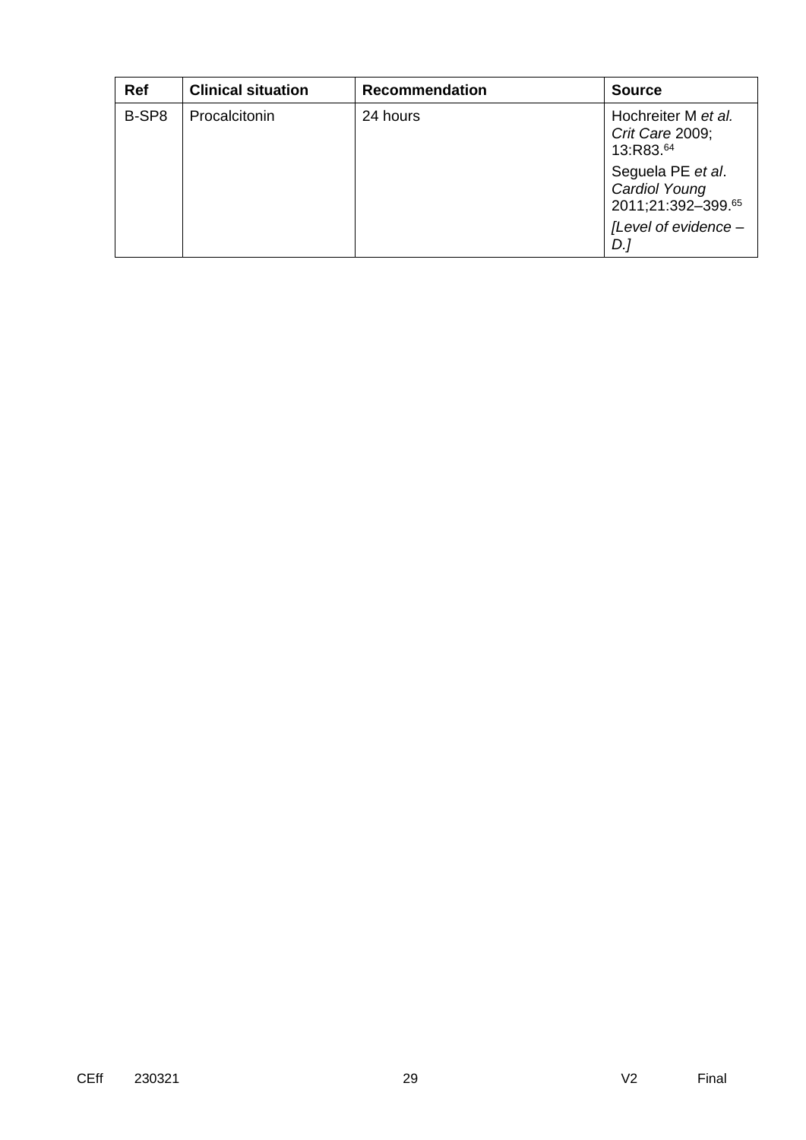| Ref   | <b>Clinical situation</b> | <b>Recommendation</b> | <b>Source</b>                                            |
|-------|---------------------------|-----------------------|----------------------------------------------------------|
| B-SP8 | Procalcitonin             | 24 hours              | Hochreiter M et al.<br>Crit Care 2009;<br>13:R83.64      |
|       |                           |                       | Seguela PE et al.<br>Cardiol Young<br>2011;21:392-399.65 |
|       |                           |                       | [Level of evidence -<br>D.,                              |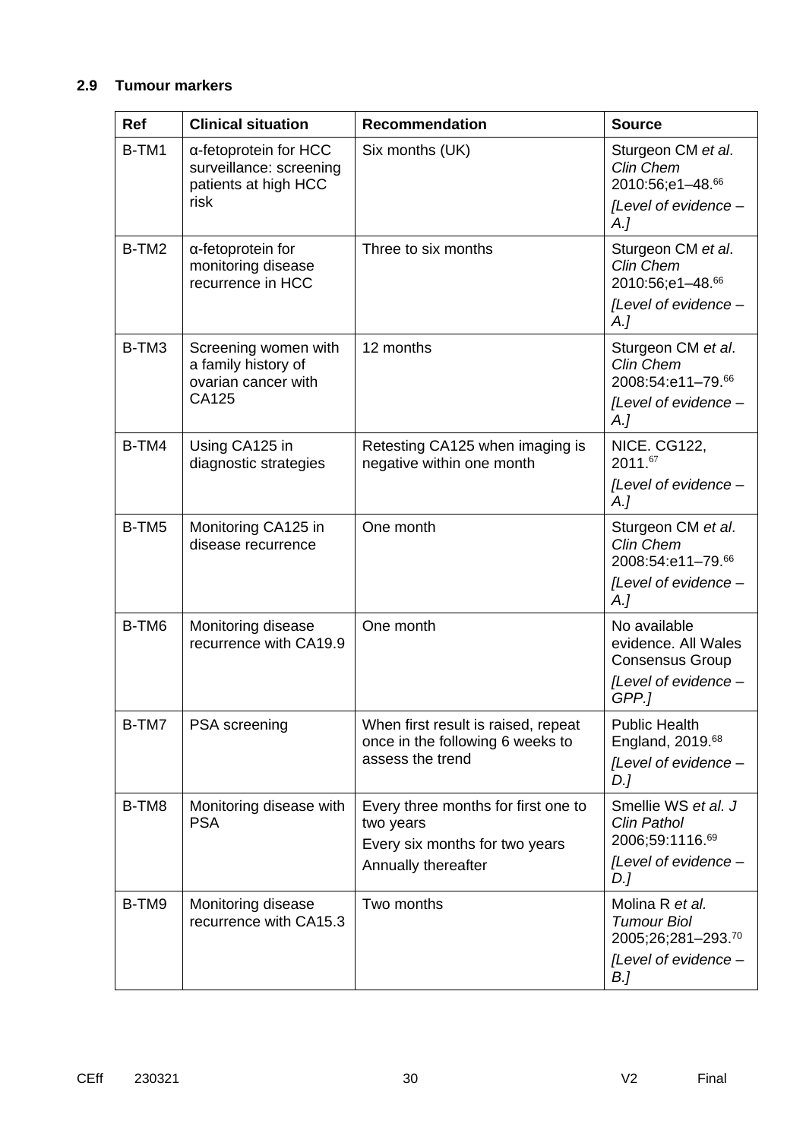## **2.9 Tumour markers**

| <b>Ref</b> | <b>Clinical situation</b>                                                        | <b>Recommendation</b>                                                                       | <b>Source</b>                                                                       |
|------------|----------------------------------------------------------------------------------|---------------------------------------------------------------------------------------------|-------------------------------------------------------------------------------------|
| B-TM1      | α-fetoprotein for HCC<br>surveillance: screening<br>patients at high HCC<br>risk | Six months (UK)                                                                             | Sturgeon CM et al.<br>Clin Chem<br>2010:56;e1-48.66<br>[Level of evidence -         |
|            |                                                                                  |                                                                                             | A.I                                                                                 |
| B-TM2      | a-fetoprotein for<br>monitoring disease<br>recurrence in HCC                     | Three to six months                                                                         | Sturgeon CM et al.<br>Clin Chem<br>2010:56;e1-48.66<br>[Level of evidence -<br>A.   |
| B-TM3      | Screening women with<br>a family history of<br>ovarian cancer with<br>CA125      | 12 months                                                                                   | Sturgeon CM et al.<br>Clin Chem<br>2008:54:e11-79.66<br>[Level of evidence -<br>A.  |
| B-TM4      | Using CA125 in                                                                   | Retesting CA125 when imaging is                                                             | NICE. CG122,                                                                        |
|            | diagnostic strategies                                                            | negative within one month                                                                   | 2011.67<br>[Level of evidence -<br>A.                                               |
| B-TM5      | Monitoring CA125 in<br>disease recurrence                                        | One month                                                                                   | Sturgeon CM et al.<br>Clin Chem<br>2008:54:e11-79.66                                |
|            |                                                                                  |                                                                                             | [Level of evidence -<br>$A_{\cdot}$                                                 |
| B-TM6      | Monitoring disease<br>recurrence with CA19.9                                     | One month                                                                                   | No available<br>evidence. All Wales<br><b>Consensus Group</b>                       |
|            |                                                                                  |                                                                                             | [Level of evidence -<br>GPP.]                                                       |
| B-TM7      | <b>PSA</b> screening                                                             | When first result is raised, repeat<br>once in the following 6 weeks to<br>assess the trend | <b>Public Health</b><br>England, 2019. <sup>68</sup><br>[Level of evidence -<br>D.] |
| B-TM8      | Monitoring disease with<br><b>PSA</b>                                            | Every three months for first one to<br>two years<br>Every six months for two years          | Smellie WS et al. J<br><b>Clin Pathol</b><br>2006;59:1116.69                        |
|            |                                                                                  | Annually thereafter                                                                         | [Level of evidence -<br>D.]                                                         |
| B-TM9      | Monitoring disease<br>recurrence with CA15.3                                     | Two months                                                                                  | Molina R et al.<br><b>Tumour Biol</b><br>2005;26;281-293.70                         |
|            |                                                                                  |                                                                                             | [Level of evidence -<br>B.]                                                         |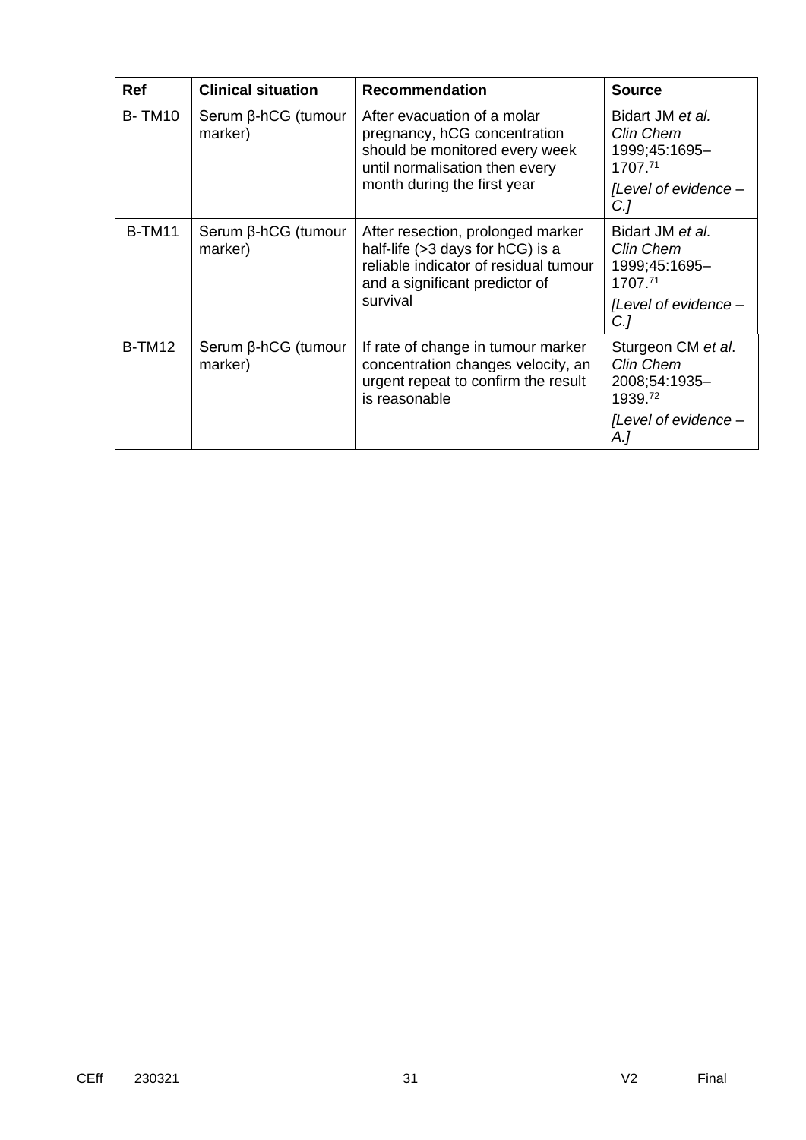| <b>Ref</b>               | <b>Clinical situation</b>            | <b>Recommendation</b>                                                                                                                                          | <b>Source</b>                                               |
|--------------------------|--------------------------------------|----------------------------------------------------------------------------------------------------------------------------------------------------------------|-------------------------------------------------------------|
| <b>B-TM10</b><br>marker) | $Serum \beta-hCG$ (tumour            | After evacuation of a molar<br>pregnancy, hCG concentration<br>should be monitored every week<br>until normalisation then every<br>month during the first year | Bidart JM et al.<br>Clin Chem<br>1999;45:1695-<br>1707.71   |
|                          |                                      |                                                                                                                                                                | [Level of evidence -<br>C <sub>1</sub>                      |
| <b>B-TM11</b>            | $Serum \beta-hCG$ (tumour<br>marker) | After resection, prolonged marker<br>half-life $(>3$ days for hCG) is a<br>reliable indicator of residual tumour<br>and a significant predictor of             | Bidart JM et al.<br>Clin Chem<br>1999;45:1695-<br>1707.71   |
|                          | survival                             |                                                                                                                                                                | [Level of evidence -<br>$C$ .]                              |
| <b>B-TM12</b>            | Serum β-hCG (tumour<br>marker)       | If rate of change in tumour marker<br>concentration changes velocity, an<br>urgent repeat to confirm the result<br>is reasonable                               | Sturgeon CM et al.<br>Clin Chem<br>2008;54:1935-<br>1939.72 |
|                          |                                      |                                                                                                                                                                | [Level of evidence -<br>A.]                                 |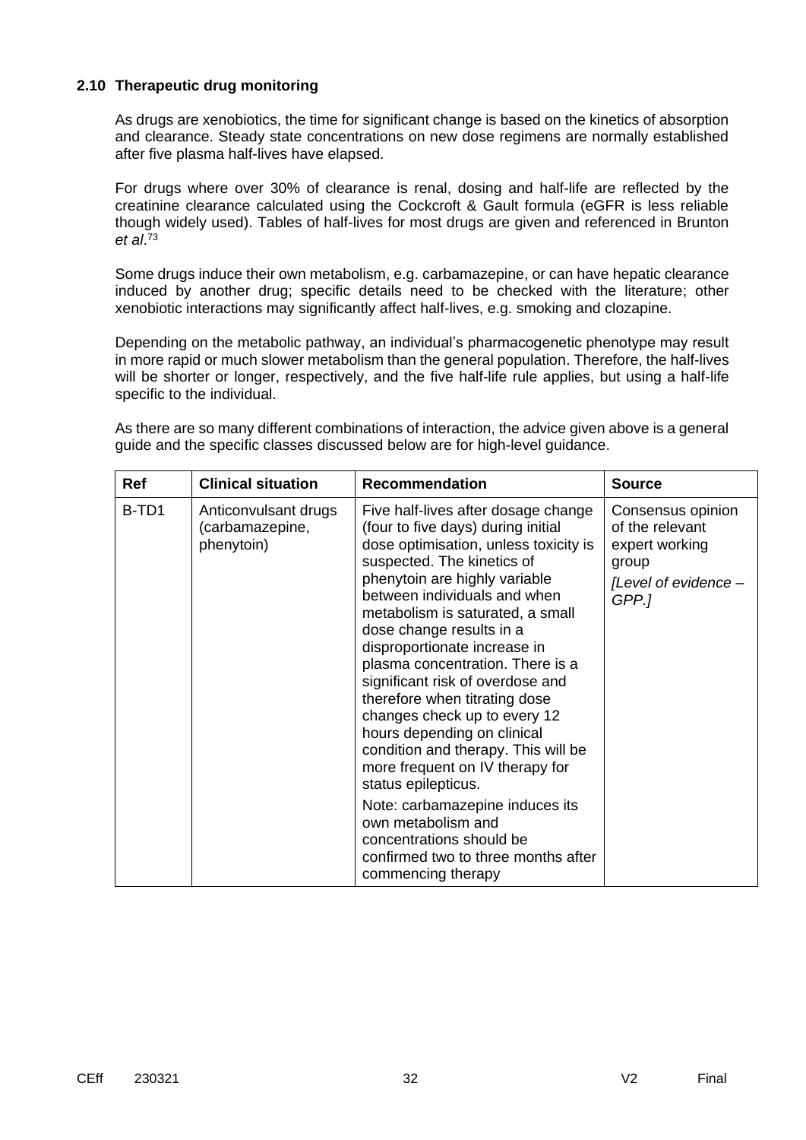### **2.10 Therapeutic drug monitoring**

As drugs are xenobiotics, the time for significant change is based on the kinetics of absorption and clearance. Steady state concentrations on new dose regimens are normally established after five plasma half-lives have elapsed.

For drugs where over 30% of clearance is renal, dosing and half-life are reflected by the creatinine clearance calculated using the Cockcroft & Gault formula (eGFR is less reliable though widely used). Tables of half-lives for most drugs are given and referenced in Brunton *et al*. 73

Some drugs induce their own metabolism, e.g. carbamazepine, or can have hepatic clearance induced by another drug; specific details need to be checked with the literature; other xenobiotic interactions may significantly affect half-lives, e.g. smoking and clozapine.

Depending on the metabolic pathway, an individual's pharmacogenetic phenotype may result in more rapid or much slower metabolism than the general population. Therefore, the half-lives will be shorter or longer, respectively, and the five half-life rule applies, but using a half-life specific to the individual.

As there are so many different combinations of interaction, the advice given above is a general guide and the specific classes discussed below are for high-level guidance.

| <b>Ref</b> | <b>Clinical situation</b>                             | <b>Recommendation</b>                                                                                                                                                                                                                                                                                                                                                                                                                                                                                                                                                                                                                                                                                                                        | <b>Source</b>                                                                                    |
|------------|-------------------------------------------------------|----------------------------------------------------------------------------------------------------------------------------------------------------------------------------------------------------------------------------------------------------------------------------------------------------------------------------------------------------------------------------------------------------------------------------------------------------------------------------------------------------------------------------------------------------------------------------------------------------------------------------------------------------------------------------------------------------------------------------------------------|--------------------------------------------------------------------------------------------------|
| B-TD1      | Anticonvulsant drugs<br>(carbamazepine,<br>phenytoin) | Five half-lives after dosage change<br>(four to five days) during initial<br>dose optimisation, unless toxicity is<br>suspected. The kinetics of<br>phenytoin are highly variable<br>between individuals and when<br>metabolism is saturated, a small<br>dose change results in a<br>disproportionate increase in<br>plasma concentration. There is a<br>significant risk of overdose and<br>therefore when titrating dose<br>changes check up to every 12<br>hours depending on clinical<br>condition and therapy. This will be<br>more frequent on IV therapy for<br>status epilepticus.<br>Note: carbamazepine induces its<br>own metabolism and<br>concentrations should be<br>confirmed two to three months after<br>commencing therapy | Consensus opinion<br>of the relevant<br>expert working<br>group<br>[Level of evidence –<br>GPP.] |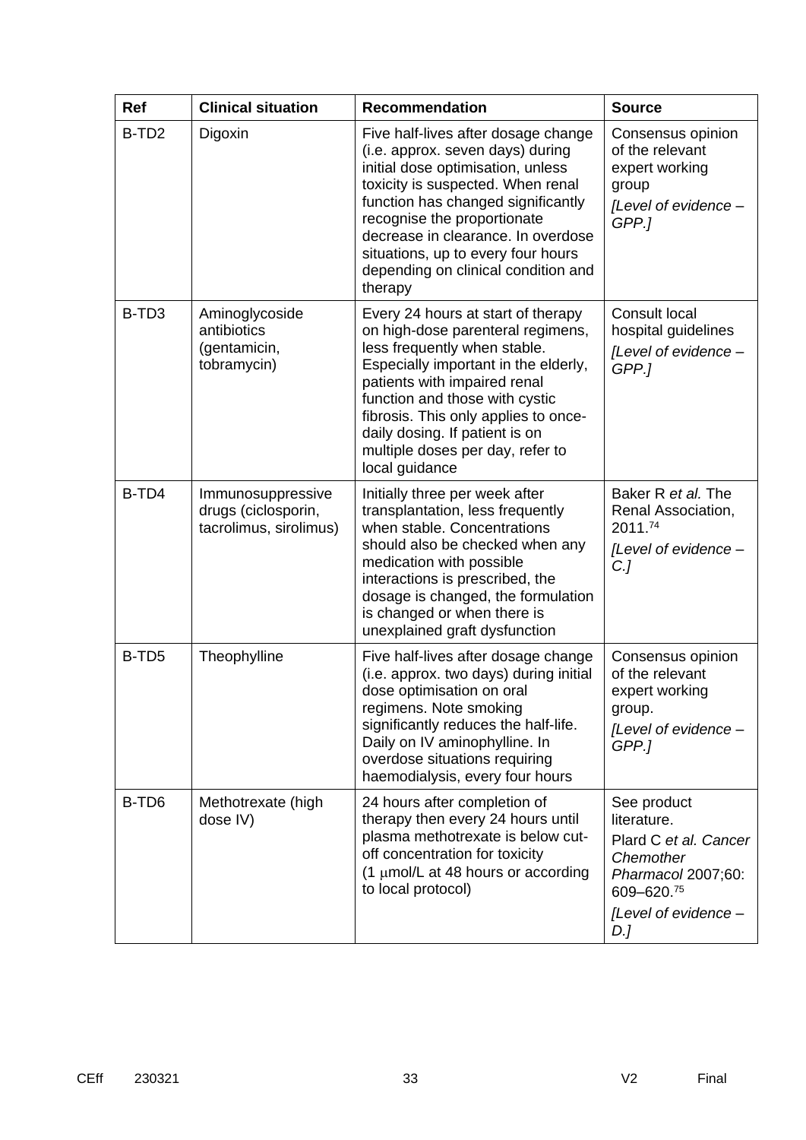| <b>Ref</b>        | <b>Clinical situation</b>                                          | <b>Recommendation</b>                                                                                                                                                                                                                                                                                                                                | <b>Source</b>                                                                                                                       |
|-------------------|--------------------------------------------------------------------|------------------------------------------------------------------------------------------------------------------------------------------------------------------------------------------------------------------------------------------------------------------------------------------------------------------------------------------------------|-------------------------------------------------------------------------------------------------------------------------------------|
| B-TD <sub>2</sub> | Digoxin                                                            | Five half-lives after dosage change<br>(i.e. approx. seven days) during<br>initial dose optimisation, unless<br>toxicity is suspected. When renal<br>function has changed significantly<br>recognise the proportionate<br>decrease in clearance. In overdose<br>situations, up to every four hours<br>depending on clinical condition and<br>therapy | Consensus opinion<br>of the relevant<br>expert working<br>group<br>[Level of evidence -<br>GPP.1                                    |
| B-TD <sub>3</sub> | Aminoglycoside<br>antibiotics<br>(gentamicin,<br>tobramycin)       | Every 24 hours at start of therapy<br>on high-dose parenteral regimens,<br>less frequently when stable.<br>Especially important in the elderly,<br>patients with impaired renal<br>function and those with cystic<br>fibrosis. This only applies to once-<br>daily dosing. If patient is on<br>multiple doses per day, refer to<br>local guidance    | <b>Consult local</b><br>hospital guidelines<br>[Level of evidence -<br>GPP.]                                                        |
| B-TD4             | Immunosuppressive<br>drugs (ciclosporin,<br>tacrolimus, sirolimus) | Initially three per week after<br>transplantation, less frequently<br>when stable. Concentrations<br>should also be checked when any<br>medication with possible<br>interactions is prescribed, the<br>dosage is changed, the formulation<br>is changed or when there is<br>unexplained graft dysfunction                                            | Baker R et al. The<br>Renal Association,<br>2011.74<br>[Level of evidence -<br>$C$ .]                                               |
| B-TD <sub>5</sub> | Theophylline                                                       | Five half-lives after dosage change<br>(i.e. approx. two days) during initial<br>dose optimisation on oral<br>regimens. Note smoking<br>significantly reduces the half-life.<br>Daily on IV aminophylline. In<br>overdose situations requiring<br>haemodialysis, every four hours                                                                    | Consensus opinion<br>of the relevant<br>expert working<br>group.<br>[Level of evidence -<br>GPP.]                                   |
| B-TD <sub>6</sub> | Methotrexate (high<br>dose IV)                                     | 24 hours after completion of<br>therapy then every 24 hours until<br>plasma methotrexate is below cut-<br>off concentration for toxicity<br>(1 $\mu$ mol/L at 48 hours or according<br>to local protocol)                                                                                                                                            | See product<br>literature.<br>Plard C et al. Cancer<br>Chemother<br>Pharmacol 2007;60:<br>609-620.75<br>[Level of evidence -<br>D.] |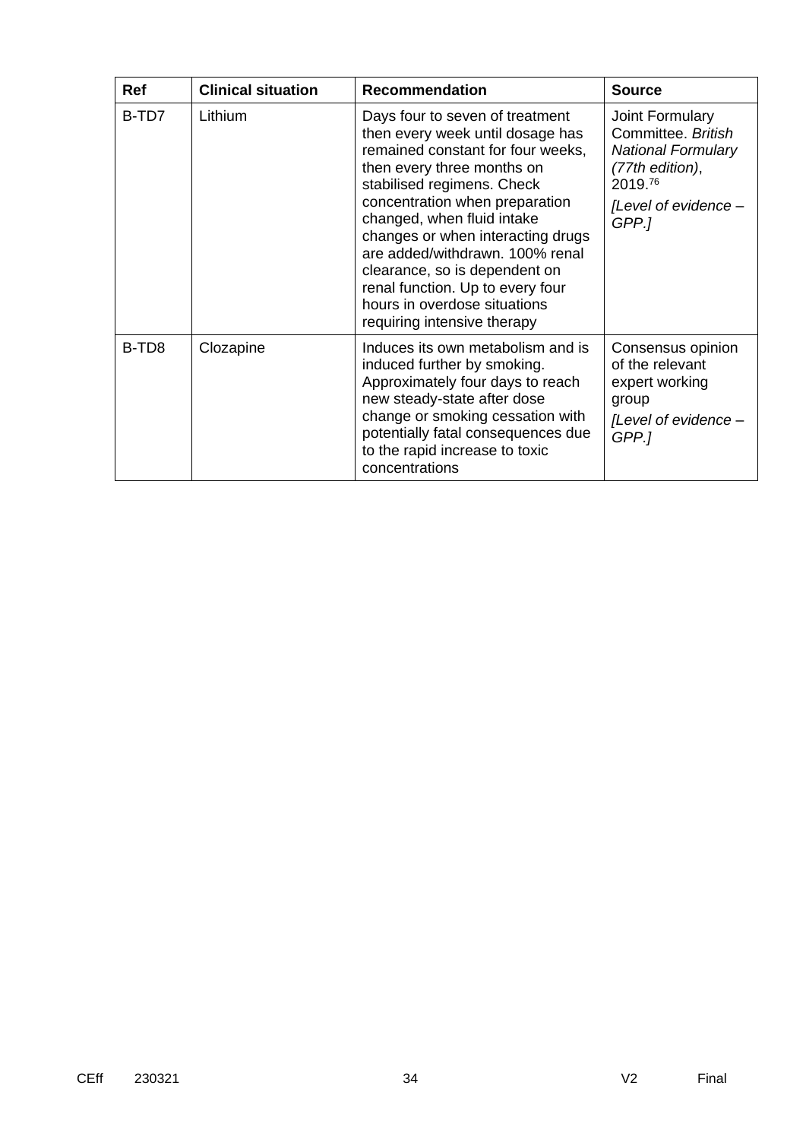| Ref               | <b>Clinical situation</b> | <b>Recommendation</b>                                                                                                                                                                                                                                                                                                                                                                                                                            | <b>Source</b>                                                                                                                     |
|-------------------|---------------------------|--------------------------------------------------------------------------------------------------------------------------------------------------------------------------------------------------------------------------------------------------------------------------------------------------------------------------------------------------------------------------------------------------------------------------------------------------|-----------------------------------------------------------------------------------------------------------------------------------|
| B-TD7             | Lithium                   | Days four to seven of treatment<br>then every week until dosage has<br>remained constant for four weeks,<br>then every three months on<br>stabilised regimens. Check<br>concentration when preparation<br>changed, when fluid intake<br>changes or when interacting drugs<br>are added/withdrawn, 100% renal<br>clearance, so is dependent on<br>renal function. Up to every four<br>hours in overdose situations<br>requiring intensive therapy | Joint Formulary<br>Committee, British<br><b>National Formulary</b><br>(77th edition),<br>2019.76<br>[Level of evidence -<br>GPP.1 |
| B-TD <sub>8</sub> | Clozapine                 | Induces its own metabolism and is<br>induced further by smoking.<br>Approximately four days to reach<br>new steady-state after dose<br>change or smoking cessation with<br>potentially fatal consequences due<br>to the rapid increase to toxic<br>concentrations                                                                                                                                                                                | Consensus opinion<br>of the relevant<br>expert working<br>group<br>[Level of evidence -<br>GPP.1                                  |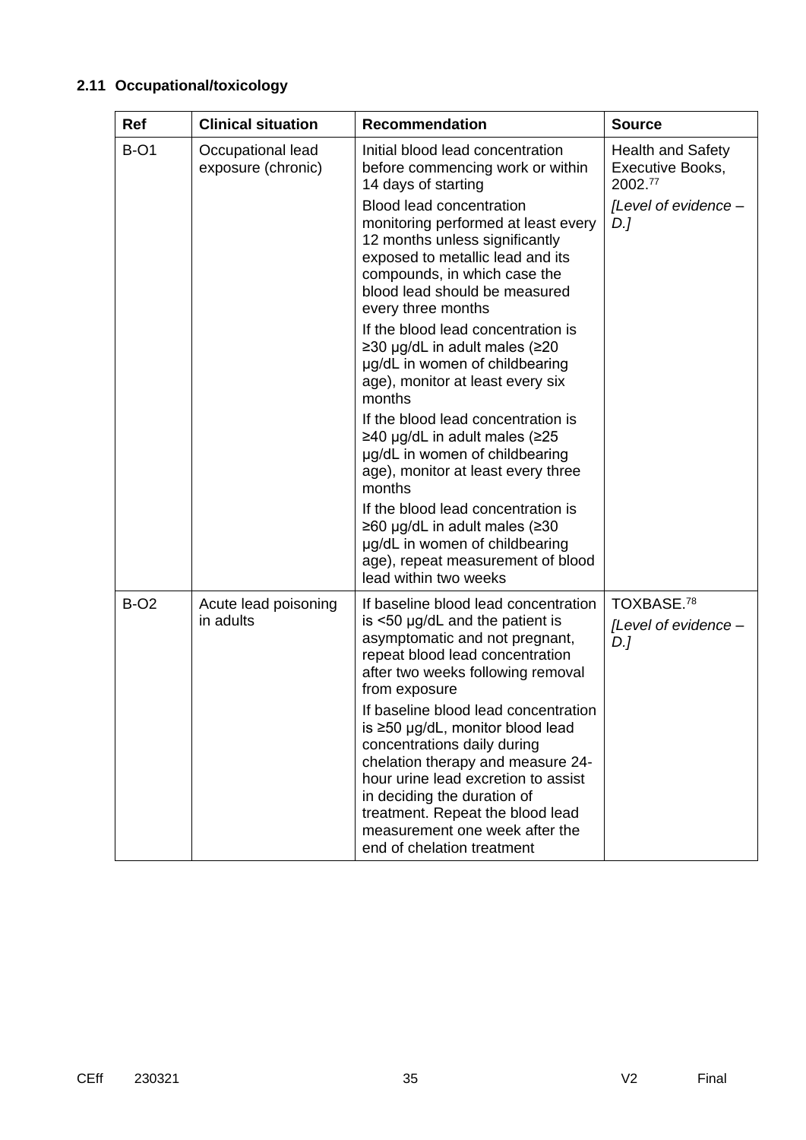# **2.11 Occupational/toxicology**

| <b>Ref</b>  | <b>Clinical situation</b>               | <b>Recommendation</b>                                                                                                                                                                                                                                                                                                        | <b>Source</b>                                           |
|-------------|-----------------------------------------|------------------------------------------------------------------------------------------------------------------------------------------------------------------------------------------------------------------------------------------------------------------------------------------------------------------------------|---------------------------------------------------------|
| <b>B-O1</b> | Occupational lead<br>exposure (chronic) | Initial blood lead concentration<br>before commencing work or within<br>14 days of starting                                                                                                                                                                                                                                  | <b>Health and Safety</b><br>Executive Books,<br>2002.77 |
|             |                                         | <b>Blood lead concentration</b><br>monitoring performed at least every<br>12 months unless significantly<br>exposed to metallic lead and its<br>compounds, in which case the<br>blood lead should be measured<br>every three months                                                                                          | [Level of evidence -<br>D.                              |
|             |                                         | If the blood lead concentration is<br>≥30 µg/dL in adult males (≥20<br>µg/dL in women of childbearing<br>age), monitor at least every six<br>months                                                                                                                                                                          |                                                         |
|             |                                         | If the blood lead concentration is<br>≥40 µg/dL in adult males (≥25<br>µg/dL in women of childbearing<br>age), monitor at least every three<br>months                                                                                                                                                                        |                                                         |
|             |                                         | If the blood lead concentration is<br>≥60 µg/dL in adult males (≥30<br>µg/dL in women of childbearing<br>age), repeat measurement of blood<br>lead within two weeks                                                                                                                                                          |                                                         |
| <b>B-O2</b> | Acute lead poisoning<br>in adults       | If baseline blood lead concentration<br>is <50 µg/dL and the patient is<br>asymptomatic and not pregnant,<br>repeat blood lead concentration<br>after two weeks following removal<br>from exposure                                                                                                                           | TOXBASE. <sup>78</sup><br>[Level of evidence -<br>D.]   |
|             |                                         | If baseline blood lead concentration<br>is $\geq$ 50 µg/dL, monitor blood lead<br>concentrations daily during<br>chelation therapy and measure 24-<br>hour urine lead excretion to assist<br>in deciding the duration of<br>treatment. Repeat the blood lead<br>measurement one week after the<br>end of chelation treatment |                                                         |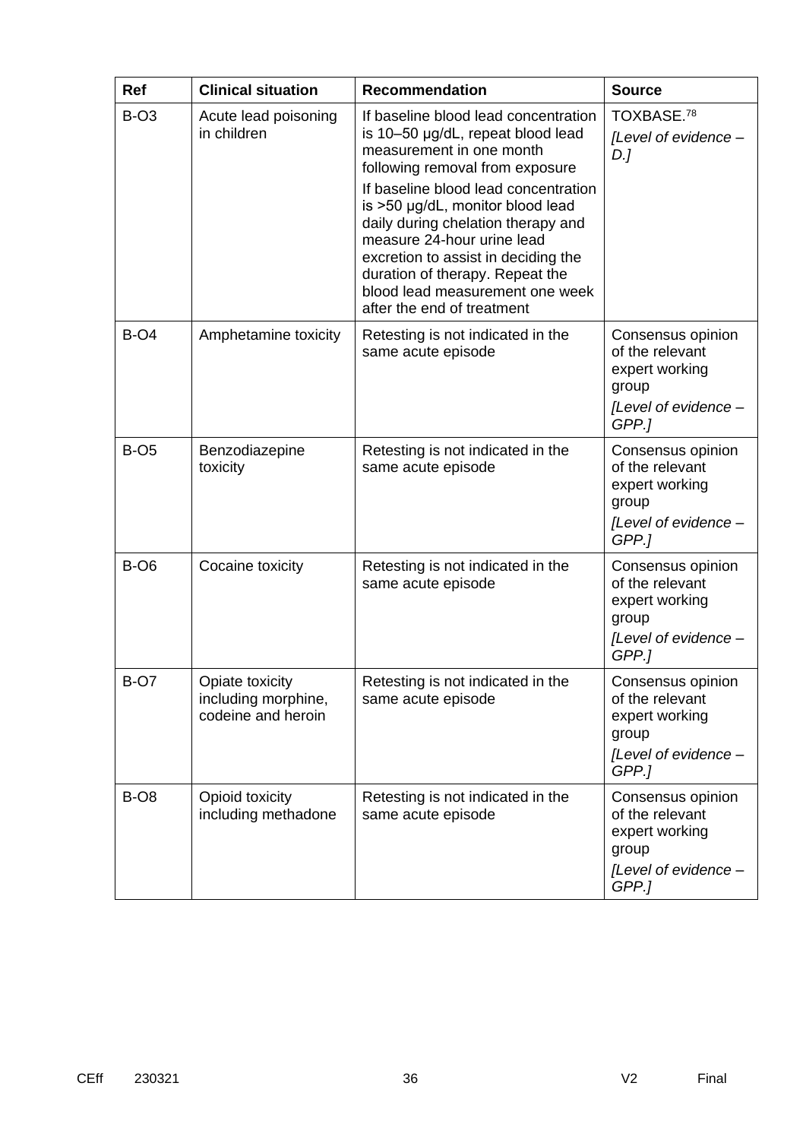| <b>Ref</b>          | <b>Clinical situation</b>                                    | <b>Recommendation</b>                                                                                                                                                                                                                                                                                                                                                                                                               | <b>Source</b>                                                                                    |
|---------------------|--------------------------------------------------------------|-------------------------------------------------------------------------------------------------------------------------------------------------------------------------------------------------------------------------------------------------------------------------------------------------------------------------------------------------------------------------------------------------------------------------------------|--------------------------------------------------------------------------------------------------|
| <b>B-O3</b>         | Acute lead poisoning<br>in children                          | If baseline blood lead concentration<br>is 10-50 µg/dL, repeat blood lead<br>measurement in one month<br>following removal from exposure<br>If baseline blood lead concentration<br>is >50 µg/dL, monitor blood lead<br>daily during chelation therapy and<br>measure 24-hour urine lead<br>excretion to assist in deciding the<br>duration of therapy. Repeat the<br>blood lead measurement one week<br>after the end of treatment | TOXBASE.78<br>[Level of evidence -<br>D.]                                                        |
| $B-O4$              | Amphetamine toxicity                                         | Retesting is not indicated in the<br>same acute episode                                                                                                                                                                                                                                                                                                                                                                             | Consensus opinion<br>of the relevant<br>expert working<br>group<br>[Level of evidence -<br>GPP.] |
| $B$ -O <sub>5</sub> | Benzodiazepine<br>toxicity                                   | Retesting is not indicated in the<br>same acute episode                                                                                                                                                                                                                                                                                                                                                                             | Consensus opinion<br>of the relevant<br>expert working<br>group<br>[Level of evidence -<br>GPP.1 |
| <b>B-O6</b>         | Cocaine toxicity                                             | Retesting is not indicated in the<br>same acute episode                                                                                                                                                                                                                                                                                                                                                                             | Consensus opinion<br>of the relevant<br>expert working<br>group<br>[Level of evidence -<br>GPP.1 |
| <b>B-O7</b>         | Opiate toxicity<br>including morphine,<br>codeine and heroin | Retesting is not indicated in the<br>same acute episode                                                                                                                                                                                                                                                                                                                                                                             | Consensus opinion<br>of the relevant<br>expert working<br>group<br>[Level of evidence -<br>GPP.1 |
| <b>B-O8</b>         | Opioid toxicity<br>including methadone                       | Retesting is not indicated in the<br>same acute episode                                                                                                                                                                                                                                                                                                                                                                             | Consensus opinion<br>of the relevant<br>expert working<br>group<br>[Level of evidence -<br>GPP.] |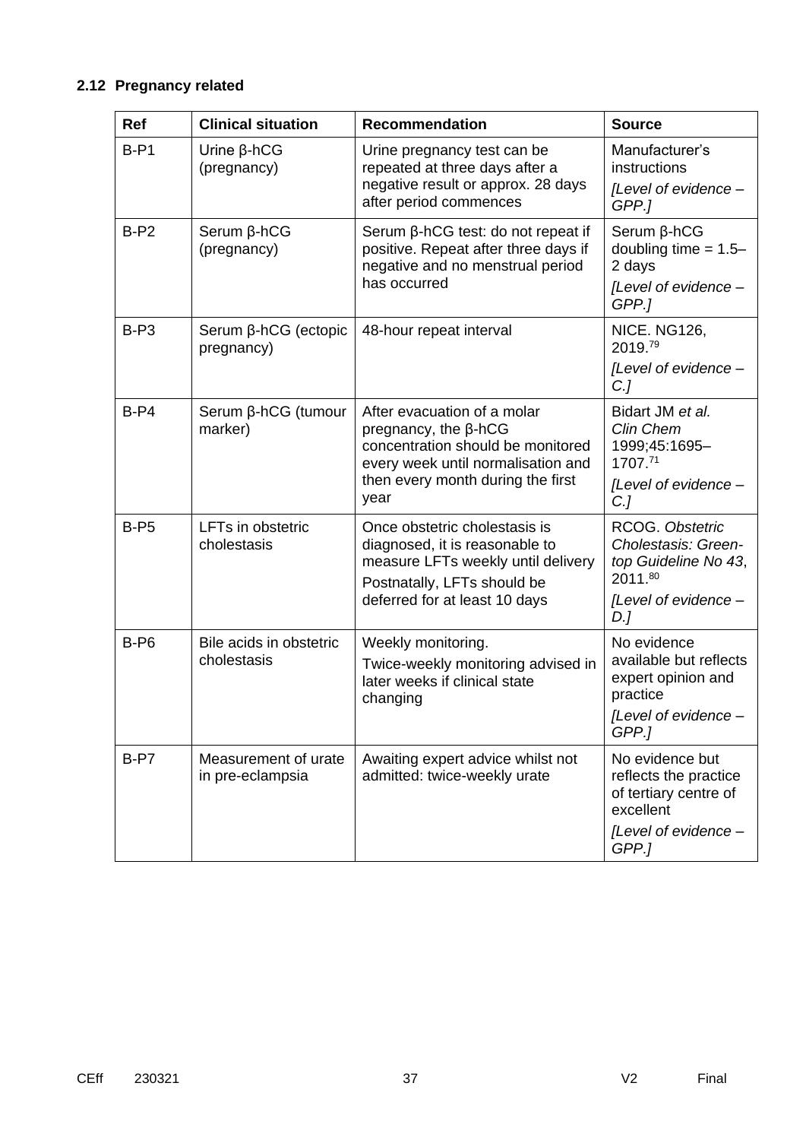# **2.12 Pregnancy related**

| <b>Ref</b> | <b>Clinical situation</b>                | <b>Recommendation</b>                                                                                                                                                              | <b>Source</b>                                                                                 |
|------------|------------------------------------------|------------------------------------------------------------------------------------------------------------------------------------------------------------------------------------|-----------------------------------------------------------------------------------------------|
| $B-P1$     | Urine $\beta$ -hCG<br>(pregnancy)        | Urine pregnancy test can be<br>repeated at three days after a<br>negative result or approx. 28 days<br>after period commences                                                      | Manufacturer's<br>instructions<br>[Level of evidence -                                        |
| $B-P2$     | $Serum \beta-hCG$                        | Serum $\beta$ -hCG test: do not repeat if                                                                                                                                          | GPP.]<br>$Serum \beta-hCG$                                                                    |
|            | (pregnancy)                              | positive. Repeat after three days if<br>negative and no menstrual period                                                                                                           | doubling time $= 1.5 -$<br>2 days                                                             |
|            |                                          | has occurred                                                                                                                                                                       | [Level of evidence -<br>GPP.1                                                                 |
| $B-P3$     | Serum β-hCG (ectopic<br>pregnancy)       | 48-hour repeat interval                                                                                                                                                            | NICE. NG126,<br>2019.79                                                                       |
|            |                                          |                                                                                                                                                                                    | [Level of evidence -<br>C <sub>1</sub>                                                        |
| $B-P4$     | Serum β-hCG (tumour<br>marker)           | After evacuation of a molar<br>pregnancy, the $\beta$ -hCG<br>concentration should be monitored<br>every week until normalisation and<br>then every month during the first<br>year | Bidart JM et al.<br>Clin Chem<br>1999;45:1695-<br>1707.71                                     |
|            |                                          |                                                                                                                                                                                    | [Level of evidence -<br>C <sub>1</sub>                                                        |
| $B-P5$     | LFTs in obstetric<br>cholestasis         | Once obstetric cholestasis is<br>diagnosed, it is reasonable to<br>measure LFTs weekly until delivery<br>Postnatally, LFTs should be<br>deferred for at least 10 days              | RCOG. Obstetric<br>Cholestasis: Green-<br>top Guideline No 43,<br>2011.80                     |
|            |                                          |                                                                                                                                                                                    | [Level of evidence -<br>$D$ .]                                                                |
| $B-P6$     | Bile acids in obstetric<br>cholestasis   | Weekly monitoring.<br>Twice-weekly monitoring advised in<br>later weeks if clinical state<br>changing                                                                              | No evidence<br>available but reflects<br>expert opinion and<br>practice<br>[Level of evidence |
|            |                                          |                                                                                                                                                                                    | GPP.]                                                                                         |
| $B-PT$     | Measurement of urate<br>in pre-eclampsia | Awaiting expert advice whilst not<br>admitted: twice-weekly urate                                                                                                                  | No evidence but<br>reflects the practice<br>of tertiary centre of<br>excellent                |
|            |                                          |                                                                                                                                                                                    | [Level of evidence -<br>GPP.]                                                                 |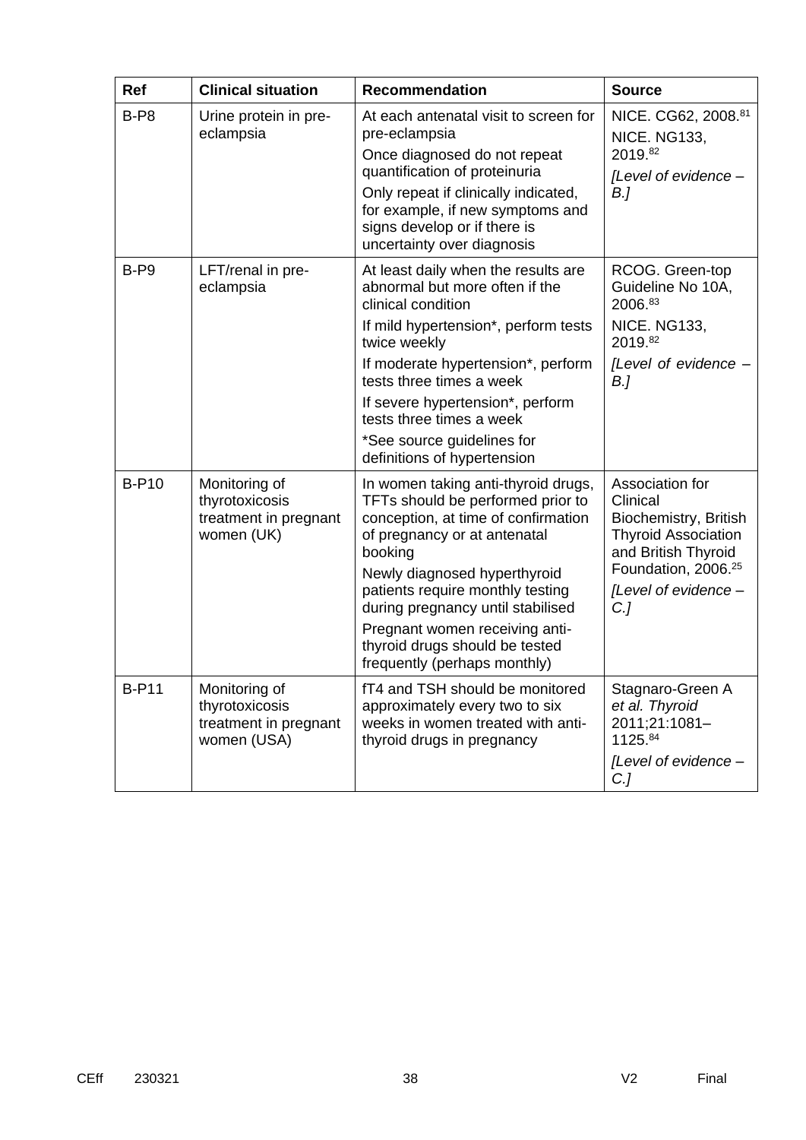| Ref          | <b>Clinical situation</b>                                               | <b>Recommendation</b>                                                                                                                                                                                                                                                                                                                                                   | <b>Source</b>                                                                                                                                                                          |
|--------------|-------------------------------------------------------------------------|-------------------------------------------------------------------------------------------------------------------------------------------------------------------------------------------------------------------------------------------------------------------------------------------------------------------------------------------------------------------------|----------------------------------------------------------------------------------------------------------------------------------------------------------------------------------------|
| $B-P8$       | Urine protein in pre-<br>eclampsia                                      | At each antenatal visit to screen for<br>pre-eclampsia<br>Once diagnosed do not repeat<br>quantification of proteinuria<br>Only repeat if clinically indicated,<br>for example, if new symptoms and<br>signs develop or if there is<br>uncertainty over diagnosis                                                                                                       | NICE. CG62, 2008.81<br><b>NICE. NG133,</b><br>2019.82<br>[Level of evidence -<br>$B$ .]                                                                                                |
| $B- P9$      | LFT/renal in pre-<br>eclampsia                                          | At least daily when the results are<br>abnormal but more often if the<br>clinical condition<br>If mild hypertension*, perform tests<br>twice weekly<br>If moderate hypertension*, perform<br>tests three times a week<br>If severe hypertension*, perform<br>tests three times a week<br>*See source guidelines for<br>definitions of hypertension                      | RCOG. Green-top<br>Guideline No 10A,<br>2006.83<br><b>NICE. NG133,</b><br>2019.82<br>[Level of evidence -<br>$B$ .]                                                                    |
| <b>B-P10</b> | Monitoring of<br>thyrotoxicosis<br>treatment in pregnant<br>women (UK)  | In women taking anti-thyroid drugs,<br>TFTs should be performed prior to<br>conception, at time of confirmation<br>of pregnancy or at antenatal<br>booking<br>Newly diagnosed hyperthyroid<br>patients require monthly testing<br>during pregnancy until stabilised<br>Pregnant women receiving anti-<br>thyroid drugs should be tested<br>frequently (perhaps monthly) | Association for<br>Clinical<br>Biochemistry, British<br><b>Thyroid Association</b><br>and British Thyroid<br>Foundation, 2006. <sup>25</sup><br>[Level of evidence -<br>C <sub>1</sub> |
| <b>B-P11</b> | Monitoring of<br>thyrotoxicosis<br>treatment in pregnant<br>women (USA) | fT4 and TSH should be monitored<br>approximately every two to six<br>weeks in women treated with anti-<br>thyroid drugs in pregnancy                                                                                                                                                                                                                                    | Stagnaro-Green A<br>et al. Thyroid<br>2011;21:1081-<br>1125.84<br>[Level of evidence -<br>$C$ .]                                                                                       |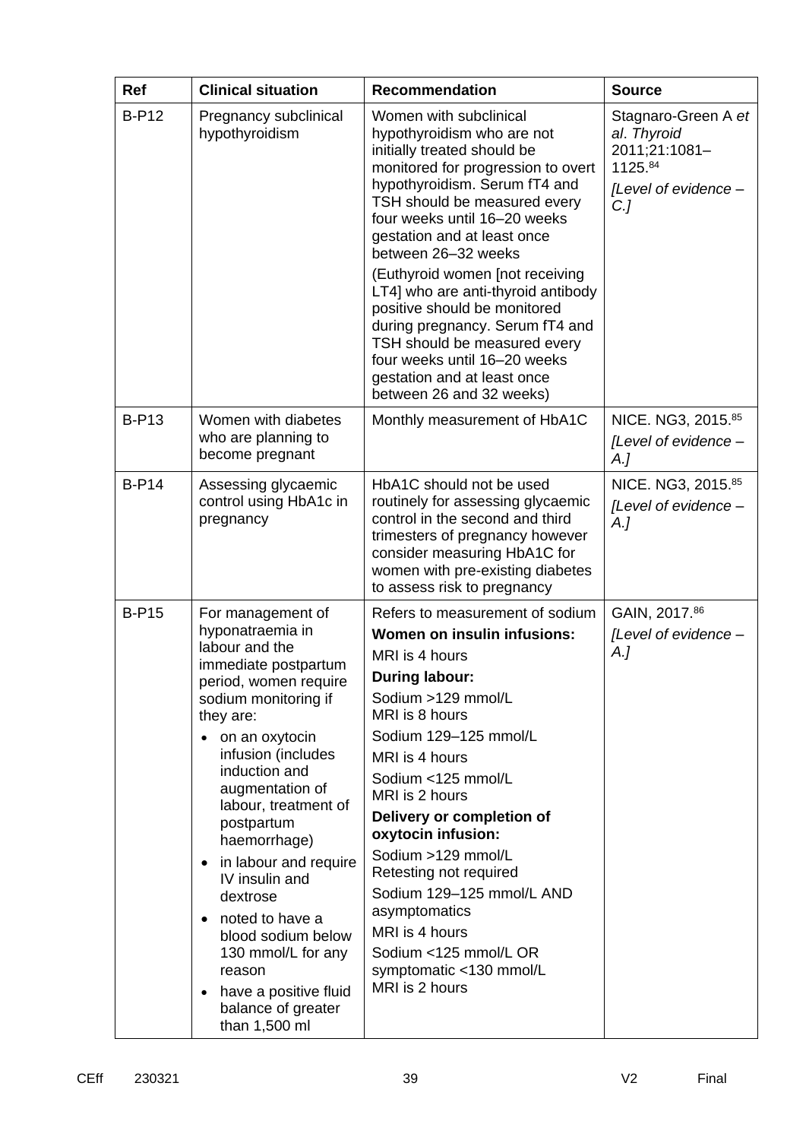| <b>Ref</b>   | <b>Clinical situation</b>                                                                                                                                                                                                                                                                                                                                                                                                                                                                                              | <b>Recommendation</b>                                                                                                                                                                                                                                                                                                                                                                                                                                                         | <b>Source</b>                                                                                    |
|--------------|------------------------------------------------------------------------------------------------------------------------------------------------------------------------------------------------------------------------------------------------------------------------------------------------------------------------------------------------------------------------------------------------------------------------------------------------------------------------------------------------------------------------|-------------------------------------------------------------------------------------------------------------------------------------------------------------------------------------------------------------------------------------------------------------------------------------------------------------------------------------------------------------------------------------------------------------------------------------------------------------------------------|--------------------------------------------------------------------------------------------------|
| <b>B-P12</b> | Pregnancy subclinical<br>hypothyroidism                                                                                                                                                                                                                                                                                                                                                                                                                                                                                | Women with subclinical<br>hypothyroidism who are not<br>initially treated should be<br>monitored for progression to overt<br>hypothyroidism. Serum fT4 and<br>TSH should be measured every<br>four weeks until 16-20 weeks<br>gestation and at least once<br>between 26-32 weeks<br>(Euthyroid women [not receiving<br>LT4] who are anti-thyroid antibody                                                                                                                     | Stagnaro-Green A et<br>al. Thyroid<br>2011;21:1081-<br>1125.84<br>[Level of evidence -<br>$C$ .] |
|              |                                                                                                                                                                                                                                                                                                                                                                                                                                                                                                                        | positive should be monitored<br>during pregnancy. Serum fT4 and<br>TSH should be measured every<br>four weeks until 16-20 weeks<br>gestation and at least once<br>between 26 and 32 weeks)                                                                                                                                                                                                                                                                                    |                                                                                                  |
| <b>B-P13</b> | Women with diabetes<br>who are planning to<br>become pregnant                                                                                                                                                                                                                                                                                                                                                                                                                                                          | Monthly measurement of HbA1C                                                                                                                                                                                                                                                                                                                                                                                                                                                  | NICE. NG3, 2015.85<br>[Level of evidence -<br>$A_{\cdot}$                                        |
| $B-P14$      | Assessing glycaemic<br>control using HbA1c in<br>pregnancy                                                                                                                                                                                                                                                                                                                                                                                                                                                             | HbA1C should not be used<br>routinely for assessing glycaemic<br>control in the second and third<br>trimesters of pregnancy however<br>consider measuring HbA1C for<br>women with pre-existing diabetes<br>to assess risk to pregnancy                                                                                                                                                                                                                                        | NICE. NG3, 2015.85<br>[Level of evidence -<br>$A_{\cdot}$                                        |
| <b>B-P15</b> | For management of<br>hyponatraemia in<br>labour and the<br>immediate postpartum<br>period, women require<br>sodium monitoring if<br>they are:<br>on an oxytocin<br>infusion (includes<br>induction and<br>augmentation of<br>labour, treatment of<br>postpartum<br>haemorrhage)<br>in labour and require<br>$\bullet$<br>IV insulin and<br>dextrose<br>noted to have a<br>$\bullet$<br>blood sodium below<br>130 mmol/L for any<br>reason<br>have a positive fluid<br>$\bullet$<br>balance of greater<br>than 1,500 ml | Refers to measurement of sodium<br>Women on insulin infusions:<br>MRI is 4 hours<br><b>During labour:</b><br>Sodium >129 mmol/L<br>MRI is 8 hours<br>Sodium 129-125 mmol/L<br>MRI is 4 hours<br>Sodium <125 mmol/L<br>MRI is 2 hours<br>Delivery or completion of<br>oxytocin infusion:<br>Sodium >129 mmol/L<br>Retesting not required<br>Sodium 129-125 mmol/L AND<br>asymptomatics<br>MRI is 4 hours<br>Sodium <125 mmol/L OR<br>symptomatic <130 mmol/L<br>MRI is 2 hours | GAIN, 2017.86<br>[Level of evidence -<br>A.]                                                     |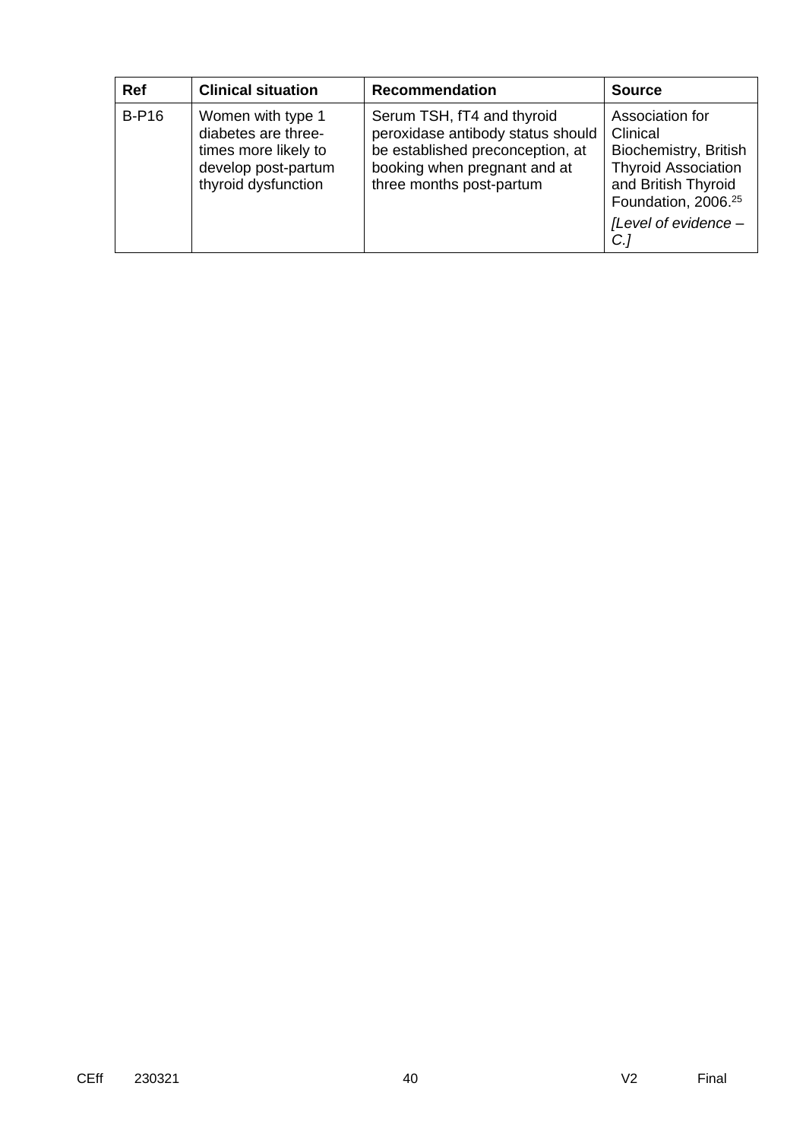| <b>Ref</b> | <b>Clinical situation</b>                                                                                      | <b>Recommendation</b>                                                                                                                                           | <b>Source</b>                                                                                                                                                                       |
|------------|----------------------------------------------------------------------------------------------------------------|-----------------------------------------------------------------------------------------------------------------------------------------------------------------|-------------------------------------------------------------------------------------------------------------------------------------------------------------------------------------|
| $B-P16$    | Women with type 1<br>diabetes are three-<br>times more likely to<br>develop post-partum<br>thyroid dysfunction | Serum TSH, fT4 and thyroid<br>peroxidase antibody status should<br>be established preconception, at<br>booking when pregnant and at<br>three months post-partum | Association for<br>Clinical<br>Biochemistry, British<br><b>Thyroid Association</b><br>and British Thyroid<br>Foundation, 2006. <sup>25</sup><br>[Level of evidence -<br>$C_{\cdot}$ |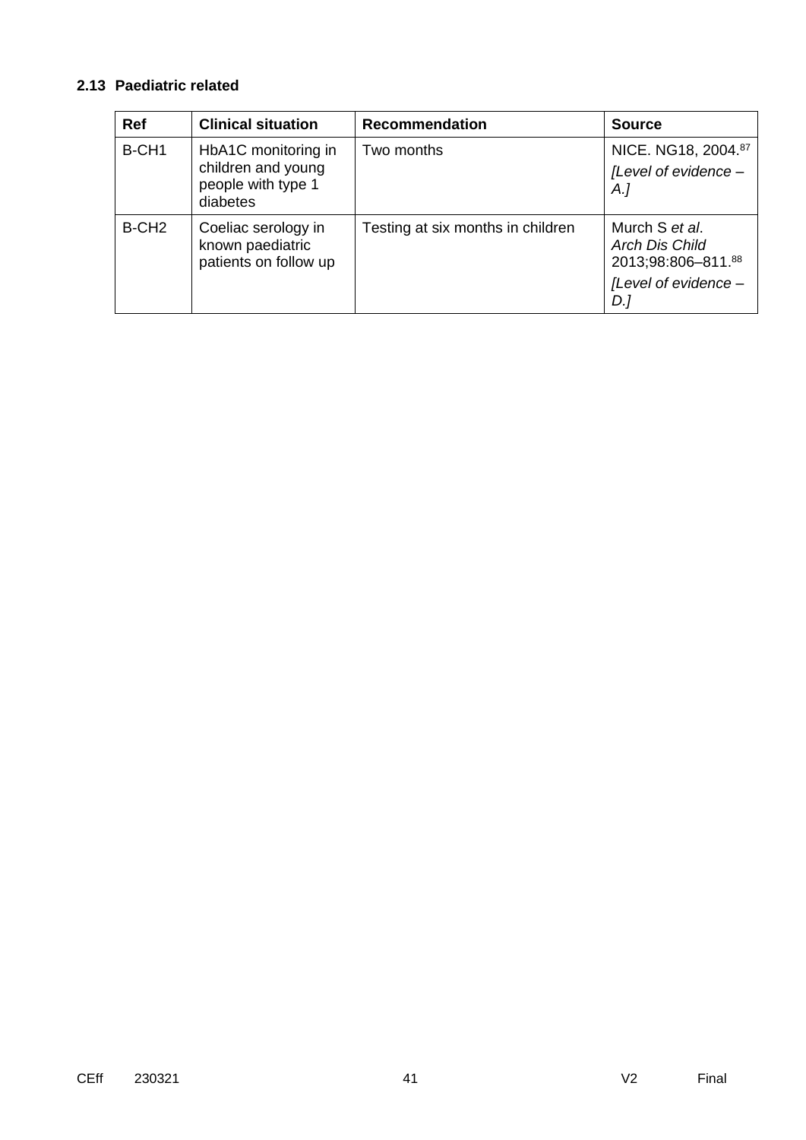# **2.13 Paediatric related**

| <b>Ref</b>        | <b>Clinical situation</b>                                                   | Recommendation                    | <b>Source</b>                                                                         |
|-------------------|-----------------------------------------------------------------------------|-----------------------------------|---------------------------------------------------------------------------------------|
| B-CH <sub>1</sub> | HbA1C monitoring in<br>children and young<br>people with type 1<br>diabetes | Two months                        | NICE. NG18, 2004.87<br>[Level of evidence -<br>$A$ .]                                 |
| B-CH <sub>2</sub> | Coeliac serology in<br>known paediatric<br>patients on follow up            | Testing at six months in children | Murch S et al.<br>Arch Dis Child<br>2013;98:806-811.88<br>[Level of evidence -<br>D.] |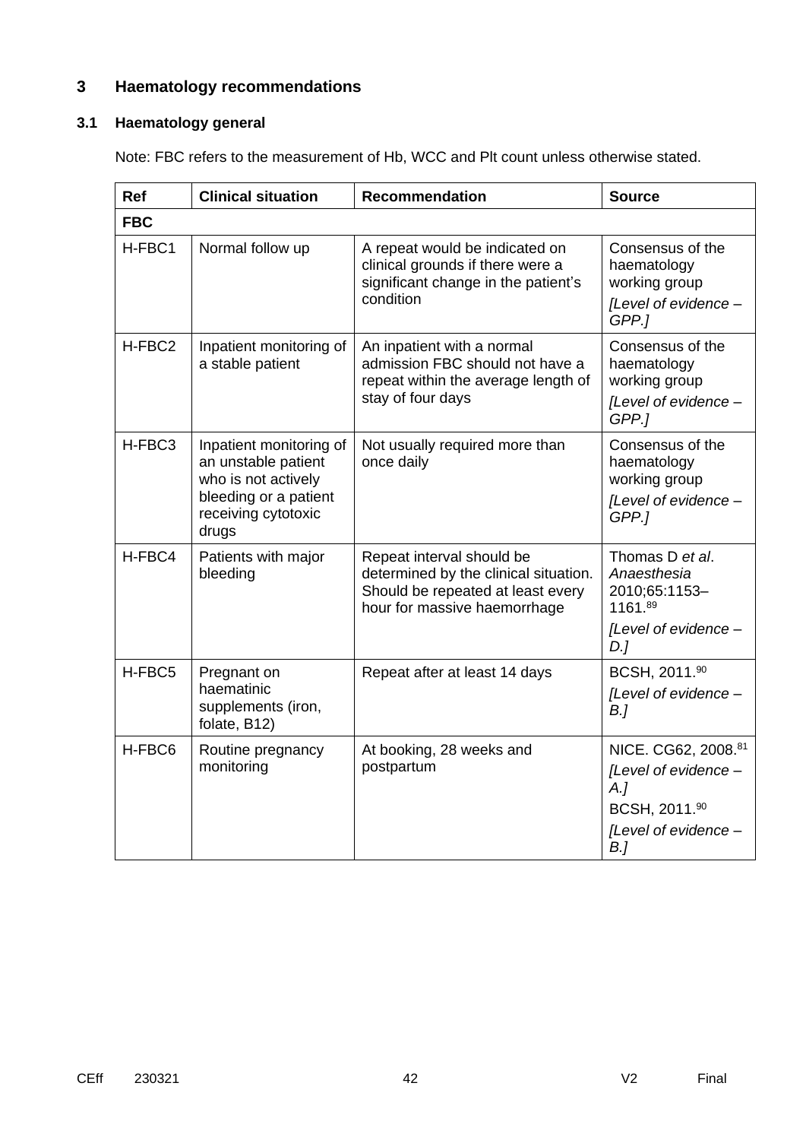# **3 Haematology recommendations**

### **3.1 Haematology general**

Note: FBC refers to the measurement of Hb, WCC and Plt count unless otherwise stated.

| <b>Ref</b>         | <b>Clinical situation</b>                                                                                                      | Recommendation                                                                                                                          | <b>Source</b>                                                                                        |
|--------------------|--------------------------------------------------------------------------------------------------------------------------------|-----------------------------------------------------------------------------------------------------------------------------------------|------------------------------------------------------------------------------------------------------|
| <b>FBC</b>         |                                                                                                                                |                                                                                                                                         |                                                                                                      |
| H-FBC1             | Normal follow up                                                                                                               | A repeat would be indicated on<br>clinical grounds if there were a<br>significant change in the patient's<br>condition                  | Consensus of the<br>haematology<br>working group<br>[Level of evidence -<br>GPP.1                    |
| H-FBC <sub>2</sub> | Inpatient monitoring of<br>a stable patient                                                                                    | An inpatient with a normal<br>admission FBC should not have a<br>repeat within the average length of<br>stay of four days               | Consensus of the<br>haematology<br>working group<br>[Level of evidence -<br>GPP.1                    |
| H-FBC3             | Inpatient monitoring of<br>an unstable patient<br>who is not actively<br>bleeding or a patient<br>receiving cytotoxic<br>drugs | Not usually required more than<br>once daily                                                                                            | Consensus of the<br>haematology<br>working group<br>[Level of evidence -<br>GPP.]                    |
| H-FBC4             | Patients with major<br>bleeding                                                                                                | Repeat interval should be<br>determined by the clinical situation.<br>Should be repeated at least every<br>hour for massive haemorrhage | Thomas D et al.<br>Anaesthesia<br>2010;65:1153-<br>1161.89<br>[Level of evidence -<br>$D$ .]         |
| H-FBC5             | Pregnant on<br>haematinic<br>supplements (iron,<br>folate, B12)                                                                | Repeat after at least 14 days                                                                                                           | BCSH, 2011.90<br>[Level of evidence -<br>B <sub>l</sub>                                              |
| H-FBC6             | Routine pregnancy<br>monitoring                                                                                                | At booking, 28 weeks and<br>postpartum                                                                                                  | NICE. CG62, 2008.81<br>[Level of evidence -<br>A.<br>BCSH, 2011.90<br>[Level of evidence -<br>$B$ .] |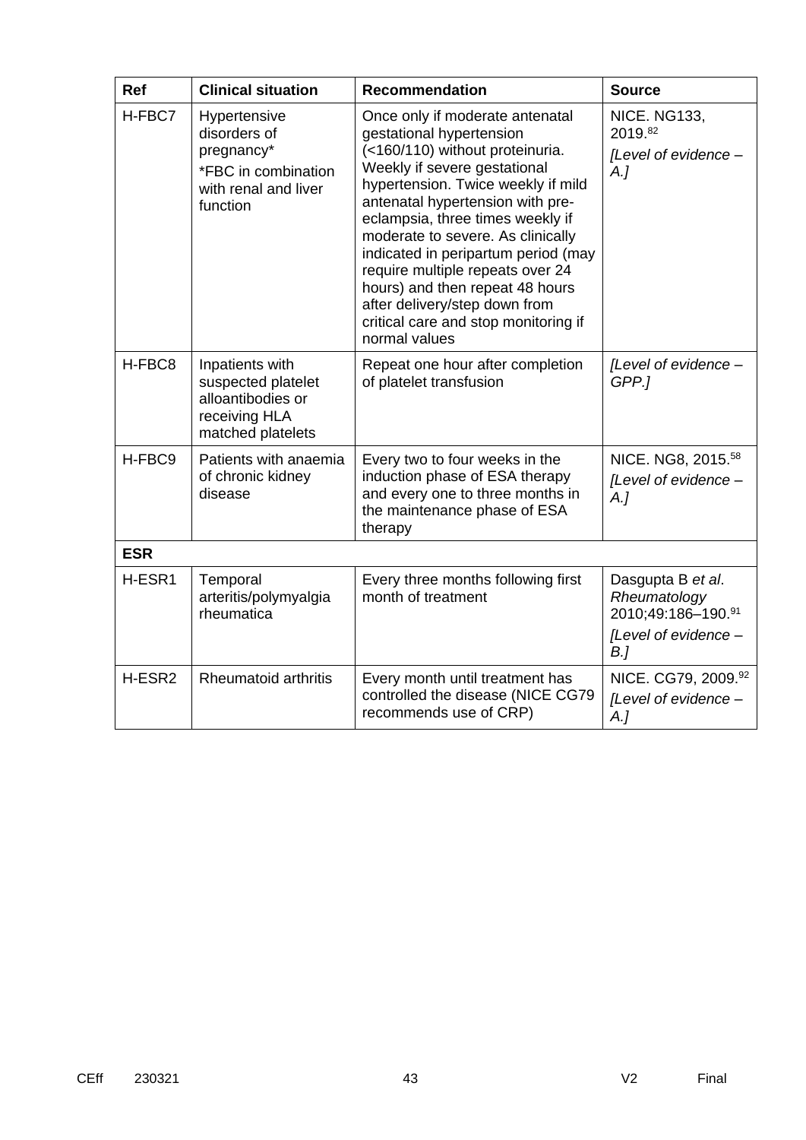| <b>Ref</b> | <b>Clinical situation</b>                                                                             | <b>Recommendation</b>                                                                                                                                                                                                                                                                                                                                                                                                                                                                     | <b>Source</b>                                                                                     |
|------------|-------------------------------------------------------------------------------------------------------|-------------------------------------------------------------------------------------------------------------------------------------------------------------------------------------------------------------------------------------------------------------------------------------------------------------------------------------------------------------------------------------------------------------------------------------------------------------------------------------------|---------------------------------------------------------------------------------------------------|
| H-FBC7     | Hypertensive<br>disorders of<br>pregnancy*<br>*FBC in combination<br>with renal and liver<br>function | Once only if moderate antenatal<br>gestational hypertension<br>(<160/110) without proteinuria.<br>Weekly if severe gestational<br>hypertension. Twice weekly if mild<br>antenatal hypertension with pre-<br>eclampsia, three times weekly if<br>moderate to severe. As clinically<br>indicated in peripartum period (may<br>require multiple repeats over 24<br>hours) and then repeat 48 hours<br>after delivery/step down from<br>critical care and stop monitoring if<br>normal values | <b>NICE. NG133,</b><br>2019.82<br>[Level of evidence -<br>A.                                      |
| H-FBC8     | Inpatients with<br>suspected platelet<br>alloantibodies or<br>receiving HLA<br>matched platelets      | Repeat one hour after completion<br>of platelet transfusion                                                                                                                                                                                                                                                                                                                                                                                                                               | [Level of evidence -<br>GPP.1                                                                     |
| H-FBC9     | Patients with anaemia<br>of chronic kidney<br>disease                                                 | Every two to four weeks in the<br>induction phase of ESA therapy<br>and every one to three months in<br>the maintenance phase of ESA<br>therapy                                                                                                                                                                                                                                                                                                                                           | NICE. NG8, 2015. <sup>58</sup><br>[Level of evidence -<br>$A_{\cdot}$                             |
| <b>ESR</b> |                                                                                                       |                                                                                                                                                                                                                                                                                                                                                                                                                                                                                           |                                                                                                   |
| H-ESR1     | Temporal<br>arteritis/polymyalgia<br>rheumatica                                                       | Every three months following first<br>month of treatment                                                                                                                                                                                                                                                                                                                                                                                                                                  | Dasgupta B et al.<br>Rheumatology<br>2010;49:186-190.91<br>[Level of evidence -<br>B <sub>l</sub> |
| H-ESR2     | <b>Rheumatoid arthritis</b>                                                                           | Every month until treatment has<br>controlled the disease (NICE CG79<br>recommends use of CRP)                                                                                                                                                                                                                                                                                                                                                                                            | NICE. CG79, 2009.92<br>[Level of evidence -<br>A.]                                                |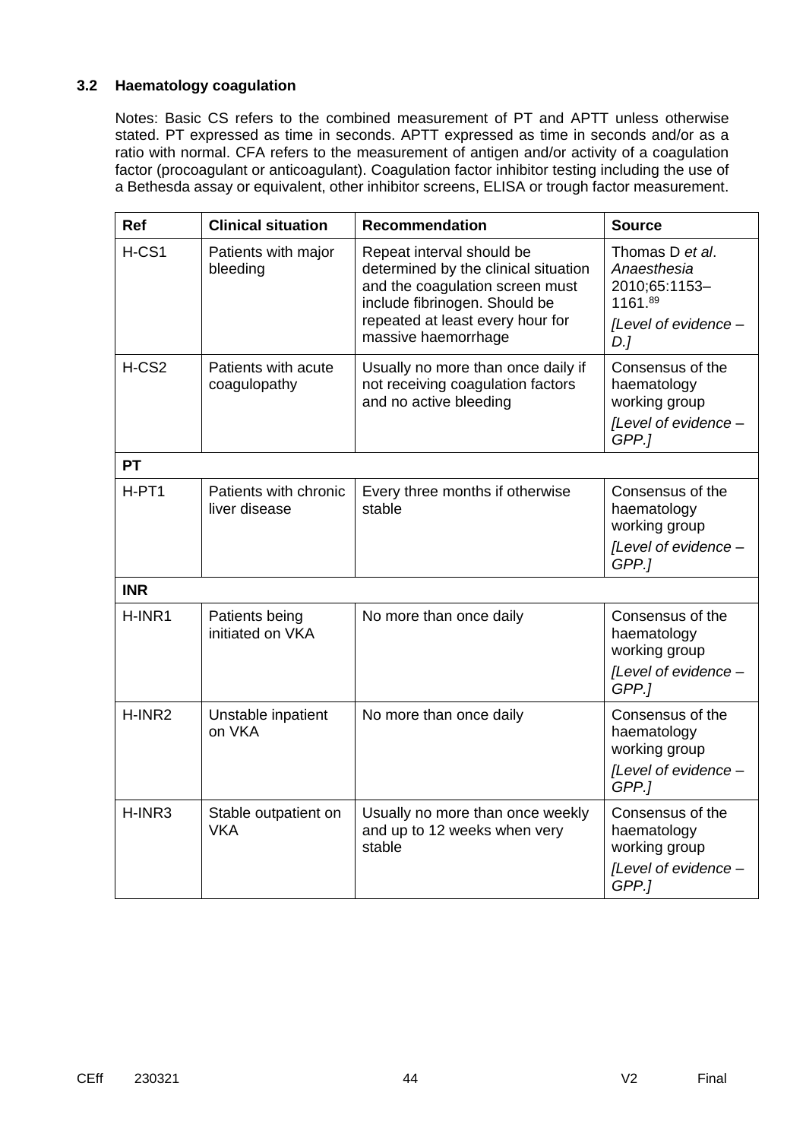#### **3.2 Haematology coagulation**

Notes: Basic CS refers to the combined measurement of PT and APTT unless otherwise stated. PT expressed as time in seconds. APTT expressed as time in seconds and/or as a ratio with normal. CFA refers to the measurement of antigen and/or activity of a coagulation factor (procoagulant or anticoagulant). Coagulation factor inhibitor testing including the use of a Bethesda assay or equivalent, other inhibitor screens, ELISA or trough factor measurement.

| Ref        | <b>Clinical situation</b>              | <b>Recommendation</b>                                                                                                                                                                            | <b>Source</b>                                                                             |
|------------|----------------------------------------|--------------------------------------------------------------------------------------------------------------------------------------------------------------------------------------------------|-------------------------------------------------------------------------------------------|
| H-CS1      | Patients with major<br>bleeding        | Repeat interval should be<br>determined by the clinical situation<br>and the coagulation screen must<br>include fibrinogen. Should be<br>repeated at least every hour for<br>massive haemorrhage | Thomas D et al.<br>Anaesthesia<br>2010;65:1153-<br>1161.89<br>[Level of evidence -<br>D.1 |
| $H-CS2$    | Patients with acute<br>coagulopathy    | Usually no more than once daily if<br>not receiving coagulation factors<br>and no active bleeding                                                                                                | Consensus of the<br>haematology<br>working group<br>[Level of evidence -<br>GPP.1         |
| <b>PT</b>  |                                        |                                                                                                                                                                                                  |                                                                                           |
| H-PT1      | Patients with chronic<br>liver disease | Every three months if otherwise<br>stable                                                                                                                                                        | Consensus of the<br>haematology<br>working group<br>[Level of evidence -<br>GPP.]         |
| <b>INR</b> |                                        |                                                                                                                                                                                                  |                                                                                           |
| H-INR1     | Patients being<br>initiated on VKA     | No more than once daily                                                                                                                                                                          | Consensus of the<br>haematology<br>working group<br>[Level of evidence -<br>GPP.]         |
| H-INR2     | Unstable inpatient<br>on VKA           | No more than once daily                                                                                                                                                                          | Consensus of the<br>haematology<br>working group<br>[Level of evidence -<br>GPP.]         |
| H-INR3     | Stable outpatient on<br><b>VKA</b>     | Usually no more than once weekly<br>and up to 12 weeks when very<br>stable                                                                                                                       | Consensus of the<br>haematology<br>working group<br>[Level of evidence -<br>GPP.1         |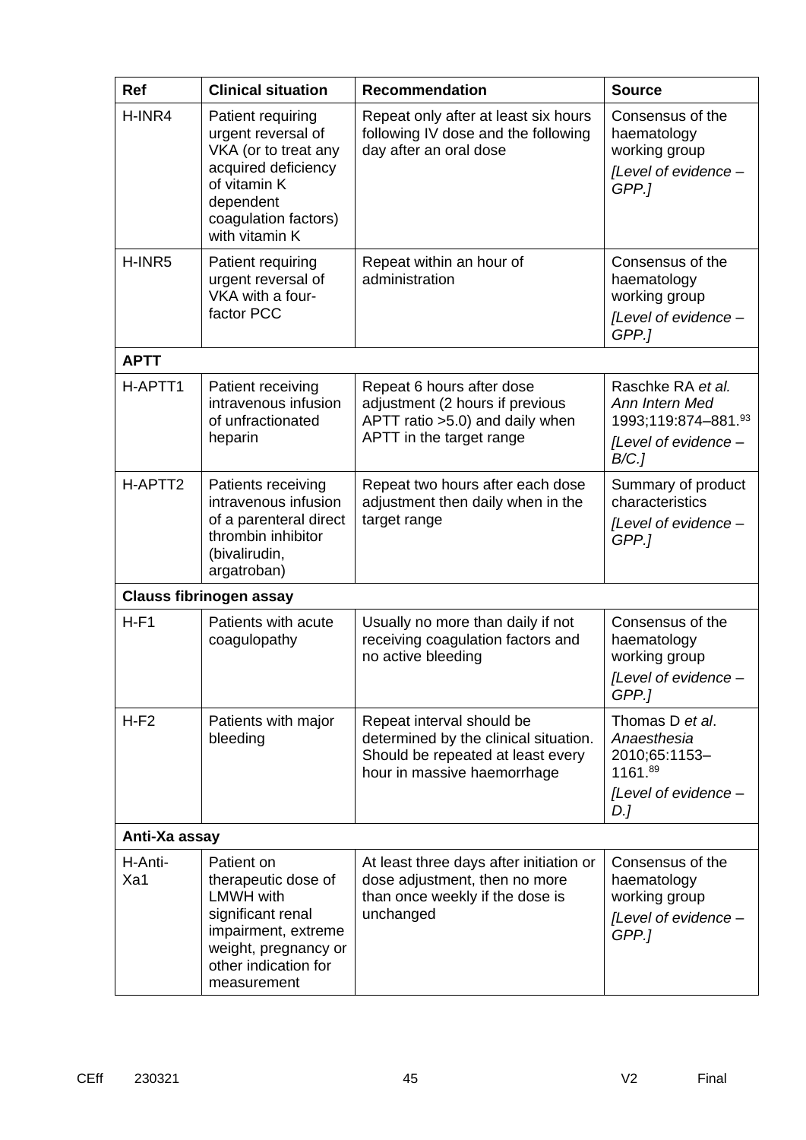| <b>Ref</b>     | <b>Clinical situation</b>                                                                                                                                        | <b>Recommendation</b>                                                                                                                  | <b>Source</b>                                                                              |
|----------------|------------------------------------------------------------------------------------------------------------------------------------------------------------------|----------------------------------------------------------------------------------------------------------------------------------------|--------------------------------------------------------------------------------------------|
| H-INR4         | Patient requiring<br>urgent reversal of<br>VKA (or to treat any<br>acquired deficiency<br>of vitamin K<br>dependent<br>coagulation factors)<br>with vitamin K    | Repeat only after at least six hours<br>following IV dose and the following<br>day after an oral dose                                  | Consensus of the<br>haematology<br>working group<br>[Level of evidence -<br>GPP.]          |
| H-INR5         | Patient requiring<br>urgent reversal of<br>VKA with a four-<br>factor PCC                                                                                        | Repeat within an hour of<br>administration                                                                                             | Consensus of the<br>haematology<br>working group<br>[Level of evidence -<br>GPP.]          |
| <b>APTT</b>    |                                                                                                                                                                  |                                                                                                                                        |                                                                                            |
| H-APTT1        | Patient receiving<br>intravenous infusion<br>of unfractionated<br>heparin                                                                                        | Repeat 6 hours after dose<br>adjustment (2 hours if previous<br>APTT ratio > 5.0) and daily when<br>APTT in the target range           | Raschke RA et al.<br>Ann Intern Med<br>1993;119:874-881.93<br>[Level of evidence -<br>B/C. |
| H-APTT2        | Patients receiving<br>intravenous infusion<br>of a parenteral direct<br>thrombin inhibitor<br>(bivalirudin,<br>argatroban)                                       | Repeat two hours after each dose<br>adjustment then daily when in the<br>target range                                                  | Summary of product<br>characteristics<br>[Level of evidence -<br>GPP.]                     |
|                | <b>Clauss fibrinogen assay</b>                                                                                                                                   |                                                                                                                                        |                                                                                            |
| $H-F1$         | Patients with acute<br>coagulopathy                                                                                                                              | Usually no more than daily if not<br>receiving coagulation factors and<br>no active bleeding                                           | Consensus of the<br>haematology<br>working group<br>[Level of evidence<br>GPP.1            |
| $H-F2$         | Patients with major<br>bleeding                                                                                                                                  | Repeat interval should be<br>determined by the clinical situation.<br>Should be repeated at least every<br>hour in massive haemorrhage | Thomas D et al.<br>Anaesthesia<br>2010;65:1153-<br>1161.89<br>[Level of evidence -<br>D.J  |
| Anti-Xa assay  |                                                                                                                                                                  |                                                                                                                                        |                                                                                            |
| H-Anti-<br>Xa1 | Patient on<br>therapeutic dose of<br><b>LMWH</b> with<br>significant renal<br>impairment, extreme<br>weight, pregnancy or<br>other indication for<br>measurement | At least three days after initiation or<br>dose adjustment, then no more<br>than once weekly if the dose is<br>unchanged               | Consensus of the<br>haematology<br>working group<br>[Level of evidence -<br>GPP.1          |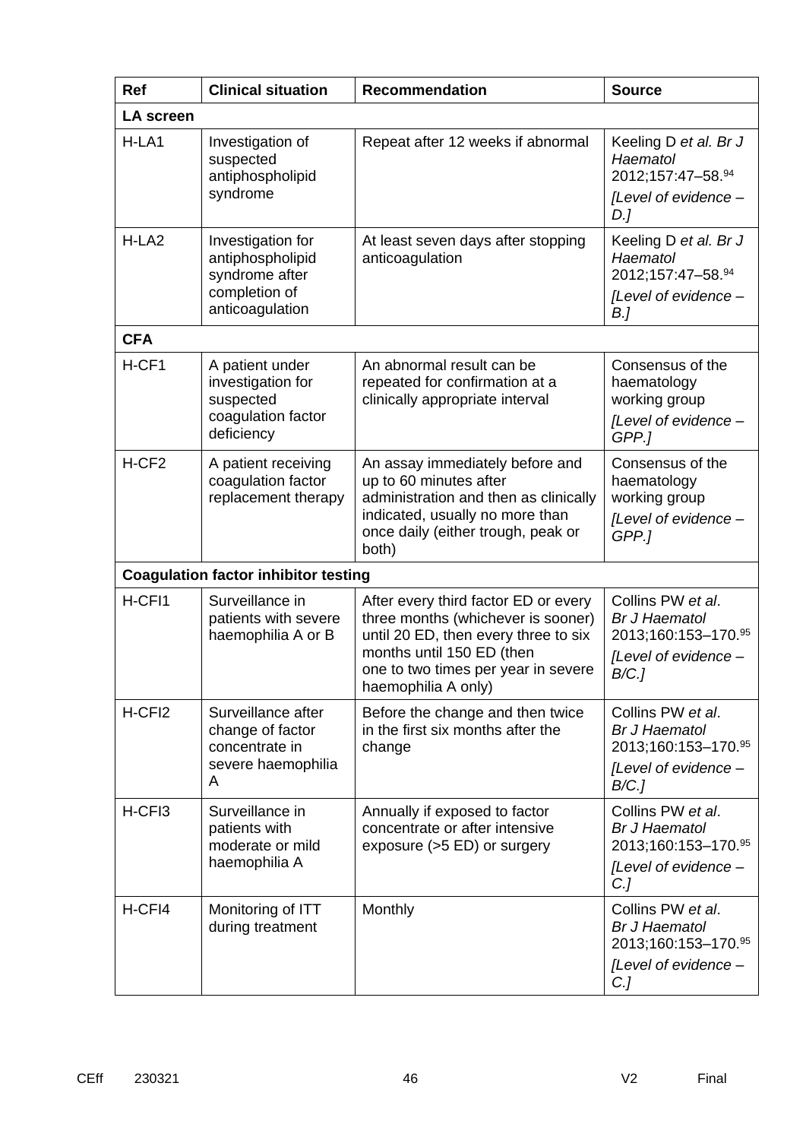| <b>Ref</b>         | <b>Clinical situation</b>                                                                   | <b>Recommendation</b>                                                                                                                                                                                         | <b>Source</b>                                                                                        |
|--------------------|---------------------------------------------------------------------------------------------|---------------------------------------------------------------------------------------------------------------------------------------------------------------------------------------------------------------|------------------------------------------------------------------------------------------------------|
| <b>LA screen</b>   |                                                                                             |                                                                                                                                                                                                               |                                                                                                      |
| H-LA1              | Investigation of<br>suspected<br>antiphospholipid<br>syndrome                               | Repeat after 12 weeks if abnormal                                                                                                                                                                             | Keeling D et al. Br J<br>Haematol<br>2012;157:47-58.94<br>[Level of evidence -<br>D.]                |
| H-LA <sub>2</sub>  | Investigation for<br>antiphospholipid<br>syndrome after<br>completion of<br>anticoagulation | At least seven days after stopping<br>anticoagulation                                                                                                                                                         | Keeling D et al. Br J<br>Haematol<br>2012;157:47-58.94<br>[Level of evidence -<br>B.]                |
| <b>CFA</b>         |                                                                                             |                                                                                                                                                                                                               |                                                                                                      |
| H-CF1              | A patient under<br>investigation for<br>suspected<br>coagulation factor<br>deficiency       | An abnormal result can be<br>repeated for confirmation at a<br>clinically appropriate interval                                                                                                                | Consensus of the<br>haematology<br>working group<br>[Level of evidence -<br>GPP.]                    |
| H-CF <sub>2</sub>  | A patient receiving<br>coagulation factor<br>replacement therapy                            | An assay immediately before and<br>up to 60 minutes after<br>administration and then as clinically<br>indicated, usually no more than<br>once daily (either trough, peak or<br>both)                          | Consensus of the<br>haematology<br>working group<br>[Level of evidence -<br>GPP.1                    |
|                    | <b>Coagulation factor inhibitor testing</b>                                                 |                                                                                                                                                                                                               |                                                                                                      |
| H-CFI1             | Surveillance in<br>patients with severe<br>haemophilia A or B                               | After every third factor ED or every<br>three months (whichever is sooner)<br>until 20 ED, then every three to six<br>months until 150 ED (then<br>one to two times per year in severe<br>haemophilia A only) | Collins PW et al.<br><b>Br J Haematol</b><br>2013;160:153-170.95<br>[Level of evidence -<br>$B/C$ .] |
| H-CFI <sub>2</sub> | Surveillance after<br>change of factor<br>concentrate in<br>severe haemophilia<br>A         | Before the change and then twice<br>in the first six months after the<br>change                                                                                                                               | Collins PW et al.<br><b>Br J Haematol</b><br>2013;160:153-170.95<br>[Level of evidence -<br>B/C.     |
| H-CFI3             | Surveillance in<br>patients with<br>moderate or mild<br>haemophilia A                       | Annually if exposed to factor<br>concentrate or after intensive<br>exposure (>5 ED) or surgery                                                                                                                | Collins PW et al.<br><b>Br J Haematol</b><br>2013;160:153-170.95<br>[Level of evidence -<br>$C$ .]   |
| H-CFI4             | Monitoring of ITT<br>during treatment                                                       | Monthly                                                                                                                                                                                                       | Collins PW et al.<br><b>Br J Haematol</b><br>2013;160:153-170.95<br>[Level of evidence -<br>C.J      |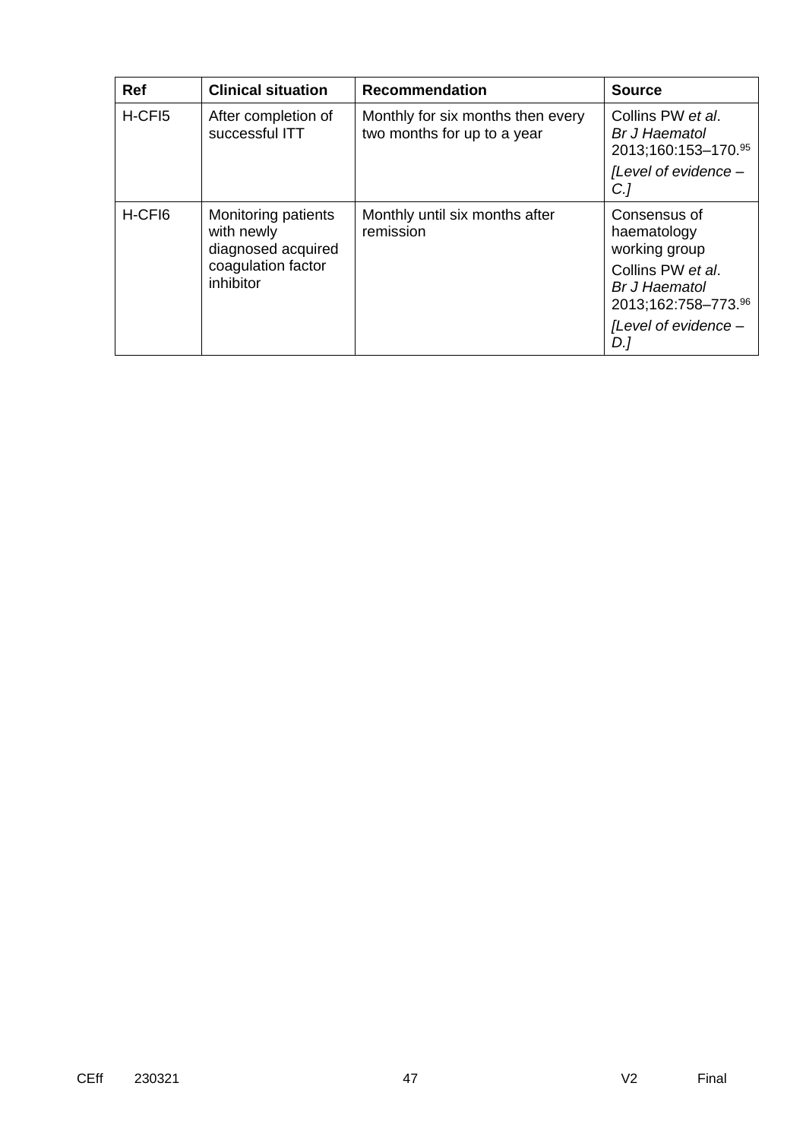| <b>Ref</b> | <b>Clinical situation</b>                                                                  | <b>Recommendation</b>                                            | <b>Source</b>                                                                                                                                   |
|------------|--------------------------------------------------------------------------------------------|------------------------------------------------------------------|-------------------------------------------------------------------------------------------------------------------------------------------------|
| H-CFI5     | After completion of<br>successful ITT                                                      | Monthly for six months then every<br>two months for up to a year | Collins PW et al.<br>Br J Haematol<br>2013;160:153-170.95<br>[Level of evidence -<br>$C$ .]                                                     |
| H-CFI6     | Monitoring patients<br>with newly<br>diagnosed acquired<br>coagulation factor<br>inhibitor | Monthly until six months after<br>remission                      | Consensus of<br>haematology<br>working group<br>Collins PW et al.<br><b>Br J Haematol</b><br>2013;162:758-773.96<br>[Level of evidence -<br>D.] |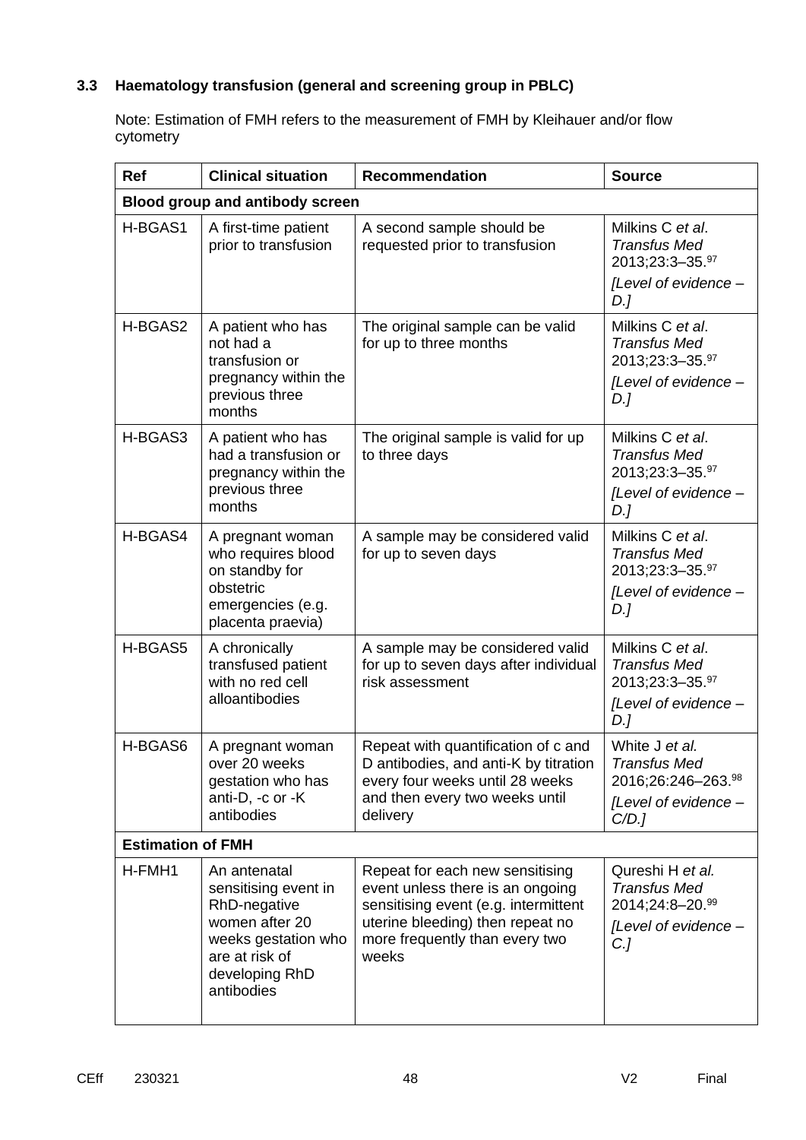### **3.3 Haematology transfusion (general and screening group in PBLC)**

Note: Estimation of FMH refers to the measurement of FMH by Kleihauer and/or flow cytometry

| <b>Ref</b>               | <b>Clinical situation</b>                                                                                                                       | <b>Recommendation</b>                                                                                                                                                                      | <b>Source</b>                                                                               |
|--------------------------|-------------------------------------------------------------------------------------------------------------------------------------------------|--------------------------------------------------------------------------------------------------------------------------------------------------------------------------------------------|---------------------------------------------------------------------------------------------|
|                          | Blood group and antibody screen                                                                                                                 |                                                                                                                                                                                            |                                                                                             |
| H-BGAS1                  | A first-time patient<br>prior to transfusion                                                                                                    | A second sample should be<br>requested prior to transfusion                                                                                                                                | Milkins C et al.<br><b>Transfus Med</b><br>2013;23:3-35.97<br>[Level of evidence -          |
|                          |                                                                                                                                                 |                                                                                                                                                                                            | D.]                                                                                         |
| H-BGAS2                  | A patient who has<br>not had a<br>transfusion or<br>pregnancy within the<br>previous three<br>months                                            | The original sample can be valid<br>for up to three months                                                                                                                                 | Milkins C et al.<br><b>Transfus Med</b><br>2013;23:3-35.97<br>[Level of evidence -<br>D.]   |
| H-BGAS3                  | A patient who has<br>had a transfusion or<br>pregnancy within the<br>previous three<br>months                                                   | The original sample is valid for up<br>to three days                                                                                                                                       | Milkins C et al.<br><b>Transfus Med</b><br>2013;23:3-35.97<br>[Level of evidence -<br>D.]   |
| H-BGAS4                  | A pregnant woman<br>who requires blood<br>on standby for<br>obstetric<br>emergencies (e.g.<br>placenta praevia)                                 | A sample may be considered valid<br>for up to seven days                                                                                                                                   | Milkins C et al.<br><b>Transfus Med</b><br>2013;23:3-35.97<br>[Level of evidence -<br>D.]   |
| H-BGAS5                  | A chronically<br>transfused patient<br>with no red cell<br>alloantibodies                                                                       | A sample may be considered valid<br>for up to seven days after individual<br>risk assessment                                                                                               | Milkins C et al.<br><b>Transfus Med</b><br>2013;23:3-35.97<br>[Level of evidence -<br>D.]   |
| H-BGAS6                  | A pregnant woman<br>over 20 weeks<br>gestation who has<br>anti-D, -c or -K<br>antibodies                                                        | Repeat with quantification of c and<br>D antibodies, and anti-K by titration<br>every four weeks until 28 weeks<br>and then every two weeks until<br>delivery                              | White J et al.<br><b>Transfus Med</b><br>2016;26:246-263.98<br>[Level of evidence -<br>C/D. |
| <b>Estimation of FMH</b> |                                                                                                                                                 |                                                                                                                                                                                            |                                                                                             |
| H-FMH1                   | An antenatal<br>sensitising event in<br>RhD-negative<br>women after 20<br>weeks gestation who<br>are at risk of<br>developing RhD<br>antibodies | Repeat for each new sensitising<br>event unless there is an ongoing<br>sensitising event (e.g. intermittent<br>uterine bleeding) then repeat no<br>more frequently than every two<br>weeks | Qureshi H et al.<br><b>Transfus Med</b><br>2014;24:8-20.99<br>[Level of evidence -<br>C.J   |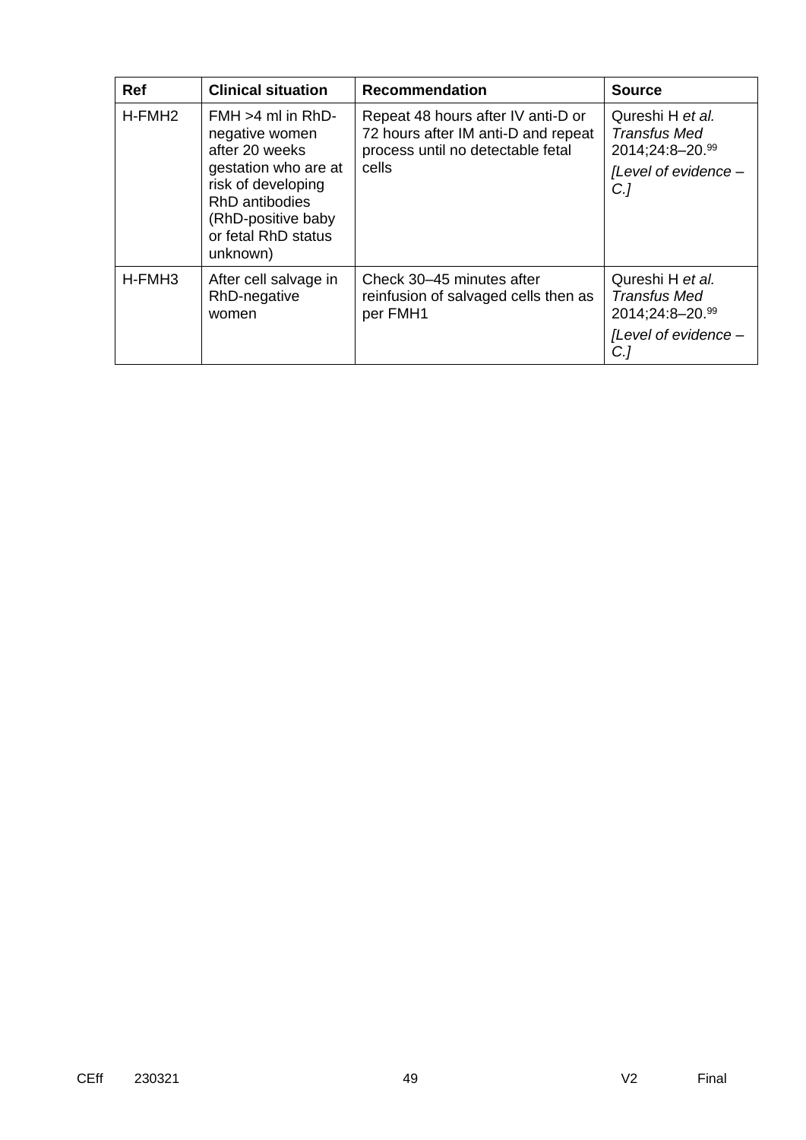| <b>Ref</b>         | <b>Clinical situation</b>                                                                                                                                                         | <b>Recommendation</b>                                                                                                   | <b>Source</b>                                                                                     |
|--------------------|-----------------------------------------------------------------------------------------------------------------------------------------------------------------------------------|-------------------------------------------------------------------------------------------------------------------------|---------------------------------------------------------------------------------------------------|
| H-FMH <sub>2</sub> | $FMH > 4$ ml in RhD-<br>negative women<br>after 20 weeks<br>gestation who are at<br>risk of developing<br>RhD antibodies<br>(RhD-positive baby<br>or fetal RhD status<br>unknown) | Repeat 48 hours after IV anti-D or<br>72 hours after IM anti-D and repeat<br>process until no detectable fetal<br>cells | Qureshi H et al.<br><b>Transfus Med</b><br>2014;24:8-20.99<br>[Level of evidence -<br>$C$ .]      |
| H-FMH3             | After cell salvage in<br>RhD-negative<br>women                                                                                                                                    | Check 30–45 minutes after<br>reinfusion of salvaged cells then as<br>per FMH1                                           | Qureshi H et al.<br><b>Transfus Med</b><br>2014;24:8-20.99<br>[Level of evidence -<br>$C_{\cdot}$ |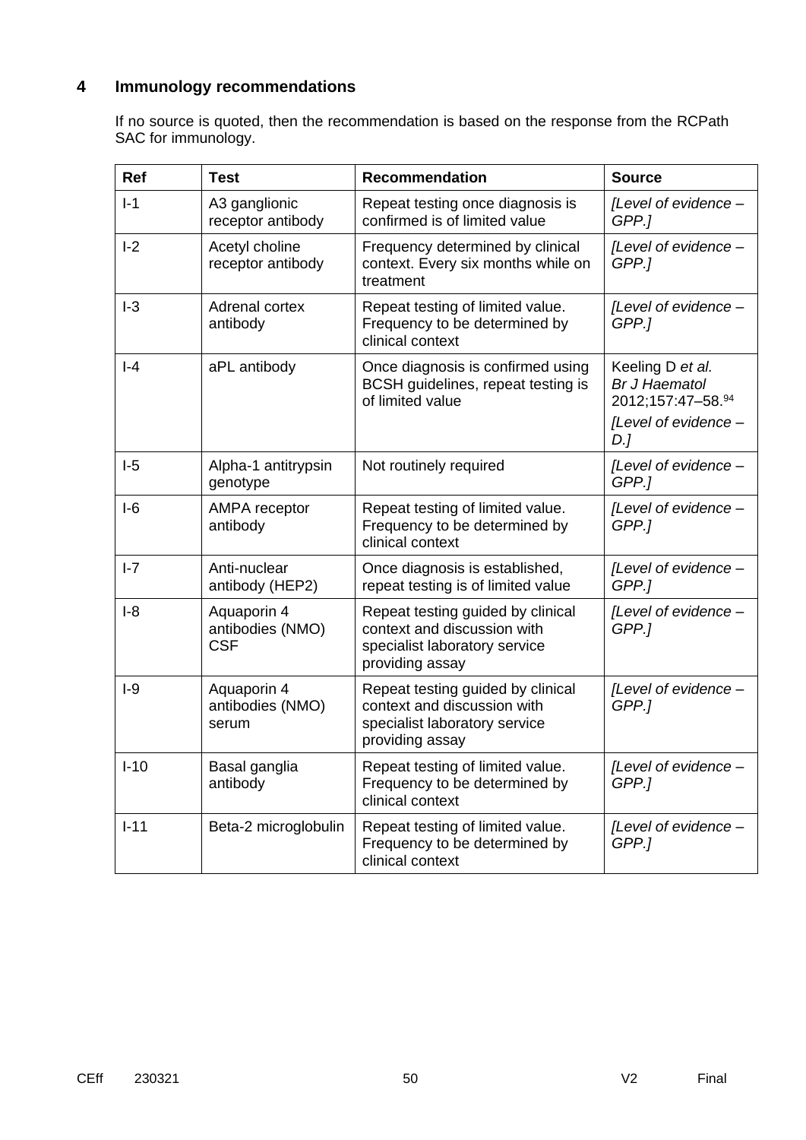# **4 Immunology recommendations**

If no source is quoted, then the recommendation is based on the response from the RCPath SAC for immunology.

| <b>Ref</b> | <b>Test</b>                                   | <b>Recommendation</b>                                                                                                | <b>Source</b>                                                                               |
|------------|-----------------------------------------------|----------------------------------------------------------------------------------------------------------------------|---------------------------------------------------------------------------------------------|
| $I-1$      | A3 ganglionic<br>receptor antibody            | Repeat testing once diagnosis is<br>confirmed is of limited value                                                    | [Level of evidence -<br>GPP.1                                                               |
| $I-2$      | Acetyl choline<br>receptor antibody           | Frequency determined by clinical<br>context. Every six months while on<br>treatment                                  | [Level of evidence -<br>GPP.]                                                               |
| $I-3$      | Adrenal cortex<br>antibody                    | Repeat testing of limited value.<br>Frequency to be determined by<br>clinical context                                | [Level of evidence -<br>GPP.1                                                               |
| $I - 4$    | aPL antibody                                  | Once diagnosis is confirmed using<br>BCSH guidelines, repeat testing is<br>of limited value                          | Keeling D et al.<br><b>Br J Haematol</b><br>2012;157:47-58.94<br>[Level of evidence -<br>D. |
| $I-5$      | Alpha-1 antitrypsin<br>genotype               | Not routinely required                                                                                               | [Level of evidence -<br>GPP.]                                                               |
| $I-6$      | <b>AMPA</b> receptor<br>antibody              | Repeat testing of limited value.<br>Frequency to be determined by<br>clinical context                                | [Level of evidence -<br>GPP.]                                                               |
| $I - 7$    | Anti-nuclear<br>antibody (HEP2)               | Once diagnosis is established,<br>repeat testing is of limited value                                                 | [Level of evidence -<br>GPP.]                                                               |
| $I-8$      | Aquaporin 4<br>antibodies (NMO)<br><b>CSF</b> | Repeat testing guided by clinical<br>context and discussion with<br>specialist laboratory service<br>providing assay | [Level of evidence -<br>GPP.]                                                               |
| $I-9$      | Aquaporin 4<br>antibodies (NMO)<br>serum      | Repeat testing guided by clinical<br>context and discussion with<br>specialist laboratory service<br>providing assay | [Level of evidence -<br>GPP.]                                                               |
| $I-10$     | Basal ganglia<br>antibody                     | Repeat testing of limited value.<br>Frequency to be determined by<br>clinical context                                | [Level of evidence -<br>GPP.]                                                               |
| $I-11$     | Beta-2 microglobulin                          | Repeat testing of limited value.<br>Frequency to be determined by<br>clinical context                                | [Level of evidence -<br>GPP.]                                                               |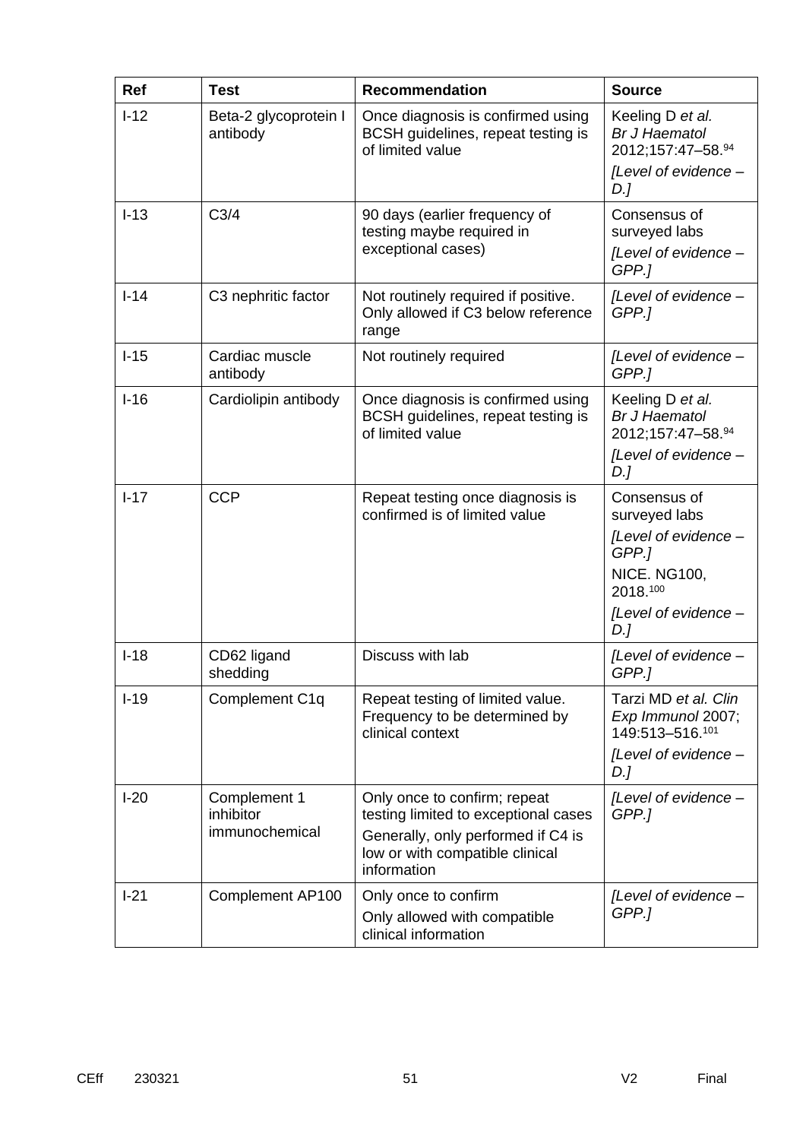| Ref      | <b>Test</b>                                 | <b>Recommendation</b>                                                                                                                                        | <b>Source</b>                                                                                                                    |
|----------|---------------------------------------------|--------------------------------------------------------------------------------------------------------------------------------------------------------------|----------------------------------------------------------------------------------------------------------------------------------|
| $I-12$   | Beta-2 glycoprotein I<br>antibody           | Once diagnosis is confirmed using<br>BCSH guidelines, repeat testing is<br>of limited value                                                                  | Keeling D et al.<br><b>Br J Haematol</b><br>2012;157:47-58.94<br>[Level of evidence -<br>$D$ .]                                  |
| $I-13$   | C <sub>3/4</sub>                            | 90 days (earlier frequency of<br>testing maybe required in<br>exceptional cases)                                                                             | Consensus of<br>surveyed labs<br>[Level of evidence -<br>GPP.]                                                                   |
| $I-14$   | C <sub>3</sub> nephritic factor             | Not routinely required if positive.<br>Only allowed if C3 below reference<br>range                                                                           | [Level of evidence -<br>GPP.]                                                                                                    |
| $I-15$   | Cardiac muscle<br>antibody                  | Not routinely required                                                                                                                                       | [Level of evidence -<br>GPP.]                                                                                                    |
| $I-16$   | Cardiolipin antibody                        | Once diagnosis is confirmed using<br>BCSH guidelines, repeat testing is<br>of limited value                                                                  | Keeling D et al.<br><b>Br J Haematol</b><br>2012;157:47-58.94<br>[Level of evidence -<br>D.]                                     |
| $I - 17$ | <b>CCP</b>                                  | Repeat testing once diagnosis is<br>confirmed is of limited value                                                                                            | Consensus of<br>surveyed labs<br>[Level of evidence -<br>GPP.]<br><b>NICE. NG100,</b><br>2018.100<br>[Level of evidence -<br>D.] |
| $I-18$   | CD62 ligand<br>shedding                     | Discuss with lab                                                                                                                                             | [Level of evidence -<br>GPP.]                                                                                                    |
| $I-19$   | Complement C1q                              | Repeat testing of limited value.<br>Frequency to be determined by<br>clinical context                                                                        | Tarzi MD et al. Clin<br>Exp Immunol 2007;<br>149:513-516.101<br>[Level of evidence -<br>D.J                                      |
| $I-20$   | Complement 1<br>inhibitor<br>immunochemical | Only once to confirm; repeat<br>testing limited to exceptional cases<br>Generally, only performed if C4 is<br>low or with compatible clinical<br>information | [Level of evidence -<br>GPP.]                                                                                                    |
| $I-21$   | Complement AP100                            | Only once to confirm<br>Only allowed with compatible<br>clinical information                                                                                 | [Level of evidence -<br>GPP.]                                                                                                    |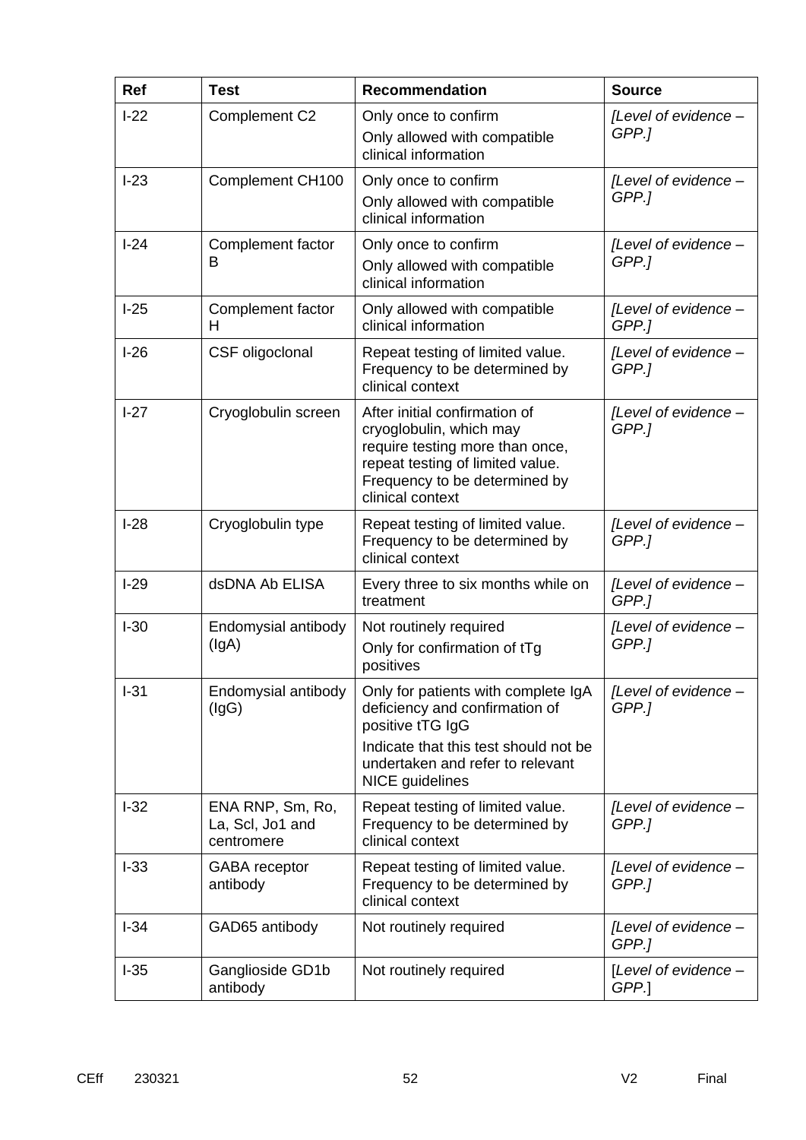| Ref    | <b>Test</b>                                        | <b>Recommendation</b>                                                                                                                                                                            | <b>Source</b>                 |
|--------|----------------------------------------------------|--------------------------------------------------------------------------------------------------------------------------------------------------------------------------------------------------|-------------------------------|
| $I-22$ | Complement C2                                      | Only once to confirm<br>Only allowed with compatible<br>clinical information                                                                                                                     | [Level of evidence -<br>GPP.] |
| $I-23$ | Complement CH100                                   | Only once to confirm<br>Only allowed with compatible<br>clinical information                                                                                                                     | [Level of evidence -<br>GPP.] |
| $I-24$ | Complement factor<br>В                             | Only once to confirm<br>Only allowed with compatible<br>clinical information                                                                                                                     | [Level of evidence -<br>GPP.] |
| $I-25$ | Complement factor<br>H                             | Only allowed with compatible<br>clinical information                                                                                                                                             | [Level of evidence -<br>GPP.] |
| $I-26$ | CSF oligoclonal                                    | Repeat testing of limited value.<br>Frequency to be determined by<br>clinical context                                                                                                            | [Level of evidence -<br>GPP.] |
| $I-27$ | Cryoglobulin screen                                | After initial confirmation of<br>cryoglobulin, which may<br>require testing more than once,<br>repeat testing of limited value.<br>Frequency to be determined by<br>clinical context             | [Level of evidence -<br>GPP.] |
| $I-28$ | Cryoglobulin type                                  | Repeat testing of limited value.<br>Frequency to be determined by<br>clinical context                                                                                                            | [Level of evidence -<br>GPP.] |
| $I-29$ | dsDNA Ab ELISA                                     | Every three to six months while on<br>treatment                                                                                                                                                  | [Level of evidence -<br>GPP.] |
| $I-30$ | Endomysial antibody<br>(lgA)                       | Not routinely required<br>Only for confirmation of tTg<br>positives                                                                                                                              | [Level of evidence -<br>GPP.] |
| $I-31$ | Endomysial antibody<br>(lgG)                       | Only for patients with complete IgA<br>deficiency and confirmation of<br>positive tTG IgG<br>Indicate that this test should not be<br>undertaken and refer to relevant<br><b>NICE</b> guidelines | [Level of evidence -<br>GPP.1 |
| $I-32$ | ENA RNP, Sm, Ro,<br>La, Scl, Jo1 and<br>centromere | Repeat testing of limited value.<br>Frequency to be determined by<br>clinical context                                                                                                            | [Level of evidence -<br>GPP.] |
| $I-33$ | GABA receptor<br>antibody                          | Repeat testing of limited value.<br>Frequency to be determined by<br>clinical context                                                                                                            | [Level of evidence -<br>GPP.] |
| $I-34$ | GAD65 antibody                                     | Not routinely required                                                                                                                                                                           | [Level of evidence -<br>GPP.] |
| $I-35$ | Ganglioside GD1b<br>antibody                       | Not routinely required                                                                                                                                                                           | [Level of evidence -<br>GPP.  |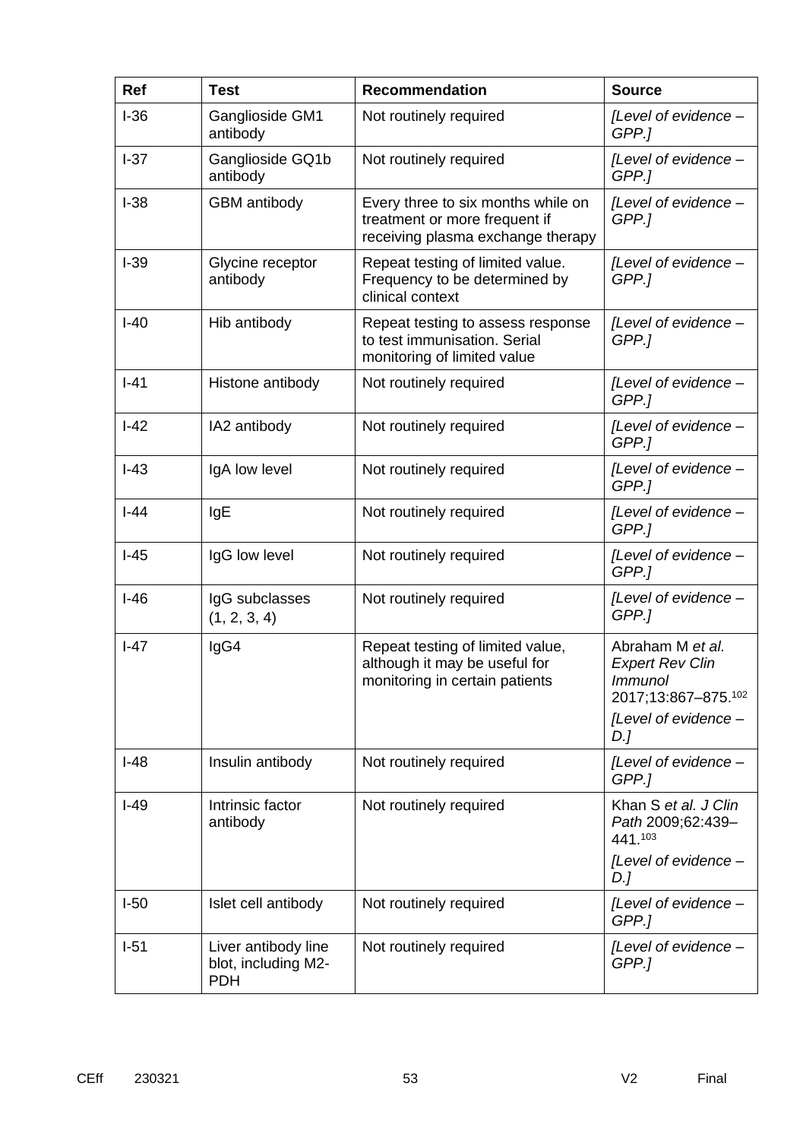| Ref    | <b>Test</b>                                              | <b>Recommendation</b>                                                                                    | <b>Source</b>                                                                                                      |
|--------|----------------------------------------------------------|----------------------------------------------------------------------------------------------------------|--------------------------------------------------------------------------------------------------------------------|
| $I-36$ | Ganglioside GM1<br>antibody                              | Not routinely required                                                                                   | [Level of evidence -<br>GPP.]                                                                                      |
| $I-37$ | Ganglioside GQ1b<br>antibody                             | Not routinely required                                                                                   | [Level of evidence -<br>GPP.]                                                                                      |
| $I-38$ | <b>GBM</b> antibody                                      | Every three to six months while on<br>treatment or more frequent if<br>receiving plasma exchange therapy | [Level of evidence -<br>GPP.]                                                                                      |
| $I-39$ | Glycine receptor<br>antibody                             | Repeat testing of limited value.<br>Frequency to be determined by<br>clinical context                    | [Level of evidence -<br>GPP.]                                                                                      |
| $I-40$ | Hib antibody                                             | Repeat testing to assess response<br>to test immunisation. Serial<br>monitoring of limited value         | [Level of evidence -<br>GPP.]                                                                                      |
| $I-41$ | Histone antibody                                         | Not routinely required                                                                                   | [Level of evidence -<br>GPP.]                                                                                      |
| $I-42$ | IA2 antibody                                             | Not routinely required                                                                                   | [Level of evidence -<br>GPP.]                                                                                      |
| $I-43$ | IgA low level                                            | Not routinely required                                                                                   | [Level of evidence -<br>GPP.]                                                                                      |
| $-44$  | IgE                                                      | Not routinely required                                                                                   | [Level of evidence -<br>GPP.1                                                                                      |
| $I-45$ | IgG low level                                            | Not routinely required                                                                                   | [Level of evidence -<br>GPP.]                                                                                      |
| $I-46$ | IgG subclasses<br>(1, 2, 3, 4)                           | Not routinely required                                                                                   | [Level of evidence -<br>GPP.1                                                                                      |
| $I-47$ | IgG4                                                     | Repeat testing of limited value,<br>although it may be useful for<br>monitoring in certain patients      | Abraham M et al.<br><b>Expert Rev Clin</b><br><b>Immunol</b><br>2017;13:867-875.102<br>[Level of evidence -<br>D.] |
| $I-48$ | Insulin antibody                                         | Not routinely required                                                                                   | [Level of evidence -<br>GPP.1                                                                                      |
| $I-49$ | Intrinsic factor<br>antibody                             | Not routinely required                                                                                   | Khan S et al. J Clin<br>Path 2009;62:439-<br>441.103                                                               |
|        |                                                          |                                                                                                          | [Level of evidence -<br>D.J                                                                                        |
| $I-50$ | Islet cell antibody                                      | Not routinely required                                                                                   | [Level of evidence -<br>GPP.]                                                                                      |
| $I-51$ | Liver antibody line<br>blot, including M2-<br><b>PDH</b> | Not routinely required                                                                                   | [Level of evidence -<br>GPP.]                                                                                      |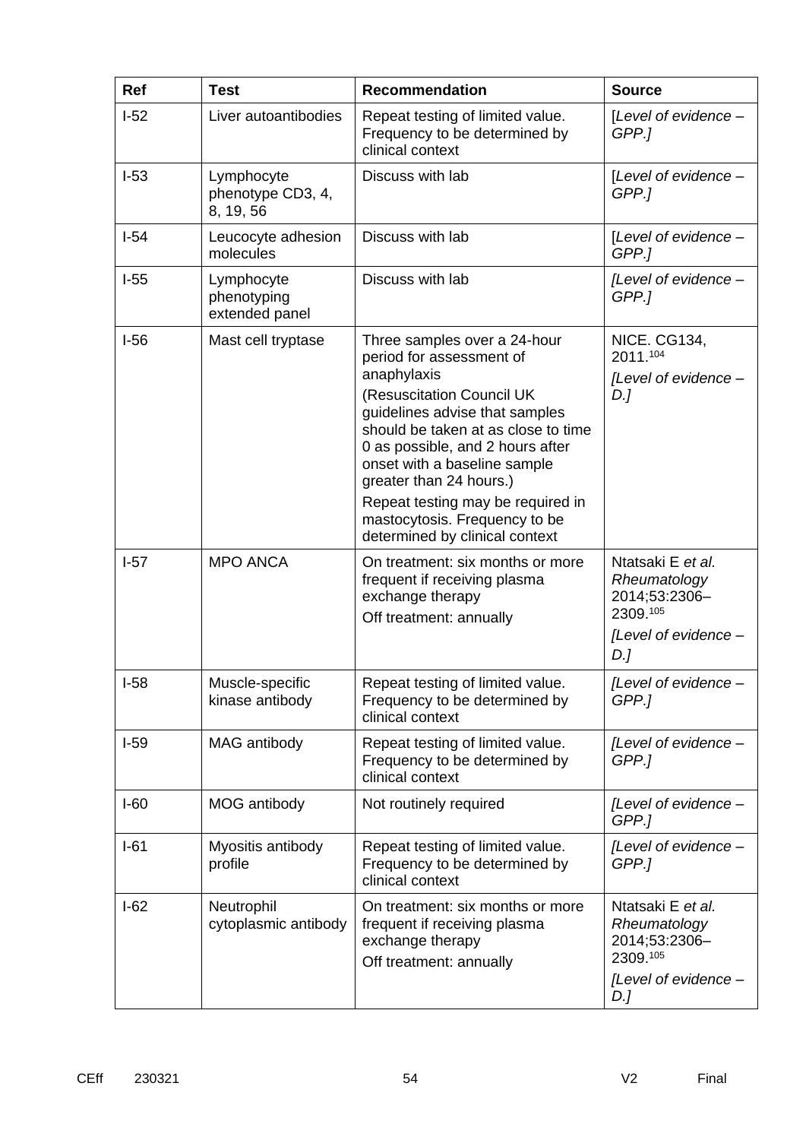| <b>Ref</b> | <b>Test</b>                                  | <b>Recommendation</b>                                                                                                                                                                                                                                                                                                                                                                | <b>Source</b>                                                                                 |
|------------|----------------------------------------------|--------------------------------------------------------------------------------------------------------------------------------------------------------------------------------------------------------------------------------------------------------------------------------------------------------------------------------------------------------------------------------------|-----------------------------------------------------------------------------------------------|
| $I-52$     | Liver autoantibodies                         | Repeat testing of limited value.<br>Frequency to be determined by<br>clinical context                                                                                                                                                                                                                                                                                                | [Level of evidence -<br>GPP.1                                                                 |
| $I-53$     | Lymphocyte<br>phenotype CD3, 4,<br>8, 19, 56 | Discuss with lab                                                                                                                                                                                                                                                                                                                                                                     | [Level of evidence -<br>GPP.]                                                                 |
| $I-54$     | Leucocyte adhesion<br>molecules              | Discuss with lab                                                                                                                                                                                                                                                                                                                                                                     | [Level of evidence -<br>GPP.]                                                                 |
| $I-55$     | Lymphocyte<br>phenotyping<br>extended panel  | Discuss with lab                                                                                                                                                                                                                                                                                                                                                                     | [Level of evidence -<br>GPP.]                                                                 |
| $I-56$     | Mast cell tryptase                           | Three samples over a 24-hour<br>period for assessment of<br>anaphylaxis<br>(Resuscitation Council UK<br>guidelines advise that samples<br>should be taken at as close to time<br>0 as possible, and 2 hours after<br>onset with a baseline sample<br>greater than 24 hours.)<br>Repeat testing may be required in<br>mastocytosis. Frequency to be<br>determined by clinical context | <b>NICE. CG134,</b><br>2011.104<br>[Level of evidence -<br>D.]                                |
| $I-57$     | <b>MPO ANCA</b>                              | On treatment: six months or more<br>frequent if receiving plasma<br>exchange therapy<br>Off treatment: annually                                                                                                                                                                                                                                                                      | Ntatsaki E et al.<br>Rheumatology<br>2014;53:2306-<br>2309.105<br>[Level of evidence -<br>D.] |
| I-58       | Muscle-specific<br>kinase antibody           | Repeat testing of limited value.<br>Frequency to be determined by<br>clinical context                                                                                                                                                                                                                                                                                                | [Level of evidence -<br>GPP.1                                                                 |
| $I-59$     | MAG antibody                                 | Repeat testing of limited value.<br>Frequency to be determined by<br>clinical context                                                                                                                                                                                                                                                                                                | [Level of evidence -<br>GPP.]                                                                 |
| $I-60$     | MOG antibody                                 | Not routinely required                                                                                                                                                                                                                                                                                                                                                               | [Level of evidence -<br>GPP.]                                                                 |
| $I-61$     | Myositis antibody<br>profile                 | Repeat testing of limited value.<br>Frequency to be determined by<br>clinical context                                                                                                                                                                                                                                                                                                | [Level of evidence -<br>GPP.]                                                                 |
| $I-62$     | Neutrophil<br>cytoplasmic antibody           | On treatment: six months or more<br>frequent if receiving plasma<br>exchange therapy<br>Off treatment: annually                                                                                                                                                                                                                                                                      | Ntatsaki E et al.<br>Rheumatology<br>2014;53:2306-<br>2309.105<br>[Level of evidence -<br>D.] |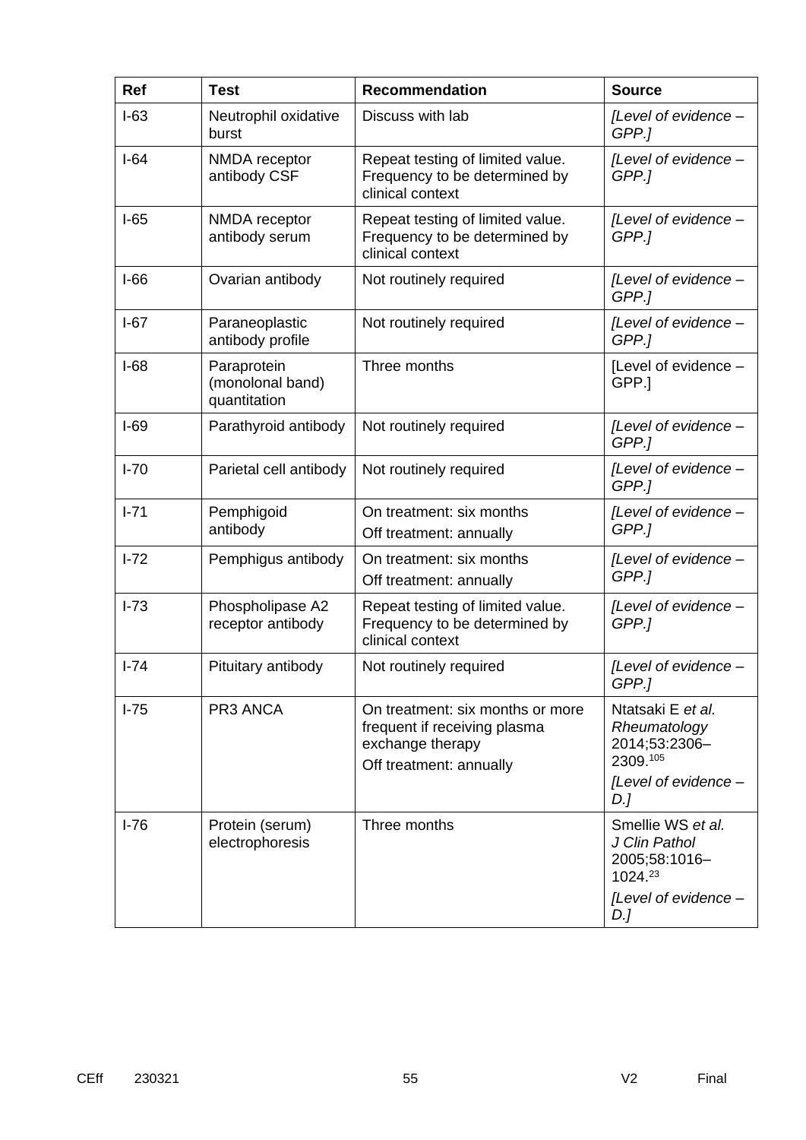| Ref      | <b>Test</b>                                     | <b>Recommendation</b>                                                                                           | <b>Source</b>                                                                          |
|----------|-------------------------------------------------|-----------------------------------------------------------------------------------------------------------------|----------------------------------------------------------------------------------------|
| $I-63$   | Neutrophil oxidative<br>burst                   | Discuss with lab                                                                                                | [Level of evidence -<br>GPP.]                                                          |
| $I-64$   | NMDA receptor<br>antibody CSF                   | Repeat testing of limited value.<br>Frequency to be determined by<br>clinical context                           | [Level of evidence -<br>GPP.]                                                          |
| $I-65$   | NMDA receptor<br>antibody serum                 | Repeat testing of limited value.<br>Frequency to be determined by<br>clinical context                           | [Level of evidence -<br>GPP.1                                                          |
| $I-66$   | Ovarian antibody                                | Not routinely required                                                                                          | [Level of evidence -<br>GPP.]                                                          |
| $I-67$   | Paraneoplastic<br>antibody profile              | Not routinely required                                                                                          | [Level of evidence -<br>GPP.]                                                          |
| $I-68$   | Paraprotein<br>(monolonal band)<br>quantitation | Three months                                                                                                    | [Level of evidence -<br>GPP.                                                           |
| $I-69$   | Parathyroid antibody                            | Not routinely required                                                                                          | [Level of evidence -<br>GPP.]                                                          |
| $I-70$   | Parietal cell antibody                          | Not routinely required                                                                                          | [Level of evidence -<br>GPP.]                                                          |
| $1 - 71$ | Pemphigoid<br>antibody                          | On treatment: six months<br>Off treatment: annually                                                             | [Level of evidence -<br>GPP.]                                                          |
| $I-72$   | Pemphigus antibody                              | On treatment: six months<br>Off treatment: annually                                                             | [Level of evidence -<br>GPP.]                                                          |
| $I - 73$ | Phospholipase A2<br>receptor antibody           | Repeat testing of limited value.<br>Frequency to be determined by<br>clinical context                           | [Level of evidence -<br>GPP.]                                                          |
| $I - 74$ | Pituitary antibody                              | Not routinely required                                                                                          | [Level of evidence -<br>GPP.1                                                          |
| $I-75$   | PR3 ANCA                                        | On treatment: six months or more<br>frequent if receiving plasma<br>exchange therapy<br>Off treatment: annually | Ntatsaki E et al.<br>Rheumatology<br>2014;53:2306-<br>2309.105<br>[Level of evidence - |
|          |                                                 |                                                                                                                 | D.J                                                                                    |
| $I-76$   | Protein (serum)<br>electrophoresis              | Three months                                                                                                    | Smellie WS et al.<br>J Clin Pathol<br>2005;58:1016-<br>1024.23                         |
|          |                                                 |                                                                                                                 | [Level of evidence -<br>$D$ .]                                                         |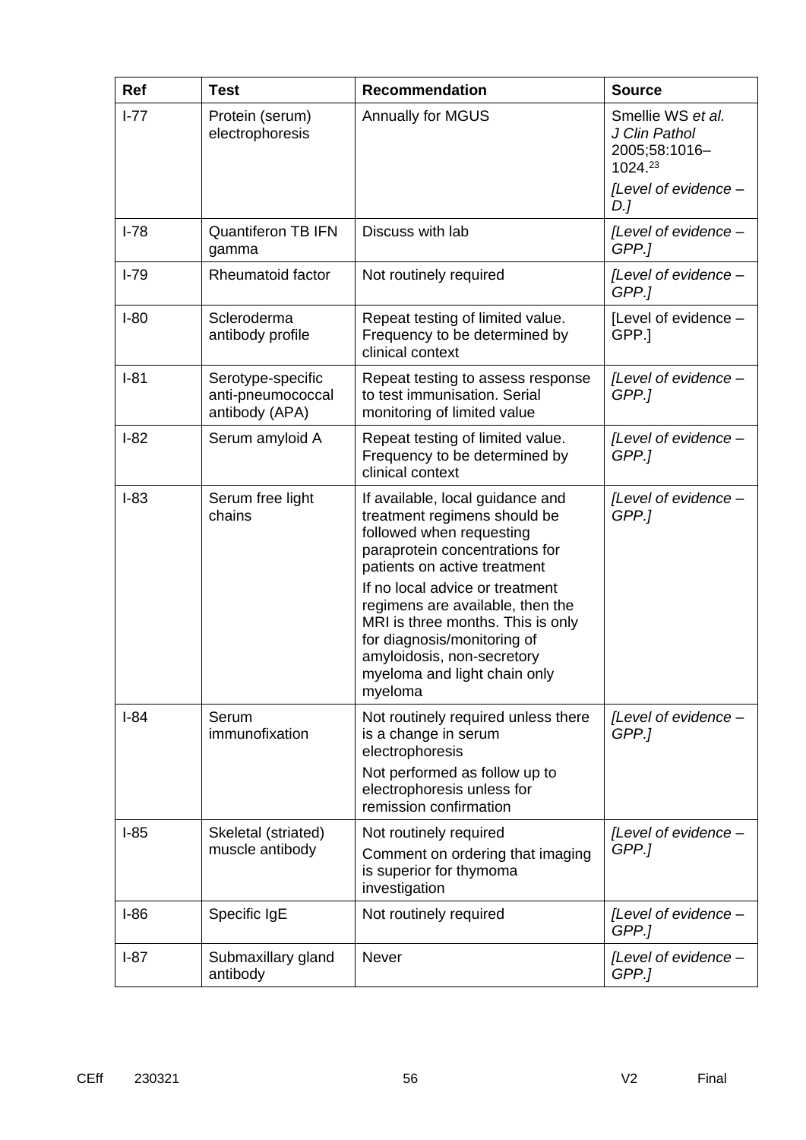| Ref      | <b>Test</b>                                              | <b>Recommendation</b>                                                                                                                                                                                            | <b>Source</b>                                                  |
|----------|----------------------------------------------------------|------------------------------------------------------------------------------------------------------------------------------------------------------------------------------------------------------------------|----------------------------------------------------------------|
| $I - 77$ | Protein (serum)<br>electrophoresis                       | <b>Annually for MGUS</b>                                                                                                                                                                                         | Smellie WS et al.<br>J Clin Pathol<br>2005;58:1016-<br>1024.23 |
|          |                                                          |                                                                                                                                                                                                                  | [Level of evidence -<br>D.]                                    |
| $I-78$   | <b>Quantiferon TB IFN</b><br>gamma                       | Discuss with lab                                                                                                                                                                                                 | [Level of evidence -<br>GPP.]                                  |
| $I-79$   | Rheumatoid factor                                        | Not routinely required                                                                                                                                                                                           | [Level of evidence -<br>GPP.]                                  |
| $I-80$   | Scleroderma<br>antibody profile                          | Repeat testing of limited value.<br>Frequency to be determined by<br>clinical context                                                                                                                            | [Level of evidence -<br>GPP.                                   |
| $I-81$   | Serotype-specific<br>anti-pneumococcal<br>antibody (APA) | Repeat testing to assess response<br>to test immunisation. Serial<br>monitoring of limited value                                                                                                                 | [Level of evidence -<br>GPP.]                                  |
| $I-82$   | Serum amyloid A                                          | Repeat testing of limited value.<br>Frequency to be determined by<br>clinical context                                                                                                                            | [Level of evidence -<br>GPP.]                                  |
| $I-83$   | Serum free light<br>chains                               | If available, local guidance and<br>treatment regimens should be<br>followed when requesting<br>paraprotein concentrations for<br>patients on active treatment                                                   | [Level of evidence -<br>GPP.]                                  |
|          |                                                          | If no local advice or treatment<br>regimens are available, then the<br>MRI is three months. This is only<br>for diagnosis/monitoring of<br>amyloidosis, non-secretory<br>myeloma and light chain only<br>myeloma |                                                                |
| $I-84$   | Serum<br>immunofixation                                  | Not routinely required unless there<br>is a change in serum<br>electrophoresis<br>Not performed as follow up to<br>electrophoresis unless for<br>remission confirmation                                          | [Level of evidence -<br>GPP.]                                  |
| $I-85$   | Skeletal (striated)<br>muscle antibody                   | Not routinely required<br>Comment on ordering that imaging<br>is superior for thymoma<br>investigation                                                                                                           | [Level of evidence -<br>GPP.]                                  |
| $I-86$   | Specific IgE                                             | Not routinely required                                                                                                                                                                                           | [Level of evidence -<br>GPP.]                                  |
| $I-87$   | Submaxillary gland<br>antibody                           | Never                                                                                                                                                                                                            | [Level of evidence -<br>GPP.]                                  |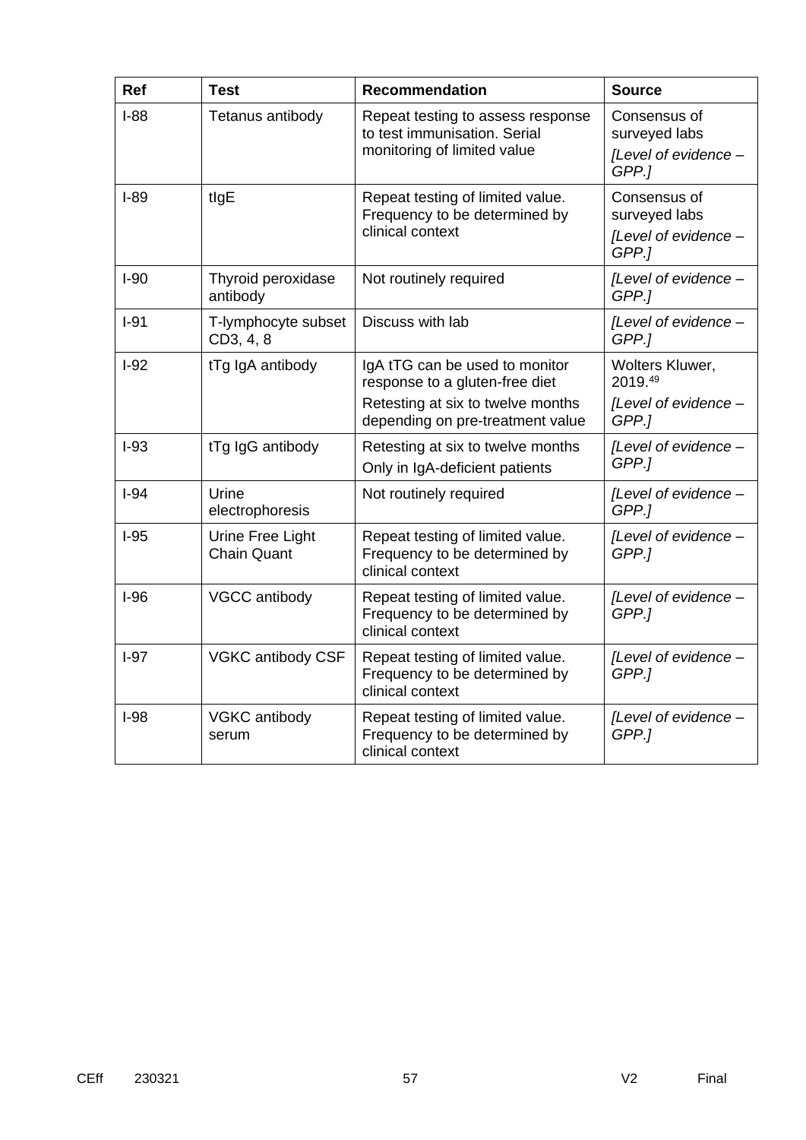| <b>Ref</b> | <b>Test</b>                            | <b>Recommendation</b>                                                                 | <b>Source</b>                 |
|------------|----------------------------------------|---------------------------------------------------------------------------------------|-------------------------------|
| $I-88$     | Tetanus antibody                       | Repeat testing to assess response<br>to test immunisation. Serial                     | Consensus of<br>surveyed labs |
|            |                                        | monitoring of limited value                                                           | [Level of evidence -<br>GPP.1 |
| $I-89$     | tlgE                                   | Repeat testing of limited value.<br>Frequency to be determined by                     | Consensus of<br>surveyed labs |
|            |                                        | clinical context                                                                      | [Level of evidence -<br>GPP.] |
| $I-90$     | Thyroid peroxidase<br>antibody         | Not routinely required                                                                | [Level of evidence -<br>GPP.] |
| $I-91$     | T-lymphocyte subset<br>CD3, 4, 8       | Discuss with lab                                                                      | [Level of evidence -<br>GPP.] |
| $I-92$     | tTg IgA antibody                       | IgA tTG can be used to monitor<br>response to a gluten-free diet                      | Wolters Kluwer,<br>2019.49    |
|            |                                        | Retesting at six to twelve months<br>depending on pre-treatment value                 | [Level of evidence -<br>GPP.] |
| $I-93$     | tTg IgG antibody                       | Retesting at six to twelve months<br>Only in IgA-deficient patients                   | [Level of evidence -<br>GPP.] |
| $I-94$     | Urine<br>electrophoresis               | Not routinely required                                                                | [Level of evidence -<br>GPP.] |
| $I-95$     | Urine Free Light<br><b>Chain Quant</b> | Repeat testing of limited value.<br>Frequency to be determined by<br>clinical context | [Level of evidence -<br>GPP.] |
| $I-96$     | VGCC antibody                          | Repeat testing of limited value.<br>Frequency to be determined by<br>clinical context | [Level of evidence -<br>GPP.] |
| $I-97$     | VGKC antibody CSF                      | Repeat testing of limited value.<br>Frequency to be determined by<br>clinical context | [Level of evidence -<br>GPP.] |
| $I-98$     | VGKC antibody<br>serum                 | Repeat testing of limited value.<br>Frequency to be determined by<br>clinical context | [Level of evidence -<br>GPP.1 |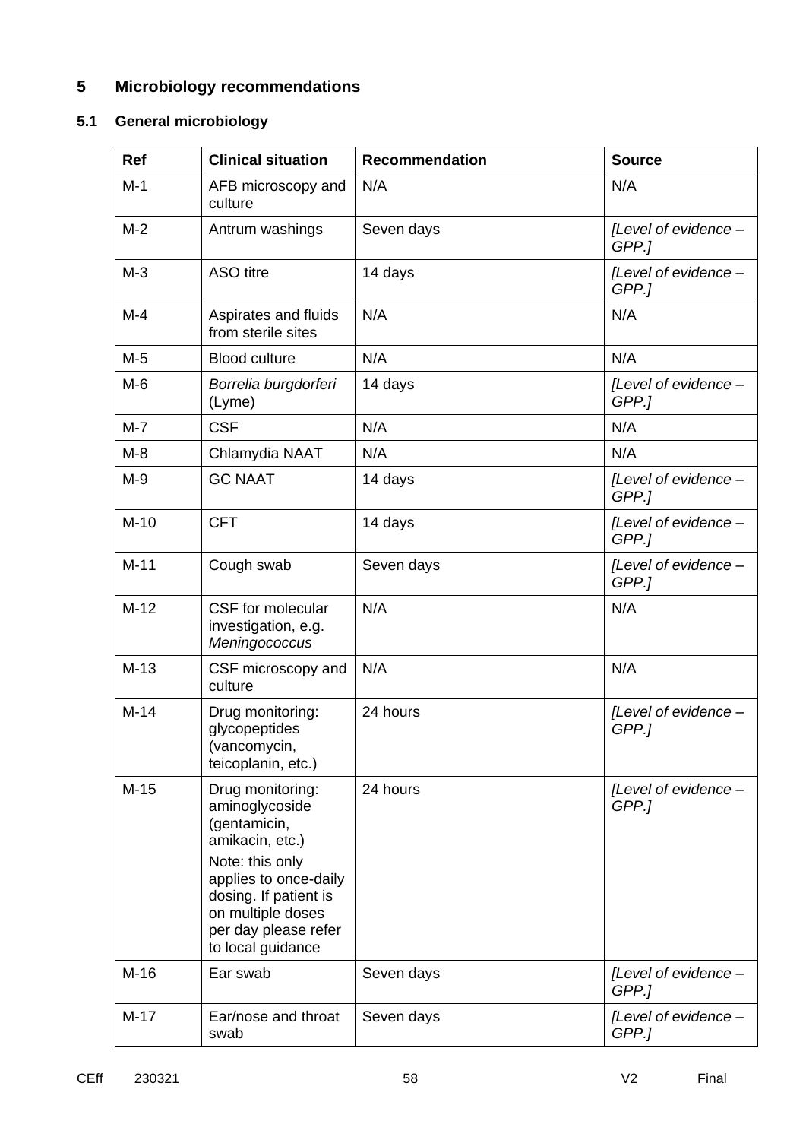# **5 Microbiology recommendations**

# **5.1 General microbiology**

| Ref    | <b>Clinical situation</b>                                                                                                                                                                                    | <b>Recommendation</b> | <b>Source</b>                 |
|--------|--------------------------------------------------------------------------------------------------------------------------------------------------------------------------------------------------------------|-----------------------|-------------------------------|
| $M-1$  | AFB microscopy and<br>culture                                                                                                                                                                                | N/A                   | N/A                           |
| $M-2$  | Antrum washings                                                                                                                                                                                              | Seven days            | [Level of evidence -<br>GPP.] |
| $M-3$  | <b>ASO</b> titre                                                                                                                                                                                             | 14 days               | [Level of evidence -<br>GPP.] |
| $M-4$  | Aspirates and fluids<br>from sterile sites                                                                                                                                                                   | N/A                   | N/A                           |
| $M-5$  | <b>Blood culture</b>                                                                                                                                                                                         | N/A                   | N/A                           |
| $M-6$  | Borrelia burgdorferi<br>(Lyme)                                                                                                                                                                               | 14 days               | [Level of evidence -<br>GPP.] |
| $M-7$  | <b>CSF</b>                                                                                                                                                                                                   | N/A                   | N/A                           |
| $M-8$  | Chlamydia NAAT                                                                                                                                                                                               | N/A                   | N/A                           |
| $M-9$  | <b>GC NAAT</b>                                                                                                                                                                                               | 14 days               | [Level of evidence -<br>GPP.] |
| $M-10$ | <b>CFT</b>                                                                                                                                                                                                   | 14 days               | [Level of evidence -<br>GPP.] |
| $M-11$ | Cough swab                                                                                                                                                                                                   | Seven days            | [Level of evidence -<br>GPP.] |
| $M-12$ | CSF for molecular<br>investigation, e.g.<br>Meningococcus                                                                                                                                                    | N/A                   | N/A                           |
| $M-13$ | CSF microscopy and<br>culture                                                                                                                                                                                | N/A                   | N/A                           |
| $M-14$ | Drug monitoring:<br>glycopeptides<br>(vancomycin,<br>teicoplanin, etc.)                                                                                                                                      | 24 hours              | [Level of evidence -<br>GPP.] |
| $M-15$ | Drug monitoring:<br>aminoglycoside<br>(gentamicin,<br>amikacin, etc.)<br>Note: this only<br>applies to once-daily<br>dosing. If patient is<br>on multiple doses<br>per day please refer<br>to local guidance | 24 hours              | [Level of evidence -<br>GPP.] |
| $M-16$ | Ear swab                                                                                                                                                                                                     | Seven days            | [Level of evidence -<br>GPP.] |
| $M-17$ | Ear/nose and throat<br>swab                                                                                                                                                                                  | Seven days            | [Level of evidence -<br>GPP.] |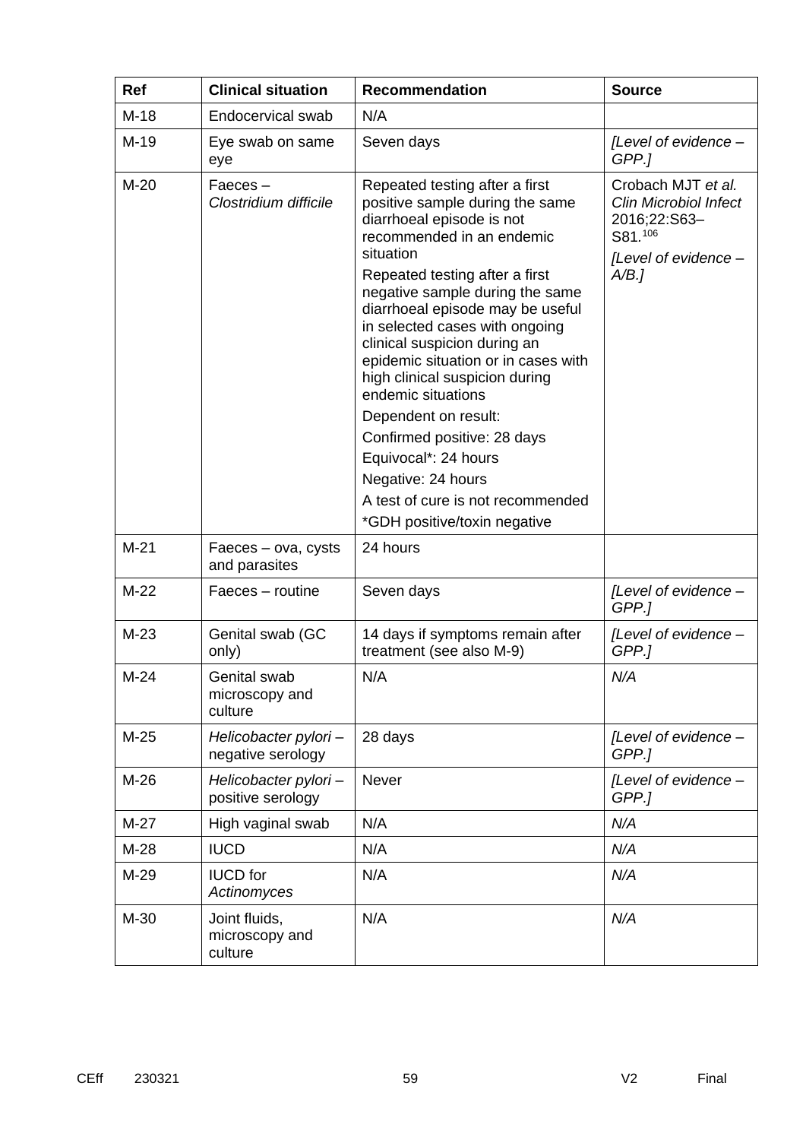| Ref    | <b>Clinical situation</b>                  | <b>Recommendation</b>                                                                                                                                                                                                                                                                                                                                                                                                                                                                                                                                                                        | <b>Source</b>                                                                                                 |
|--------|--------------------------------------------|----------------------------------------------------------------------------------------------------------------------------------------------------------------------------------------------------------------------------------------------------------------------------------------------------------------------------------------------------------------------------------------------------------------------------------------------------------------------------------------------------------------------------------------------------------------------------------------------|---------------------------------------------------------------------------------------------------------------|
| $M-18$ | Endocervical swab                          | N/A                                                                                                                                                                                                                                                                                                                                                                                                                                                                                                                                                                                          |                                                                                                               |
| $M-19$ | Eye swab on same<br>eye                    | Seven days                                                                                                                                                                                                                                                                                                                                                                                                                                                                                                                                                                                   | [Level of evidence -<br>GPP.]                                                                                 |
| $M-20$ | Faeces-<br>Clostridium difficile           | Repeated testing after a first<br>positive sample during the same<br>diarrhoeal episode is not<br>recommended in an endemic<br>situation<br>Repeated testing after a first<br>negative sample during the same<br>diarrhoeal episode may be useful<br>in selected cases with ongoing<br>clinical suspicion during an<br>epidemic situation or in cases with<br>high clinical suspicion during<br>endemic situations<br>Dependent on result:<br>Confirmed positive: 28 days<br>Equivocal*: 24 hours<br>Negative: 24 hours<br>A test of cure is not recommended<br>*GDH positive/toxin negative | Crobach MJT et al.<br><b>Clin Microbiol Infect</b><br>2016;22:S63-<br>S81.106<br>[Level of evidence -<br>A/B. |
| $M-21$ | Faeces – ova, cysts<br>and parasites       | 24 hours                                                                                                                                                                                                                                                                                                                                                                                                                                                                                                                                                                                     |                                                                                                               |
| $M-22$ | Faeces - routine                           | Seven days                                                                                                                                                                                                                                                                                                                                                                                                                                                                                                                                                                                   | [Level of evidence -<br>GPP.1                                                                                 |
| $M-23$ | Genital swab (GC<br>only)                  | 14 days if symptoms remain after<br>treatment (see also M-9)                                                                                                                                                                                                                                                                                                                                                                                                                                                                                                                                 | [Level of evidence -<br>GPP.]                                                                                 |
| $M-24$ | Genital swab<br>microscopy and<br>culture  | N/A                                                                                                                                                                                                                                                                                                                                                                                                                                                                                                                                                                                          | N/A                                                                                                           |
| $M-25$ | Helicobacter pylori-<br>negative serology  | 28 days                                                                                                                                                                                                                                                                                                                                                                                                                                                                                                                                                                                      | [Level of evidence -<br>GPP.]                                                                                 |
| $M-26$ | Helicobacter pylori-<br>positive serology  | Never                                                                                                                                                                                                                                                                                                                                                                                                                                                                                                                                                                                        | [Level of evidence -<br>GPP.]                                                                                 |
| $M-27$ | High vaginal swab                          | N/A                                                                                                                                                                                                                                                                                                                                                                                                                                                                                                                                                                                          | N/A                                                                                                           |
| $M-28$ | <b>IUCD</b>                                | N/A                                                                                                                                                                                                                                                                                                                                                                                                                                                                                                                                                                                          | N/A                                                                                                           |
| M-29   | <b>IUCD</b> for<br>Actinomyces             | N/A                                                                                                                                                                                                                                                                                                                                                                                                                                                                                                                                                                                          | N/A                                                                                                           |
| M-30   | Joint fluids,<br>microscopy and<br>culture | N/A                                                                                                                                                                                                                                                                                                                                                                                                                                                                                                                                                                                          | N/A                                                                                                           |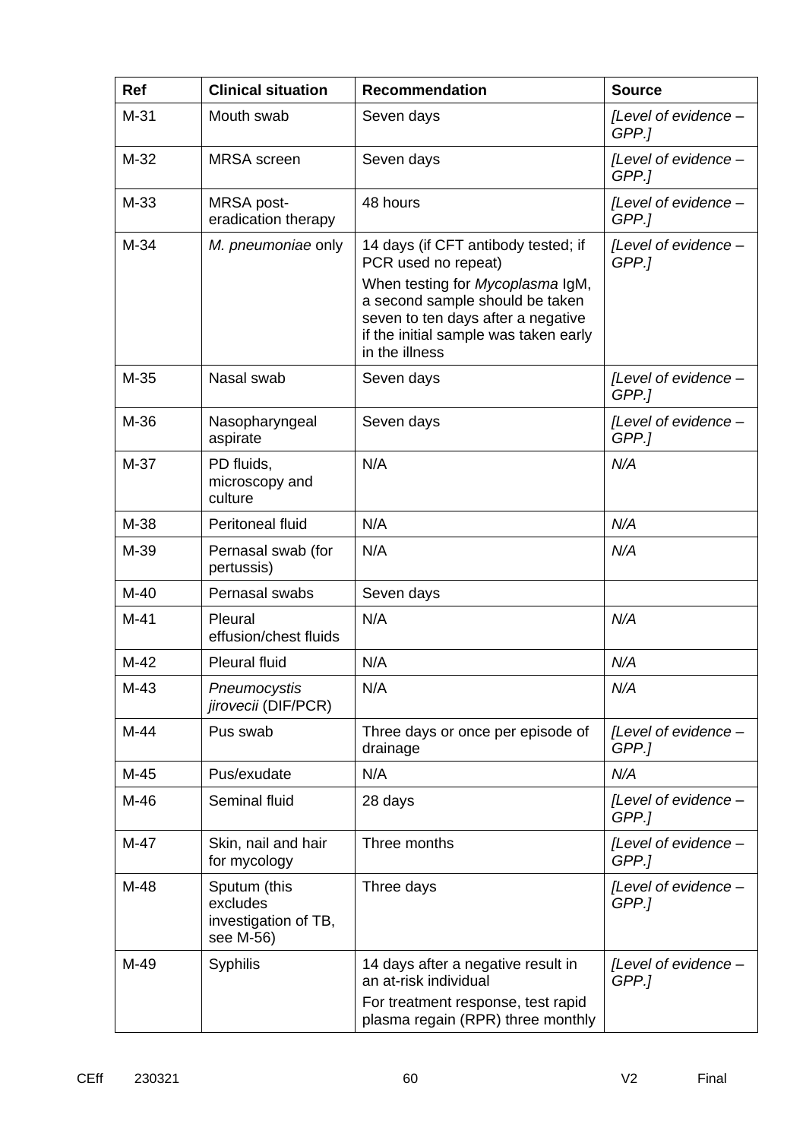| Ref    | <b>Clinical situation</b>                                     | <b>Recommendation</b>                                                                                                                                                                                                              | <b>Source</b>                 |
|--------|---------------------------------------------------------------|------------------------------------------------------------------------------------------------------------------------------------------------------------------------------------------------------------------------------------|-------------------------------|
| $M-31$ | Mouth swab                                                    | Seven days                                                                                                                                                                                                                         | [Level of evidence -<br>GPP.] |
| $M-32$ | <b>MRSA</b> screen                                            | Seven days                                                                                                                                                                                                                         | [Level of evidence -<br>GPP.] |
| M-33   | MRSA post-<br>eradication therapy                             | 48 hours                                                                                                                                                                                                                           | [Level of evidence -<br>GPP.] |
| $M-34$ | M. pneumoniae only                                            | 14 days (if CFT antibody tested; if<br>PCR used no repeat)<br>When testing for Mycoplasma IgM,<br>a second sample should be taken<br>seven to ten days after a negative<br>if the initial sample was taken early<br>in the illness | [Level of evidence -<br>GPP.1 |
| $M-35$ | Nasal swab                                                    | Seven days                                                                                                                                                                                                                         | [Level of evidence -<br>GPP.] |
| M-36   | Nasopharyngeal<br>aspirate                                    | Seven days                                                                                                                                                                                                                         | [Level of evidence -<br>GPP.] |
| $M-37$ | PD fluids,<br>microscopy and<br>culture                       | N/A                                                                                                                                                                                                                                | N/A                           |
| M-38   | Peritoneal fluid                                              | N/A                                                                                                                                                                                                                                | N/A                           |
| M-39   | Pernasal swab (for<br>pertussis)                              | N/A                                                                                                                                                                                                                                | N/A                           |
| $M-40$ | Pernasal swabs                                                | Seven days                                                                                                                                                                                                                         |                               |
| $M-41$ | Pleural<br>effusion/chest fluids                              | N/A                                                                                                                                                                                                                                | N/A                           |
| $M-42$ | <b>Pleural fluid</b>                                          | N/A                                                                                                                                                                                                                                | N/A                           |
| $M-43$ | Pneumocystis<br>jirovecii (DIF/PCR)                           | N/A                                                                                                                                                                                                                                | N/A                           |
| M-44   | Pus swab                                                      | Three days or once per episode of<br>drainage                                                                                                                                                                                      | [Level of evidence -<br>GPP.] |
| $M-45$ | Pus/exudate                                                   | N/A                                                                                                                                                                                                                                | N/A                           |
| M-46   | Seminal fluid                                                 | 28 days                                                                                                                                                                                                                            | [Level of evidence -<br>GPP.1 |
| $M-47$ | Skin, nail and hair<br>for mycology                           | Three months                                                                                                                                                                                                                       | [Level of evidence -<br>GPP.] |
| M-48   | Sputum (this<br>excludes<br>investigation of TB,<br>see M-56) | Three days                                                                                                                                                                                                                         | [Level of evidence -<br>GPP.1 |
| M-49   | <b>Syphilis</b>                                               | 14 days after a negative result in<br>an at-risk individual<br>For treatment response, test rapid<br>plasma regain (RPR) three monthly                                                                                             | [Level of evidence -<br>GPP.] |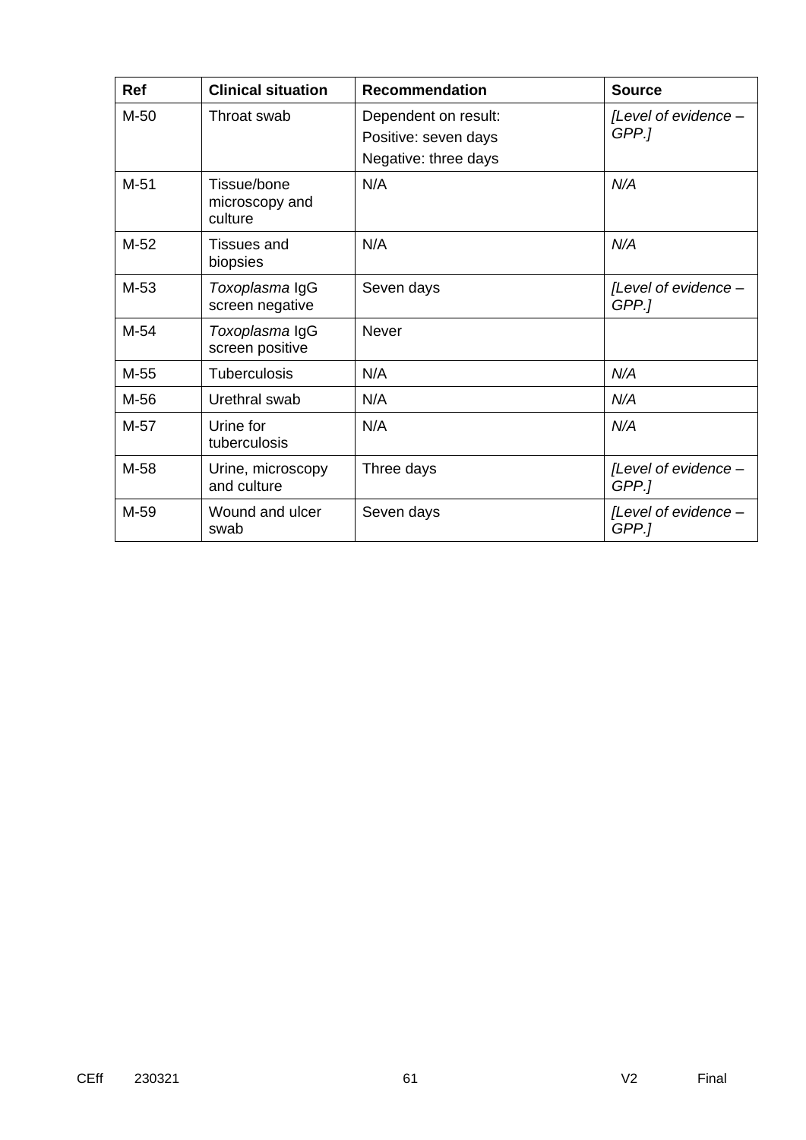| <b>Ref</b> | <b>Clinical situation</b>                | <b>Recommendation</b>                                                | <b>Source</b>                 |
|------------|------------------------------------------|----------------------------------------------------------------------|-------------------------------|
| M-50       | Throat swab                              | Dependent on result:<br>Positive: seven days<br>Negative: three days | [Level of evidence -<br>GPP.] |
| $M-51$     | Tissue/bone<br>microscopy and<br>culture | N/A                                                                  | N/A                           |
| $M-52$     | <b>Tissues and</b><br>biopsies           | N/A                                                                  | N/A                           |
| $M-53$     | Toxoplasma IgG<br>screen negative        | Seven days                                                           | [Level of evidence -<br>GPP.] |
| $M-54$     | Toxoplasma IgG<br>screen positive        | <b>Never</b>                                                         |                               |
| M-55       | <b>Tuberculosis</b>                      | N/A                                                                  | N/A                           |
| M-56       | Urethral swab                            | N/A                                                                  | N/A                           |
| $M-57$     | Urine for<br>tuberculosis                | N/A                                                                  | N/A                           |
| M-58       | Urine, microscopy<br>and culture         | Three days                                                           | [Level of evidence -<br>GPP.] |
| M-59       | Wound and ulcer<br>swab                  | Seven days                                                           | [Level of evidence -<br>GPP.] |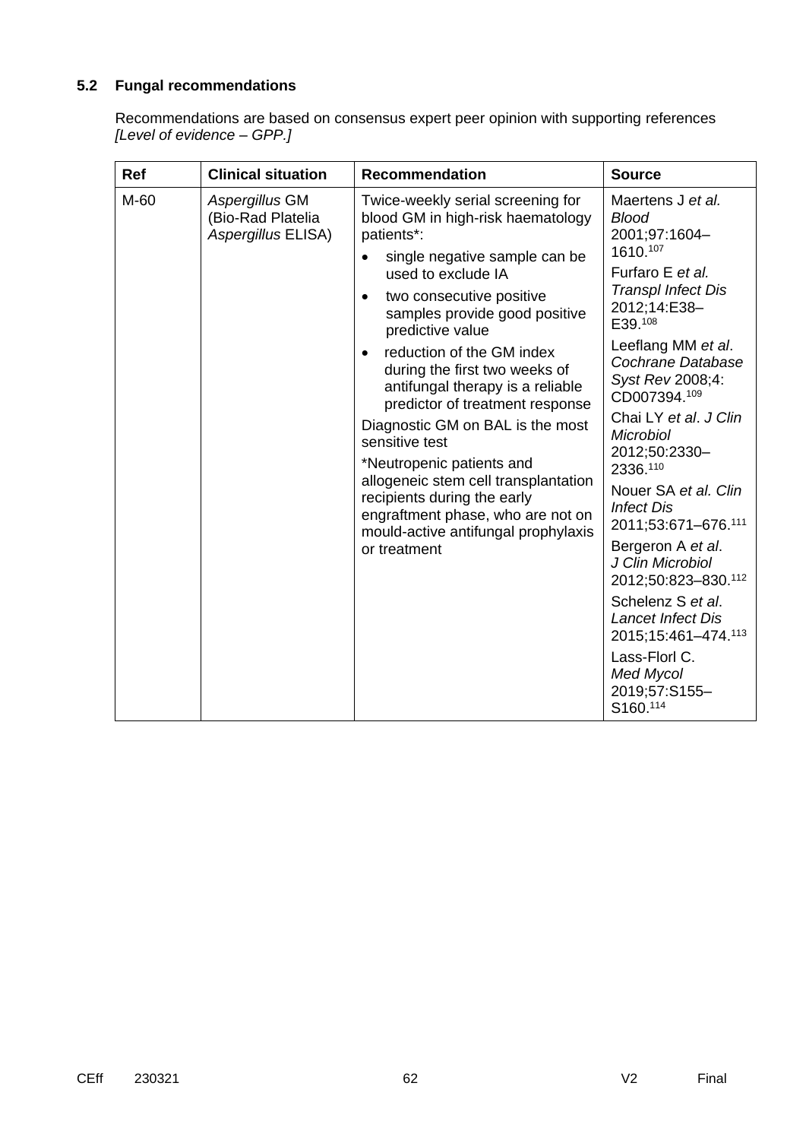### **5.2 Fungal recommendations**

Recommendations are based on consensus expert peer opinion with supporting references *[Level of evidence – GPP.]*

| Ref  | <b>Clinical situation</b>                                 | <b>Recommendation</b>                                                                                                                                                                                                                              | <b>Source</b>                                                               |
|------|-----------------------------------------------------------|----------------------------------------------------------------------------------------------------------------------------------------------------------------------------------------------------------------------------------------------------|-----------------------------------------------------------------------------|
| M-60 | Aspergillus GM<br>(Bio-Rad Platelia<br>Aspergillus ELISA) | Twice-weekly serial screening for<br>blood GM in high-risk haematology<br>patients*:                                                                                                                                                               | Maertens J et al.<br><b>Blood</b><br>2001;97:1604-<br>1610.107              |
|      |                                                           | single negative sample can be<br>used to exclude IA                                                                                                                                                                                                | Furfaro E et al.                                                            |
|      |                                                           | two consecutive positive<br>٠<br>samples provide good positive<br>predictive value                                                                                                                                                                 | <b>Transpl Infect Dis</b><br>2012;14:E38-<br>E39.108                        |
|      |                                                           | reduction of the GM index<br>during the first two weeks of<br>antifungal therapy is a reliable<br>predictor of treatment response                                                                                                                  | Leeflang MM et al.<br>Cochrane Database<br>Syst Rev 2008;4:<br>CD007394.109 |
|      |                                                           | Diagnostic GM on BAL is the most<br>sensitive test<br>*Neutropenic patients and<br>allogeneic stem cell transplantation<br>recipients during the early<br>engraftment phase, who are not on<br>mould-active antifungal prophylaxis<br>or treatment | Chai LY et al. J Clin<br><b>Microbiol</b><br>2012;50:2330-<br>2336.110      |
|      |                                                           |                                                                                                                                                                                                                                                    | Nouer SA et al. Clin<br><b>Infect Dis</b><br>2011;53:671-676.111            |
|      |                                                           |                                                                                                                                                                                                                                                    | Bergeron A et al.<br>J Clin Microbiol<br>2012;50:823-830.112                |
|      |                                                           |                                                                                                                                                                                                                                                    | Schelenz S et al.<br><b>Lancet Infect Dis</b><br>2015;15:461-474.113        |
|      |                                                           |                                                                                                                                                                                                                                                    | Lass-Florl C.<br><b>Med Mycol</b><br>2019;57:S155-<br>S160.114              |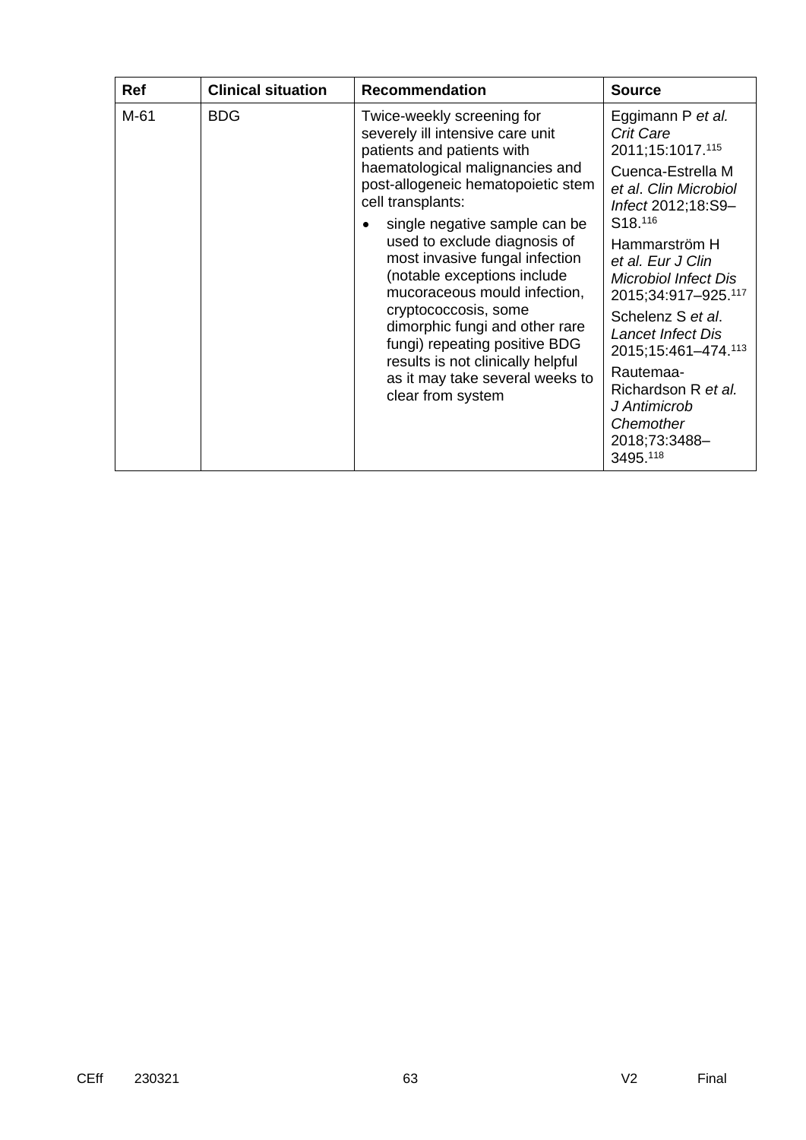| Ref  | <b>Clinical situation</b>                                                                                                                                      | <b>Recommendation</b>                                                                        | <b>Source</b>                                                                           |                                                               |
|------|----------------------------------------------------------------------------------------------------------------------------------------------------------------|----------------------------------------------------------------------------------------------|-----------------------------------------------------------------------------------------|---------------------------------------------------------------|
| M-61 | <b>BDG</b>                                                                                                                                                     | Twice-weekly screening for<br>severely ill intensive care unit<br>patients and patients with | Eggimann P et al.<br><b>Crit Care</b><br>2011;15:1017.115                               |                                                               |
|      |                                                                                                                                                                | haematological malignancies and<br>post-allogeneic hematopoietic stem<br>cell transplants:   | Cuenca-Estrella M<br>et al. Clin Microbiol<br>Infect 2012;18:S9-<br>S <sub>18.116</sub> |                                                               |
|      | single negative sample can be<br>used to exclude diagnosis of<br>most invasive fungal infection<br>(notable exceptions include<br>mucoraceous mould infection, | Hammarström H<br>et al. Eur J Clin<br><b>Microbiol Infect Dis</b><br>2015;34:917-925.117     |                                                                                         |                                                               |
|      |                                                                                                                                                                | cryptococcosis, some<br>dimorphic fungi and other rare<br>fungi) repeating positive BDG      | results is not clinically helpful                                                       | Schelenz S et al.<br>Lancet Infect Dis<br>2015;15:461-474.113 |
|      | as it may take several weeks to<br>clear from system                                                                                                           | Rautemaa-<br>Richardson R et al.<br>J Antimicrob<br>Chemother<br>2018;73:3488-<br>3495.118   |                                                                                         |                                                               |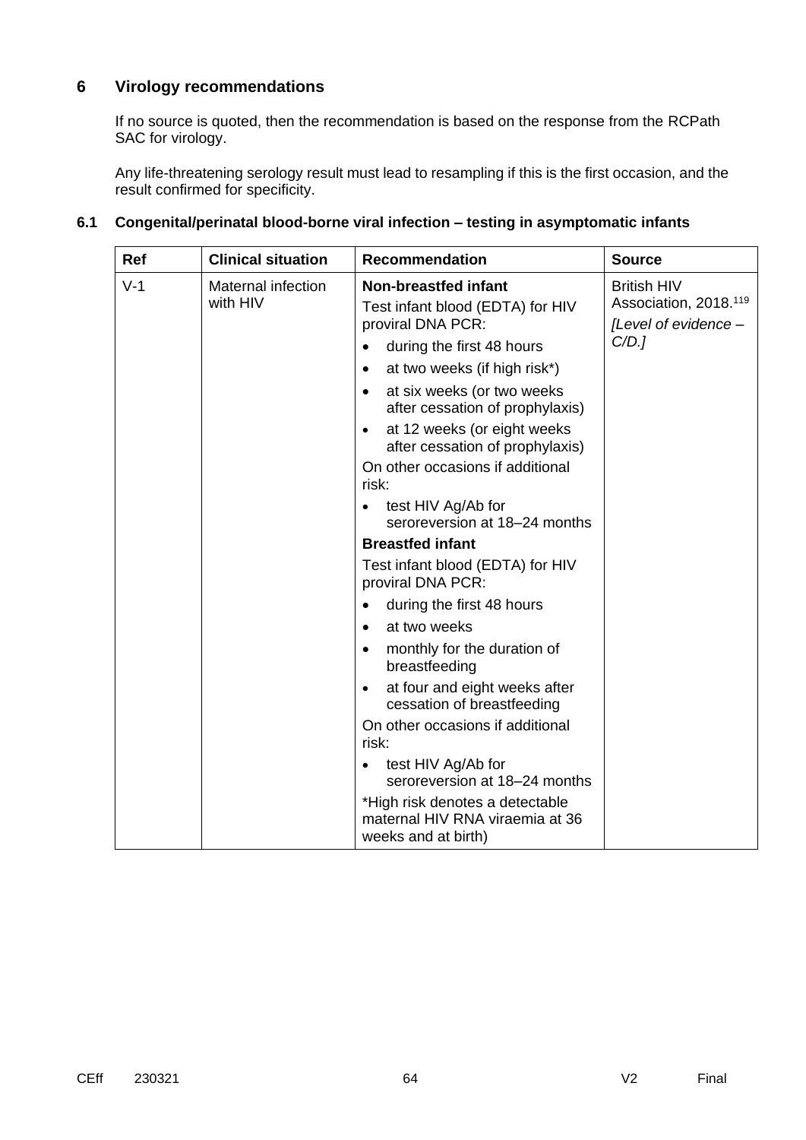### **6 Virology recommendations**

If no source is quoted, then the recommendation is based on the response from the RCPath SAC for virology.

Any life-threatening serology result must lead to resampling if this is the first occasion, and the result confirmed for specificity.

| Ref   | <b>Clinical situation</b>             | <b>Recommendation</b>                                                                     | <b>Source</b>                                                                   |
|-------|---------------------------------------|-------------------------------------------------------------------------------------------|---------------------------------------------------------------------------------|
| $V-1$ | <b>Maternal infection</b><br>with HIV | <b>Non-breastfed infant</b><br>Test infant blood (EDTA) for HIV<br>proviral DNA PCR:      | <b>British HIV</b><br>Association, 2018. <sup>119</sup><br>[Level of evidence - |
|       |                                       | during the first 48 hours<br>$\bullet$                                                    | C/D.                                                                            |
|       |                                       | at two weeks (if high risk*)<br>$\bullet$                                                 |                                                                                 |
|       |                                       | at six weeks (or two weeks<br>$\bullet$<br>after cessation of prophylaxis)                |                                                                                 |
|       |                                       | at 12 weeks (or eight weeks<br>$\bullet$<br>after cessation of prophylaxis)               |                                                                                 |
|       |                                       | On other occasions if additional<br>risk:                                                 |                                                                                 |
|       |                                       | test HIV Ag/Ab for<br>$\bullet$<br>seroreversion at 18-24 months                          |                                                                                 |
|       |                                       | <b>Breastfed infant</b>                                                                   |                                                                                 |
|       |                                       | Test infant blood (EDTA) for HIV<br>proviral DNA PCR:                                     |                                                                                 |
|       |                                       | during the first 48 hours<br>$\bullet$                                                    |                                                                                 |
|       |                                       | at two weeks<br>$\bullet$                                                                 |                                                                                 |
|       |                                       | monthly for the duration of<br>$\bullet$<br>breastfeeding                                 |                                                                                 |
|       |                                       | at four and eight weeks after<br>$\bullet$<br>cessation of breastfeeding                  |                                                                                 |
|       |                                       | On other occasions if additional<br>risk:                                                 |                                                                                 |
|       |                                       | test HIV Ag/Ab for<br>seroreversion at 18-24 months                                       |                                                                                 |
|       |                                       | *High risk denotes a detectable<br>maternal HIV RNA viraemia at 36<br>weeks and at birth) |                                                                                 |

### **6.1 Congenital/perinatal blood-borne viral infection – testing in asymptomatic infants**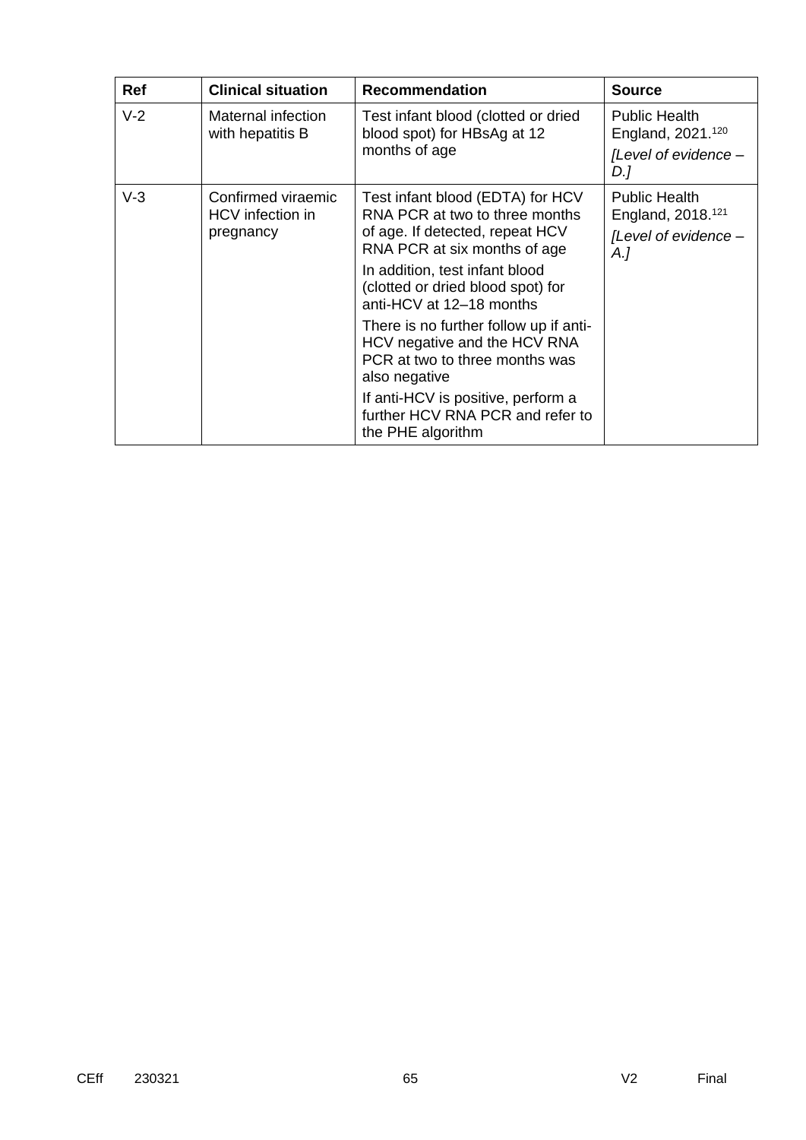| <b>Ref</b> | <b>Clinical situation</b>                                                                                                     | <b>Recommendation</b>                                                                                                                 | <b>Source</b>                                                                        |
|------------|-------------------------------------------------------------------------------------------------------------------------------|---------------------------------------------------------------------------------------------------------------------------------------|--------------------------------------------------------------------------------------|
| $V-2$      | Maternal infection<br>Test infant blood (clotted or dried<br>blood spot) for HBsAg at 12<br>with hepatitis B<br>months of age |                                                                                                                                       | <b>Public Health</b><br>England, 2021.120                                            |
|            |                                                                                                                               |                                                                                                                                       | [Level of evidence -<br>D.]                                                          |
| $V-3$      | Confirmed viraemic<br>HCV infection in<br>pregnancy                                                                           | Test infant blood (EDTA) for HCV<br>RNA PCR at two to three months<br>of age. If detected, repeat HCV<br>RNA PCR at six months of age | <b>Public Health</b><br>England, 2018. <sup>121</sup><br>[Level of evidence -<br>A.] |
|            |                                                                                                                               | In addition, test infant blood<br>(clotted or dried blood spot) for<br>anti-HCV at 12-18 months                                       |                                                                                      |
|            |                                                                                                                               | There is no further follow up if anti-<br>HCV negative and the HCV RNA<br>PCR at two to three months was<br>also negative             |                                                                                      |
|            |                                                                                                                               | If anti-HCV is positive, perform a<br>further HCV RNA PCR and refer to<br>the PHE algorithm                                           |                                                                                      |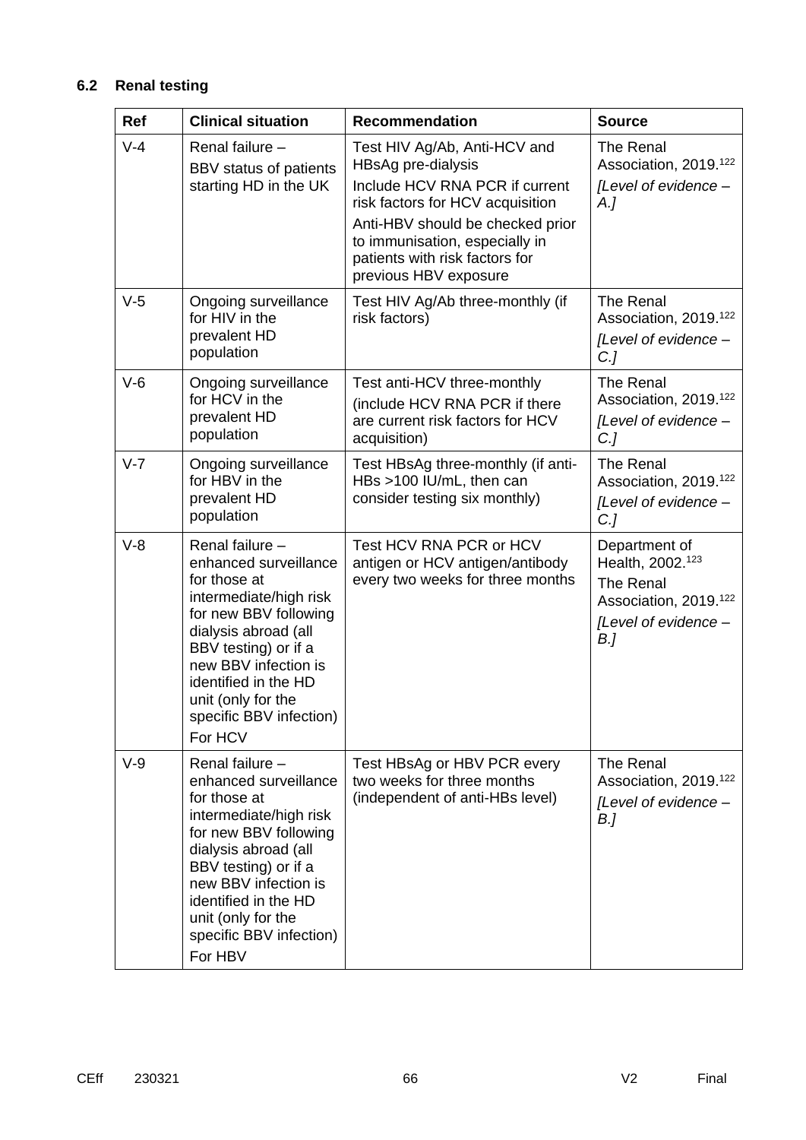## **6.2 Renal testing**

| <b>Ref</b> | <b>Clinical situation</b>                                                                                                                                                                                                                                               | <b>Recommendation</b>                                                                                                                                                                                                                                     | <b>Source</b>                                                                                                                  |
|------------|-------------------------------------------------------------------------------------------------------------------------------------------------------------------------------------------------------------------------------------------------------------------------|-----------------------------------------------------------------------------------------------------------------------------------------------------------------------------------------------------------------------------------------------------------|--------------------------------------------------------------------------------------------------------------------------------|
| $V-4$      | Renal failure -<br>BBV status of patients<br>starting HD in the UK                                                                                                                                                                                                      | Test HIV Ag/Ab, Anti-HCV and<br>HBsAg pre-dialysis<br>Include HCV RNA PCR if current<br>risk factors for HCV acquisition<br>Anti-HBV should be checked prior<br>to immunisation, especially in<br>patients with risk factors for<br>previous HBV exposure | <b>The Renal</b><br>Association, 2019. <sup>122</sup><br>[Level of evidence -<br>$A_{\cdot}$                                   |
| $V-5$      | Ongoing surveillance<br>for HIV in the<br>prevalent HD<br>population                                                                                                                                                                                                    | Test HIV Ag/Ab three-monthly (if<br>risk factors)                                                                                                                                                                                                         | <b>The Renal</b><br>Association, 2019. <sup>122</sup><br>[Level of evidence -<br>$C$ .]                                        |
| $V-6$      | Ongoing surveillance<br>for HCV in the<br>prevalent HD<br>population                                                                                                                                                                                                    | Test anti-HCV three-monthly<br>(include HCV RNA PCR if there<br>are current risk factors for HCV<br>acquisition)                                                                                                                                          | The Renal<br>Association, 2019. <sup>122</sup><br>[Level of evidence -<br>$C$ .]                                               |
| $V - 7$    | Ongoing surveillance<br>for HBV in the<br>prevalent HD<br>population                                                                                                                                                                                                    | Test HBsAg three-monthly (if anti-<br>HBs >100 IU/mL, then can<br>consider testing six monthly)                                                                                                                                                           | The Renal<br>Association, 2019. <sup>122</sup><br>[Level of evidence -<br>$C$ .]                                               |
| $V-8$      | Renal failure -<br>enhanced surveillance<br>for those at<br>intermediate/high risk<br>for new BBV following<br>dialysis abroad (all<br>BBV testing) or if a<br>new BBV infection is<br>identified in the HD<br>unit (only for the<br>specific BBV infection)<br>For HCV | Test HCV RNA PCR or HCV<br>antigen or HCV antigen/antibody<br>every two weeks for three months                                                                                                                                                            | Department of<br>Health, 2002. <sup>123</sup><br>The Renal<br>Association, 2019. <sup>122</sup><br>[Level of evidence -<br>B.] |
| $V-9$      | Renal failure -<br>enhanced surveillance<br>for those at<br>intermediate/high risk<br>for new BBV following<br>dialysis abroad (all<br>BBV testing) or if a<br>new BBV infection is<br>identified in the HD<br>unit (only for the<br>specific BBV infection)<br>For HBV | Test HBsAg or HBV PCR every<br>two weeks for three months<br>(independent of anti-HBs level)                                                                                                                                                              | The Renal<br>Association, 2019. <sup>122</sup><br>[Level of evidence -<br>B.]                                                  |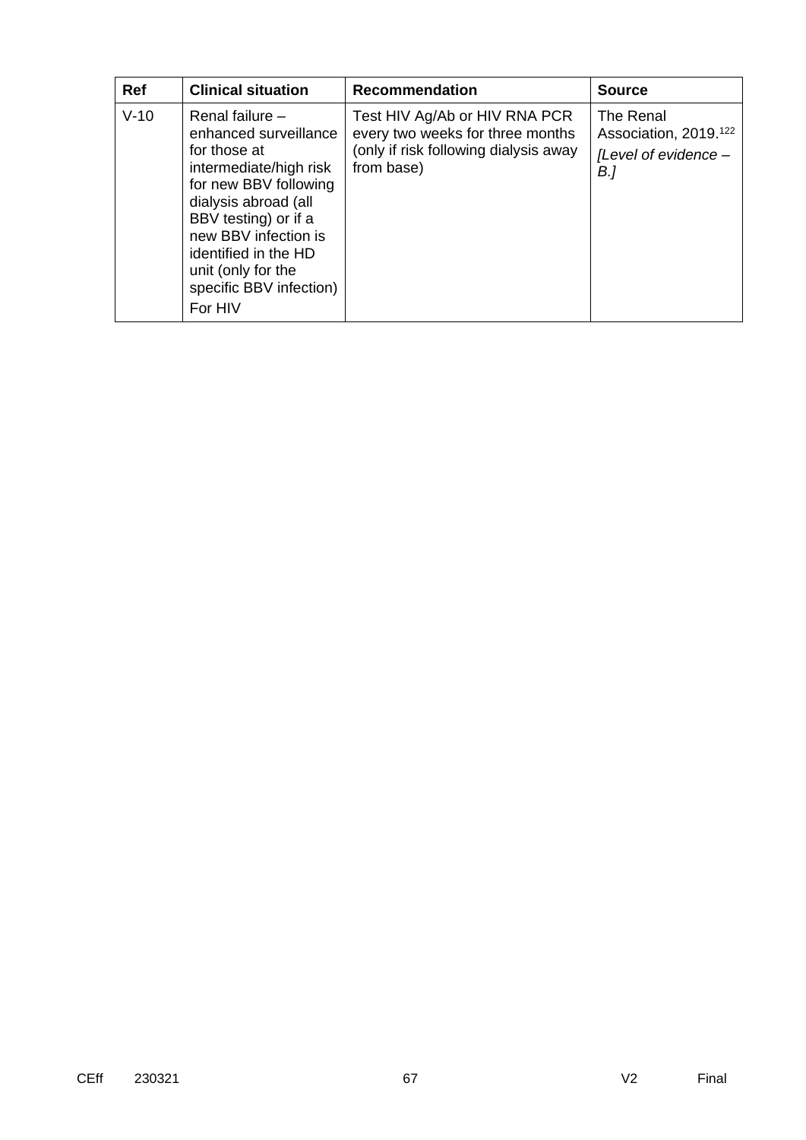| <b>Ref</b> | <b>Clinical situation</b>                                                                                                                                                                                                                                                 | <b>Recommendation</b>                                                                                                    | <b>Source</b>                                                                 |
|------------|---------------------------------------------------------------------------------------------------------------------------------------------------------------------------------------------------------------------------------------------------------------------------|--------------------------------------------------------------------------------------------------------------------------|-------------------------------------------------------------------------------|
| $V-10$     | Renal failure $-$<br>enhanced surveillance<br>for those at<br>intermediate/high risk<br>for new BBV following<br>dialysis abroad (all<br>BBV testing) or if a<br>new BBV infection is<br>identified in the HD<br>unit (only for the<br>specific BBV infection)<br>For HIV | Test HIV Ag/Ab or HIV RNA PCR<br>every two weeks for three months<br>(only if risk following dialysis away<br>from base) | The Renal<br>Association, 2019. <sup>122</sup><br>[Level of evidence -<br>B.] |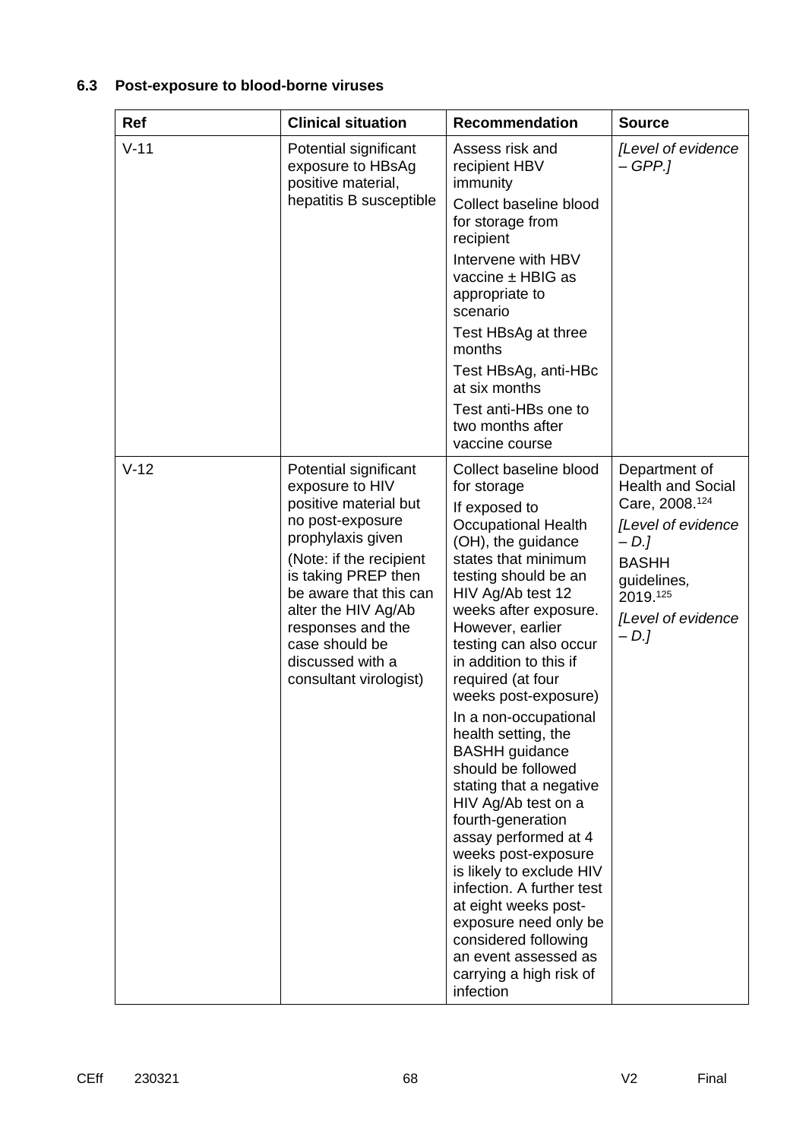## **6.3 Post-exposure to blood-borne viruses**

| Ref    | <b>Clinical situation</b>                                                                                                                                                                                                                                                                          | <b>Recommendation</b>                                                                                                                                                                                                                                                                                                                                                                                                                                                                                                                                                                                                                                                                                                                               | <b>Source</b>                                                                                                                                                                    |
|--------|----------------------------------------------------------------------------------------------------------------------------------------------------------------------------------------------------------------------------------------------------------------------------------------------------|-----------------------------------------------------------------------------------------------------------------------------------------------------------------------------------------------------------------------------------------------------------------------------------------------------------------------------------------------------------------------------------------------------------------------------------------------------------------------------------------------------------------------------------------------------------------------------------------------------------------------------------------------------------------------------------------------------------------------------------------------------|----------------------------------------------------------------------------------------------------------------------------------------------------------------------------------|
| $V-11$ | Potential significant<br>exposure to HBsAg<br>positive material,<br>hepatitis B susceptible                                                                                                                                                                                                        | Assess risk and<br>recipient HBV<br>immunity<br>Collect baseline blood                                                                                                                                                                                                                                                                                                                                                                                                                                                                                                                                                                                                                                                                              | [Level of evidence<br>– GPP.]                                                                                                                                                    |
|        |                                                                                                                                                                                                                                                                                                    | for storage from<br>recipient                                                                                                                                                                                                                                                                                                                                                                                                                                                                                                                                                                                                                                                                                                                       |                                                                                                                                                                                  |
|        |                                                                                                                                                                                                                                                                                                    | Intervene with HBV<br>vaccine $\pm$ HBIG as<br>appropriate to<br>scenario                                                                                                                                                                                                                                                                                                                                                                                                                                                                                                                                                                                                                                                                           |                                                                                                                                                                                  |
|        |                                                                                                                                                                                                                                                                                                    | Test HBsAg at three<br>months                                                                                                                                                                                                                                                                                                                                                                                                                                                                                                                                                                                                                                                                                                                       |                                                                                                                                                                                  |
|        |                                                                                                                                                                                                                                                                                                    | Test HBsAg, anti-HBc<br>at six months                                                                                                                                                                                                                                                                                                                                                                                                                                                                                                                                                                                                                                                                                                               |                                                                                                                                                                                  |
|        |                                                                                                                                                                                                                                                                                                    | Test anti-HBs one to<br>two months after<br>vaccine course                                                                                                                                                                                                                                                                                                                                                                                                                                                                                                                                                                                                                                                                                          |                                                                                                                                                                                  |
| $V-12$ | Potential significant<br>exposure to HIV<br>positive material but<br>no post-exposure<br>prophylaxis given<br>(Note: if the recipient<br>is taking PREP then<br>be aware that this can<br>alter the HIV Ag/Ab<br>responses and the<br>case should be<br>discussed with a<br>consultant virologist) | Collect baseline blood<br>for storage<br>If exposed to<br><b>Occupational Health</b><br>(OH), the guidance<br>states that minimum<br>testing should be an<br>HIV Ag/Ab test 12<br>weeks after exposure.<br>However, earlier<br>testing can also occur<br>in addition to this if<br>required (at four<br>weeks post-exposure)<br>In a non-occupational<br>health setting, the<br><b>BASHH</b> guidance<br>should be followed<br>stating that a negative<br>HIV Ag/Ab test on a<br>fourth-generation<br>assay performed at 4<br>weeks post-exposure<br>is likely to exclude HIV<br>infection. A further test<br>at eight weeks post-<br>exposure need only be<br>considered following<br>an event assessed as<br>carrying a high risk of<br>infection | Department of<br><b>Health and Social</b><br>Care, 2008. <sup>124</sup><br>[Level of evidence<br>$-D.$<br><b>BASHH</b><br>guidelines,<br>2019.125<br>[Level of evidence<br>$-D.$ |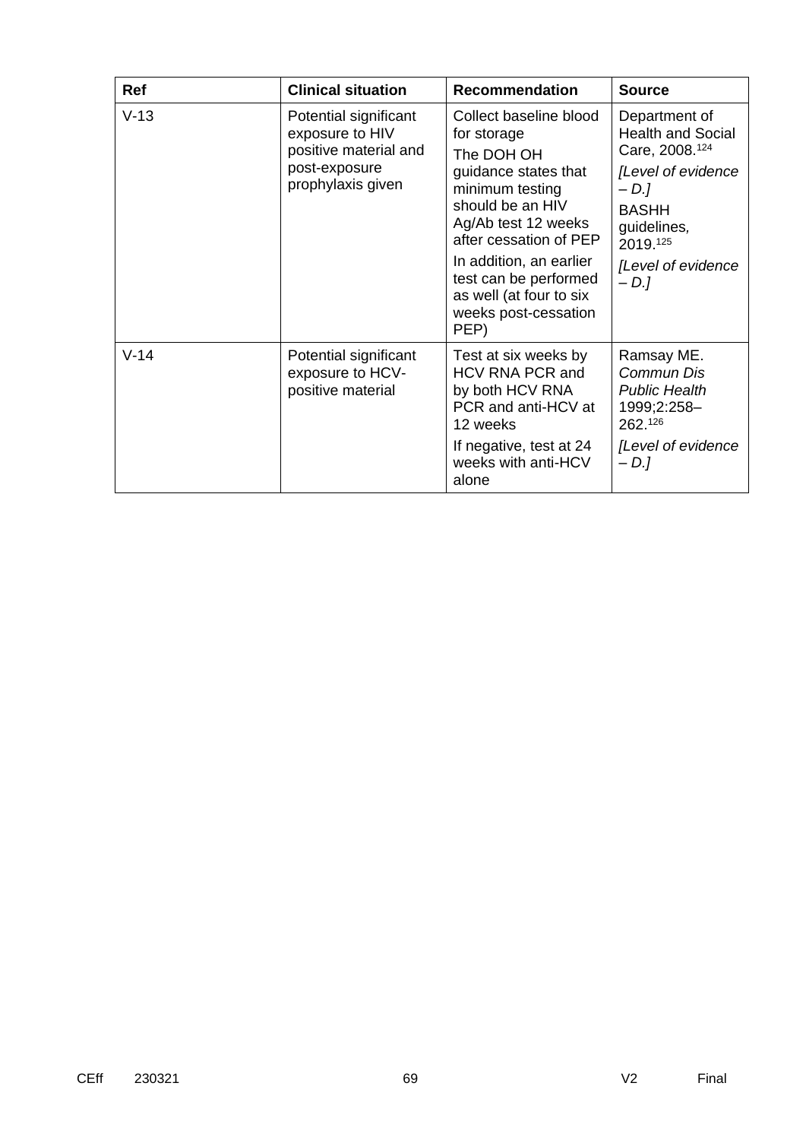| <b>Ref</b> | <b>Clinical situation</b>                                                                               | <b>Recommendation</b>                                                                                                                                                                                                                                                              | <b>Source</b>                                                                                                                                                                     |
|------------|---------------------------------------------------------------------------------------------------------|------------------------------------------------------------------------------------------------------------------------------------------------------------------------------------------------------------------------------------------------------------------------------------|-----------------------------------------------------------------------------------------------------------------------------------------------------------------------------------|
| $V-13$     | Potential significant<br>exposure to HIV<br>positive material and<br>post-exposure<br>prophylaxis given | Collect baseline blood<br>for storage<br>The DOH OH<br>guidance states that<br>minimum testing<br>should be an HIV<br>Ag/Ab test 12 weeks<br>after cessation of PEP<br>In addition, an earlier<br>test can be performed<br>as well (at four to six<br>weeks post-cessation<br>PEP) | Department of<br><b>Health and Social</b><br>Care, 2008. <sup>124</sup><br>[Level of evidence<br>$-D.$<br><b>BASHH</b><br>guidelines,<br>2019.125<br>[Level of evidence<br>$-D.1$ |
| $V-14$     | Potential significant<br>exposure to HCV-<br>positive material                                          | Test at six weeks by<br>HCV RNA PCR and<br>by both HCV RNA<br>PCR and anti-HCV at<br>12 weeks<br>If negative, test at 24<br>weeks with anti-HCV<br>alone                                                                                                                           | Ramsay ME.<br>Commun Dis<br><b>Public Health</b><br>1999;2:258-<br>262.126<br>[Level of evidence<br>$-D.$                                                                         |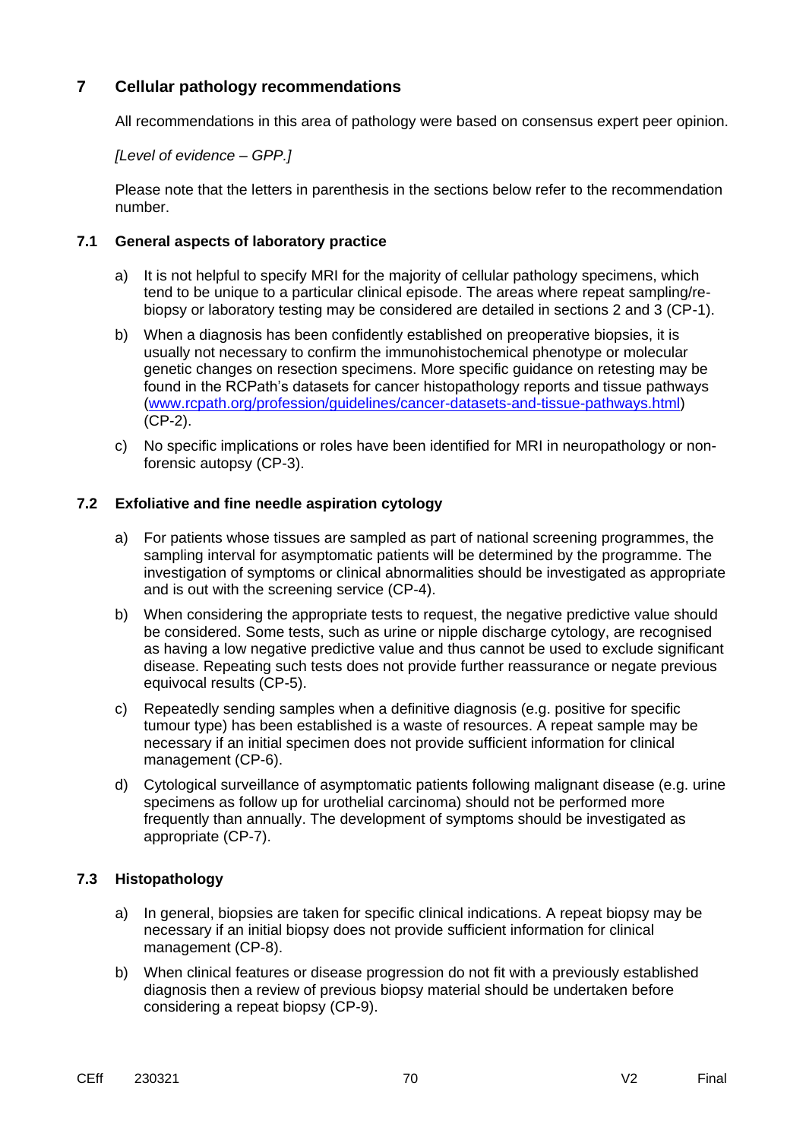### **7 Cellular pathology recommendations**

All recommendations in this area of pathology were based on consensus expert peer opinion.

#### *[Level of evidence – GPP.]*

Please note that the letters in parenthesis in the sections below refer to the recommendation number.

#### **7.1 General aspects of laboratory practice**

- a) It is not helpful to specify MRI for the majority of cellular pathology specimens, which tend to be unique to a particular clinical episode. The areas where repeat sampling/rebiopsy or laboratory testing may be considered are detailed in sections 2 and 3 (CP-1).
- b) When a diagnosis has been confidently established on preoperative biopsies, it is usually not necessary to confirm the immunohistochemical phenotype or molecular genetic changes on resection specimens. More specific guidance on retesting may be found in the RCPath's datasets for cancer histopathology reports and tissue pathways [\(www.rcpath.org/profession/guidelines/cancer-datasets-and-tissue-pathways.html\)](http://www.rcpath.org/profession/guidelines/cancer-datasets-and-tissue-pathways.html) (CP-2).
- c) No specific implications or roles have been identified for MRI in neuropathology or nonforensic autopsy (CP-3).

#### **7.2 Exfoliative and fine needle aspiration cytology**

- a) For patients whose tissues are sampled as part of national screening programmes, the sampling interval for asymptomatic patients will be determined by the programme. The investigation of symptoms or clinical abnormalities should be investigated as appropriate and is out with the screening service (CP-4).
- b) When considering the appropriate tests to request, the negative predictive value should be considered. Some tests, such as urine or nipple discharge cytology, are recognised as having a low negative predictive value and thus cannot be used to exclude significant disease. Repeating such tests does not provide further reassurance or negate previous equivocal results (CP-5).
- c) Repeatedly sending samples when a definitive diagnosis (e.g. positive for specific tumour type) has been established is a waste of resources. A repeat sample may be necessary if an initial specimen does not provide sufficient information for clinical management (CP-6).
- d) Cytological surveillance of asymptomatic patients following malignant disease (e.g. urine specimens as follow up for urothelial carcinoma) should not be performed more frequently than annually. The development of symptoms should be investigated as appropriate (CP-7).

### **7.3 Histopathology**

- a) In general, biopsies are taken for specific clinical indications. A repeat biopsy may be necessary if an initial biopsy does not provide sufficient information for clinical management (CP-8).
- b) When clinical features or disease progression do not fit with a previously established diagnosis then a review of previous biopsy material should be undertaken before considering a repeat biopsy (CP-9).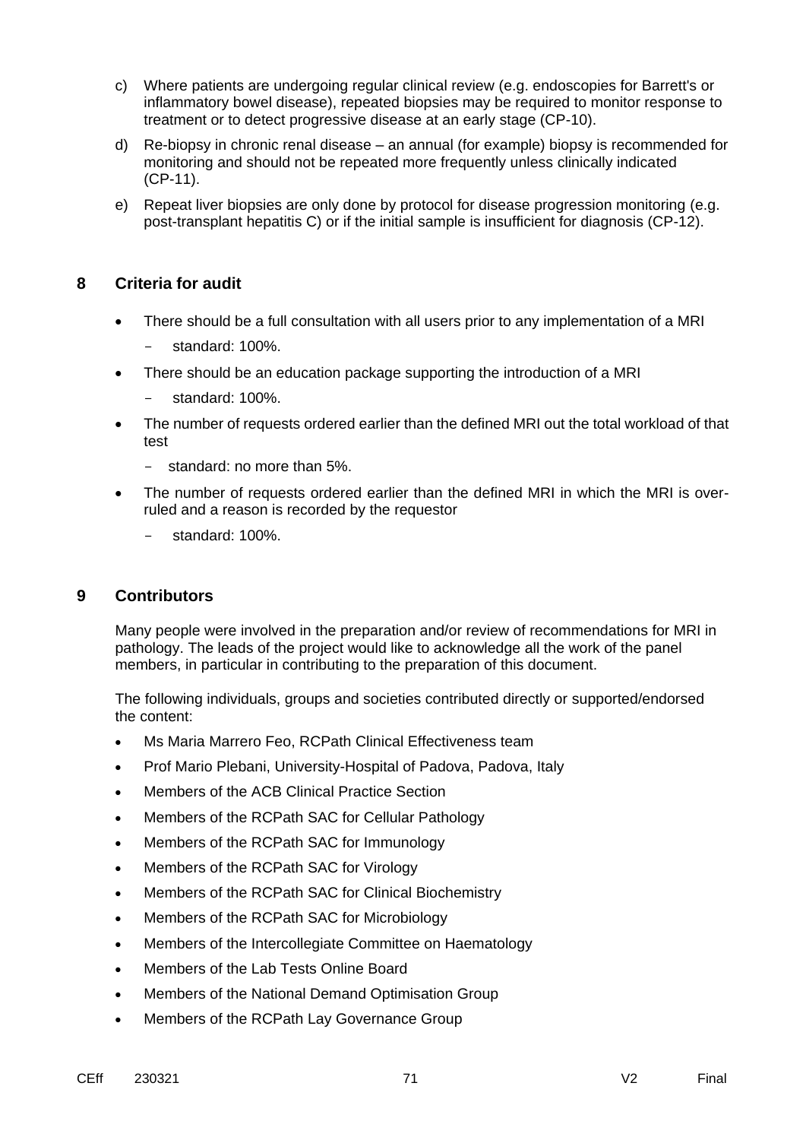- c) Where patients are undergoing regular clinical review (e.g. endoscopies for Barrett's or inflammatory bowel disease), repeated biopsies may be required to monitor response to treatment or to detect progressive disease at an early stage (CP-10).
- d) Re-biopsy in chronic renal disease an annual (for example) biopsy is recommended for monitoring and should not be repeated more frequently unless clinically indicated (CP-11).
- e) Repeat liver biopsies are only done by protocol for disease progression monitoring (e.g. post-transplant hepatitis C) or if the initial sample is insufficient for diagnosis (CP-12).

### **8 Criteria for audit**

- There should be a full consultation with all users prior to any implementation of a MRI
	- standard: 100%.
- There should be an education package supporting the introduction of a MRI
	- standard: 100%.
- The number of requests ordered earlier than the defined MRI out the total workload of that test
	- standard: no more than 5%.
- The number of requests ordered earlier than the defined MRI in which the MRI is overruled and a reason is recorded by the requestor
	- standard: 100%.

### **9 Contributors**

Many people were involved in the preparation and/or review of recommendations for MRI in pathology. The leads of the project would like to acknowledge all the work of the panel members, in particular in contributing to the preparation of this document.

The following individuals, groups and societies contributed directly or supported/endorsed the content:

- Ms Maria Marrero Feo, RCPath Clinical Effectiveness team
- Prof Mario Plebani, University-Hospital of Padova, Padova, Italy
- Members of the ACB Clinical Practice Section
- Members of the RCPath SAC for Cellular Pathology
- Members of the RCPath SAC for Immunology
- Members of the RCPath SAC for Virology
- Members of the RCPath SAC for Clinical Biochemistry
- Members of the RCPath SAC for Microbiology
- Members of the Intercollegiate Committee on Haematology
- Members of the Lab Tests Online Board
- Members of the National Demand Optimisation Group
- Members of the RCPath Lay Governance Group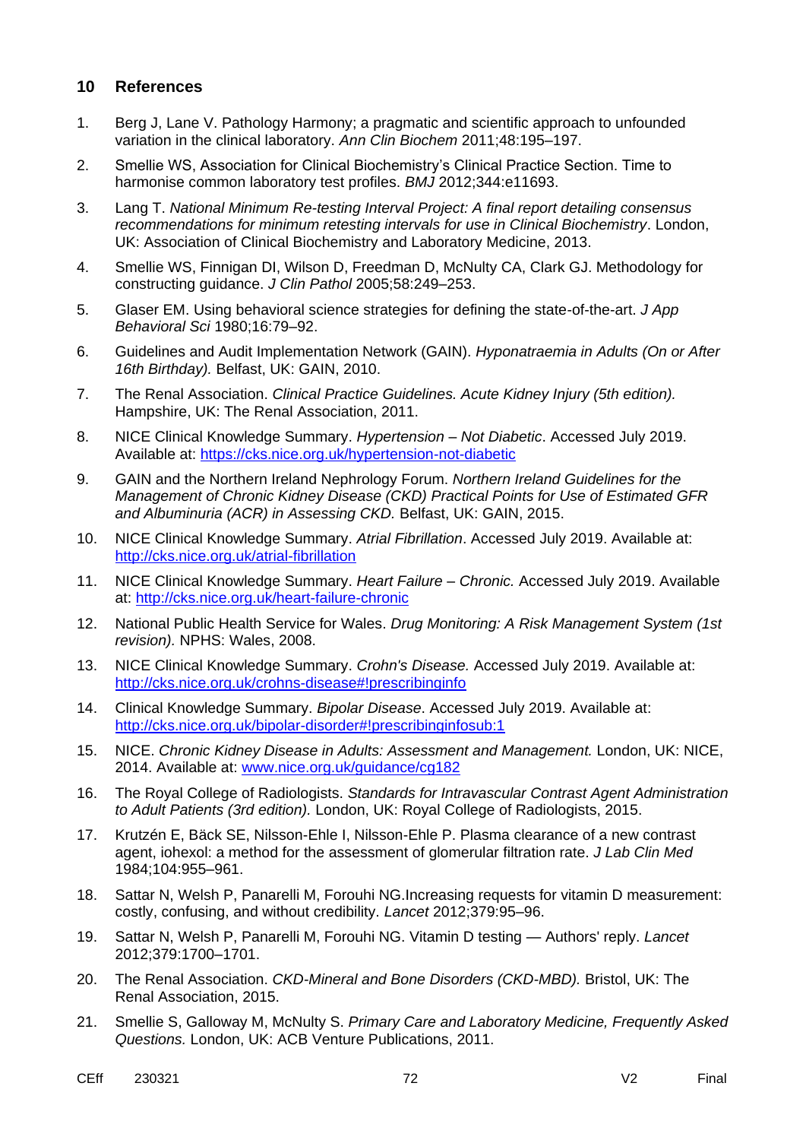#### **10 References**

- 1. Berg J, Lane V. Pathology Harmony; a pragmatic and scientific approach to unfounded variation in the clinical laboratory. *Ann Clin Biochem* 2011;48:195–197.
- 2. Smellie WS, Association for Clinical Biochemistry's Clinical Practice Section. Time to harmonise common laboratory test profiles. *BMJ* 2012;344:e11693.
- 3. Lang T. *National Minimum Re-testing Interval Project: A final report detailing consensus recommendations for minimum retesting intervals for use in Clinical Biochemistry*. London, UK: Association of Clinical Biochemistry and Laboratory Medicine, 2013.
- 4. Smellie WS, Finnigan DI, Wilson D, Freedman D, McNulty CA, Clark GJ. Methodology for constructing guidance. *J Clin Pathol* 2005;58:249–253.
- 5. Glaser EM. Using behavioral science strategies for defining the state-of-the-art. *J App Behavioral Sci* 1980;16:79–92.
- 6. Guidelines and Audit Implementation Network (GAIN). *Hyponatraemia in Adults (On or After 16th Birthday).* Belfast, UK: GAIN, 2010.
- 7. The Renal Association. *Clinical Practice Guidelines. Acute Kidney Injury (5th edition).* Hampshire, UK: The Renal Association, 2011.
- 8. NICE Clinical Knowledge Summary. *Hypertension – Not Diabetic*. Accessed July 2019. Available at:<https://cks.nice.org.uk/hypertension-not-diabetic>
- 9. GAIN and the Northern Ireland Nephrology Forum. *Northern Ireland Guidelines for the Management of Chronic Kidney Disease (CKD) Practical Points for Use of Estimated GFR and Albuminuria (ACR) in Assessing CKD.* Belfast, UK: GAIN, 2015.
- 10. NICE Clinical Knowledge Summary. *Atrial Fibrillation*. Accessed July 2019. Available at: <http://cks.nice.org.uk/atrial-fibrillation>
- 11. NICE Clinical Knowledge Summary. *Heart Failure – Chronic.* Accessed July 2019. Available at:<http://cks.nice.org.uk/heart-failure-chronic>
- 12. National Public Health Service for Wales. *Drug Monitoring: A Risk Management System (1st revision).* NPHS: Wales, 2008.
- 13. NICE Clinical Knowledge Summary. *Crohn's Disease.* Accessed July 2019. Available at: <http://cks.nice.org.uk/crohns-disease#!prescribinginfo>
- 14. Clinical Knowledge Summary. *Bipolar Disease*. Accessed July 2019. Available at: <http://cks.nice.org.uk/bipolar-disorder#!prescribinginfosub:1>
- 15. NICE. *Chronic Kidney Disease in Adults: Assessment and Management.* London, UK: NICE, 2014. Available at: [www.nice.org.uk/guidance/cg182](http://www.nice.org.uk/guidance/cg182)
- 16. The Royal College of Radiologists. *Standards for Intravascular Contrast Agent Administration to Adult Patients (3rd edition).* London, UK: Royal College of Radiologists, 2015.
- 17. Krutzén E, Bäck SE, Nilsson-Ehle I, Nilsson-Ehle P. Plasma clearance of a new contrast agent, iohexol: a method for the assessment of glomerular filtration rate. *J Lab Clin Med* 1984;104:955–961.
- 18. Sattar N, Welsh P, Panarelli M, Forouhi NG.Increasing requests for vitamin D measurement: costly, confusing, and without credibility. *Lancet* 2012;379:95–96.
- 19. Sattar N, Welsh P, Panarelli M, Forouhi NG. Vitamin D testing Authors' reply. *Lancet* 2012;379:1700–1701.
- 20. The Renal Association. *CKD-Mineral and Bone Disorders (CKD-MBD).* Bristol, UK: The Renal Association, 2015.
- 21. Smellie S, Galloway M, McNulty S. *Primary Care and Laboratory Medicine, Frequently Asked Questions.* London, UK: ACB Venture Publications, 2011.
- CEff 230321 72 V2 Final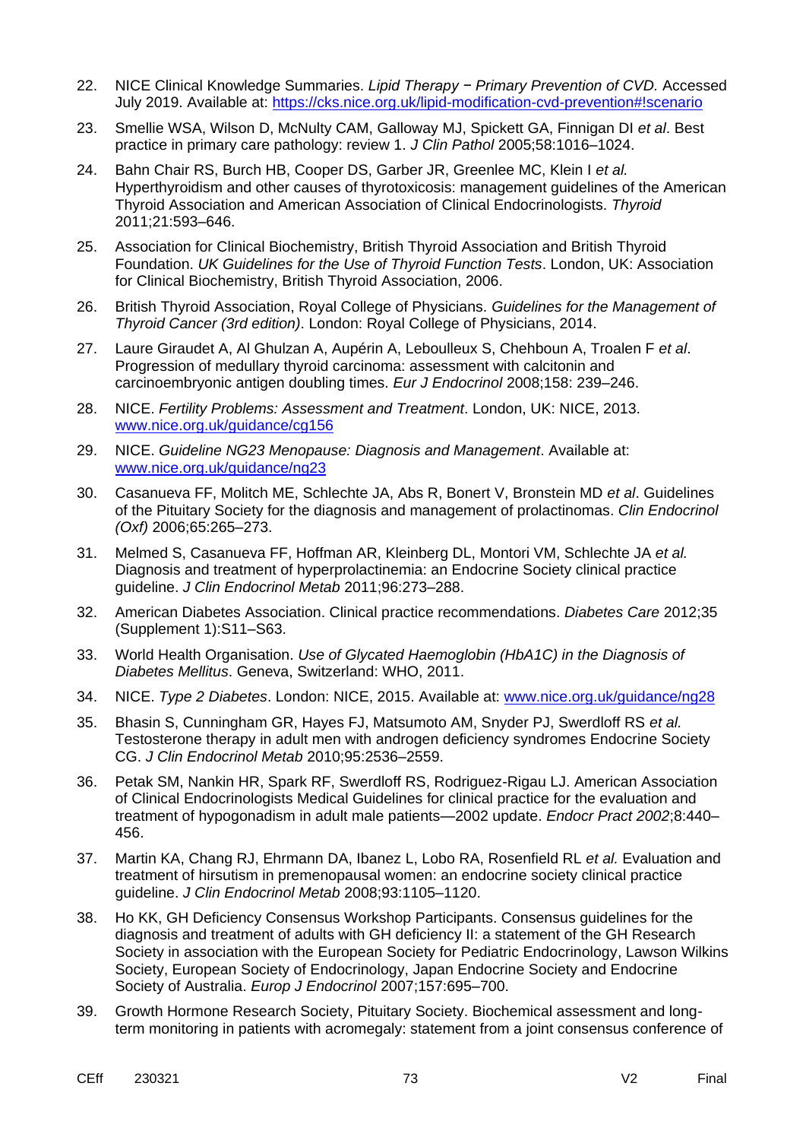- 22. NICE Clinical Knowledge Summaries. *Lipid Therapy − Primary Prevention of CVD.* Accessed July 2019. Available at: <https://cks.nice.org.uk/lipid-modification-cvd-prevention#!scenario>
- 23. Smellie WSA, Wilson D, McNulty CAM, Galloway MJ, Spickett GA, Finnigan DI *et al*. Best practice in primary care pathology: review 1. *J Clin Pathol* 2005;58:1016–1024.
- 24. Bahn Chair RS, Burch HB, Cooper DS, Garber JR, Greenlee MC, Klein I *et al.* Hyperthyroidism and other causes of thyrotoxicosis: management guidelines of the American Thyroid Association and American Association of Clinical Endocrinologists. *Thyroid* 2011;21:593–646.
- 25. Association for Clinical Biochemistry, British Thyroid Association and British Thyroid Foundation. *UK Guidelines for the Use of Thyroid Function Tests*. London, UK: Association for Clinical Biochemistry, British Thyroid Association, 2006.
- 26. British Thyroid Association, Royal College of Physicians. *Guidelines for the Management of Thyroid Cancer (3rd edition)*. London: Royal College of Physicians, 2014.
- 27. Laure Giraudet A, Al Ghulzan A, Aupérin A, Leboulleux S, Chehboun A, Troalen F *et al*. Progression of medullary thyroid carcinoma: assessment with calcitonin and carcinoembryonic antigen doubling times. *Eur J Endocrinol* 2008;158: 239–246.
- 28. NICE. *Fertility Problems: Assessment and Treatment*. London, UK: NICE, 2013. [www.nice.org.uk/guidance/cg156](http://www.nice.org.uk/guidance/cg156)
- 29. NICE. *Guideline NG23 Menopause: Diagnosis and Management*. Available at: [www.nice.org.uk/guidance/ng23](http://www.nice.org.uk/guidance/ng23)
- 30. Casanueva FF, Molitch ME, Schlechte JA, Abs R, Bonert V, Bronstein MD *et al*. Guidelines of the Pituitary Society for the diagnosis and management of prolactinomas. *Clin Endocrinol (Oxf)* 2006;65:265–273.
- 31. Melmed S, Casanueva FF, Hoffman AR, Kleinberg DL, Montori VM, Schlechte JA *et al.* Diagnosis and treatment of hyperprolactinemia: an Endocrine Society clinical practice guideline. *J Clin Endocrinol Metab* 2011;96:273–288.
- 32. American Diabetes Association. Clinical practice recommendations. *Diabetes Care* 2012;35 (Supplement 1):S11–S63.
- 33. World Health Organisation. *Use of Glycated Haemoglobin (HbA1C) in the Diagnosis of Diabetes Mellitus*. Geneva, Switzerland: WHO, 2011.
- 34. NICE. *Type 2 Diabetes*. London: NICE, 2015. Available at: [www.nice.org.uk/guidance/ng28](http://www.nice.org.uk/guidance/ng28)
- 35. Bhasin S, Cunningham GR, Hayes FJ, Matsumoto AM, Snyder PJ, Swerdloff RS *et al.* Testosterone therapy in adult men with androgen deficiency syndromes Endocrine Society CG. *J Clin Endocrinol Metab* 2010;95:2536–2559.
- 36. Petak SM, Nankin HR, Spark RF, Swerdloff RS, Rodriguez-Rigau LJ. American Association of Clinical Endocrinologists Medical Guidelines for clinical practice for the evaluation and treatment of hypogonadism in adult male patients—2002 update. *Endocr Pract 2002*;8:440– 456.
- 37. Martin KA, Chang RJ, Ehrmann DA, Ibanez L, Lobo RA, Rosenfield RL *et al.* Evaluation and treatment of hirsutism in premenopausal women: an endocrine society clinical practice guideline. *J Clin Endocrinol Metab* 2008;93:1105–1120.
- 38. Ho KK, GH Deficiency Consensus Workshop Participants. Consensus guidelines for the diagnosis and treatment of adults with GH deficiency II: a statement of the GH Research Society in association with the European Society for Pediatric Endocrinology, Lawson Wilkins Society, European Society of Endocrinology, Japan Endocrine Society and Endocrine Society of Australia. *Europ J Endocrinol* 2007;157:695–700.
- 39. Growth Hormone Research Society, Pituitary Society. Biochemical assessment and longterm monitoring in patients with acromegaly: statement from a joint consensus conference of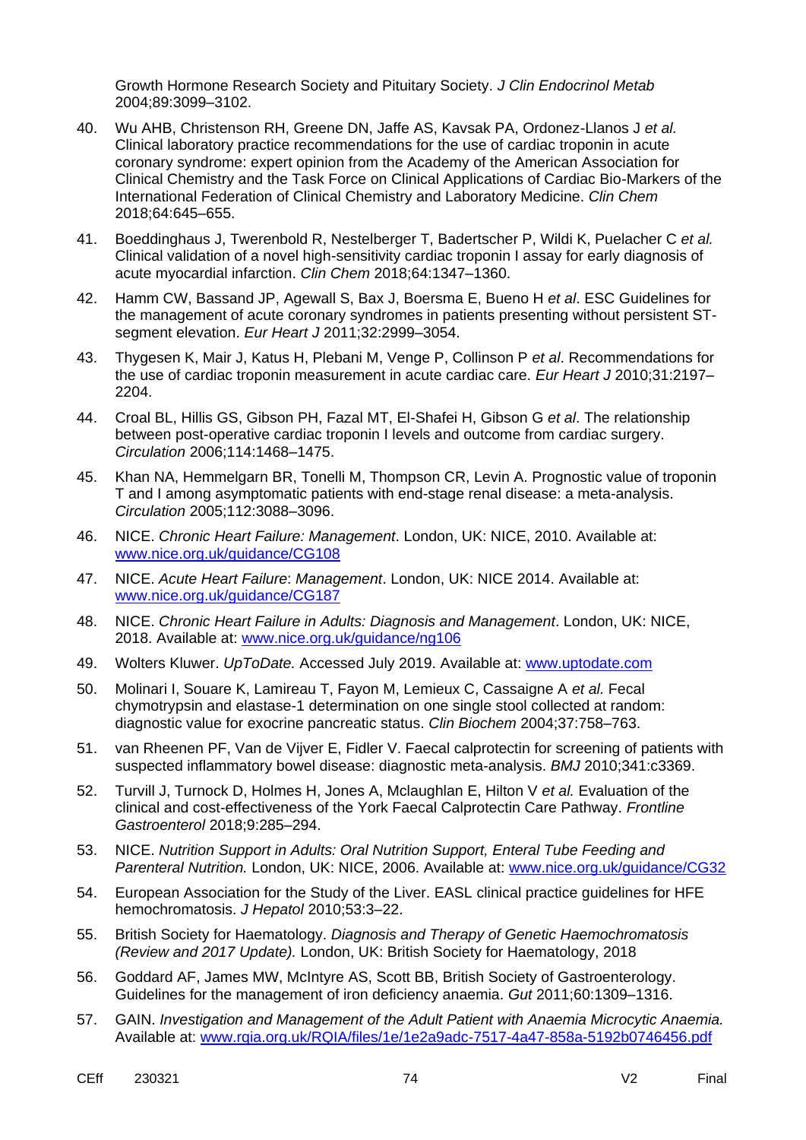Growth Hormone Research Society and Pituitary Society. *J Clin Endocrinol Metab* 2004;89:3099–3102.

- 40. Wu AHB, Christenson RH, Greene DN, Jaffe AS, Kavsak PA, Ordonez-Llanos J *et al.*  Clinical laboratory practice recommendations for the use of cardiac troponin in acute coronary syndrome: expert opinion from the Academy of the American Association for Clinical Chemistry and the Task Force on Clinical Applications of Cardiac Bio-Markers of the International Federation of Clinical Chemistry and Laboratory Medicine. *Clin Chem*  2018;64:645–655.
- 41. Boeddinghaus J, Twerenbold R, Nestelberger T, Badertscher P, Wildi K, Puelacher C *et al.* Clinical validation of a novel high-sensitivity cardiac troponin I assay for early diagnosis of acute myocardial infarction. *Clin Chem* 2018;64:1347–1360.
- 42. Hamm CW, Bassand JP, Agewall S, Bax J, Boersma E, Bueno H *et al*. ESC Guidelines for the management of acute coronary syndromes in patients presenting without persistent STsegment elevation. *Eur Heart J* 2011;32:2999–3054.
- 43. Thygesen K, Mair J, Katus H, Plebani M, Venge P, Collinson P *et al*. Recommendations for the use of cardiac troponin measurement in acute cardiac care. *Eur Heart J* 2010;31:2197– 2204.
- 44. Croal BL, Hillis GS, Gibson PH, Fazal MT, El-Shafei H, Gibson G *et al*. The relationship between post-operative cardiac troponin I levels and outcome from cardiac surgery. *Circulation* 2006;114:1468–1475.
- 45. Khan NA, Hemmelgarn BR, Tonelli M, Thompson CR, Levin A. Prognostic value of troponin T and I among asymptomatic patients with end-stage renal disease: a meta-analysis. *Circulation* 2005;112:3088–3096.
- 46. NICE. *Chronic Heart Failure: Management*. London, UK: NICE, 2010. Available at: [www.nice.org.uk/guidance/CG108](http://www.nice.org.uk/guidance/CG108)
- 47. NICE. *Acute Heart Failure*: *Management*. London, UK: NICE 2014. Available at: [www.nice.org.uk/guidance/CG187](http://www.nice.org.uk/guidance/CG187)
- 48. NICE. *Chronic Heart Failure in Adults: Diagnosis and Management*. London, UK: NICE, 2018. Available at: [www.nice.org.uk/guidance/ng106](http://www.nice.org.uk/guidance/ng106)
- 49. Wolters Kluwer. *UpToDate.* Accessed July 2019. Available at: [www.uptodate.com](file:///C:/Users/tlang/AppData/Local/Microsoft/Windows/INetCache/Content.Outlook/35YIO4RM/www.uptodate.com)
- 50. Molinari I, Souare K, Lamireau T, Fayon M, Lemieux C, Cassaigne A *et al.* Fecal chymotrypsin and elastase-1 determination on one single stool collected at random: diagnostic value for exocrine pancreatic status. *Clin Biochem* 2004;37:758–763.
- 51. van Rheenen PF, Van de Vijver E, Fidler V. Faecal calprotectin for screening of patients with suspected inflammatory bowel disease: diagnostic meta-analysis. *BMJ* 2010;341:c3369.
- 52. Turvill J, Turnock D, Holmes H, Jones A, Mclaughlan E, Hilton V *et al.* Evaluation of the clinical and cost-effectiveness of the York Faecal Calprotectin Care Pathway. *Frontline Gastroenterol* 2018;9:285–294.
- 53. NICE. *Nutrition Support in Adults: Oral Nutrition Support, Enteral Tube Feeding and Parenteral Nutrition.* London, UK: NICE, 2006. Available at: [www.nice.org.uk/guidance/CG32](http://www.nice.org.uk/guidance/CG32)
- 54. European Association for the Study of the Liver. EASL clinical practice guidelines for HFE hemochromatosis. *J Hepatol* 2010;53:3–22.
- 55. British Society for Haematology. *Diagnosis and Therapy of Genetic Haemochromatosis (Review and 2017 Update).* London, UK: British Society for Haematology, 2018
- 56. Goddard AF, James MW, McIntyre AS, Scott BB, British Society of Gastroenterology. Guidelines for the management of iron deficiency anaemia. *Gut* 2011;60:1309–1316.
- 57. GAIN. *Investigation and Management of the Adult Patient with Anaemia Microcytic Anaemia.* Available at: [www.rqia.org.uk/RQIA/files/1e/1e2a9adc-7517-4a47-858a-5192b0746456.pdf](http://www.rqia.org.uk/RQIA/files/1e/1e2a9adc-7517-4a47-858a-5192b0746456.pdf)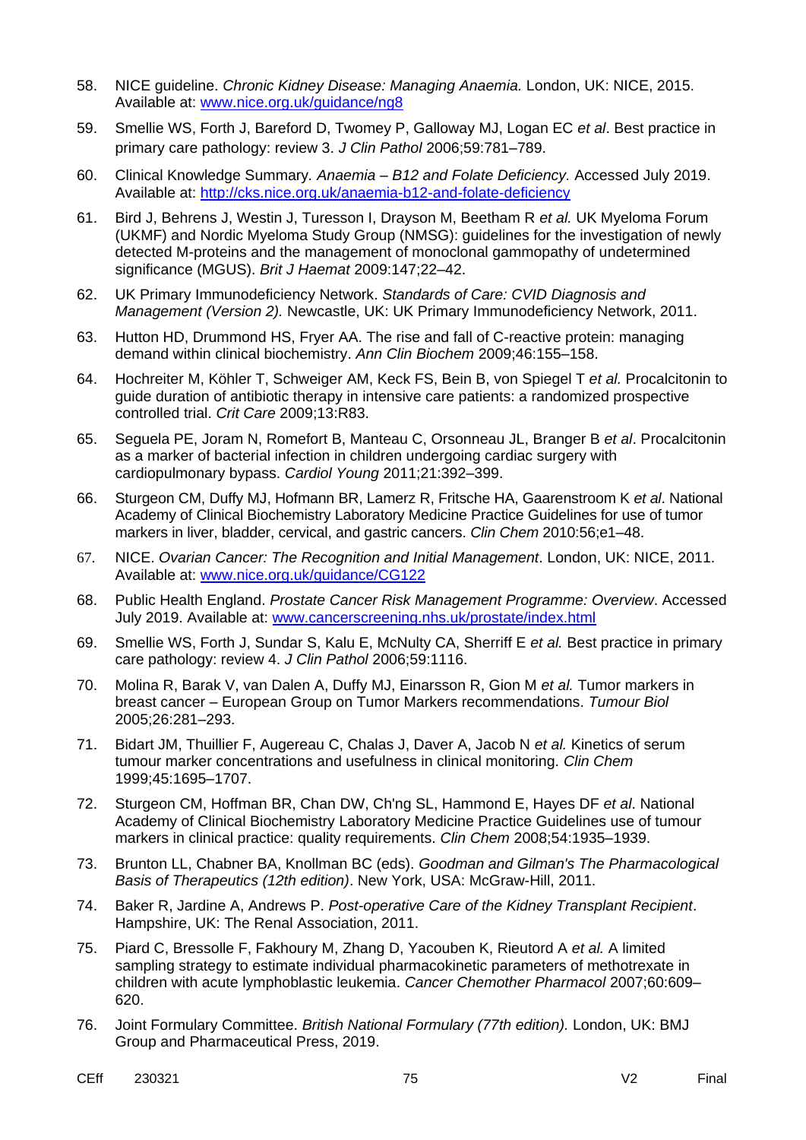- 58. NICE guideline. *Chronic Kidney Disease: Managing Anaemia.* London, UK: NICE, 2015. Available at: [www.nice.org.uk/guidance/ng8](http://www.nice.org.uk/guidance/ng8)
- 59. Smellie WS, Forth J, Bareford D, Twomey P, Galloway MJ, Logan EC *et al*. Best practice in primary care pathology: review 3. *J Clin Pathol* 2006;59:781–789.
- 60. Clinical Knowledge Summary*. Anaemia – B12 and Folate Deficiency.* Accessed July 2019. Available at: <http://cks.nice.org.uk/anaemia-b12-and-folate-deficiency>
- 61. Bird J, Behrens J, Westin J, Turesson I, Drayson M, Beetham R *et al.* UK Myeloma Forum (UKMF) and Nordic Myeloma Study Group (NMSG): guidelines for the investigation of newly detected M-proteins and the management of monoclonal gammopathy of undetermined significance (MGUS). *Brit J Haemat* 2009:147;22–42.
- 62. UK Primary Immunodeficiency Network. *Standards of Care: CVID Diagnosis and Management (Version 2).* Newcastle, UK: UK Primary Immunodeficiency Network, 2011.
- 63. Hutton HD, Drummond HS, Fryer AA. The rise and fall of C-reactive protein: managing demand within clinical biochemistry. *Ann Clin Biochem* 2009;46:155–158.
- 64. Hochreiter M, Köhler T, Schweiger AM, Keck FS, Bein B, von Spiegel T *et al.* Procalcitonin to guide duration of antibiotic therapy in intensive care patients: a randomized prospective controlled trial. *Crit Care* 2009;13:R83.
- 65. Seguela PE, Joram N, Romefort B, Manteau C, Orsonneau JL, Branger B *et al*. Procalcitonin as a marker of bacterial infection in children undergoing cardiac surgery with cardiopulmonary bypass. *Cardiol Young* 2011;21:392–399.
- 66. Sturgeon CM, Duffy MJ, Hofmann BR, Lamerz R, Fritsche HA, Gaarenstroom K *et al*. National Academy of Clinical Biochemistry Laboratory Medicine Practice Guidelines for use of tumor markers in liver, bladder, cervical, and gastric cancers. *Clin Chem* 2010:56;e1–48.
- 67. NICE. *Ovarian Cancer: The Recognition and Initial Management*. London, UK: NICE, 2011. Available at: [www.nice.org.uk/guidance/CG122](http://www.nice.org.uk/guidance/CG122)
- 68. Public Health England. *Prostate Cancer Risk Management Programme: Overview*. Accessed July 2019. Available at: [www.cancerscreening.nhs.uk/prostate/index.html](http://www.cancerscreening.nhs.uk/prostate/index.html)
- 69. Smellie WS, Forth J, Sundar S, Kalu E, McNulty CA, Sherriff E *et al.* Best practice in primary care pathology: review 4. *J Clin Pathol* 2006;59:1116.
- 70. Molina R, Barak V, van Dalen A, Duffy MJ, Einarsson R, Gion M *et al.* Tumor markers in breast cancer – European Group on Tumor Markers recommendations. *Tumour Biol* 2005;26:281–293.
- 71. Bidart JM, Thuillier F, Augereau C, Chalas J, Daver A, Jacob N *et al.* Kinetics of serum tumour marker concentrations and usefulness in clinical monitoring. *Clin Chem* 1999;45:1695–1707.
- 72. Sturgeon CM, Hoffman BR, Chan DW, Ch'ng SL, Hammond E, Hayes DF *et al*. National Academy of Clinical Biochemistry Laboratory Medicine Practice Guidelines use of tumour markers in clinical practice: quality requirements. *Clin Chem* 2008;54:1935–1939.
- 73. Brunton LL, Chabner BA, Knollman BC (eds). *Goodman and Gilman's The Pharmacological Basis of Therapeutics (12th edition)*. New York, USA: McGraw-Hill, 2011.
- 74. Baker R, Jardine A, Andrews P. *Post-operative Care of the Kidney Transplant Recipient*. Hampshire, UK: The Renal Association, 2011.
- 75. Piard C, Bressolle F, Fakhoury M, Zhang D, Yacouben K, Rieutord A *et al.* A limited sampling strategy to estimate individual pharmacokinetic parameters of methotrexate in children with acute lymphoblastic leukemia. *Cancer Chemother Pharmacol* 2007;60:609– 620.
- 76. Joint Formulary Committee. *British National Formulary (77th edition).* London, UK: BMJ Group and Pharmaceutical Press, 2019.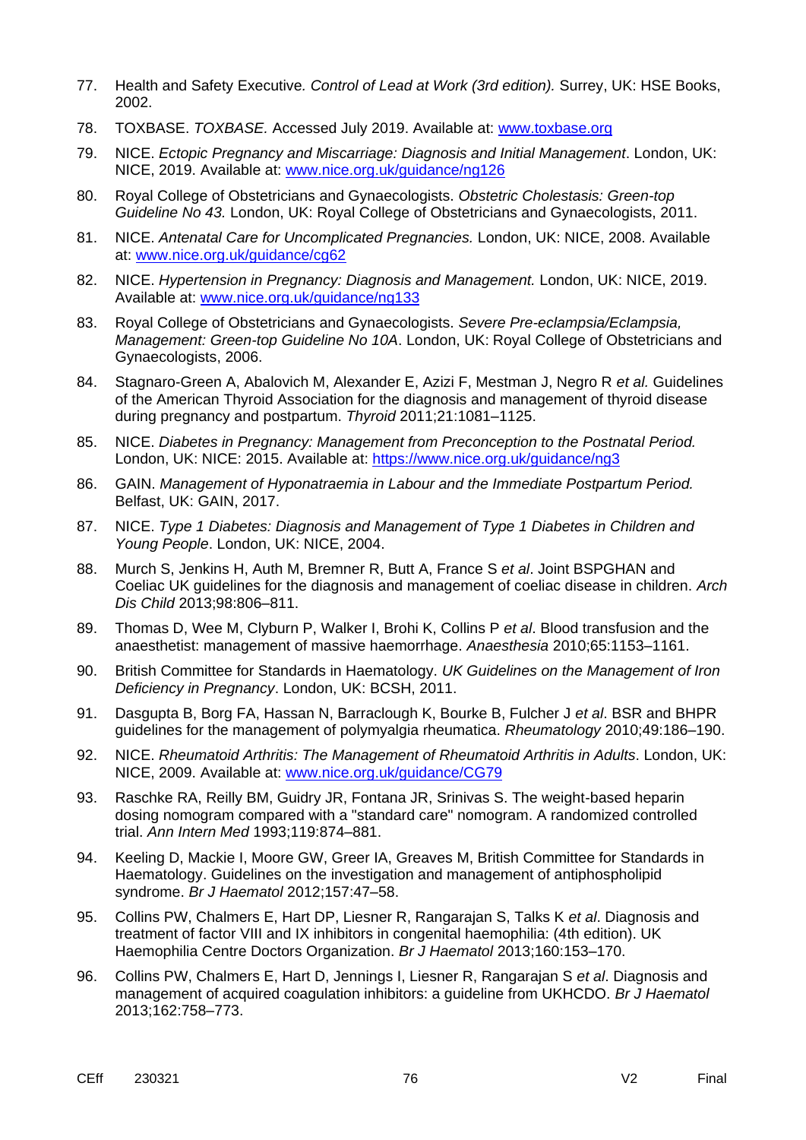- 77. Health and Safety Executive*. Control of Lead at Work (3rd edition).* Surrey, UK: HSE Books, 2002.
- 78. TOXBASE. *TOXBASE.* Accessed July 2019. Available at: [www.toxbase.org](http://www.toxbase.org/)
- 79. NICE. *Ectopic Pregnancy and Miscarriage: Diagnosis and Initial Management*. London, UK: NICE, 2019. Available at: [www.nice.org.uk/guidance/ng126](http://www.nice.org.uk/guidance/ng126)
- 80. Royal College of Obstetricians and Gynaecologists. *Obstetric Cholestasis: Green-top Guideline No 43.* London, UK: Royal College of Obstetricians and Gynaecologists, 2011.
- 81. NICE. *Antenatal Care for Uncomplicated Pregnancies.* London, UK: NICE, 2008. Available at: [www.nice.org.uk/guidance/cg62](https://www.nice.org.uk/guidance/cg62)
- 82. NICE. *Hypertension in Pregnancy: Diagnosis and Management.* London, UK: NICE, 2019. Available at: [www.nice.org.uk/guidance/ng133](https://www.nice.org.uk/guidance/ng133)
- 83. Royal College of Obstetricians and Gynaecologists. *Severe Pre-eclampsia/Eclampsia, Management: Green-top Guideline No 10A*. London, UK: Royal College of Obstetricians and Gynaecologists, 2006.
- 84. Stagnaro-Green A, Abalovich M, Alexander E, Azizi F, Mestman J, Negro R *et al.* Guidelines of the American Thyroid Association for the diagnosis and management of thyroid disease during pregnancy and postpartum. *Thyroid* 2011;21:1081–1125.
- 85. NICE. *Diabetes in Pregnancy: Management from Preconception to the Postnatal Period.* London, UK: NICE: 2015. Available at:<https://www.nice.org.uk/guidance/ng3>
- 86. GAIN. *Management of Hyponatraemia in Labour and the Immediate Postpartum Period.* Belfast, UK: GAIN, 2017.
- 87. NICE. *Type 1 Diabetes: Diagnosis and Management of Type 1 Diabetes in Children and Young People*. London, UK: NICE, 2004.
- 88. Murch S, Jenkins H, Auth M, Bremner R, Butt A, France S *et al*. Joint BSPGHAN and Coeliac UK guidelines for the diagnosis and management of coeliac disease in children. *Arch Dis Child* 2013;98:806–811.
- 89. Thomas D, Wee M, Clyburn P, Walker I, Brohi K, Collins P *et al*. Blood transfusion and the anaesthetist: management of massive haemorrhage. *Anaesthesia* 2010;65:1153–1161.
- 90. British Committee for Standards in Haematology. *UK Guidelines on the Management of Iron Deficiency in Pregnancy*. London, UK: BCSH, 2011.
- 91. Dasgupta B, Borg FA, Hassan N, Barraclough K, Bourke B, Fulcher J *et al*. BSR and BHPR guidelines for the management of polymyalgia rheumatica. *Rheumatology* 2010;49:186–190.
- 92. NICE. *Rheumatoid Arthritis: The Management of Rheumatoid Arthritis in Adults*. London, UK: NICE, 2009. Available at: [www.nice.org.uk/guidance/CG79](http://www.nice.org.uk/guidance/CG79)
- 93. Raschke RA, Reilly BM, Guidry JR, Fontana JR, Srinivas S. The weight-based heparin dosing nomogram compared with a "standard care" nomogram. A randomized controlled trial. *Ann Intern Med* 1993;119:874–881.
- 94. Keeling D, Mackie I, Moore GW, Greer IA, Greaves M, British Committee for Standards in Haematology. Guidelines on the investigation and management of antiphospholipid syndrome. *Br J Haematol* 2012;157:47–58.
- 95. Collins PW, Chalmers E, Hart DP, Liesner R, Rangarajan S, Talks K *et al*. Diagnosis and treatment of factor VIII and IX inhibitors in congenital haemophilia: (4th edition). UK Haemophilia Centre Doctors Organization. *Br J Haematol* 2013;160:153–170.
- 96. Collins PW, Chalmers E, Hart D, Jennings I, Liesner R, Rangarajan S *et al*. Diagnosis and management of acquired coagulation inhibitors: a guideline from UKHCDO. *Br J Haematol*  2013;162:758–773.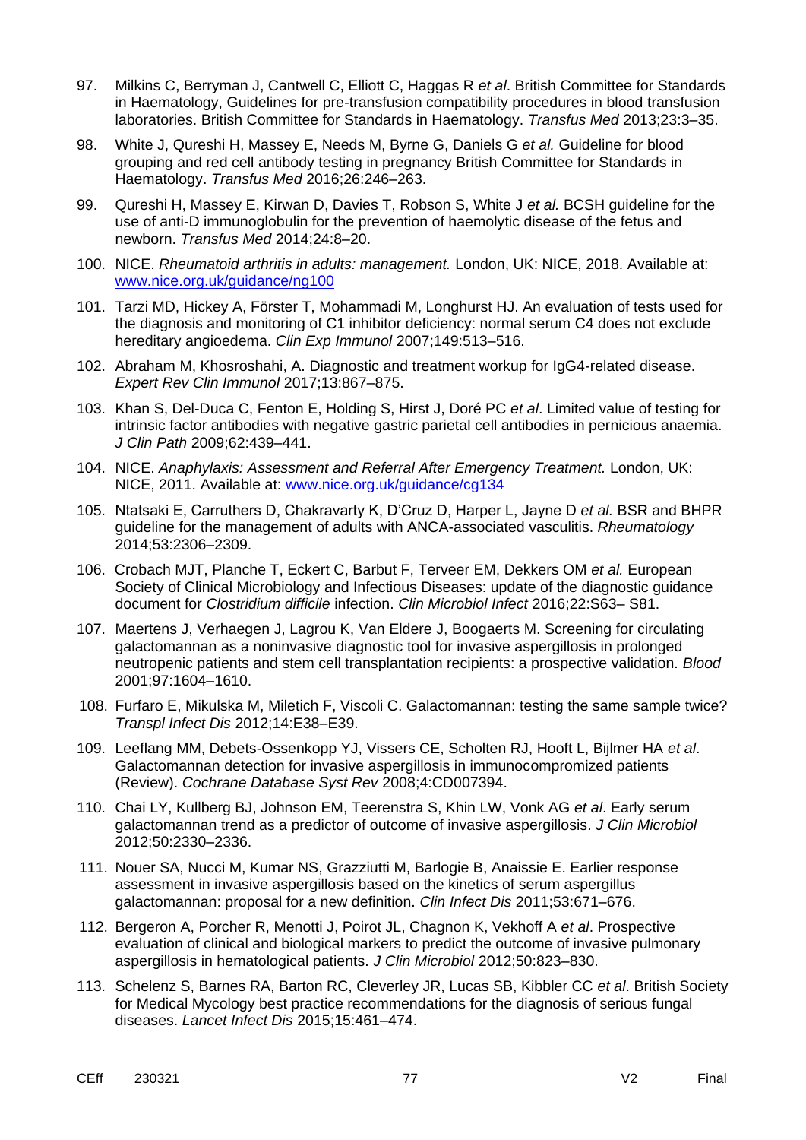- 97. Milkins C, Berryman J, Cantwell C, Elliott C, Haggas R *et al*. British Committee for Standards in Haematology, Guidelines for pre-transfusion compatibility procedures in blood transfusion laboratories. British Committee for Standards in Haematology. *Transfus Med* 2013;23:3–35.
- 98. White J, Qureshi H, Massey E, Needs M, Byrne G, Daniels G *et al.* Guideline for blood grouping and red cell antibody testing in pregnancy British Committee for Standards in Haematology. *Transfus Med* 2016;26:246–263.
- 99. Qureshi H, Massey E, Kirwan D, Davies T, Robson S, White J *et al.* BCSH guideline for the use of anti-D immunoglobulin for the prevention of haemolytic disease of the fetus and newborn. *Transfus Med* 2014;24:8–20.
- 100. NICE. *Rheumatoid arthritis in adults: management.* London, UK: NICE, 2018. Available at: [www.nice.org.uk/guidance/ng100](http://www.nice.org.uk/guidance/ng100)
- 101. Tarzi MD, Hickey A, Förster T, Mohammadi M, Longhurst HJ. An evaluation of tests used for the diagnosis and monitoring of C1 inhibitor deficiency: normal serum C4 does not exclude hereditary angioedema. *Clin Exp Immunol* 2007;149:513–516.
- 102. Abraham M, Khosroshahi, A. Diagnostic and treatment workup for IgG4-related disease. *Expert Rev Clin Immunol* 2017;13:867–875.
- 103. Khan S, Del-Duca C, Fenton E, Holding S, Hirst J, Doré PC *et al*. Limited value of testing for intrinsic factor antibodies with negative gastric parietal cell antibodies in pernicious anaemia. *J Clin Path* 2009;62:439–441.
- 104. NICE. *Anaphylaxis: Assessment and Referral After Emergency Treatment.* London, UK: NICE, 2011. Available at: [www.nice.org.uk/guidance/cg134](http://www.nice.org.uk/guidance/cg134)
- 105. Ntatsaki E, Carruthers D, Chakravarty K, D'Cruz D, Harper L, Jayne D *et al.* BSR and BHPR guideline for the management of adults with ANCA-associated vasculitis. *Rheumatology*  2014;53:2306–2309.
- 106. Crobach MJT, Planche T, Eckert C, Barbut F, Terveer EM, Dekkers OM *et al.* European Society of Clinical Microbiology and Infectious Diseases: update of the diagnostic guidance document for *Clostridium difficile* infection. *Clin Microbiol Infect* 2016;22:S63– S81.
- 107. Maertens J, Verhaegen J, Lagrou K, Van Eldere J, Boogaerts M. Screening for circulating galactomannan as a noninvasive diagnostic tool for invasive aspergillosis in prolonged neutropenic patients and stem cell transplantation recipients: a prospective validation. *Blood* 2001;97:1604–1610.
- 108. Furfaro E, Mikulska M, Miletich F, Viscoli C. Galactomannan: testing the same sample twice? *Transpl Infect Dis* 2012;14:E38–E39.
- 109. Leeflang MM, Debets-Ossenkopp YJ, Vissers CE, Scholten RJ, Hooft L, Bijlmer HA *et al*. Galactomannan detection for invasive aspergillosis in immunocompromized patients (Review). *Cochrane Database Syst Rev* 2008;4:CD007394.
- 110. Chai LY, Kullberg BJ, Johnson EM, Teerenstra S, Khin LW, Vonk AG *et al*. Early serum galactomannan trend as a predictor of outcome of invasive aspergillosis. *J Clin Microbiol* 2012;50:2330–2336.
- 111. Nouer SA, Nucci M, Kumar NS, Grazziutti M, Barlogie B, Anaissie E. Earlier response assessment in invasive aspergillosis based on the kinetics of serum aspergillus galactomannan: proposal for a new definition. *Clin Infect Dis* 2011;53:671–676.
- 112. Bergeron A, Porcher R, Menotti J, Poirot JL, Chagnon K, Vekhoff A *et al*. Prospective evaluation of clinical and biological markers to predict the outcome of invasive pulmonary aspergillosis in hematological patients. *J Clin Microbiol* 2012;50:823–830.
- 113. Schelenz S, Barnes RA, Barton RC, Cleverley JR, Lucas SB, Kibbler CC *et al*. British Society for Medical Mycology best practice recommendations for the diagnosis of serious fungal diseases. *Lancet Infect Dis* 2015;15:461–474.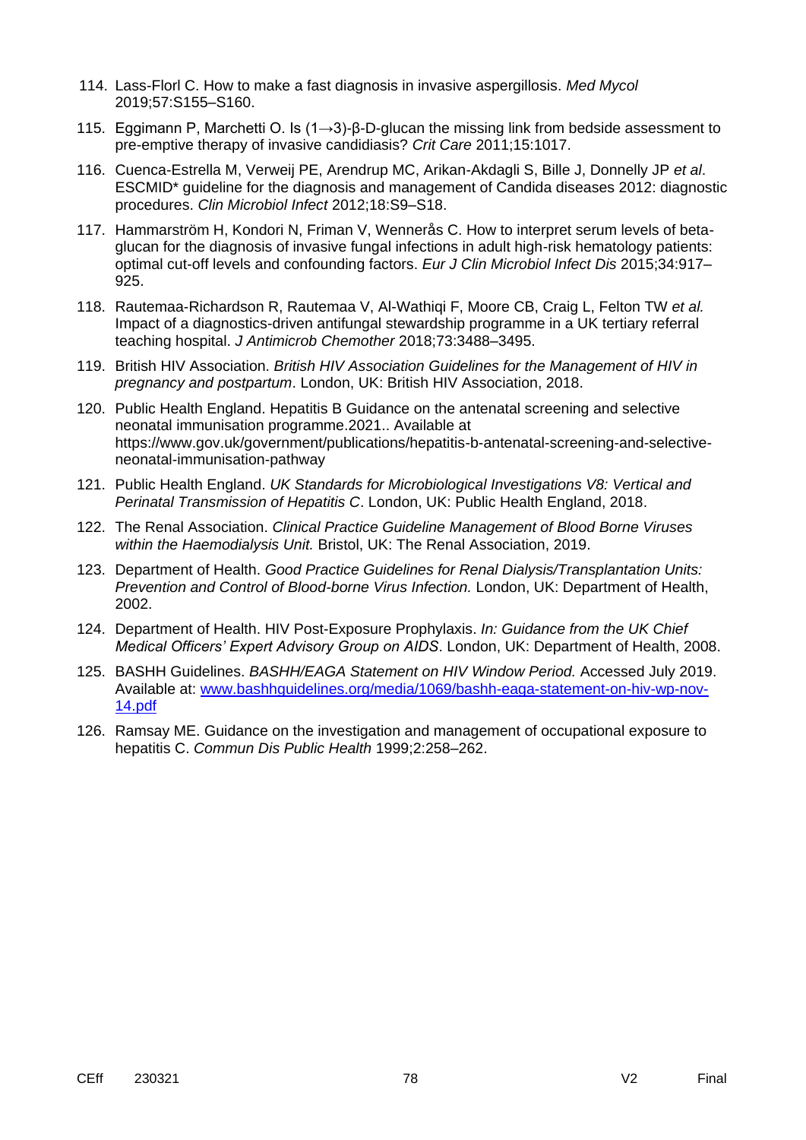- 114. Lass-Florl C. How to make a fast diagnosis in invasive aspergillosis. *Med Mycol* 2019;57:S155–S160.
- 115. Eggimann P, Marchetti O. Is (1→3)-β-D-glucan the missing link from bedside assessment to pre-emptive therapy of invasive candidiasis? *Crit Care* 2011;15:1017.
- 116. Cuenca-Estrella M, Verweij PE, Arendrup MC, Arikan-Akdagli S, Bille J, Donnelly JP *et al*. ESCMID\* guideline for the diagnosis and management of Candida diseases 2012: diagnostic procedures. *Clin Microbiol Infect* 2012;18:S9–S18.
- 117. Hammarström H, Kondori N, Friman V, Wennerås C. How to interpret serum levels of betaglucan for the diagnosis of invasive fungal infections in adult high-risk hematology patients: optimal cut-off levels and confounding factors. *Eur J Clin Microbiol Infect Dis* 2015;34:917– 925.
- 118. Rautemaa-Richardson R, Rautemaa V, Al-Wathiqi F, Moore CB, Craig L, Felton TW *et al.* Impact of a diagnostics-driven antifungal stewardship programme in a UK tertiary referral teaching hospital. *J Antimicrob Chemother* 2018;73:3488–3495.
- 119. British HIV Association. *British HIV Association Guidelines for the Management of HIV in pregnancy and postpartum*. London, UK: British HIV Association, 2018.
- 120. Public Health England. Hepatitis B Guidance on the antenatal screening and selective neonatal immunisation programme.2021.. Available at https://www.gov.uk/government/publications/hepatitis-b-antenatal-screening-and-selectiveneonatal-immunisation-pathway
- 121. Public Health England. *UK Standards for Microbiological Investigations V8: Vertical and Perinatal Transmission of Hepatitis C*. London, UK: Public Health England, 2018.
- 122. The Renal Association. *Clinical Practice Guideline Management of Blood Borne Viruses within the Haemodialysis Unit.* Bristol, UK: The Renal Association, 2019.
- 123. Department of Health. *Good Practice Guidelines for Renal Dialysis/Transplantation Units: Prevention and Control of Blood-borne Virus Infection.* London, UK: Department of Health, 2002.
- 124. Department of Health. HIV Post-Exposure Prophylaxis. *In: Guidance from the UK Chief Medical Officers' Expert Advisory Group on AIDS*. London, UK: Department of Health, 2008.
- 125. BASHH Guidelines. *BASHH/EAGA Statement on HIV Window Period.* Accessed July 2019. Available at: [www.bashhguidelines.org/media/1069/bashh-eaga-statement-on-hiv-wp-nov-](http://www.bashhguidelines.org/media/1069/bashh-eaga-statement-on-hiv-wp-nov-14.pdf)[14.pdf](http://www.bashhguidelines.org/media/1069/bashh-eaga-statement-on-hiv-wp-nov-14.pdf)
- 126. Ramsay ME. Guidance on the investigation and management of occupational exposure to hepatitis C. *Commun Dis Public Health* 1999;2:258–262.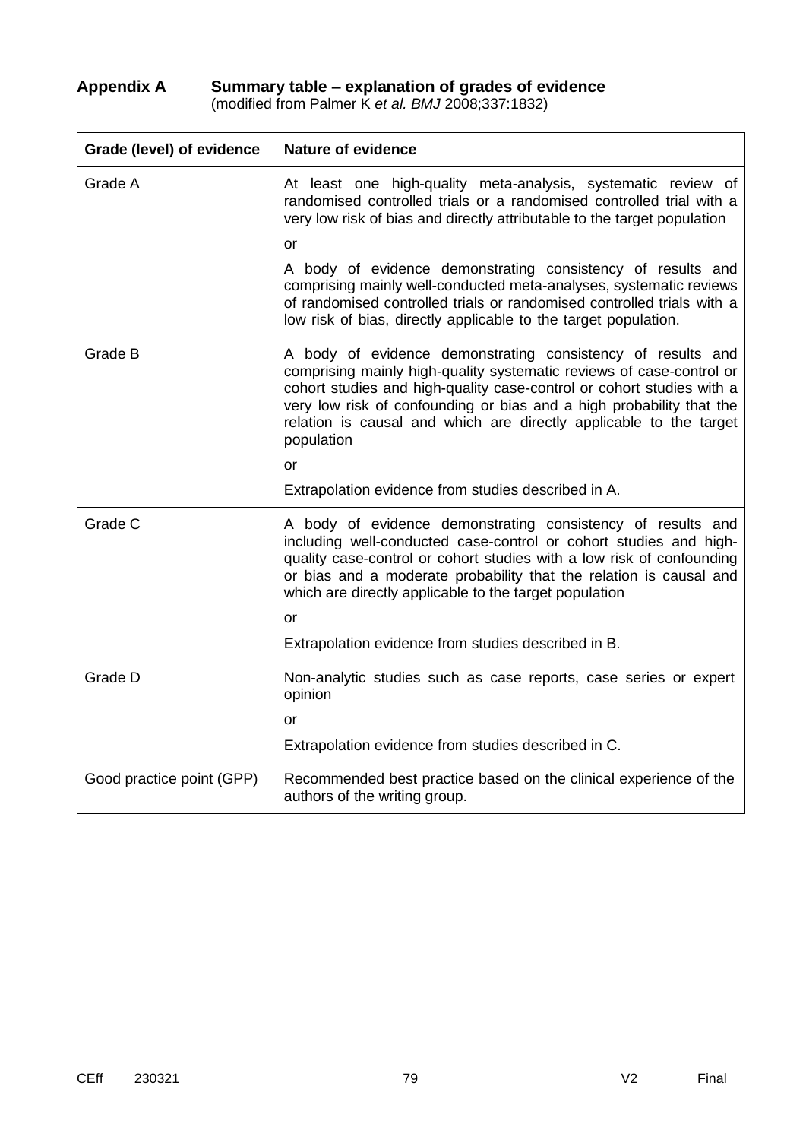## **Appendix A Summary table – explanation of grades of evidence**

(modified from Palmer K *et al. BMJ* 2008;337:1832)

| Grade (level) of evidence | <b>Nature of evidence</b>                                                                                                                                                                                                                                                                                                                                                             |  |
|---------------------------|---------------------------------------------------------------------------------------------------------------------------------------------------------------------------------------------------------------------------------------------------------------------------------------------------------------------------------------------------------------------------------------|--|
| Grade A                   | At least one high-quality meta-analysis, systematic review of<br>randomised controlled trials or a randomised controlled trial with a<br>very low risk of bias and directly attributable to the target population                                                                                                                                                                     |  |
|                           | or                                                                                                                                                                                                                                                                                                                                                                                    |  |
|                           | A body of evidence demonstrating consistency of results and<br>comprising mainly well-conducted meta-analyses, systematic reviews<br>of randomised controlled trials or randomised controlled trials with a<br>low risk of bias, directly applicable to the target population.                                                                                                        |  |
| Grade B                   | A body of evidence demonstrating consistency of results and<br>comprising mainly high-quality systematic reviews of case-control or<br>cohort studies and high-quality case-control or cohort studies with a<br>very low risk of confounding or bias and a high probability that the<br>relation is causal and which are directly applicable to the target<br>population<br><b>or</b> |  |
|                           | Extrapolation evidence from studies described in A.                                                                                                                                                                                                                                                                                                                                   |  |
|                           |                                                                                                                                                                                                                                                                                                                                                                                       |  |
| Grade C                   | A body of evidence demonstrating consistency of results and<br>including well-conducted case-control or cohort studies and high-<br>quality case-control or cohort studies with a low risk of confounding<br>or bias and a moderate probability that the relation is causal and<br>which are directly applicable to the target population<br>or                                       |  |
|                           | Extrapolation evidence from studies described in B.                                                                                                                                                                                                                                                                                                                                   |  |
| Grade D                   | Non-analytic studies such as case reports, case series or expert<br>opinion<br>or                                                                                                                                                                                                                                                                                                     |  |
|                           | Extrapolation evidence from studies described in C.                                                                                                                                                                                                                                                                                                                                   |  |
|                           |                                                                                                                                                                                                                                                                                                                                                                                       |  |
| Good practice point (GPP) | Recommended best practice based on the clinical experience of the<br>authors of the writing group.                                                                                                                                                                                                                                                                                    |  |